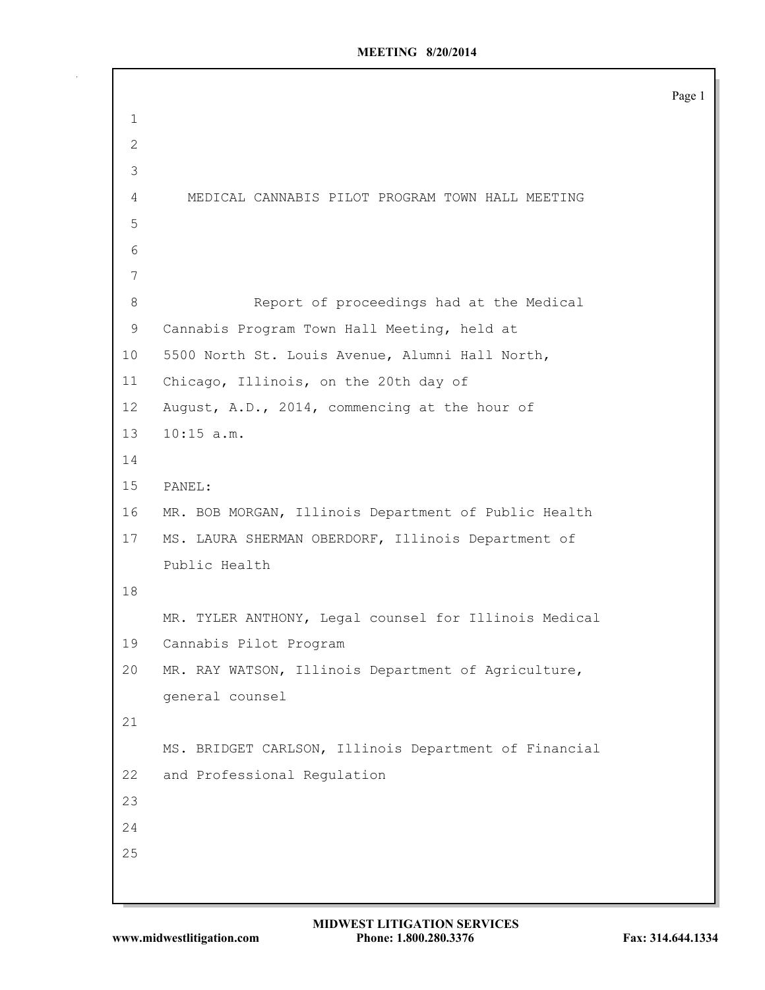```
1
 2
 3
 4 MEDICAL CANNABIS PILOT PROGRAM TOWN HALL MEETING
 5
 6
7
8 Report of proceedings had at the Medical
9 Cannabis Program Town Hall Meeting, held at
10 5500 North St. Louis Avenue, Alumni Hall North,
11 Chicago, Illinois, on the 20th day of
12 August, A.D., 2014, commencing at the hour of
13 10:15 a.m.
14
15 PANEL:
16 MR. BOB MORGAN, Illinois Department of Public Health
17 MS. LAURA SHERMAN OBERDORF, Illinois Department of
    Public Health
18
    MR. TYLER ANTHONY, Legal counsel for Illinois Medical
19 Cannabis Pilot Program
20 MR. RAY WATSON, Illinois Department of Agriculture,
    general counsel
21
    MS. BRIDGET CARLSON, Illinois Department of Financial
22 and Professional Regulation
23
24
25
```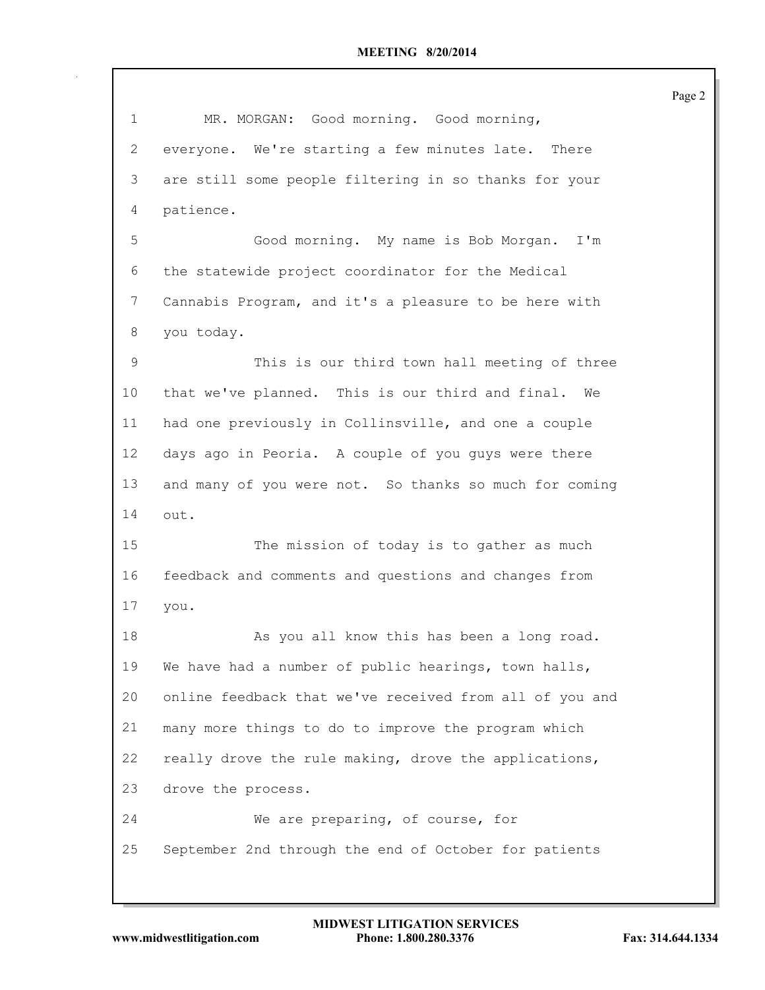| $\mathbf 1$ | MR. MORGAN: Good morning. Good morning,                 |
|-------------|---------------------------------------------------------|
| 2           | everyone. We're starting a few minutes late. There      |
| 3           | are still some people filtering in so thanks for your   |
| 4           | patience.                                               |
| 5           | Good morning. My name is Bob Morgan.<br>$I^{\prime}$ m  |
| 6           | the statewide project coordinator for the Medical       |
| 7           | Cannabis Program, and it's a pleasure to be here with   |
| 8           | you today.                                              |
| 9           | This is our third town hall meeting of three            |
| 10          | that we've planned. This is our third and final. We     |
| 11          | had one previously in Collinsville, and one a couple    |
| 12          | days ago in Peoria. A couple of you guys were there     |
| 13          | and many of you were not. So thanks so much for coming  |
| 14          | out.                                                    |
| 15          | The mission of today is to gather as much               |
| 16          | feedback and comments and questions and changes from    |
| 17          | you.                                                    |
| 18          | As you all know this has been a long road.              |
| 19          | We have had a number of public hearings, town halls,    |
| 20          | online feedback that we've received from all of you and |
| 21          | many more things to do to improve the program which     |
| 22          | really drove the rule making, drove the applications,   |
| 23          | drove the process.                                      |
| 24          | We are preparing, of course, for                        |
| 25          | September 2nd through the end of October for patients   |
|             |                                                         |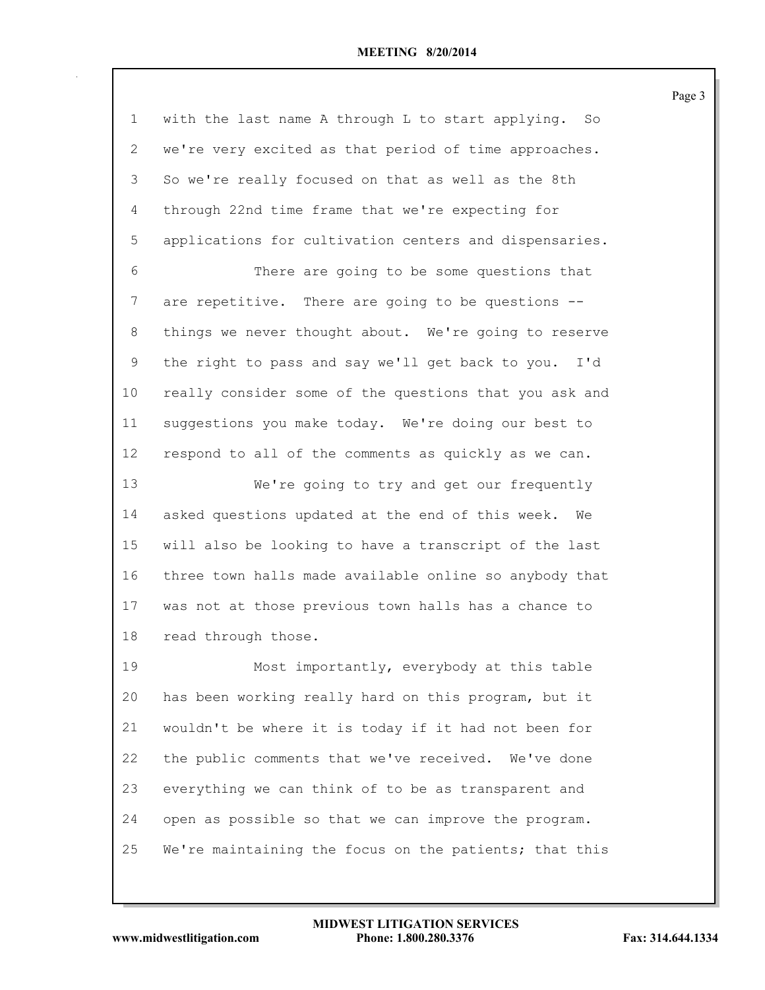| $\mathbf 1$    | with the last name A through L to start applying.<br>So |
|----------------|---------------------------------------------------------|
| 2              | we're very excited as that period of time approaches.   |
| 3              | So we're really focused on that as well as the 8th      |
| 4              | through 22nd time frame that we're expecting for        |
| 5              | applications for cultivation centers and dispensaries.  |
| 6              | There are going to be some questions that               |
| $\overline{7}$ | are repetitive. There are going to be questions --      |
| 8              | things we never thought about. We're going to reserve   |
| 9              | the right to pass and say we'll get back to you. I'd    |
| 10             | really consider some of the questions that you ask and  |
| 11             | suggestions you make today. We're doing our best to     |
| 12             | respond to all of the comments as quickly as we can.    |
| 13             | We're going to try and get our frequently               |
| 14             | asked questions updated at the end of this week.<br>We  |
| 15             | will also be looking to have a transcript of the last   |
| 16             | three town halls made available online so anybody that  |
| 17             | was not at those previous town halls has a chance to    |
| 18             | read through those.                                     |
| 19             | Most importantly, everybody at this table               |
| 20             | has been working really hard on this program, but it    |
| 21             | wouldn't be where it is today if it had not been for    |
| 22             | the public comments that we've received. We've done     |
| 23             | everything we can think of to be as transparent and     |
| 24             | open as possible so that we can improve the program.    |
| 25             | We're maintaining the focus on the patients; that this  |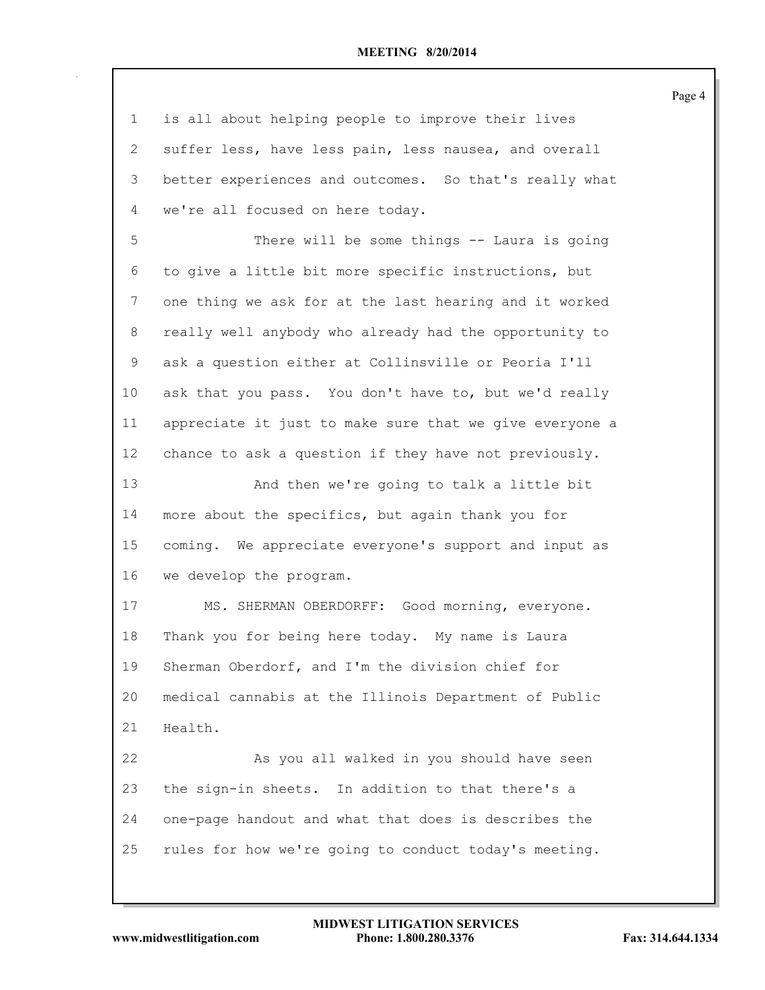is all about helping people to improve their lives suffer less, have less pain, less nausea, and overall better experiences and outcomes. So that's really what we're all focused on here today. There will be some things -- Laura is going to give a little bit more specific instructions, but one thing we ask for at the last hearing and it worked really well anybody who already had the opportunity to ask a question either at Collinsville or Peoria I'll ask that you pass. You don't have to, but we'd really appreciate it just to make sure that we give everyone a chance to ask a question if they have not previously. And then we're going to talk a little bit more about the specifics, but again thank you for coming. We appreciate everyone's support and input as we develop the program. MS. SHERMAN OBERDORFF: Good morning, everyone. Thank you for being here today. My name is Laura Sherman Oberdorf, and I'm the division chief for medical cannabis at the Illinois Department of Public Health. 22 As you all walked in you should have seen the sign-in sheets. In addition to that there's a one-page handout and what that does is describes the rules for how we're going to conduct today's meeting.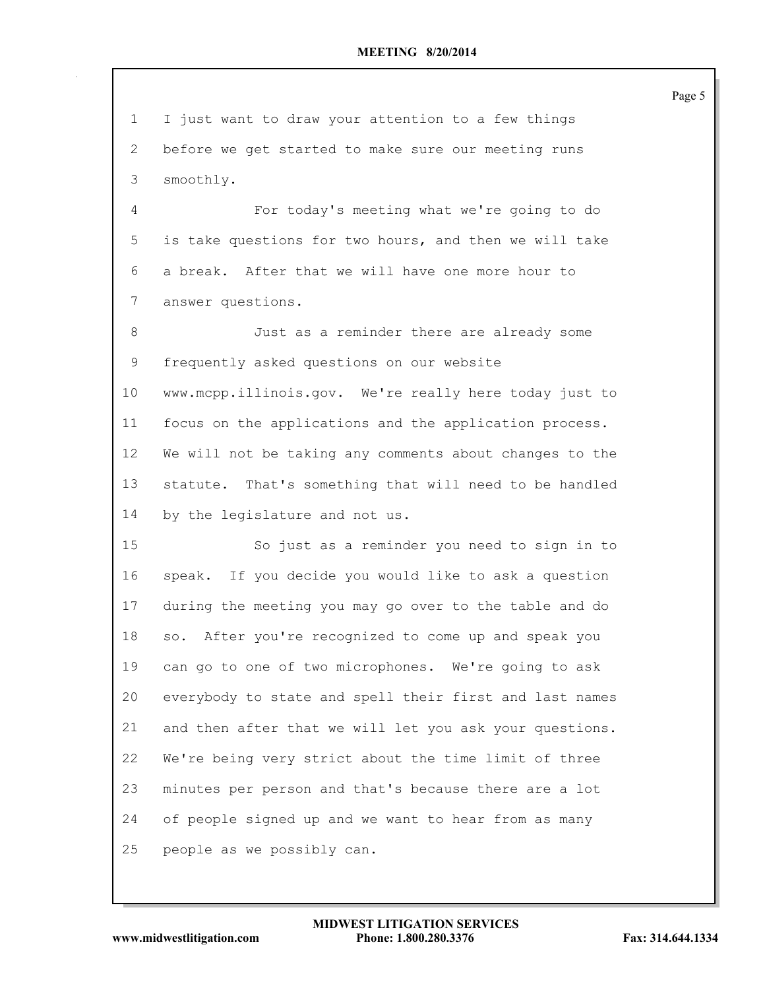I just want to draw your attention to a few things before we get started to make sure our meeting runs smoothly. For today's meeting what we're going to do is take questions for two hours, and then we will take a break. After that we will have one more hour to answer questions. Just as a reminder there are already some frequently asked questions on our website www.mcpp.illinois.gov. We're really here today just to focus on the applications and the application process. We will not be taking any comments about changes to the statute. That's something that will need to be handled by the legislature and not us. So just as a reminder you need to sign in to speak. If you decide you would like to ask a question during the meeting you may go over to the table and do so. After you're recognized to come up and speak you can go to one of two microphones. We're going to ask everybody to state and spell their first and last names and then after that we will let you ask your questions. We're being very strict about the time limit of three minutes per person and that's because there are a lot of people signed up and we want to hear from as many people as we possibly can.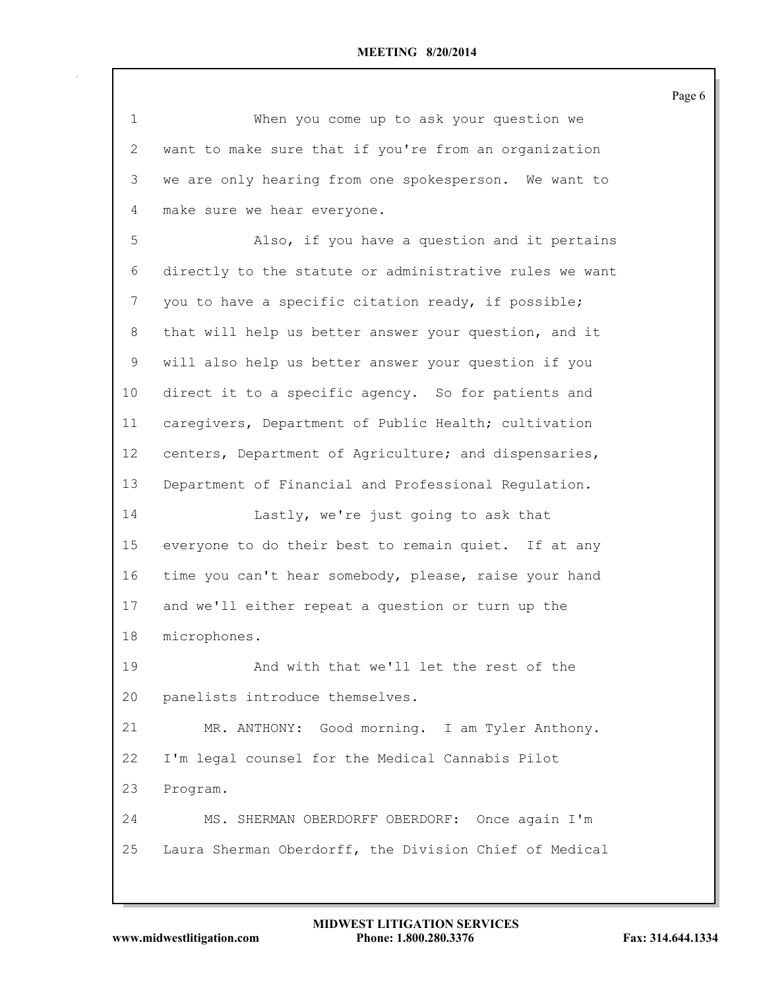When you come up to ask your question we want to make sure that if you're from an organization we are only hearing from one spokesperson. We want to make sure we hear everyone. Also, if you have a question and it pertains directly to the statute or administrative rules we want you to have a specific citation ready, if possible; that will help us better answer your question, and it will also help us better answer your question if you direct it to a specific agency. So for patients and caregivers, Department of Public Health; cultivation centers, Department of Agriculture; and dispensaries, Department of Financial and Professional Regulation. 14 Lastly, we're just going to ask that everyone to do their best to remain quiet. If at any time you can't hear somebody, please, raise your hand and we'll either repeat a question or turn up the microphones. And with that we'll let the rest of the panelists introduce themselves. MR. ANTHONY: Good morning. I am Tyler Anthony. I'm legal counsel for the Medical Cannabis Pilot Program. MS. SHERMAN OBERDORFF OBERDORF: Once again I'm Laura Sherman Oberdorff, the Division Chief of Medical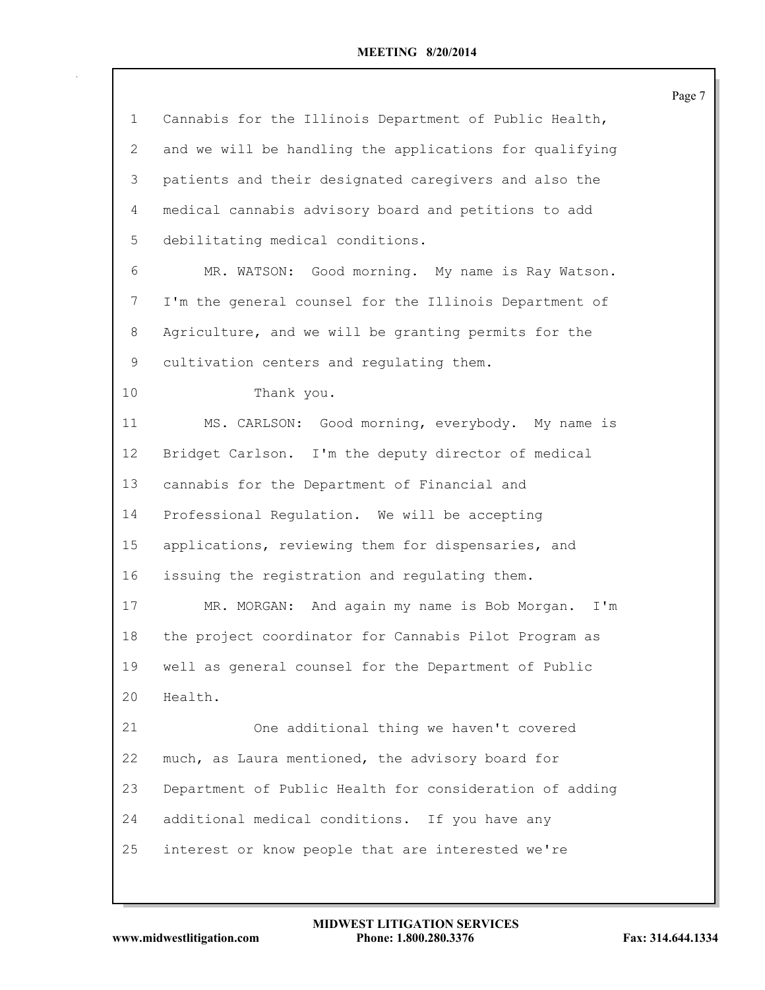|    |                                                         | Page 7 |
|----|---------------------------------------------------------|--------|
| 1  | Cannabis for the Illinois Department of Public Health,  |        |
| 2  | and we will be handling the applications for qualifying |        |
| 3  | patients and their designated caregivers and also the   |        |
| 4  | medical cannabis advisory board and petitions to add    |        |
| 5  | debilitating medical conditions.                        |        |
| 6  | MR. WATSON: Good morning. My name is Ray Watson.        |        |
| 7  | I'm the general counsel for the Illinois Department of  |        |
| 8  | Agriculture, and we will be granting permits for the    |        |
| 9  | cultivation centers and regulating them.                |        |
| 10 | Thank you.                                              |        |
| 11 | MS. CARLSON: Good morning, everybody. My name is        |        |
| 12 | Bridget Carlson. I'm the deputy director of medical     |        |
| 13 | cannabis for the Department of Financial and            |        |
| 14 | Professional Regulation. We will be accepting           |        |
| 15 | applications, reviewing them for dispensaries, and      |        |
| 16 | issuing the registration and regulating them.           |        |
| 17 | MR. MORGAN: And again my name is Bob Morgan.<br>I'm     |        |
| 18 | the project coordinator for Cannabis Pilot Program as   |        |
| 19 | well as general counsel for the Department of Public    |        |
| 20 | Health.                                                 |        |
| 21 | One additional thing we haven't covered                 |        |
| 22 | much, as Laura mentioned, the advisory board for        |        |
| 23 | Department of Public Health for consideration of adding |        |
| 24 | additional medical conditions. If you have any          |        |
| 25 | interest or know people that are interested we're       |        |
|    |                                                         |        |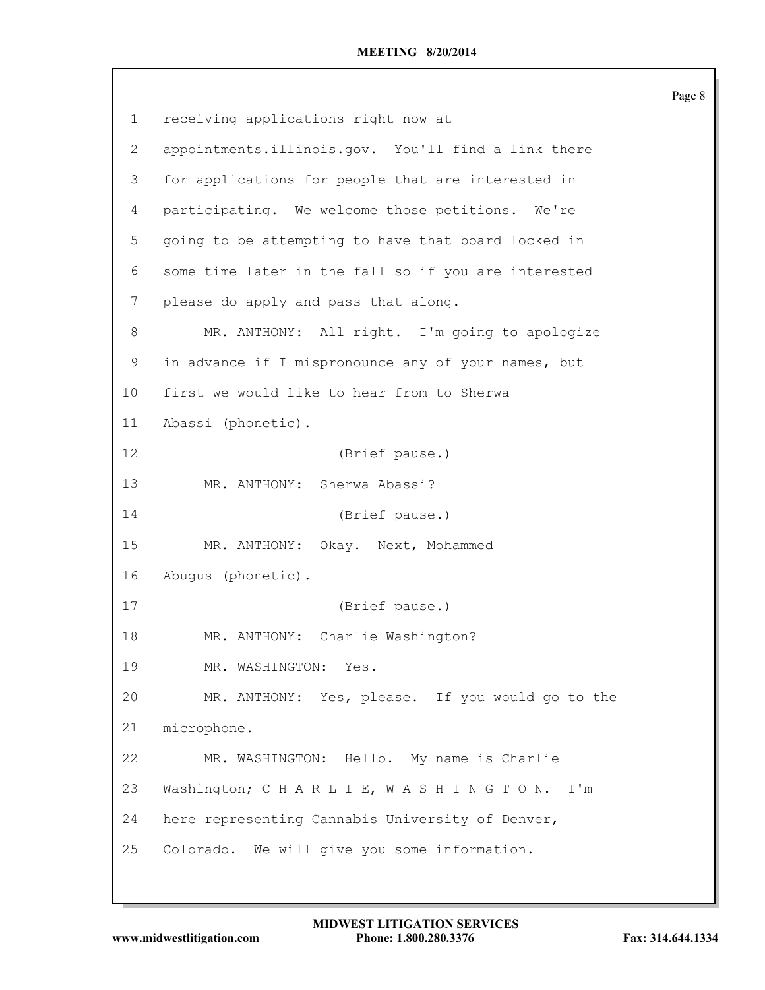Page 8 receiving applications right now at appointments.illinois.gov. You'll find a link there for applications for people that are interested in participating. We welcome those petitions. We're going to be attempting to have that board locked in some time later in the fall so if you are interested please do apply and pass that along. MR. ANTHONY: All right. I'm going to apologize in advance if I mispronounce any of your names, but first we would like to hear from to Sherwa Abassi (phonetic). (Brief pause.) MR. ANTHONY: Sherwa Abassi? (Brief pause.) MR. ANTHONY: Okay. Next, Mohammed Abugus (phonetic). (Brief pause.) MR. ANTHONY: Charlie Washington? MR. WASHINGTON: Yes. MR. ANTHONY: Yes, please. If you would go to the microphone. MR. WASHINGTON: Hello. My name is Charlie Washington; C H A R L I E, W A S H I N G T O N. I'm here representing Cannabis University of Denver, Colorado. We will give you some information.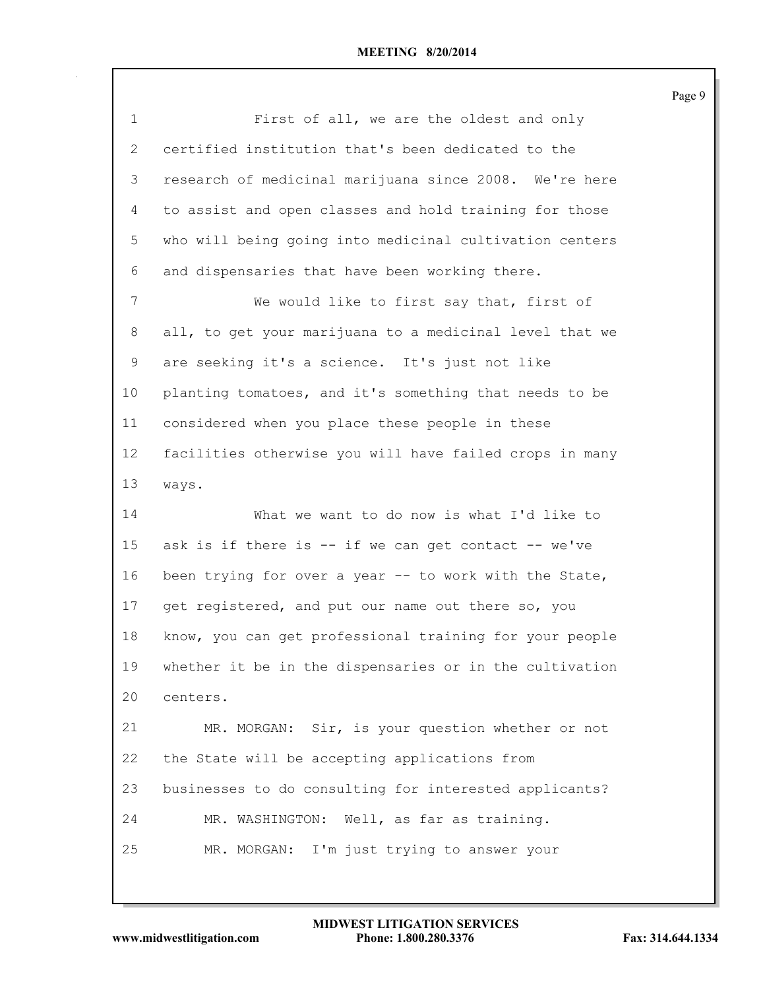| $\mathbf 1$ | First of all, we are the oldest and only                |
|-------------|---------------------------------------------------------|
| 2           | certified institution that's been dedicated to the      |
| 3           | research of medicinal marijuana since 2008. We're here  |
| 4           | to assist and open classes and hold training for those  |
| 5           | who will being going into medicinal cultivation centers |
| 6           | and dispensaries that have been working there.          |
| 7           | We would like to first say that, first of               |
| 8           | all, to get your marijuana to a medicinal level that we |
| 9           | are seeking it's a science. It's just not like          |
| 10          | planting tomatoes, and it's something that needs to be  |
| 11          | considered when you place these people in these         |
| 12          | facilities otherwise you will have failed crops in many |
| 13          | ways.                                                   |
| 14          | What we want to do now is what I'd like to              |
| 15          | ask is if there is -- if we can get contact -- we've    |
| 16          | been trying for over a year -- to work with the State,  |
| 17          | get registered, and put our name out there so, you      |
| 18          | know, you can get professional training for your people |
| 19          | whether it be in the dispensaries or in the cultivation |
| 20          | centers.                                                |
| 21          | MR. MORGAN: Sir, is your question whether or not        |
| 22          | the State will be accepting applications from           |
| 23          | businesses to do consulting for interested applicants?  |
| 24          | MR. WASHINGTON: Well, as far as training.               |
| 25          | MR. MORGAN: I'm just trying to answer your              |
|             |                                                         |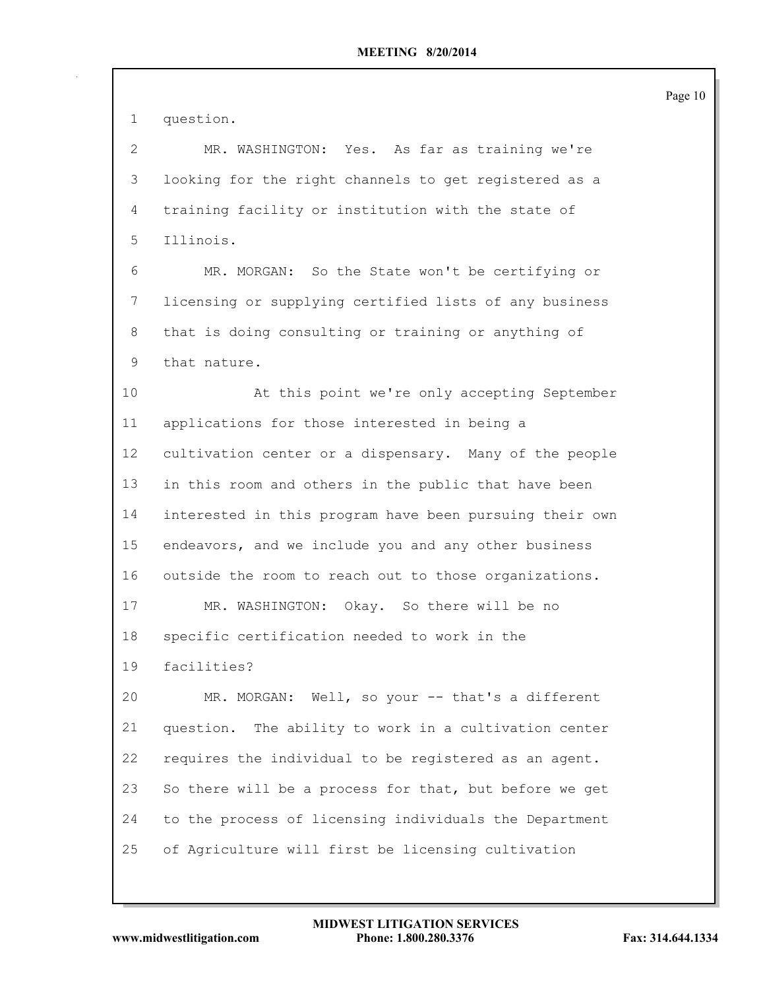question.

 MR. WASHINGTON: Yes. As far as training we're looking for the right channels to get registered as a training facility or institution with the state of Illinois.

 MR. MORGAN: So the State won't be certifying or licensing or supplying certified lists of any business that is doing consulting or training or anything of that nature.

 At this point we're only accepting September applications for those interested in being a cultivation center or a dispensary. Many of the people in this room and others in the public that have been interested in this program have been pursuing their own endeavors, and we include you and any other business outside the room to reach out to those organizations. MR. WASHINGTON: Okay. So there will be no specific certification needed to work in the facilities? MR. MORGAN: Well, so your -- that's a different question. The ability to work in a cultivation center requires the individual to be registered as an agent.

 So there will be a process for that, but before we get to the process of licensing individuals the Department of Agriculture will first be licensing cultivation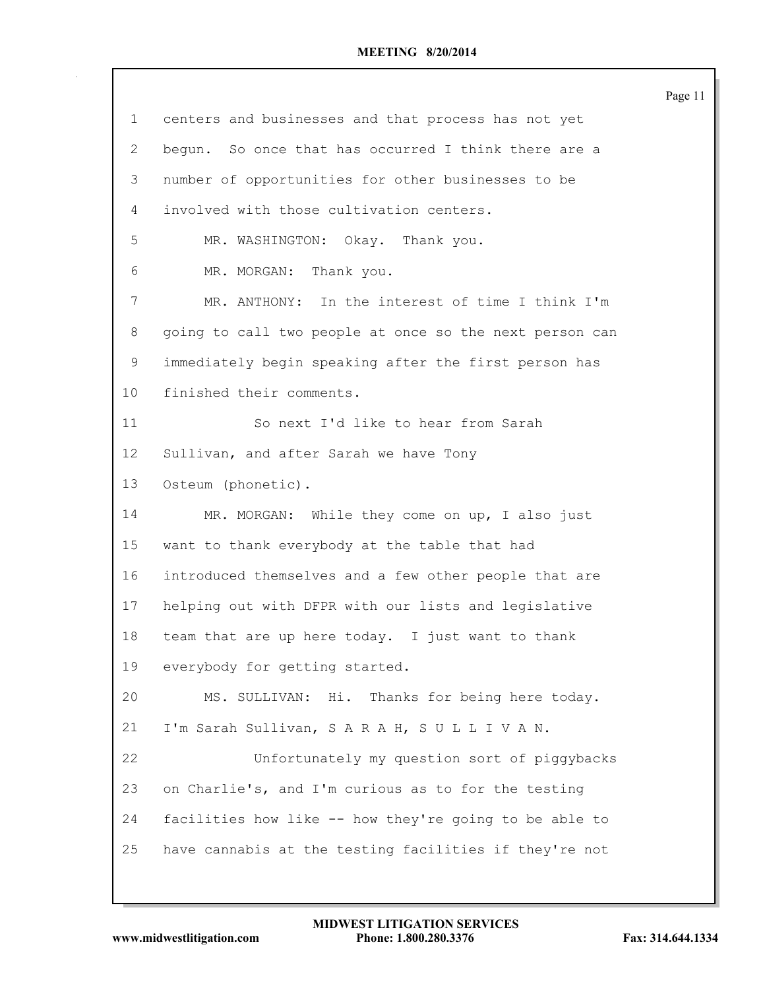|                   |                                                         | Page 11 |
|-------------------|---------------------------------------------------------|---------|
| $\mathbf 1$       | centers and businesses and that process has not yet     |         |
| $\mathbf{2}$      | begun. So once that has occurred I think there are a    |         |
| 3                 | number of opportunities for other businesses to be      |         |
| 4                 | involved with those cultivation centers.                |         |
| 5                 | MR. WASHINGTON: Okay. Thank you.                        |         |
| 6                 | MR. MORGAN: Thank you.                                  |         |
| $\overline{7}$    | MR. ANTHONY: In the interest of time I think I'm        |         |
| 8                 | going to call two people at once so the next person can |         |
| 9                 | immediately begin speaking after the first person has   |         |
| 10                | finished their comments.                                |         |
| 11                | So next I'd like to hear from Sarah                     |         |
| $12 \overline{ }$ | Sullivan, and after Sarah we have Tony                  |         |
| 13                | Osteum (phonetic).                                      |         |
| 14                | MR. MORGAN: While they come on up, I also just          |         |
| 15                | want to thank everybody at the table that had           |         |
| 16                | introduced themselves and a few other people that are   |         |
| 17                | helping out with DFPR with our lists and legislative    |         |
| 18                | team that are up here today. I just want to thank       |         |
| 19                | everybody for getting started.                          |         |
| 20                | MS. SULLIVAN: Hi.<br>Thanks for being here today.       |         |
| 21                | I'm Sarah Sullivan, SARAH, SULLIVAN.                    |         |
| 22                | Unfortunately my question sort of piggybacks            |         |
| 23                | on Charlie's, and I'm curious as to for the testing     |         |
| 24                | facilities how like -- how they're going to be able to  |         |
| 25                | have cannabis at the testing facilities if they're not  |         |
|                   |                                                         |         |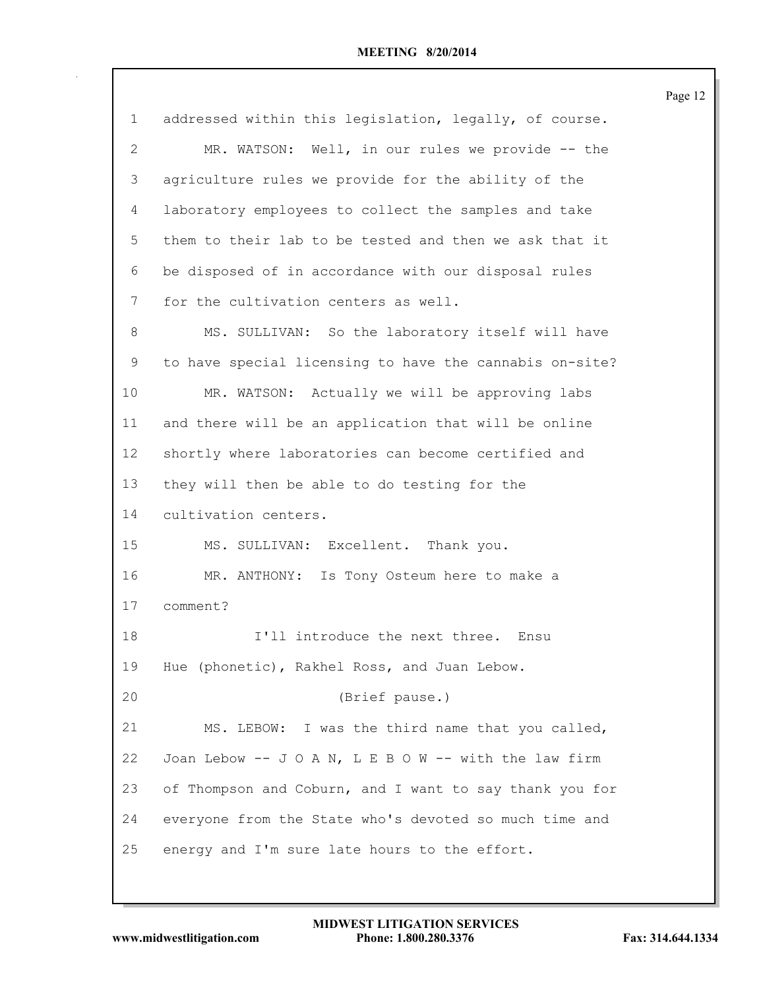| $\mathbf{1}$    | addressed within this legislation, legally, of course.  |
|-----------------|---------------------------------------------------------|
| $\overline{2}$  | MR. WATSON: Well, in our rules we provide -- the        |
| 3               | agriculture rules we provide for the ability of the     |
| 4               | laboratory employees to collect the samples and take    |
| 5               | them to their lab to be tested and then we ask that it  |
| 6               | be disposed of in accordance with our disposal rules    |
| 7               | for the cultivation centers as well.                    |
| 8               | MS. SULLIVAN: So the laboratory itself will have        |
| 9               | to have special licensing to have the cannabis on-site? |
| 10 <sup>°</sup> | MR. WATSON: Actually we will be approving labs          |
| 11              | and there will be an application that will be online    |
| 12              | shortly where laboratories can become certified and     |
| 13              | they will then be able to do testing for the            |
| 14              | cultivation centers.                                    |
| 15              | MS. SULLIVAN: Excellent. Thank you.                     |
| 16              | MR. ANTHONY: Is Tony Osteum here to make a              |
| 17              | comment?                                                |
| 18              | I'll introduce the next three. Ensu                     |
| 19              | Hue (phonetic), Rakhel Ross, and Juan Lebow.            |
| 20              | (Brief pause.)                                          |
| 21              | MS. LEBOW: I was the third name that you called,        |
| 22              | Joan Lebow -- J O A N, L E B O W -- with the law firm   |
| 23              | of Thompson and Coburn, and I want to say thank you for |
| 24              | everyone from the State who's devoted so much time and  |
| 25              | energy and I'm sure late hours to the effort.           |
|                 |                                                         |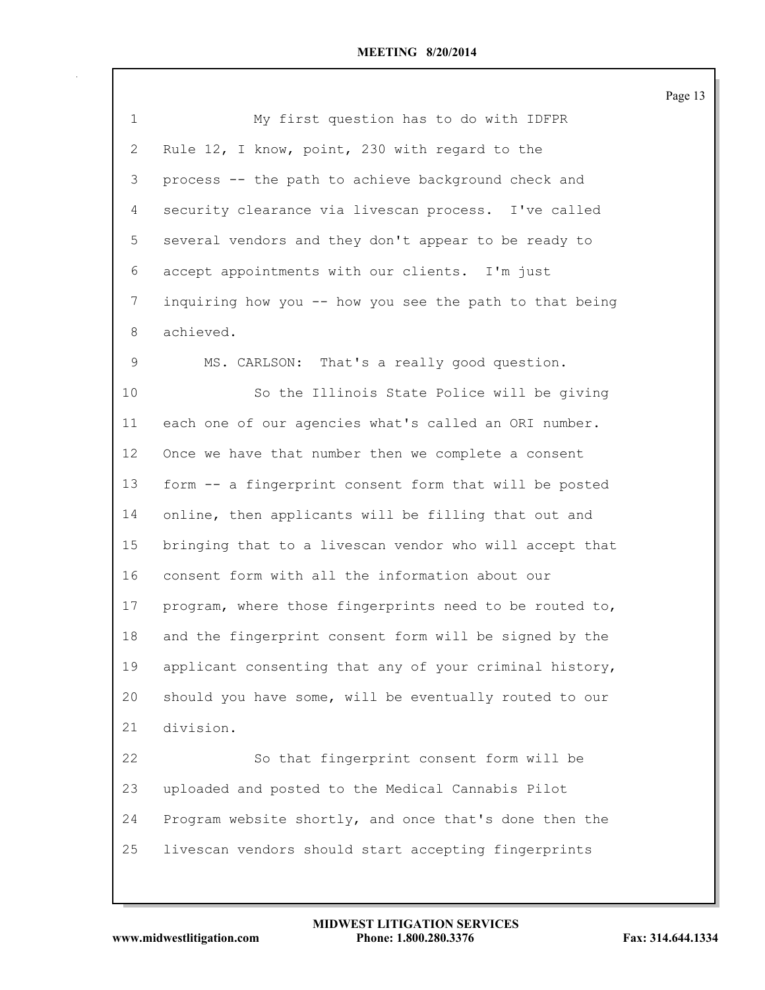| $\mathbf 1$ | My first question has to do with IDFPR                  |
|-------------|---------------------------------------------------------|
| 2           | Rule 12, I know, point, 230 with regard to the          |
| 3           | process -- the path to achieve background check and     |
| 4           | security clearance via livescan process. I've called    |
| 5           | several vendors and they don't appear to be ready to    |
| 6           | accept appointments with our clients. I'm just          |
| 7           | inquiring how you -- how you see the path to that being |
| 8           | achieved.                                               |
| 9           | MS. CARLSON: That's a really good question.             |
| 10          | So the Illinois State Police will be giving             |
| 11          | each one of our agencies what's called an ORI number.   |
| 12          | Once we have that number then we complete a consent     |
| 13          | form -- a fingerprint consent form that will be posted  |
| 14          | online, then applicants will be filling that out and    |
| 15          | bringing that to a livescan vendor who will accept that |
| 16          | consent form with all the information about our         |
| 17          | program, where those fingerprints need to be routed to, |
| 18          | and the fingerprint consent form will be signed by the  |
| 19          | applicant consenting that any of your criminal history, |
| 20          | should you have some, will be eventually routed to our  |
| 21          | division.                                               |
| 22          | So that fingerprint consent form will be                |
| 23          | uploaded and posted to the Medical Cannabis Pilot       |
| 24          | Program website shortly, and once that's done then the  |
| 25          | livescan vendors should start accepting fingerprints    |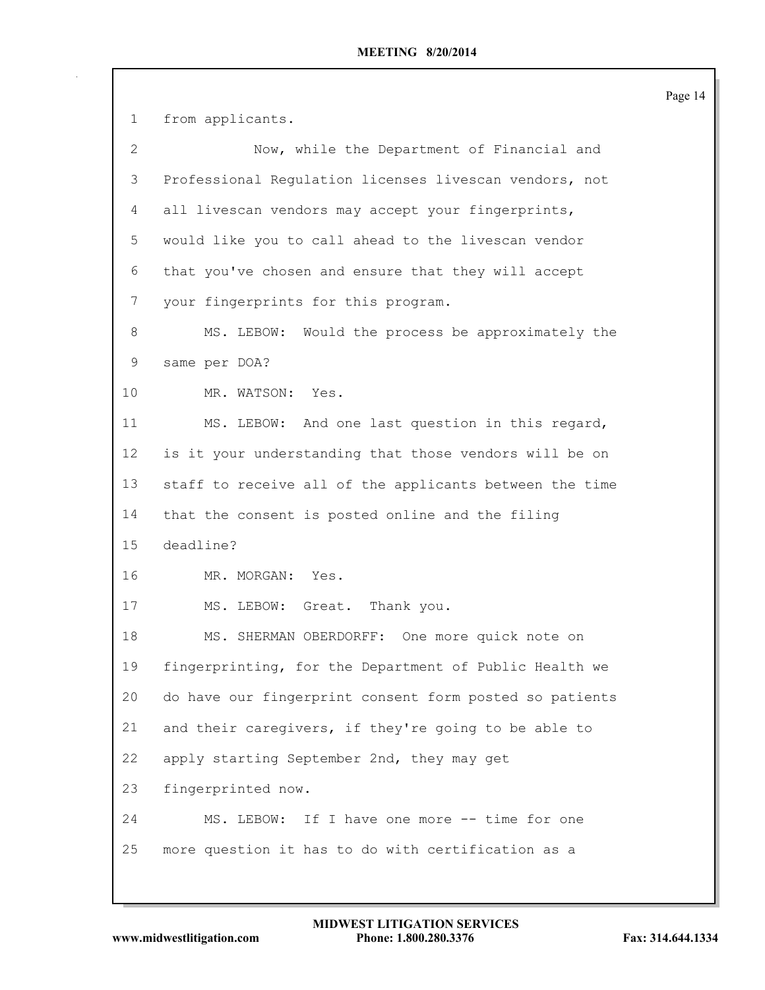| $\mathbf 1$     | from applicants.                                        |
|-----------------|---------------------------------------------------------|
| $\mathbf{2}$    | Now, while the Department of Financial and              |
| 3               | Professional Regulation licenses livescan vendors, not  |
| 4               | all livescan vendors may accept your fingerprints,      |
| 5               | would like you to call ahead to the livescan vendor     |
| 6               | that you've chosen and ensure that they will accept     |
| 7               | your fingerprints for this program.                     |
| 8               | MS. LEBOW: Would the process be approximately the       |
| 9               | same per DOA?                                           |
| 10 <sub>o</sub> | MR. WATSON: Yes.                                        |
| 11              | MS. LEBOW: And one last question in this regard,        |
| 12 <sup>°</sup> | is it your understanding that those vendors will be on  |
| 13              | staff to receive all of the applicants between the time |
| 14              | that the consent is posted online and the filing        |
| 15 <sub>1</sub> | deadline?                                               |
| 16              | MR. MORGAN: Yes.                                        |
| 17              | MS. LEBOW: Great. Thank you.                            |
| 18              | MS. SHERMAN OBERDORFF: One more quick note on           |
| 19              | fingerprinting, for the Department of Public Health we  |
| 20              | do have our fingerprint consent form posted so patients |
| 21              | and their caregivers, if they're going to be able to    |
| 22              | apply starting September 2nd, they may get              |
| 23              | fingerprinted now.                                      |
| 24              | If I have one more -- time for one<br>MS. LEBOW:        |
| 25              | more question it has to do with certification as a      |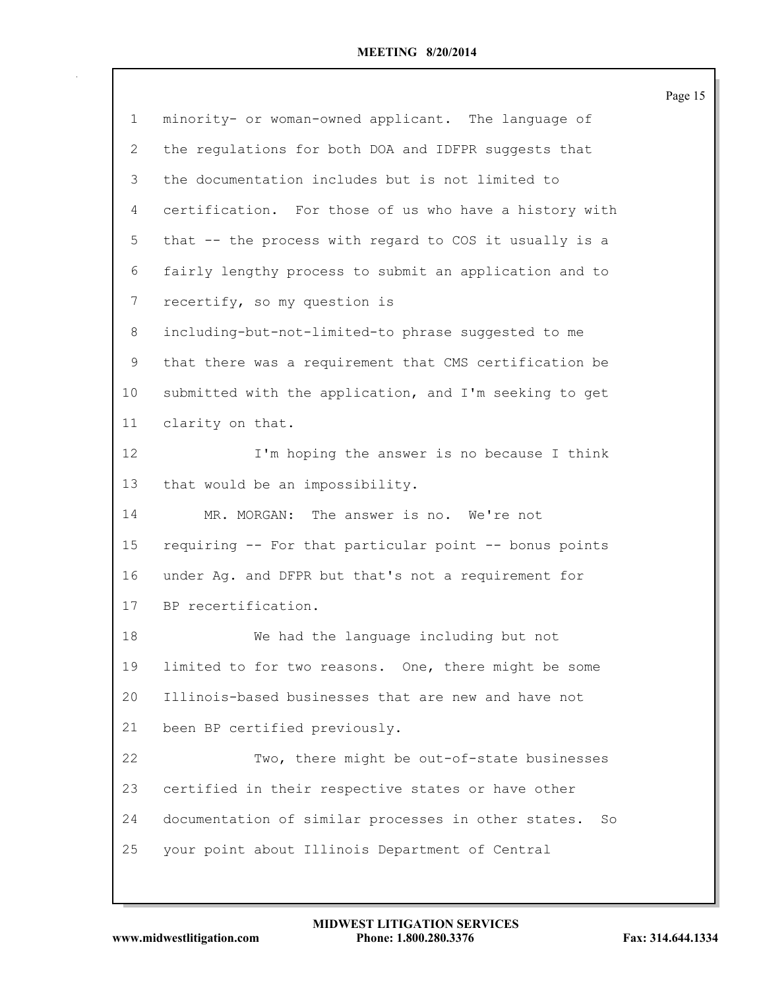| 1                         | minority- or woman-owned applicant. The language of                    |
|---------------------------|------------------------------------------------------------------------|
| $\mathbf{2}^{\mathsf{I}}$ | the regulations for both DOA and IDFPR suggests that                   |
| 3                         | the documentation includes but is not limited to                       |
| 4                         | certification. For those of us who have a history with                 |
| 5                         | that -- the process with regard to COS it usually is a                 |
| 6                         | fairly lengthy process to submit an application and to                 |
| 7                         | recertify, so my question is                                           |
| 8                         | including-but-not-limited-to phrase suggested to me                    |
| 9                         | that there was a requirement that CMS certification be                 |
| 10                        | submitted with the application, and I'm seeking to get                 |
| 11                        | clarity on that.                                                       |
| 12                        | I'm hoping the answer is no because I think                            |
| 13                        | that would be an impossibility.                                        |
| 14                        | MR. MORGAN: The answer is no. We're not                                |
| 15                        | requiring -- For that particular point -- bonus points                 |
| 16                        | under Ag. and DFPR but that's not a requirement for                    |
| 17                        | BP recertification.                                                    |
| 18                        | We had the language including but not                                  |
| 19                        | limited to for two reasons. One, there might be some                   |
| 20                        | Illinois-based businesses that are new and have not                    |
| 21                        | been BP certified previously.                                          |
| 22                        | Two, there might be out-of-state businesses                            |
| 23                        | certified in their respective states or have other                     |
| 24                        | documentation of similar processes in other states.<br>SO <sub>2</sub> |
| 25                        | your point about Illinois Department of Central                        |
|                           |                                                                        |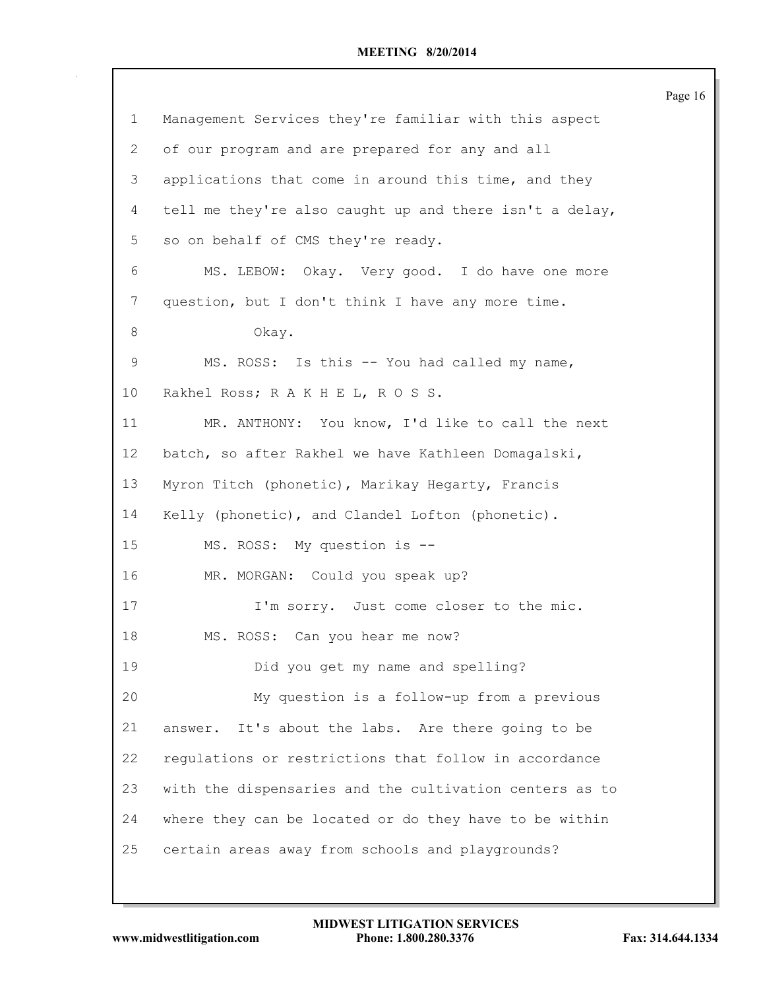|             |                                                         | Page 16 |
|-------------|---------------------------------------------------------|---------|
| 1           | Management Services they're familiar with this aspect   |         |
| 2           | of our program and are prepared for any and all         |         |
| 3           | applications that come in around this time, and they    |         |
| 4           | tell me they're also caught up and there isn't a delay, |         |
| 5           | so on behalf of CMS they're ready.                      |         |
| 6           | MS. LEBOW: Okay. Very good. I do have one more          |         |
| 7           | question, but I don't think I have any more time.       |         |
| 8           | Okay.                                                   |         |
| $\mathsf 9$ | MS. ROSS: Is this -- You had called my name,            |         |
| 10          | Rakhel Ross; R A K H E L, R O S S.                      |         |
| 11          | MR. ANTHONY: You know, I'd like to call the next        |         |
| 12          | batch, so after Rakhel we have Kathleen Domagalski,     |         |
| 13          | Myron Titch (phonetic), Marikay Hegarty, Francis        |         |
| 14          | Kelly (phonetic), and Clandel Lofton (phonetic).        |         |
| 15          | MS. ROSS: My question is --                             |         |
| 16          | MR. MORGAN: Could you speak up?                         |         |
| 17          | I'm sorry. Just come closer to the mic.                 |         |
| 18          | MS. ROSS: Can you hear me now?                          |         |
| 19          | Did you get my name and spelling?                       |         |
| 20          | My question is a follow-up from a previous              |         |
| 21          | answer. It's about the labs. Are there going to be      |         |
| 22          | regulations or restrictions that follow in accordance   |         |
| 23          | with the dispensaries and the cultivation centers as to |         |
| 24          | where they can be located or do they have to be within  |         |
| 25          | certain areas away from schools and playgrounds?        |         |
|             |                                                         |         |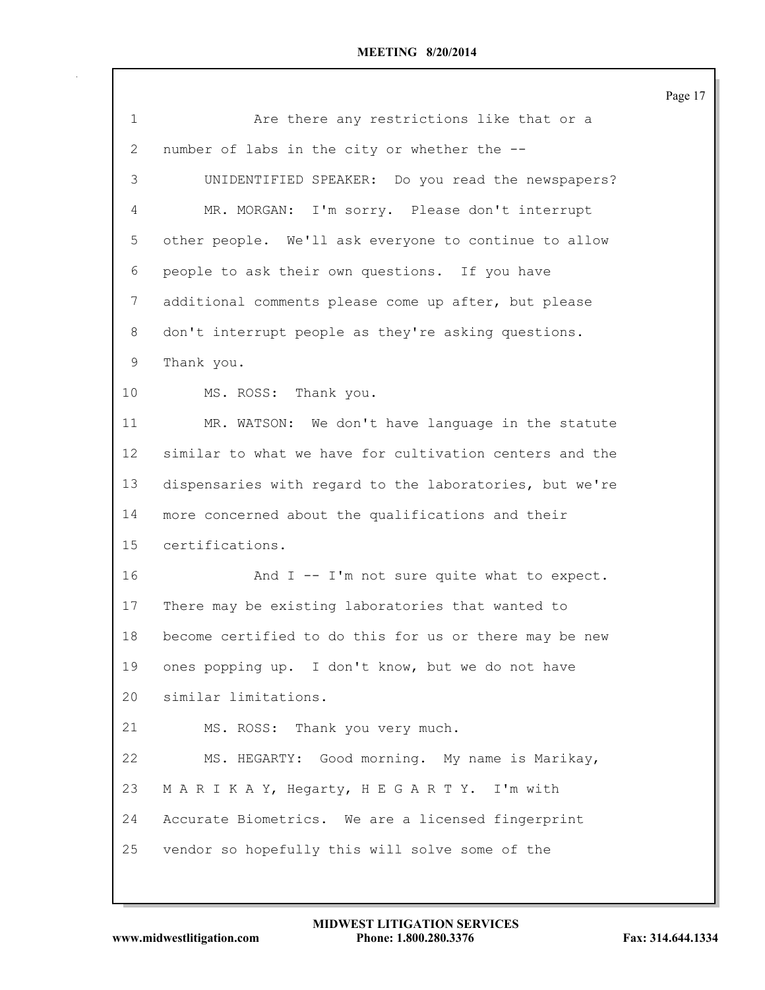| $\mathbf 1$       | Are there any restrictions like that or a               |
|-------------------|---------------------------------------------------------|
| $\mathbf{2}$      | number of labs in the city or whether the --            |
| 3                 | UNIDENTIFIED SPEAKER: Do you read the newspapers?       |
| 4                 | MR. MORGAN: I'm sorry. Please don't interrupt           |
| 5                 | other people. We'll ask everyone to continue to allow   |
| 6                 | people to ask their own questions. If you have          |
| 7                 | additional comments please come up after, but please    |
| 8                 | don't interrupt people as they're asking questions.     |
| 9                 | Thank you.                                              |
| 10                | MS. ROSS: Thank you.                                    |
| 11                | MR. WATSON: We don't have language in the statute       |
| $12 \overline{ }$ | similar to what we have for cultivation centers and the |
| 13                | dispensaries with regard to the laboratories, but we're |
| 14                | more concerned about the qualifications and their       |
| 15                | certifications.                                         |
| 16                | And $I$ -- I'm not sure quite what to expect.           |
| 17                | There may be existing laboratories that wanted to       |
| 18                | become certified to do this for us or there may be new  |
| 19                | ones popping up. I don't know, but we do not have       |
| 20                | similar limitations.                                    |
| 21                | MS. ROSS: Thank you very much.                          |
| 22                | MS. HEGARTY: Good morning. My name is Marikay,          |
| 23                | MARIKAY, Hegarty, HEGARTY. I'm with                     |
| 24                | Accurate Biometrics. We are a licensed fingerprint      |
| 25                | vendor so hopefully this will solve some of the         |
|                   |                                                         |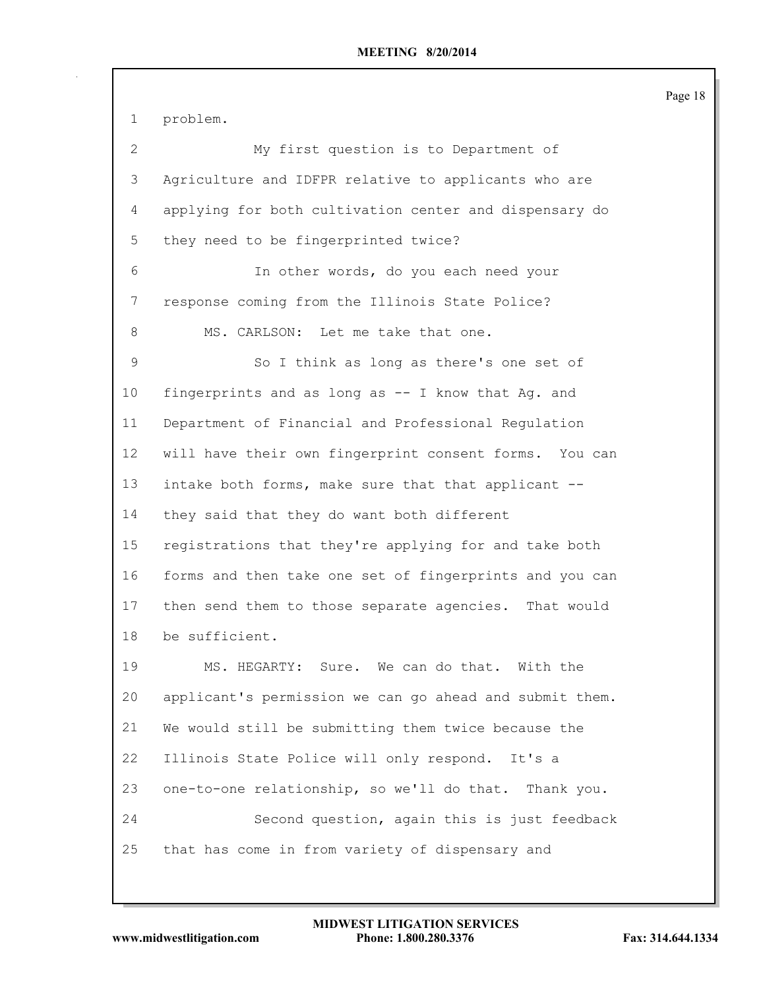Page 18 problem. My first question is to Department of Agriculture and IDFPR relative to applicants who are applying for both cultivation center and dispensary do they need to be fingerprinted twice? In other words, do you each need your response coming from the Illinois State Police? 8 MS. CARLSON: Let me take that one. So I think as long as there's one set of fingerprints and as long as -- I know that Ag. and Department of Financial and Professional Regulation will have their own fingerprint consent forms. You can intake both forms, make sure that that applicant -- they said that they do want both different registrations that they're applying for and take both forms and then take one set of fingerprints and you can then send them to those separate agencies. That would be sufficient. MS. HEGARTY: Sure. We can do that. With the applicant's permission we can go ahead and submit them. We would still be submitting them twice because the Illinois State Police will only respond. It's a one-to-one relationship, so we'll do that. Thank you. Second question, again this is just feedback that has come in from variety of dispensary and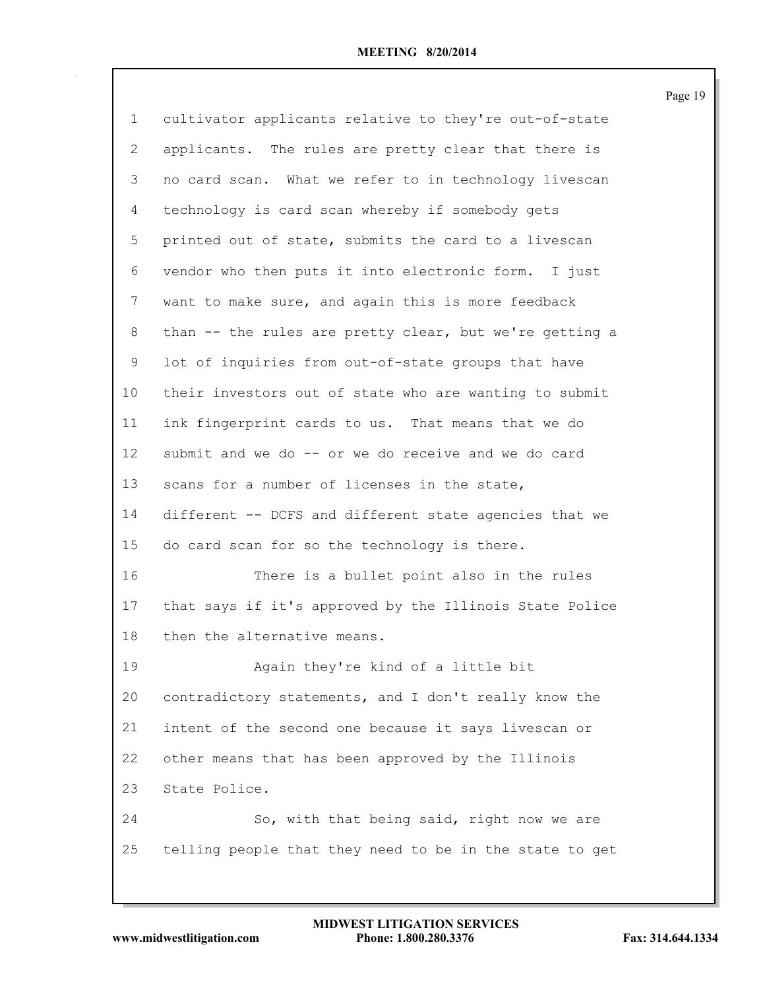| $\mathbf 1$     | cultivator applicants relative to they're out-of-state  |
|-----------------|---------------------------------------------------------|
| $\mathbf{2}$    | applicants. The rules are pretty clear that there is    |
| 3               | no card scan. What we refer to in technology livescan   |
| 4               | technology is card scan whereby if somebody gets        |
| 5               | printed out of state, submits the card to a livescan    |
| 6               | vendor who then puts it into electronic form. I just    |
| 7               | want to make sure, and again this is more feedback      |
| 8               | than -- the rules are pretty clear, but we're getting a |
| 9               | lot of inquiries from out-of-state groups that have     |
| 10 <sub>1</sub> | their investors out of state who are wanting to submit  |
| 11              | ink fingerprint cards to us. That means that we do      |
| 12              | submit and we do -- or we do receive and we do card     |
| 13              | scans for a number of licenses in the state,            |
| 14              | different -- DCFS and different state agencies that we  |
| 15              | do card scan for so the technology is there.            |
| 16              | There is a bullet point also in the rules               |
| 17              | that says if it's approved by the Illinois State Police |
| 18              | then the alternative means.                             |
| 19              | Again they're kind of a little bit                      |
| 20              | contradictory statements, and I don't really know the   |
| 21              | intent of the second one because it says livescan or    |
| 22              | other means that has been approved by the Illinois      |
| 23              | State Police.                                           |
| 24              | So, with that being said, right now we are              |
| 25              | telling people that they need to be in the state to get |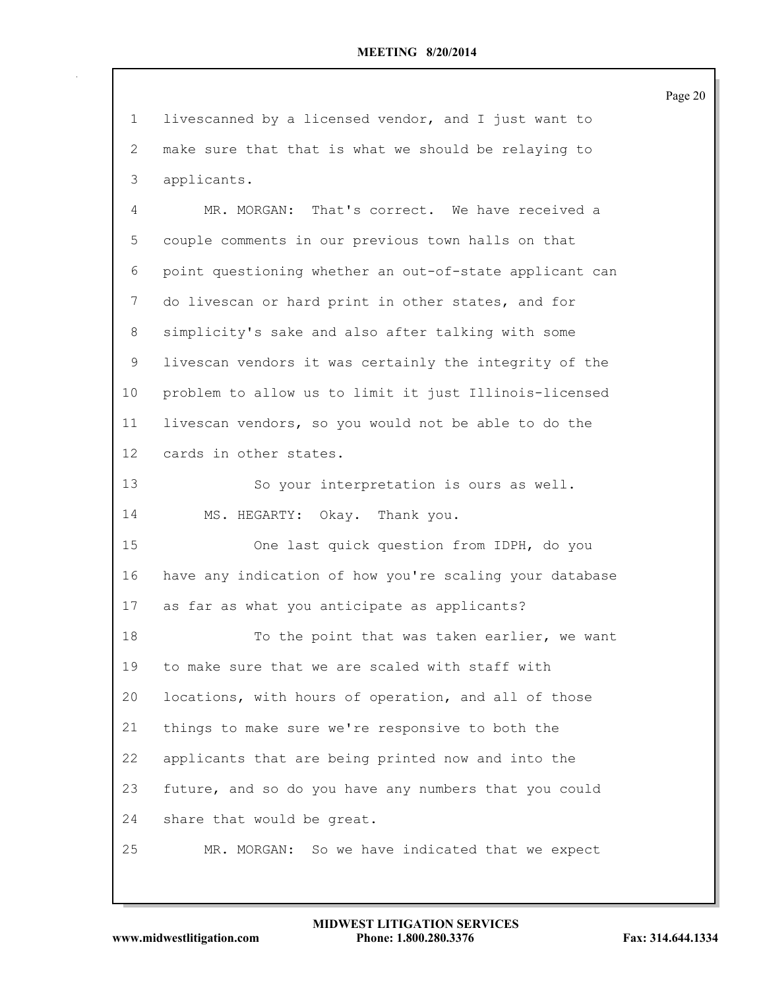livescanned by a licensed vendor, and I just want to make sure that that is what we should be relaying to applicants. MR. MORGAN: That's correct. We have received a couple comments in our previous town halls on that point questioning whether an out-of-state applicant can do livescan or hard print in other states, and for simplicity's sake and also after talking with some livescan vendors it was certainly the integrity of the problem to allow us to limit it just Illinois-licensed livescan vendors, so you would not be able to do the cards in other states. So your interpretation is ours as well. MS. HEGARTY: Okay. Thank you. One last quick question from IDPH, do you have any indication of how you're scaling your database as far as what you anticipate as applicants? 18 To the point that was taken earlier, we want to make sure that we are scaled with staff with locations, with hours of operation, and all of those things to make sure we're responsive to both the applicants that are being printed now and into the future, and so do you have any numbers that you could share that would be great. MR. MORGAN: So we have indicated that we expect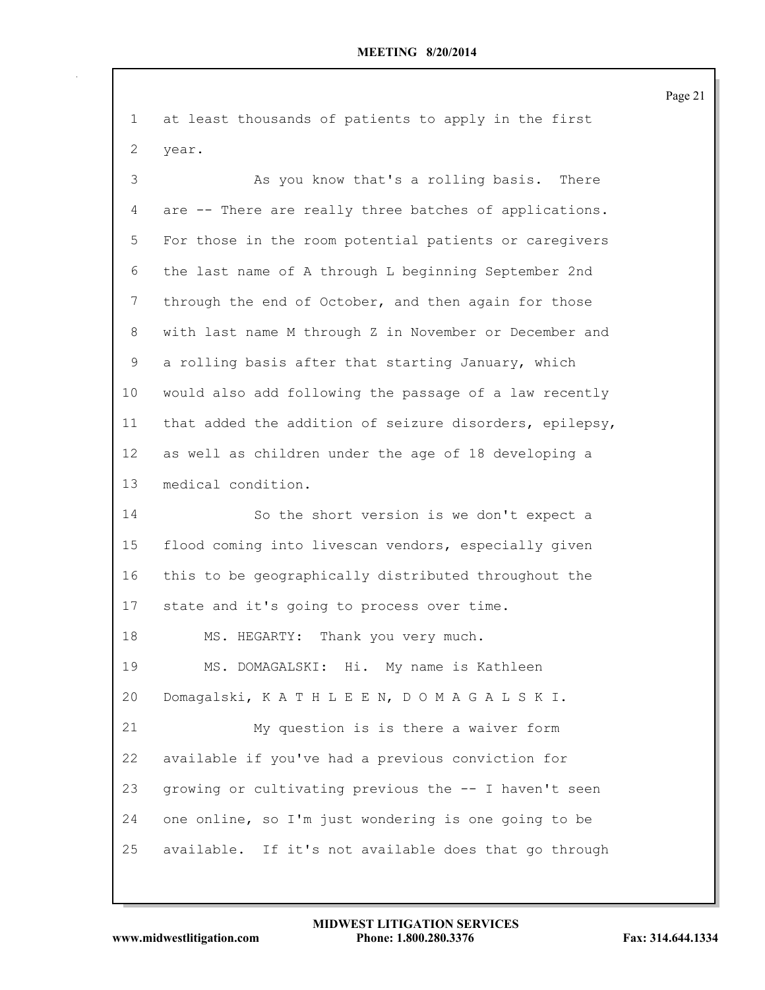| 1       | at least thousands of patients to apply in the first    |
|---------|---------------------------------------------------------|
| 2       | year.                                                   |
| 3       | As you know that's a rolling basis. There               |
| 4       | are -- There are really three batches of applications.  |
| 5       | For those in the room potential patients or caregivers  |
| 6       | the last name of A through L beginning September 2nd    |
| 7       | through the end of October, and then again for those    |
| 8       | with last name M through Z in November or December and  |
| 9       | a rolling basis after that starting January, which      |
| $10 \,$ | would also add following the passage of a law recently  |
| 11      | that added the addition of seizure disorders, epilepsy, |
| 12      | as well as children under the age of 18 developing a    |
| 13      | medical condition.                                      |
| 14      | So the short version is we don't expect a               |
| 15      | flood coming into livescan vendors, especially given    |
| 16      | this to be geographically distributed throughout the    |
| 17      | state and it's going to process over time.              |
| 18      | Thank you very much.<br>MS. HEGARTY:                    |
| 19      | MS. DOMAGALSKI: Hi. My name is Kathleen                 |
| 20      | Domagalski, KATHLEEN, DOMAGALSKI.                       |
| 21      | My question is is there a waiver form                   |
| 22      | available if you've had a previous conviction for       |
| 23      | growing or cultivating previous the -- I haven't seen   |
| 24      | one online, so I'm just wondering is one going to be    |
| 25      | available. If it's not available does that go through   |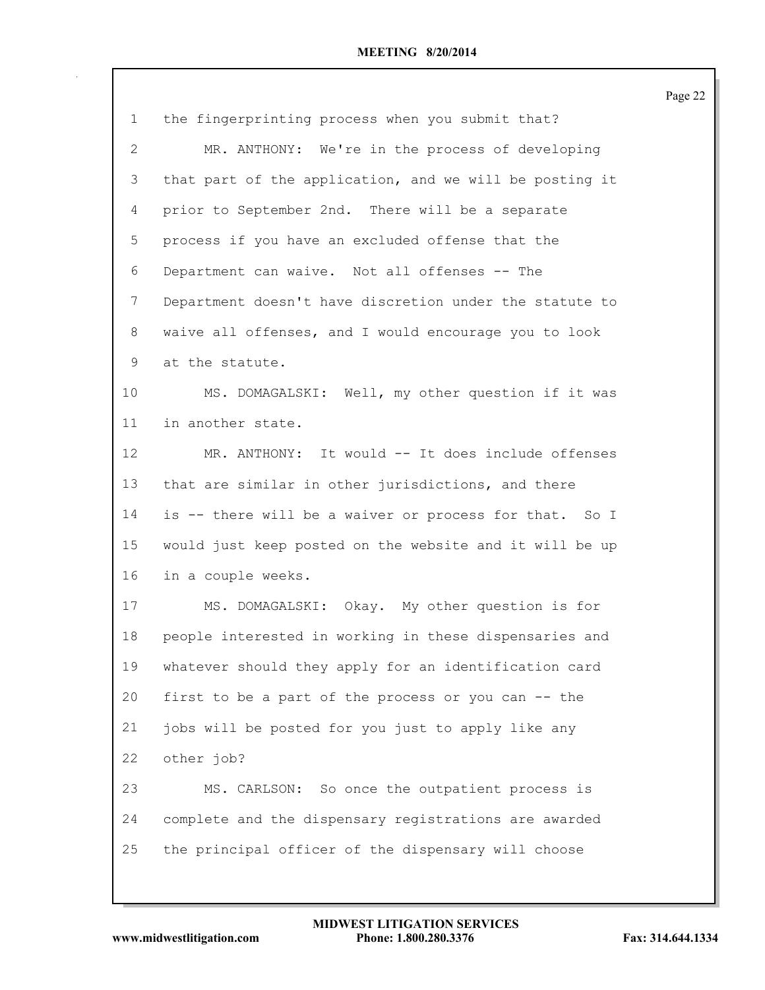| $\mathbf 1$ | the fingerprinting process when you submit that?        |
|-------------|---------------------------------------------------------|
| 2           | MR. ANTHONY: We're in the process of developing         |
| 3           | that part of the application, and we will be posting it |
| 4           | prior to September 2nd. There will be a separate        |
| 5           | process if you have an excluded offense that the        |
| 6           | Department can waive. Not all offenses -- The           |
| 7           | Department doesn't have discretion under the statute to |
| 8           | waive all offenses, and I would encourage you to look   |
| 9           | at the statute.                                         |
| 10          | MS. DOMAGALSKI: Well, my other question if it was       |
| 11          | in another state.                                       |
| 12          | MR. ANTHONY: It would -- It does include offenses       |
| 13          | that are similar in other jurisdictions, and there      |
| 14          | is -- there will be a waiver or process for that. So I  |
| 15          | would just keep posted on the website and it will be up |
| 16          | in a couple weeks.                                      |
| 17          | MS. DOMAGALSKI: Okay. My other question is for          |
| 18          | people interested in working in these dispensaries and  |
| 19          | whatever should they apply for an identification card   |
| 20          | first to be a part of the process or you can -- the     |
| 21          | jobs will be posted for you just to apply like any      |
| 22          | other job?                                              |
| 23          | MS. CARLSON: So once the outpatient process is          |
| 24          | complete and the dispensary registrations are awarded   |
| 25          | the principal officer of the dispensary will choose     |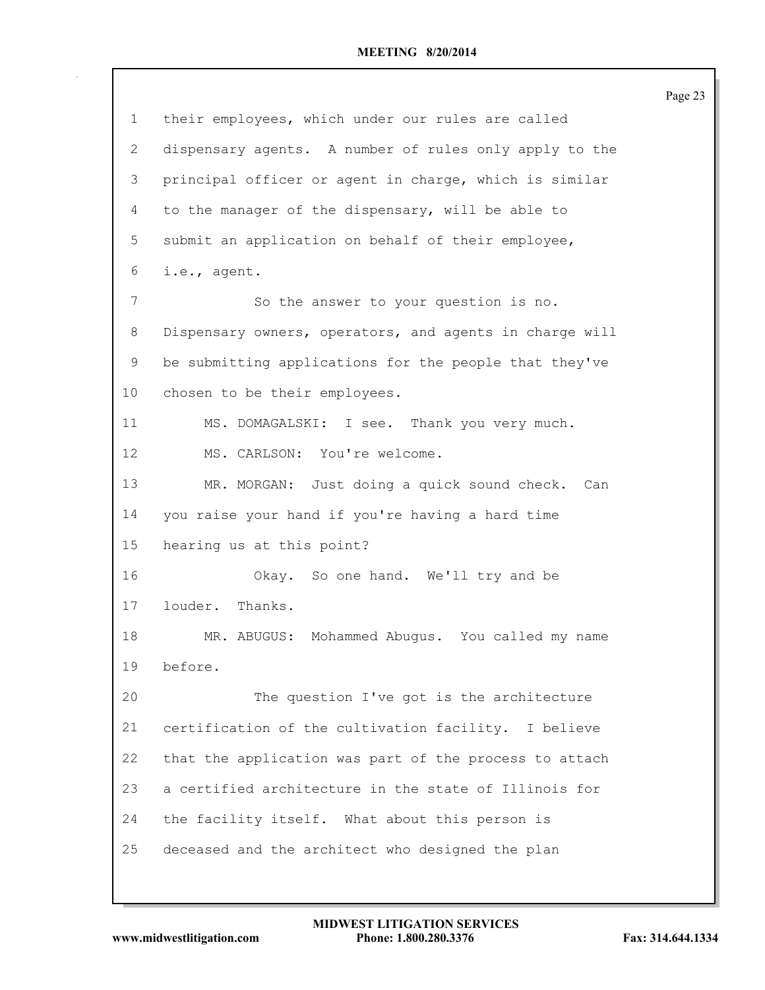|                 |                                                         | rag |
|-----------------|---------------------------------------------------------|-----|
| $\mathbf 1$     | their employees, which under our rules are called       |     |
| $\mathbf{2}$    | dispensary agents. A number of rules only apply to the  |     |
| 3               | principal officer or agent in charge, which is similar  |     |
| $\overline{4}$  | to the manager of the dispensary, will be able to       |     |
| 5               | submit an application on behalf of their employee,      |     |
| 6               | i.e., agent.                                            |     |
| 7               | So the answer to your question is no.                   |     |
| 8               | Dispensary owners, operators, and agents in charge will |     |
| 9               | be submitting applications for the people that they've  |     |
| 10              | chosen to be their employees.                           |     |
| 11              | MS. DOMAGALSKI: I see. Thank you very much.             |     |
| 12              | MS. CARLSON: You're welcome.                            |     |
| 13              | MR. MORGAN: Just doing a quick sound check. Can         |     |
| 14              | you raise your hand if you're having a hard time        |     |
| 15 <sub>1</sub> | hearing us at this point?                               |     |
| 16              | Okay. So one hand. We'll try and be                     |     |
| 17              | louder. Thanks.                                         |     |
| 18              | MR. ABUGUS: Mohammed Abugus. You called my name         |     |
| 19              | before.                                                 |     |
| 20              | The question I've got is the architecture               |     |
| 21              | certification of the cultivation facility. I believe    |     |
| 22              | that the application was part of the process to attach  |     |
| 23              | a certified architecture in the state of Illinois for   |     |
| 24              | the facility itself. What about this person is          |     |
| 25              | deceased and the architect who designed the plan        |     |
|                 |                                                         |     |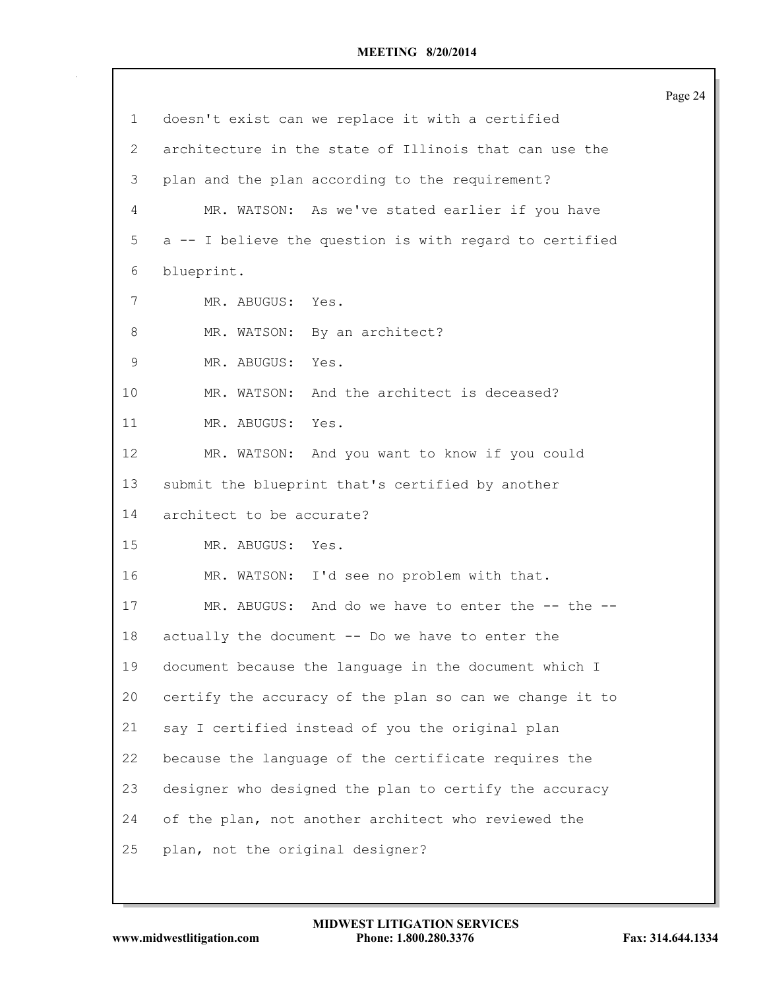|             |                                                         | Page 24 |
|-------------|---------------------------------------------------------|---------|
| $\mathbf 1$ | doesn't exist can we replace it with a certified        |         |
| 2           | architecture in the state of Illinois that can use the  |         |
| 3           | plan and the plan according to the requirement?         |         |
| 4           | MR. WATSON: As we've stated earlier if you have         |         |
| 5           | a -- I believe the question is with regard to certified |         |
| 6           | blueprint.                                              |         |
| 7           | MR. ABUGUS:<br>Yes.                                     |         |
| 8           | MR. WATSON: By an architect?                            |         |
| $\mathsf 9$ | Yes.<br>MR. ABUGUS:                                     |         |
| 10          | And the architect is deceased?<br>MR. WATSON:           |         |
| 11          | Yes.<br>MR. ABUGUS:                                     |         |
| 12          | MR. WATSON: And you want to know if you could           |         |
| 13          | submit the blueprint that's certified by another        |         |
| 14          | architect to be accurate?                               |         |
| 15          | MR. ABUGUS: Yes.                                        |         |
| 16          | MR. WATSON: I'd see no problem with that.               |         |
| 17          | MR. ABUGUS: And do we have to enter the -- the --       |         |
| 18          | actually the document -- Do we have to enter the        |         |
| 19          | document because the language in the document which I   |         |
| 20          | certify the accuracy of the plan so can we change it to |         |
| 21          | say I certified instead of you the original plan        |         |
| 22          | because the language of the certificate requires the    |         |
| 23          | designer who designed the plan to certify the accuracy  |         |
| 24          | of the plan, not another architect who reviewed the     |         |
| 25          | plan, not the original designer?                        |         |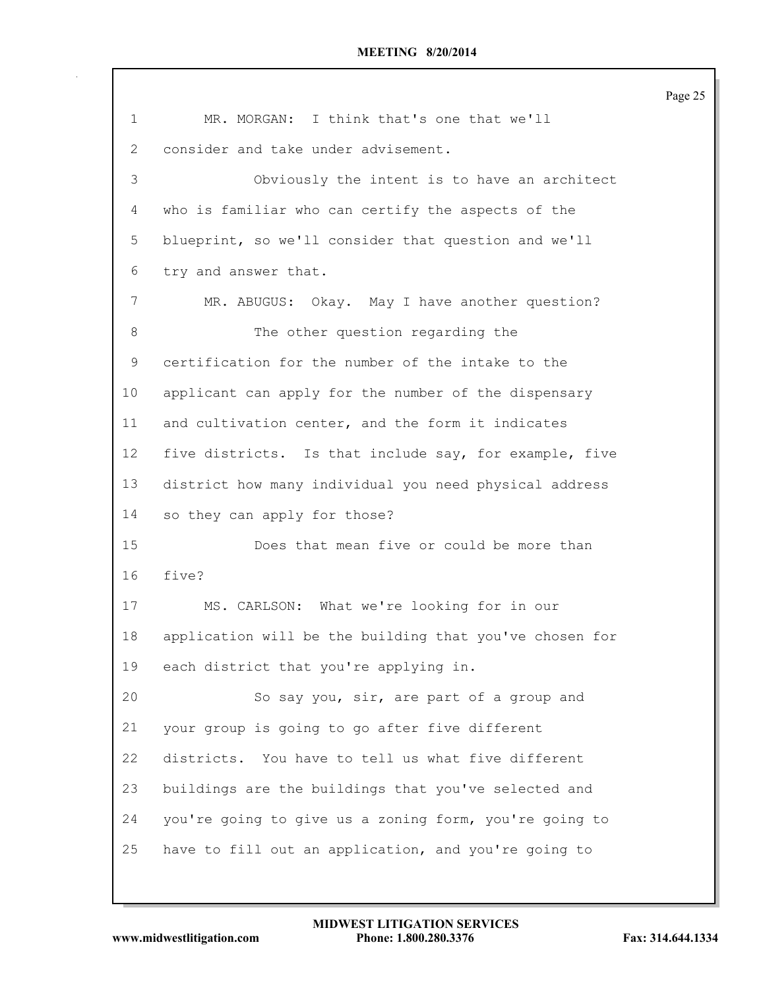| $\mathbf 1$       | MR. MORGAN: I think that's one that we'll               |
|-------------------|---------------------------------------------------------|
| 2                 | consider and take under advisement.                     |
| 3                 | Obviously the intent is to have an architect            |
| 4                 | who is familiar who can certify the aspects of the      |
| 5                 | blueprint, so we'll consider that question and we'll    |
| 6                 | try and answer that.                                    |
| 7                 | MR. ABUGUS: Okay. May I have another question?          |
| 8                 | The other question regarding the                        |
| 9                 | certification for the number of the intake to the       |
| 10                | applicant can apply for the number of the dispensary    |
| 11                | and cultivation center, and the form it indicates       |
| $12 \overline{ }$ | five districts. Is that include say, for example, five  |
| 13                | district how many individual you need physical address  |
| 14                | so they can apply for those?                            |
| 15                | Does that mean five or could be more than               |
| 16                | five?                                                   |
| 17                | MS. CARLSON: What we're looking for in our              |
| 18                | application will be the building that you've chosen for |
| 19                | each district that you're applying in.                  |
| 20                | So say you, sir, are part of a group and                |
| 21                | your group is going to go after five different          |
| 22                | districts. You have to tell us what five different      |
| 23                | buildings are the buildings that you've selected and    |
| 24                | you're going to give us a zoning form, you're going to  |
| 25                | have to fill out an application, and you're going to    |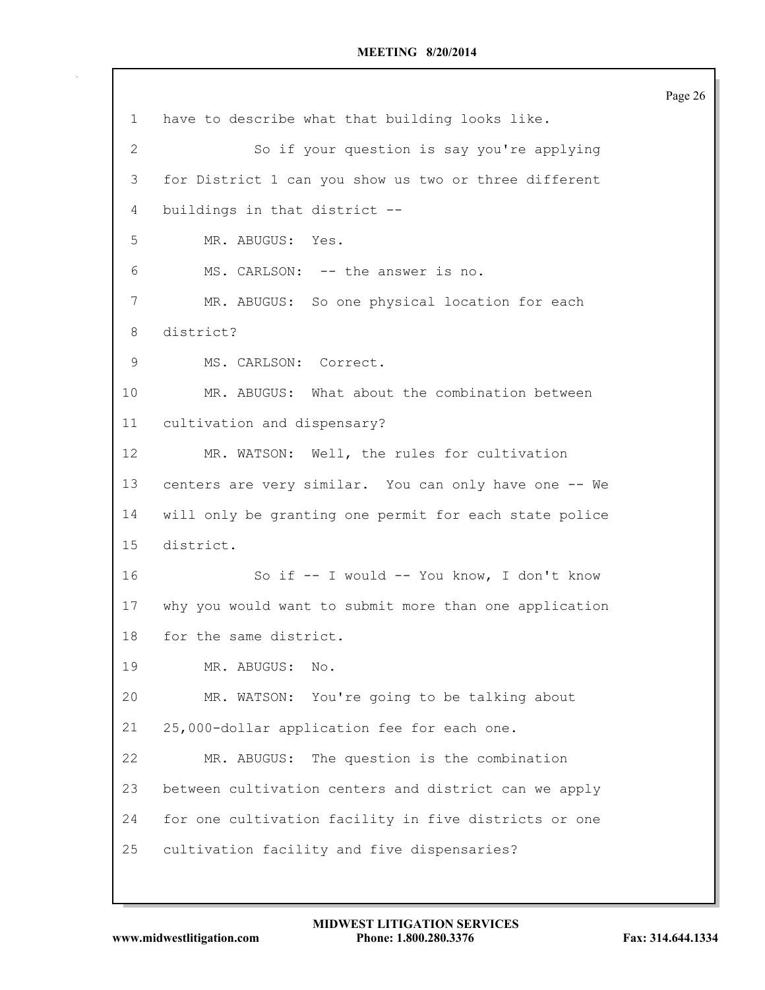Page 26 have to describe what that building looks like. So if your question is say you're applying for District 1 can you show us two or three different buildings in that district -- MR. ABUGUS: Yes. MS. CARLSON: -- the answer is no. MR. ABUGUS: So one physical location for each district? MS. CARLSON: Correct. MR. ABUGUS: What about the combination between cultivation and dispensary? MR. WATSON: Well, the rules for cultivation centers are very similar. You can only have one -- We will only be granting one permit for each state police district. So if -- I would -- You know, I don't know why you would want to submit more than one application for the same district. MR. ABUGUS: No. MR. WATSON: You're going to be talking about 25,000-dollar application fee for each one. MR. ABUGUS: The question is the combination between cultivation centers and district can we apply for one cultivation facility in five districts or one cultivation facility and five dispensaries?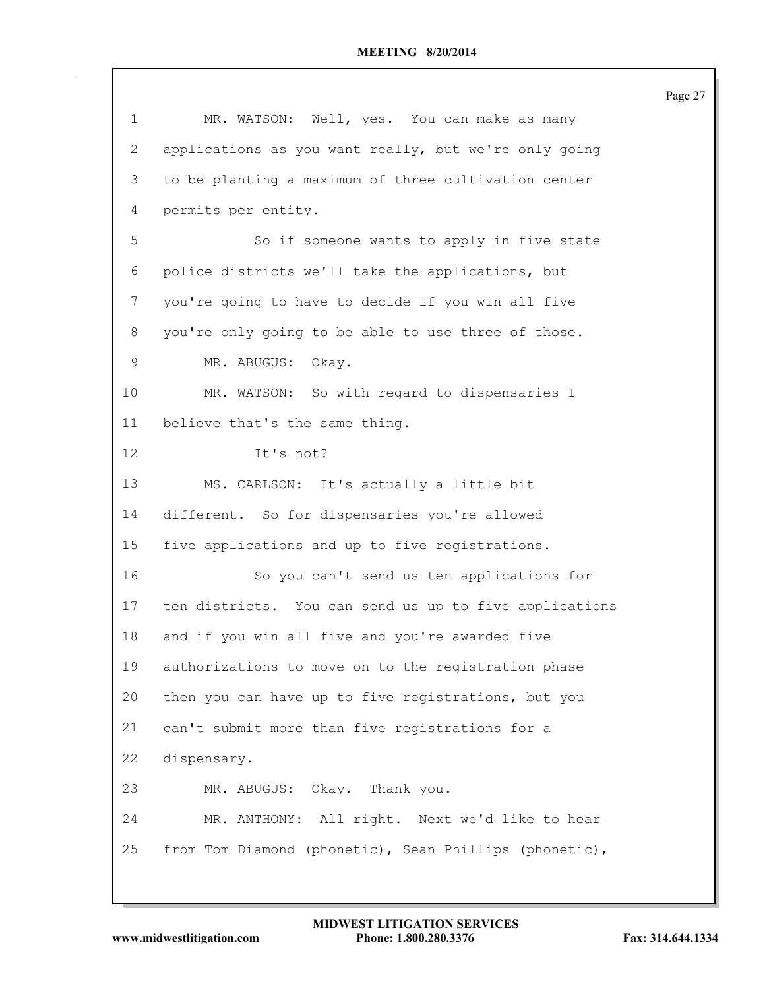|             |                                                        | Page 27 |
|-------------|--------------------------------------------------------|---------|
| $\mathbf 1$ | MR. WATSON: Well, yes. You can make as many            |         |
| 2           | applications as you want really, but we're only going  |         |
| 3           | to be planting a maximum of three cultivation center   |         |
| 4           | permits per entity.                                    |         |
| 5           | So if someone wants to apply in five state             |         |
| 6           | police districts we'll take the applications, but      |         |
| 7           | you're going to have to decide if you win all five     |         |
| 8           | you're only going to be able to use three of those.    |         |
| 9           | MR. ABUGUS: Okay.                                      |         |
| 10          | MR. WATSON: So with regard to dispensaries I           |         |
| 11          | believe that's the same thing.                         |         |
| 12          | It's not?                                              |         |
| 13          | MS. CARLSON: It's actually a little bit                |         |
| 14          | different. So for dispensaries you're allowed          |         |
| 15          | five applications and up to five registrations.        |         |
| 16          | So you can't send us ten applications for              |         |
| 17          | ten districts. You can send us up to five applications |         |
| 18          | and if you win all five and you're awarded five        |         |
| 19          | authorizations to move on to the registration phase    |         |
| 20          | then you can have up to five registrations, but you    |         |
| 21          | can't submit more than five registrations for a        |         |
| 22          | dispensary.                                            |         |
| 23          | MR. ABUGUS: Okay. Thank you.                           |         |
| 24          | MR. ANTHONY: All right. Next we'd like to hear         |         |
| 25          | from Tom Diamond (phonetic), Sean Phillips (phonetic), |         |
|             |                                                        |         |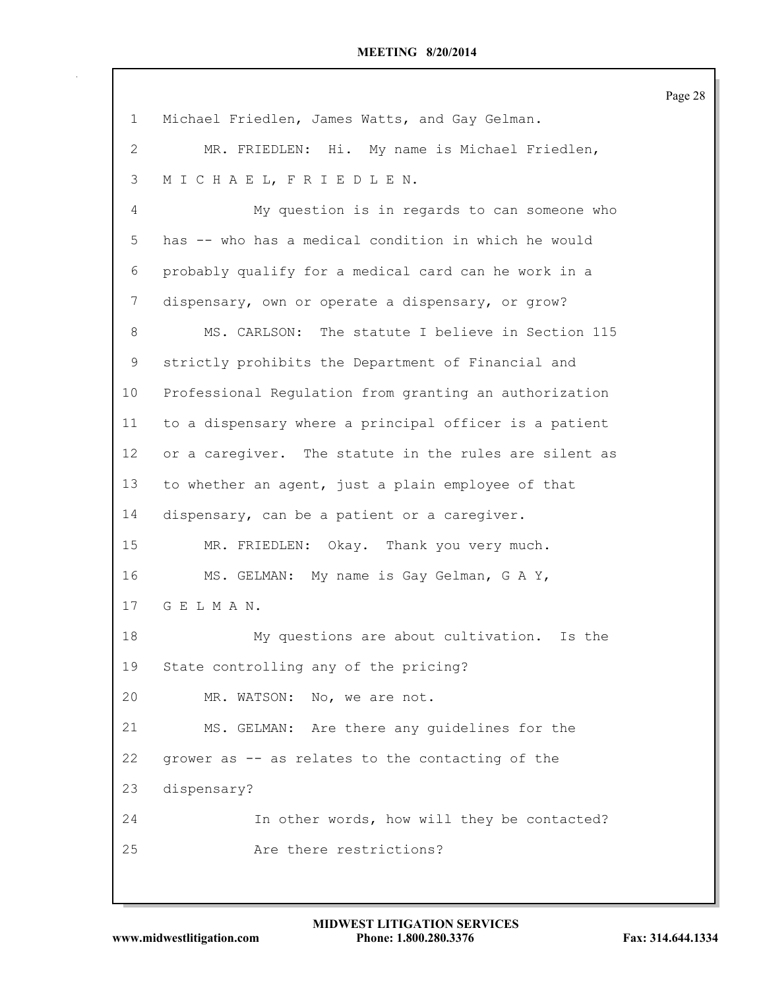| $\mathbf{1}$      | Michael Friedlen, James Watts, and Gay Gelman.         |
|-------------------|--------------------------------------------------------|
| 2                 | MR. FRIEDLEN: Hi. My name is Michael Friedlen,         |
| 3                 | MICHAEL, FRIEDLEN.                                     |
| 4                 | My question is in regards to can someone who           |
| 5                 | has -- who has a medical condition in which he would   |
| 6                 | probably qualify for a medical card can he work in a   |
| 7                 | dispensary, own or operate a dispensary, or grow?      |
| 8                 | MS. CARLSON: The statute I believe in Section 115      |
| 9                 | strictly prohibits the Department of Financial and     |
| 10                | Professional Regulation from granting an authorization |
| 11                | to a dispensary where a principal officer is a patient |
| $12 \overline{ }$ | or a caregiver. The statute in the rules are silent as |
| 13                | to whether an agent, just a plain employee of that     |
| 14                | dispensary, can be a patient or a caregiver.           |
| 15                | MR. FRIEDLEN: Okay. Thank you very much.               |
| 16                | MS. GELMAN: My name is Gay Gelman, G A Y,              |
| 17                | GELMAN.                                                |
| 18                | My questions are about cultivation. Is the             |
| 19                | State controlling any of the pricing?                  |
| 20                | MR. WATSON: No, we are not.                            |
| 21                | MS. GELMAN: Are there any guidelines for the           |
| 22                | grower as -- as relates to the contacting of the       |
| 23                | dispensary?                                            |
| 24                | In other words, how will they be contacted?            |
| 25                | Are there restrictions?                                |
|                   |                                                        |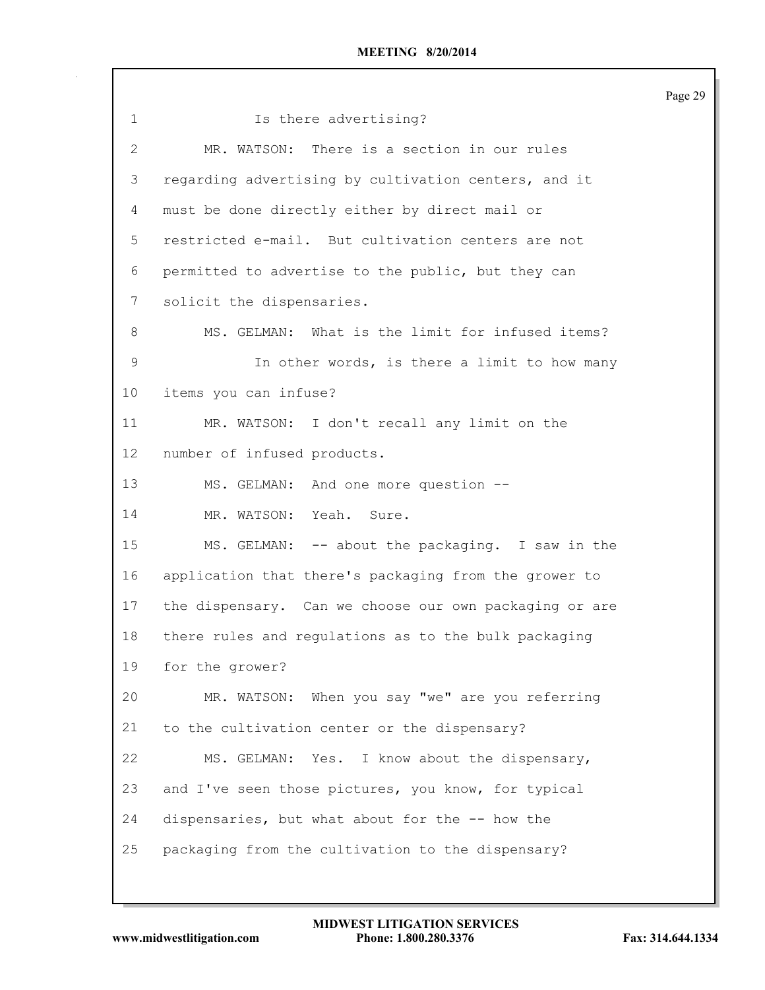| $\mathbf 1$       | Is there advertising?                                  |
|-------------------|--------------------------------------------------------|
| 2                 | MR. WATSON: There is a section in our rules            |
| 3                 | regarding advertising by cultivation centers, and it   |
| 4                 | must be done directly either by direct mail or         |
| 5                 | restricted e-mail. But cultivation centers are not     |
| 6                 | permitted to advertise to the public, but they can     |
| 7                 | solicit the dispensaries.                              |
| 8                 | MS. GELMAN: What is the limit for infused items?       |
| $\mathsf 9$       | In other words, is there a limit to how many           |
| 10                | items you can infuse?                                  |
| 11                | MR. WATSON: I don't recall any limit on the            |
| $12 \overline{ }$ | number of infused products.                            |
| 13                | MS. GELMAN: And one more question --                   |
| 14                | MR. WATSON: Yeah. Sure.                                |
| 15                | MS. GELMAN: -- about the packaging. I saw in the       |
| 16                | application that there's packaging from the grower to  |
| 17                | the dispensary. Can we choose our own packaging or are |
| 18                | there rules and regulations as to the bulk packaging   |
| 19                | for the grower?                                        |
| 20                | MR. WATSON: When you say "we" are you referring        |
| 21                | to the cultivation center or the dispensary?           |
| 22                | MS. GELMAN: Yes. I know about the dispensary,          |
| 23                | and I've seen those pictures, you know, for typical    |
| 24                | dispensaries, but what about for the -- how the        |
| 25                | packaging from the cultivation to the dispensary?      |
|                   |                                                        |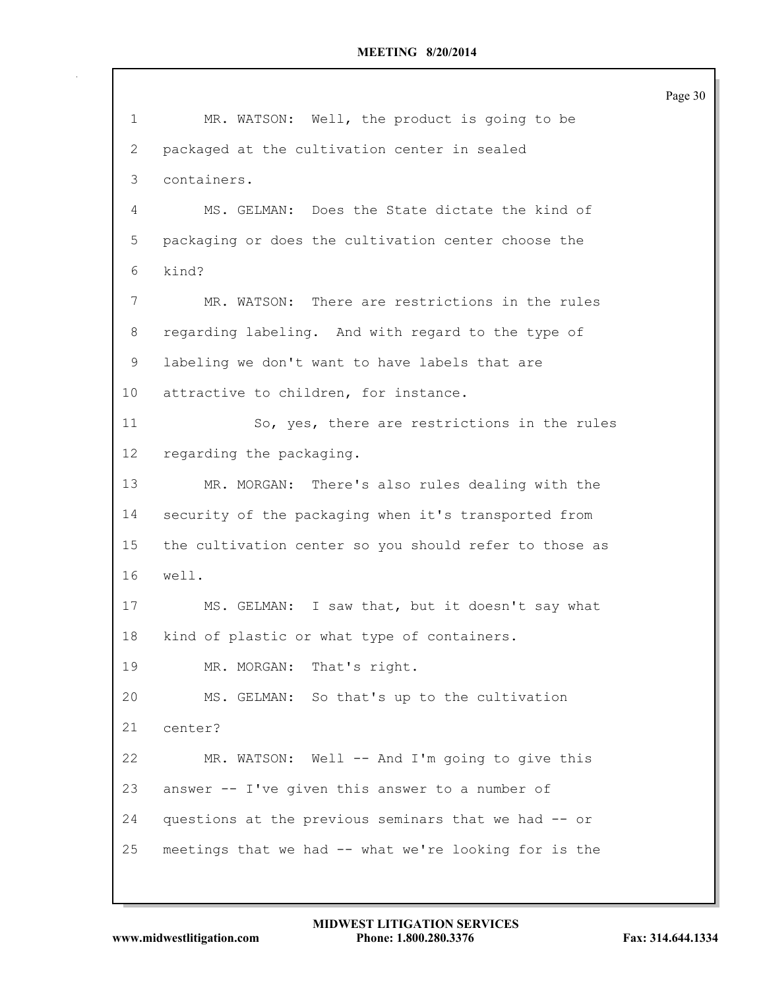| 1  | MR. WATSON: Well, the product is going to be           |
|----|--------------------------------------------------------|
| 2  | packaged at the cultivation center in sealed           |
| 3  | containers.                                            |
| 4  | MS. GELMAN: Does the State dictate the kind of         |
| 5  | packaging or does the cultivation center choose the    |
| 6  | kind?                                                  |
| 7  | MR. WATSON: There are restrictions in the rules        |
| 8  | regarding labeling. And with regard to the type of     |
| 9  | labeling we don't want to have labels that are         |
| 10 | attractive to children, for instance.                  |
| 11 | So, yes, there are restrictions in the rules           |
| 12 | regarding the packaging.                               |
| 13 | MR. MORGAN: There's also rules dealing with the        |
| 14 | security of the packaging when it's transported from   |
| 15 | the cultivation center so you should refer to those as |
| 16 | well.                                                  |
| 17 | MS. GELMAN: I saw that, but it doesn't say what        |
| 18 | kind of plastic or what type of containers.            |
| 19 | MR. MORGAN: That's right.                              |
| 20 | MS. GELMAN: So that's up to the cultivation            |
| 21 | center?                                                |
| 22 | MR. WATSON: Well -- And I'm going to give this         |
| 23 | answer -- I've given this answer to a number of        |
| 24 | questions at the previous seminars that we had -- or   |
| 25 | meetings that we had -- what we're looking for is the  |
|    |                                                        |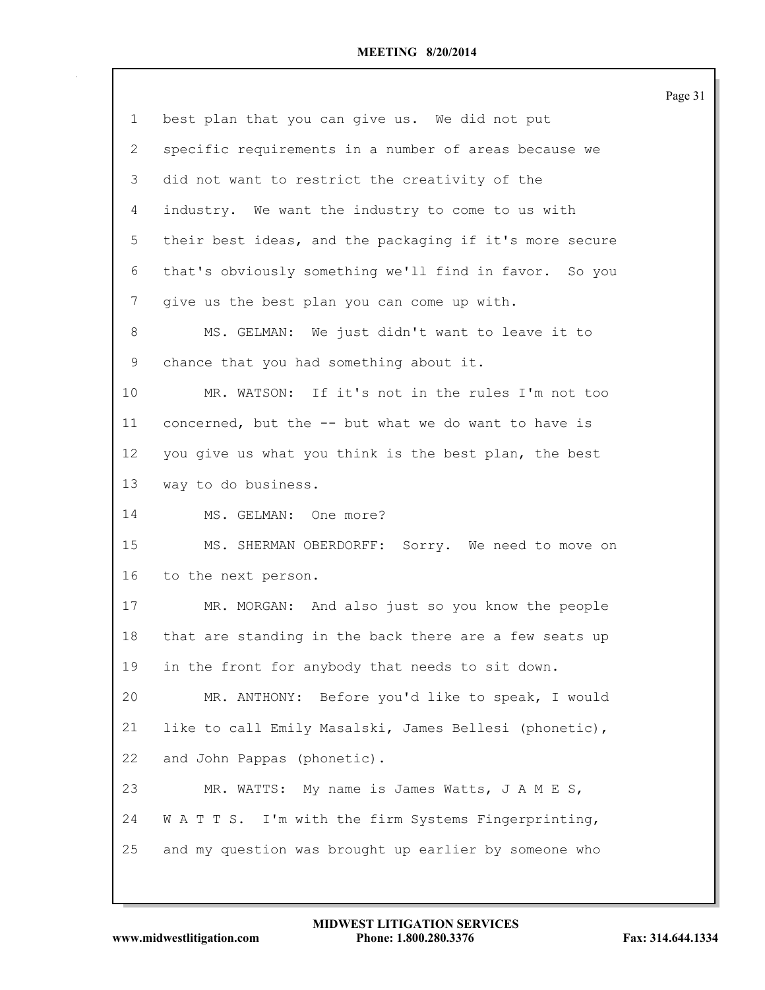| $\mathbf 1$     | best plan that you can give us. We did not put          |
|-----------------|---------------------------------------------------------|
|                 |                                                         |
| 2               | specific requirements in a number of areas because we   |
| 3               | did not want to restrict the creativity of the          |
| 4               | industry. We want the industry to come to us with       |
| 5               | their best ideas, and the packaging if it's more secure |
| 6               | that's obviously something we'll find in favor. So you  |
| 7               | give us the best plan you can come up with.             |
| 8               | MS. GELMAN: We just didn't want to leave it to          |
| 9               | chance that you had something about it.                 |
| 10 <sup>°</sup> | MR. WATSON: If it's not in the rules I'm not too        |
| 11              | concerned, but the -- but what we do want to have is    |
| 12              | you give us what you think is the best plan, the best   |
| 13              | way to do business.                                     |
| 14              | MS. GELMAN: One more?                                   |
| 15              | MS. SHERMAN OBERDORFF: Sorry. We need to move on        |
| 16              | to the next person.                                     |
| 17              | MR. MORGAN: And also just so you know the people        |
| 18              | that are standing in the back there are a few seats up  |
| 19              | in the front for anybody that needs to sit down.        |
| 20              | MR. ANTHONY: Before you'd like to speak, I would        |
| 21              | like to call Emily Masalski, James Bellesi (phonetic),  |
| 22              | and John Pappas (phonetic).                             |
| 23              | MR. WATTS: My name is James Watts, J A M E S,           |
| 24              | W A T T S. I'm with the firm Systems Fingerprinting,    |
| 25              | and my question was brought up earlier by someone who   |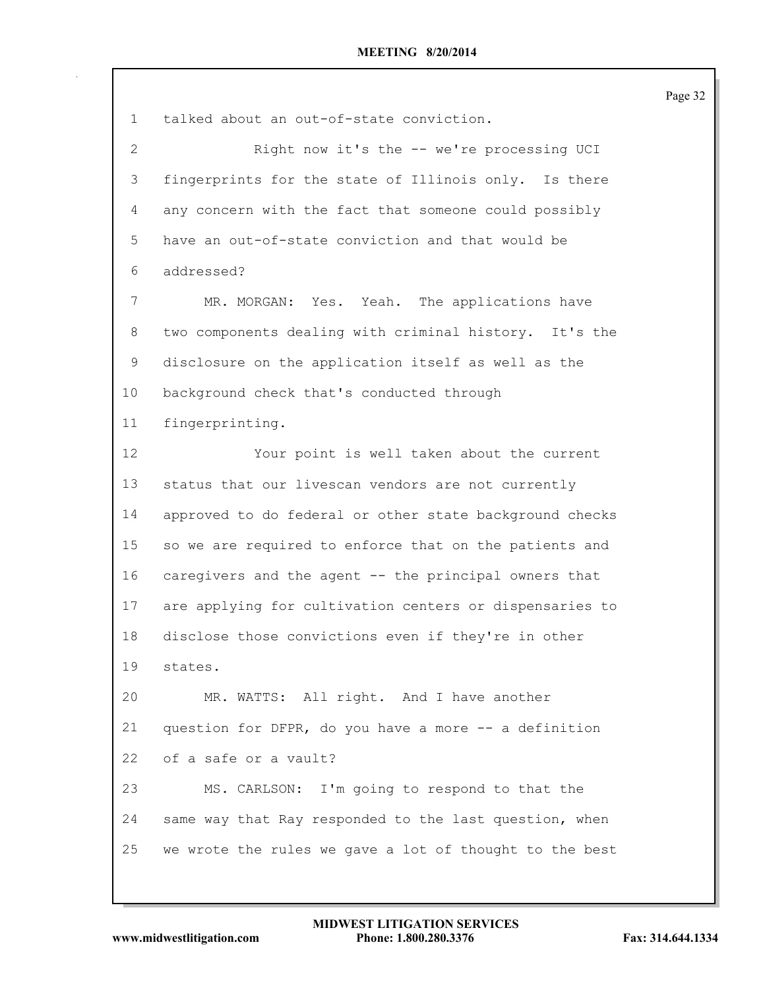|                 |                                                         | Page 32 |
|-----------------|---------------------------------------------------------|---------|
| $\mathbf{1}$    | talked about an out-of-state conviction.                |         |
| 2               | Right now it's the -- we're processing UCI              |         |
| 3               | fingerprints for the state of Illinois only. Is there   |         |
| 4               | any concern with the fact that someone could possibly   |         |
| 5               | have an out-of-state conviction and that would be       |         |
| 6               | addressed?                                              |         |
| $7\phantom{.0}$ | MR. MORGAN: Yes. Yeah. The applications have            |         |
| 8               | two components dealing with criminal history. It's the  |         |
| $\mathsf 9$     | disclosure on the application itself as well as the     |         |
| 10              | background check that's conducted through               |         |
| 11              | fingerprinting.                                         |         |
| $12 \,$         | Your point is well taken about the current              |         |
| 13              | status that our livescan vendors are not currently      |         |
| 14              | approved to do federal or other state background checks |         |
| 15              | so we are required to enforce that on the patients and  |         |
| 16              | caregivers and the agent -- the principal owners that   |         |
| 17              | are applying for cultivation centers or dispensaries to |         |
| 18              | disclose those convictions even if they're in other     |         |
| 19              | states.                                                 |         |
| 20              | MR. WATTS: All right. And I have another                |         |
| 21              | question for DFPR, do you have a more -- a definition   |         |
| 22              | of a safe or a vault?                                   |         |
| 23              | MS. CARLSON: I'm going to respond to that the           |         |
| 24              | same way that Ray responded to the last question, when  |         |
| 25              | we wrote the rules we gave a lot of thought to the best |         |
|                 |                                                         |         |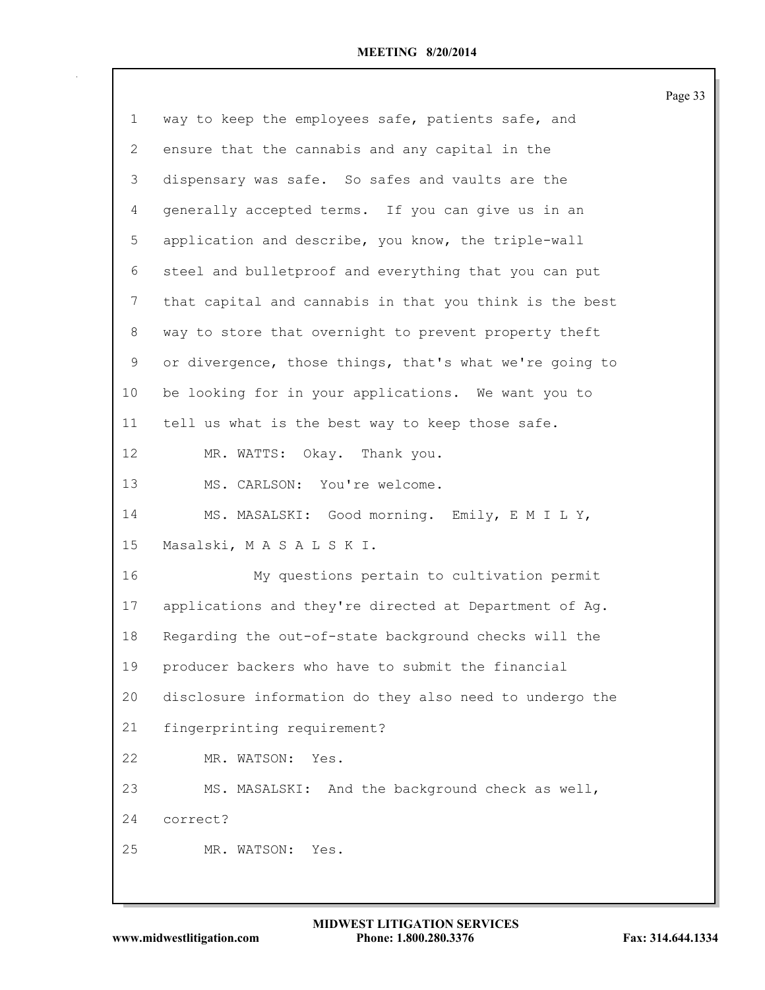| 1               | way to keep the employees safe, patients safe, and      |
|-----------------|---------------------------------------------------------|
| 2               | ensure that the cannabis and any capital in the         |
| 3               | dispensary was safe. So safes and vaults are the        |
| 4               | generally accepted terms. If you can give us in an      |
| 5               | application and describe, you know, the triple-wall     |
| 6               | steel and bulletproof and everything that you can put   |
| 7               | that capital and cannabis in that you think is the best |
| 8               | way to store that overnight to prevent property theft   |
| 9               | or divergence, those things, that's what we're going to |
| 10 <sub>1</sub> | be looking for in your applications. We want you to     |
| 11              | tell us what is the best way to keep those safe.        |
| 12              | MR. WATTS: Okay. Thank you.                             |
| 13              | MS. CARLSON: You're welcome.                            |
| 14              | MS. MASALSKI: Good morning. Emily, E M I L Y,           |
| 15              | Masalski, MASALSKI.                                     |
| 16              | My questions pertain to cultivation permit              |
| 17              | applications and they're directed at Department of Aq.  |
| 18              | Regarding the out-of-state background checks will the   |
| 19              | producer backers who have to submit the financial       |
| 20              | disclosure information do they also need to undergo the |
| 21              | fingerprinting requirement?                             |
| 22              | MR. WATSON:<br>Yes.                                     |
| 23              | MS. MASALSKI: And the background check as well,         |
| 24              | correct?                                                |
| 25              | MR. WATSON:<br>Yes.                                     |
|                 |                                                         |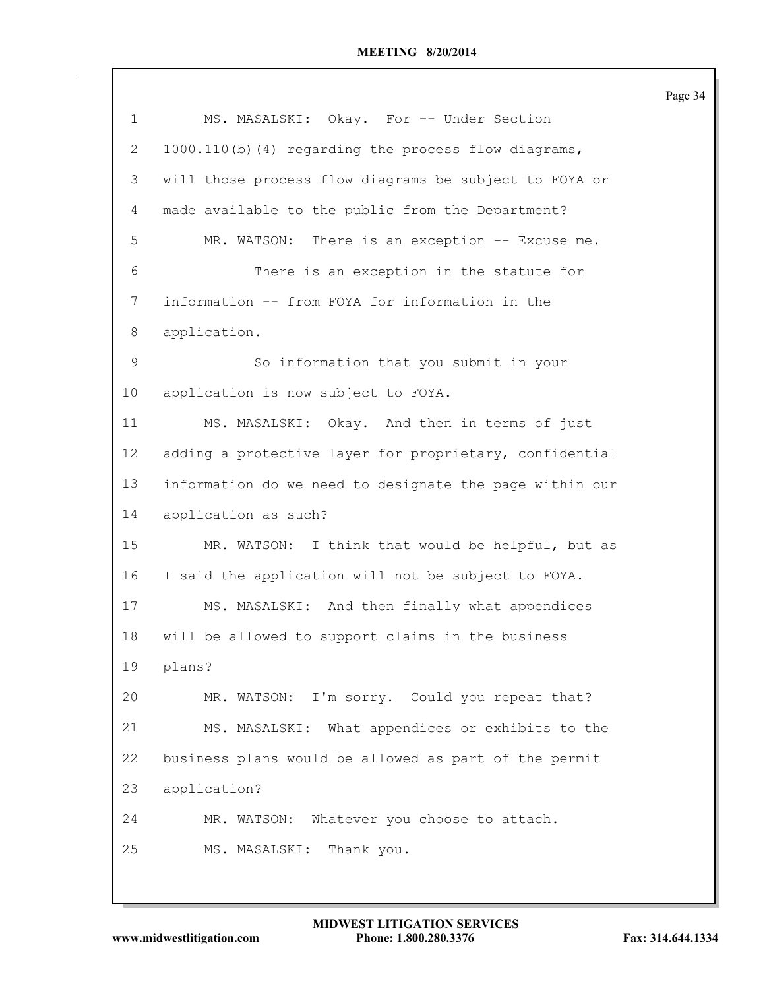| $\mathbf 1$   | MS. MASALSKI: Okay. For -- Under Section                |
|---------------|---------------------------------------------------------|
| 2             | 1000.110(b)(4) regarding the process flow diagrams,     |
| 3             | will those process flow diagrams be subject to FOYA or  |
| 4             | made available to the public from the Department?       |
| 5             | MR. WATSON: There is an exception -- Excuse me.         |
| 6             | There is an exception in the statute for                |
| 7             | information -- from FOYA for information in the         |
| 8             | application.                                            |
| $\mathcal{G}$ | So information that you submit in your                  |
| 10            | application is now subject to FOYA.                     |
| 11            | MS. MASALSKI: Okay. And then in terms of just           |
| 12            | adding a protective layer for proprietary, confidential |
| 13            | information do we need to designate the page within our |
| 14            | application as such?                                    |
| 15            | MR. WATSON: I think that would be helpful, but as       |
| 16            | I said the application will not be subject to FOYA.     |
| 17            | MS. MASALSKI: And then finally what appendices          |
| 18            | will be allowed to support claims in the business       |
| 19            | plans?                                                  |
| 20            | MR. WATSON: I'm sorry. Could you repeat that?           |
| 21            | MS. MASALSKI: What appendices or exhibits to the        |
| 22            | business plans would be allowed as part of the permit   |
| 23            | application?                                            |
| 24            | MR. WATSON: Whatever you choose to attach.              |
| 25            | Thank you.<br>MS. MASALSKI:                             |
|               |                                                         |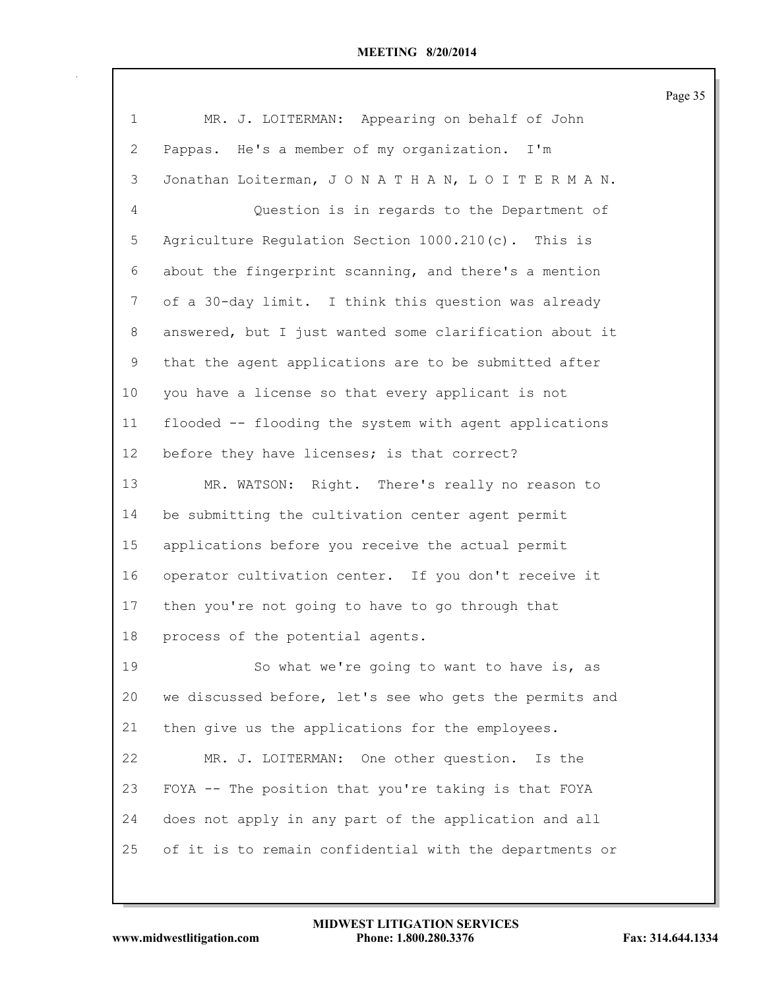| $\mathbf 1$ | MR. J. LOITERMAN: Appearing on behalf of John           |
|-------------|---------------------------------------------------------|
| 2           | Pappas. He's a member of my organization. I'm           |
| 3           | Jonathan Loiterman, JONATHAN, LOITERMAN.                |
| 4           | Question is in regards to the Department of             |
| 5           | Agriculture Regulation Section 1000.210(c). This is     |
| 6           | about the fingerprint scanning, and there's a mention   |
| 7           | of a 30-day limit. I think this question was already    |
| 8           | answered, but I just wanted some clarification about it |
| 9           | that the agent applications are to be submitted after   |
| $10 \,$     | you have a license so that every applicant is not       |
| 11          | flooded -- flooding the system with agent applications  |
| 12          | before they have licenses; is that correct?             |
| 13          | MR. WATSON: Right. There's really no reason to          |
| 14          | be submitting the cultivation center agent permit       |
| 15          | applications before you receive the actual permit       |
| 16          | operator cultivation center. If you don't receive it    |
| 17          | then you're not going to have to go through that        |
| 18          | process of the potential agents.                        |
| 19          | So what we're going to want to have is, as              |
| 20          | we discussed before, let's see who gets the permits and |
| 21          | then give us the applications for the employees.        |
| 22          | MR. J. LOITERMAN: One other question. Is the            |
| 23          | FOYA -- The position that you're taking is that FOYA    |
| 24          | does not apply in any part of the application and all   |
| 25          | of it is to remain confidential with the departments or |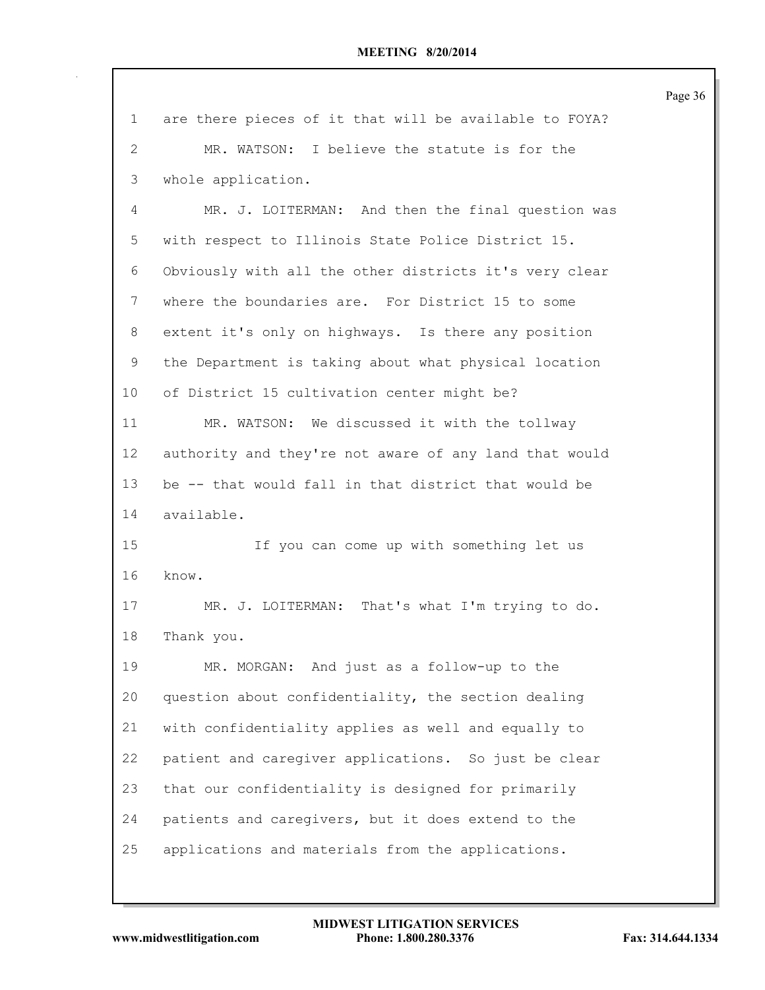| 1               | are there pieces of it that will be available to FOYA? |
|-----------------|--------------------------------------------------------|
| 2               | MR. WATSON: I believe the statute is for the           |
| 3               | whole application.                                     |
| 4               | MR. J. LOITERMAN: And then the final question was      |
| 5               | with respect to Illinois State Police District 15.     |
| 6               | Obviously with all the other districts it's very clear |
| 7               | where the boundaries are. For District 15 to some      |
| 8               | extent it's only on highways. Is there any position    |
| 9               | the Department is taking about what physical location  |
| 10              | of District 15 cultivation center might be?            |
| 11              | MR. WATSON: We discussed it with the tollway           |
| 12 <sup>°</sup> | authority and they're not aware of any land that would |
| 13              | be -- that would fall in that district that would be   |
| 14              | available.                                             |
| 15              | If you can come up with something let us               |
| 16              | know.                                                  |
| 17              | MR. J. LOITERMAN: That's what I'm trying to do.        |
| 18              | Thank you.                                             |
| 19              | MR. MORGAN: And just as a follow-up to the             |
| 20              | question about confidentiality, the section dealing    |
| 21              | with confidentiality applies as well and equally to    |
| 22              | patient and caregiver applications. So just be clear   |
| 23              | that our confidentiality is designed for primarily     |
| 24              | patients and caregivers, but it does extend to the     |
| 25              | applications and materials from the applications.      |
|                 |                                                        |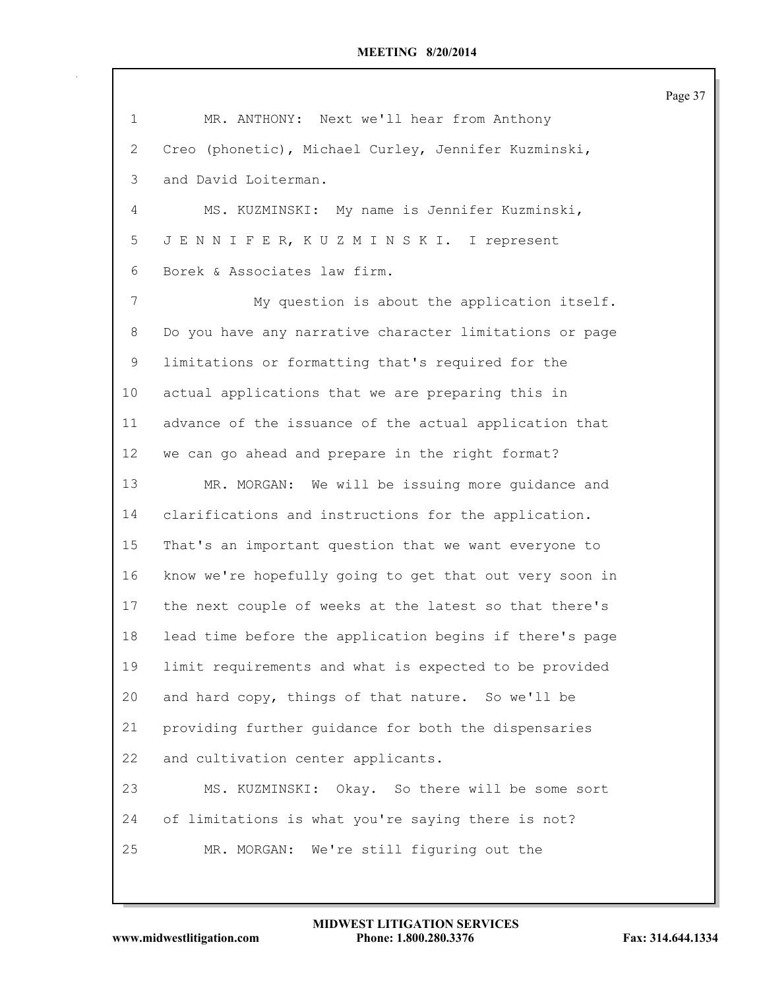| $\mathbf 1$ | MR. ANTHONY: Next we'll hear from Anthony               |
|-------------|---------------------------------------------------------|
| 2           | Creo (phonetic), Michael Curley, Jennifer Kuzminski,    |
| 3           | and David Loiterman.                                    |
| 4           | MS. KUZMINSKI: My name is Jennifer Kuzminski,           |
| 5           | JENNIFER, KUZMINSKI. I represent                        |
| 6           | Borek & Associates law firm.                            |
| 7           | My question is about the application itself.            |
| 8           | Do you have any narrative character limitations or page |
| 9           | limitations or formatting that's required for the       |
| 10          | actual applications that we are preparing this in       |
| 11          | advance of the issuance of the actual application that  |
| 12          | we can go ahead and prepare in the right format?        |
| 13          | MR. MORGAN: We will be issuing more guidance and        |
| 14          | clarifications and instructions for the application.    |
| 15          | That's an important question that we want everyone to   |
| 16          | know we're hopefully going to get that out very soon in |
| 17          | the next couple of weeks at the latest so that there's  |
| 18          | lead time before the application begins if there's page |
| 19          | limit requirements and what is expected to be provided  |
| 20          | and hard copy, things of that nature. So we'll be       |
| 21          | providing further guidance for both the dispensaries    |
| 22          | and cultivation center applicants.                      |
| 23          | MS. KUZMINSKI: Okay. So there will be some sort         |
| 24          | of limitations is what you're saying there is not?      |
| 25          | We're still figuring out the<br>MR. MORGAN:             |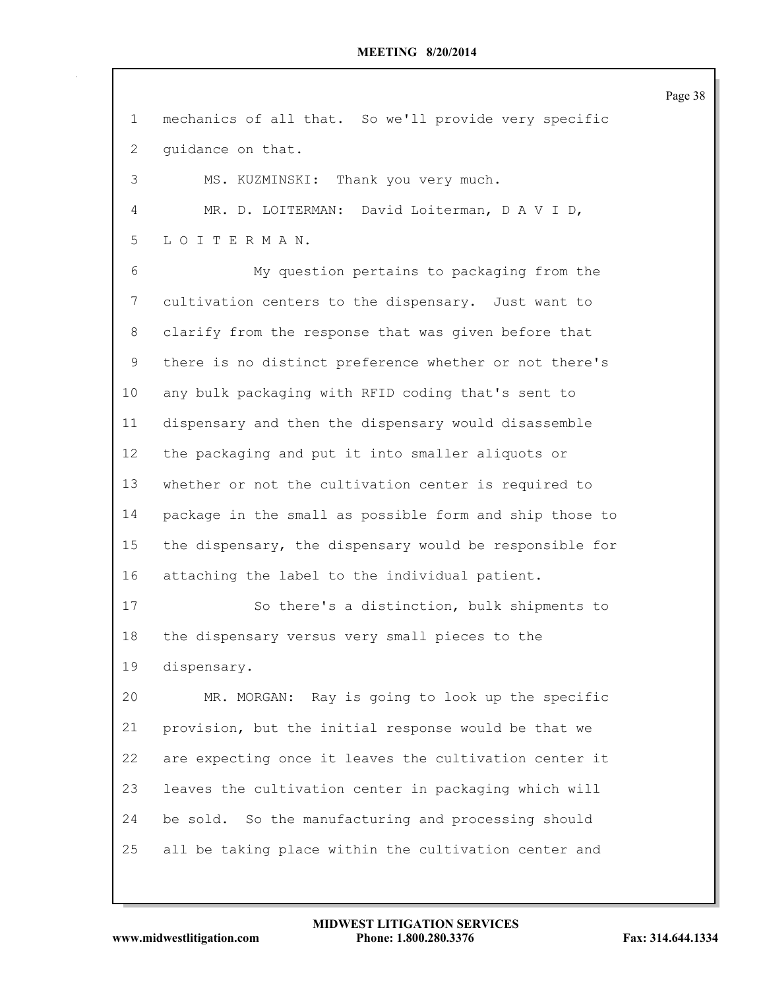| 1  | mechanics of all that. So we'll provide very specific   |
|----|---------------------------------------------------------|
| 2  | quidance on that.                                       |
| 3  | MS. KUZMINSKI: Thank you very much.                     |
| 4  | MR. D. LOITERMAN: David Loiterman, D A V I D,           |
| 5  | LOITERMAN.                                              |
| 6  | My question pertains to packaging from the              |
| 7  | cultivation centers to the dispensary. Just want to     |
| 8  | clarify from the response that was given before that    |
| 9  | there is no distinct preference whether or not there's  |
| 10 | any bulk packaging with RFID coding that's sent to      |
| 11 | dispensary and then the dispensary would disassemble    |
| 12 | the packaging and put it into smaller aliquots or       |
| 13 | whether or not the cultivation center is required to    |
| 14 | package in the small as possible form and ship those to |
| 15 | the dispensary, the dispensary would be responsible for |
| 16 | attaching the label to the individual patient.          |
| 17 | So there's a distinction, bulk shipments to             |
| 18 | the dispensary versus very small pieces to the          |
| 19 | dispensary.                                             |
| 20 | MR. MORGAN: Ray is going to look up the specific        |
| 21 | provision, but the initial response would be that we    |
| 22 | are expecting once it leaves the cultivation center it  |
| 23 | leaves the cultivation center in packaging which will   |
| 24 | be sold. So the manufacturing and processing should     |
| 25 | all be taking place within the cultivation center and   |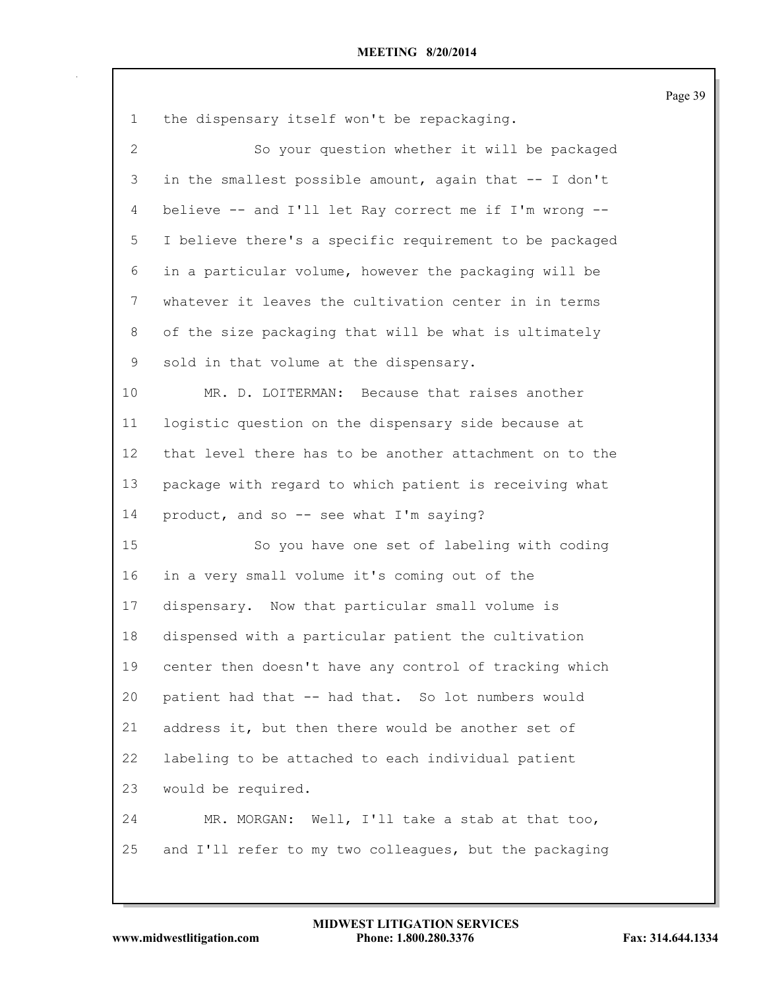| 1            | the dispensary itself won't be repackaging.             |
|--------------|---------------------------------------------------------|
| $\mathbf{2}$ | So your question whether it will be packaged            |
| 3            | in the smallest possible amount, again that -- I don't  |
| 4            | believe -- and I'll let Ray correct me if I'm wrong --  |
| 5            | I believe there's a specific requirement to be packaged |
| 6            | in a particular volume, however the packaging will be   |
| 7            | whatever it leaves the cultivation center in in terms   |
| 8            | of the size packaging that will be what is ultimately   |
| 9            | sold in that volume at the dispensary.                  |
| 10           | MR. D. LOITERMAN: Because that raises another           |
| 11           | logistic question on the dispensary side because at     |
| 12           | that level there has to be another attachment on to the |
| 13           | package with regard to which patient is receiving what  |
| 14           | product, and so -- see what I'm saying?                 |
| 15           | So you have one set of labeling with coding             |
| 16           | in a very small volume it's coming out of the           |
| 17           | dispensary. Now that particular small volume is         |
| 18           | dispensed with a particular patient the cultivation     |
| 19           | center then doesn't have any control of tracking which  |
| 20           | patient had that -- had that. So lot numbers would      |
| 21           | address it, but then there would be another set of      |
| 22           | labeling to be attached to each individual patient      |
| 23           | would be required.                                      |
| 24           | MR. MORGAN: Well, I'll take a stab at that too,         |
| 25           | and I'll refer to my two colleagues, but the packaging  |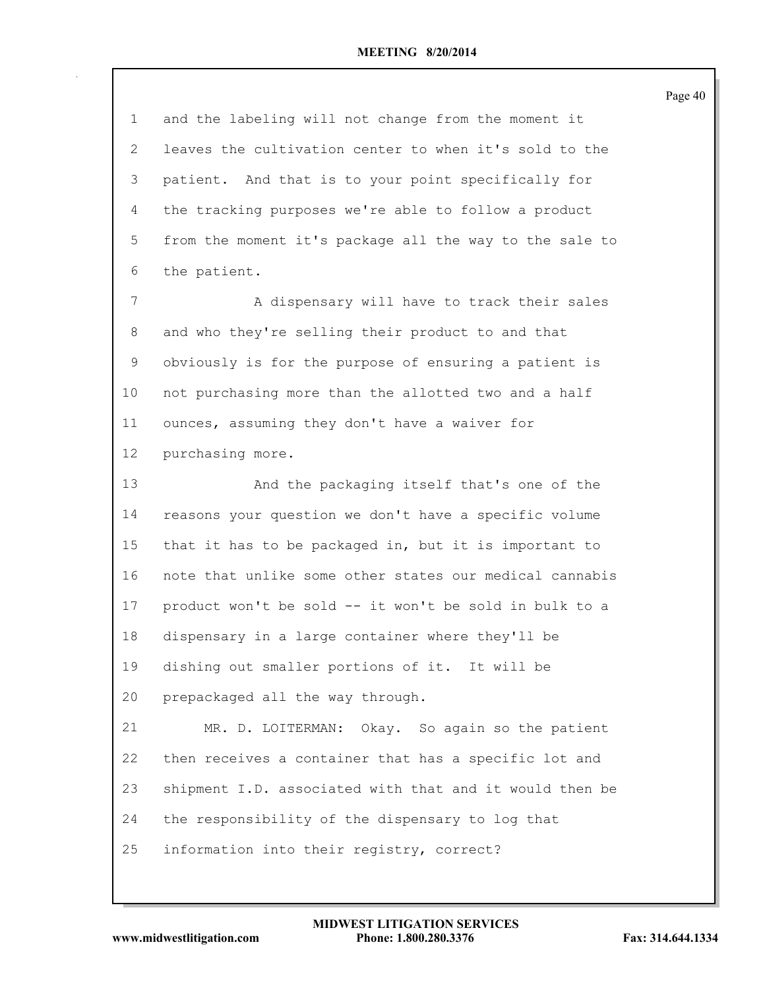| $\mathbf 1$  | and the labeling will not change from the moment it     |
|--------------|---------------------------------------------------------|
| $\mathbf{2}$ | leaves the cultivation center to when it's sold to the  |
| 3            | patient. And that is to your point specifically for     |
| 4            | the tracking purposes we're able to follow a product    |
| 5            | from the moment it's package all the way to the sale to |
| 6            | the patient.                                            |
| 7            | A dispensary will have to track their sales             |
| 8            | and who they're selling their product to and that       |
| 9            | obviously is for the purpose of ensuring a patient is   |
| 10           | not purchasing more than the allotted two and a half    |
| 11           | ounces, assuming they don't have a waiver for           |
| 12           | purchasing more.                                        |
| 13           | And the packaging itself that's one of the              |
| 14           | reasons your question we don't have a specific volume   |
| 15           | that it has to be packaged in, but it is important to   |
| 16           | note that unlike some other states our medical cannabis |
| 17           | product won't be sold -- it won't be sold in bulk to a  |
| 18           | dispensary in a large container where they'll be        |
| 19           | dishing out smaller portions of it. It will be          |
| 20           | prepackaged all the way through.                        |
| 21           | MR. D. LOITERMAN: Okay. So again so the patient         |
| 22           | then receives a container that has a specific lot and   |
| 23           | shipment I.D. associated with that and it would then be |
| 24           | the responsibility of the dispensary to log that        |
| 25           | information into their registry, correct?               |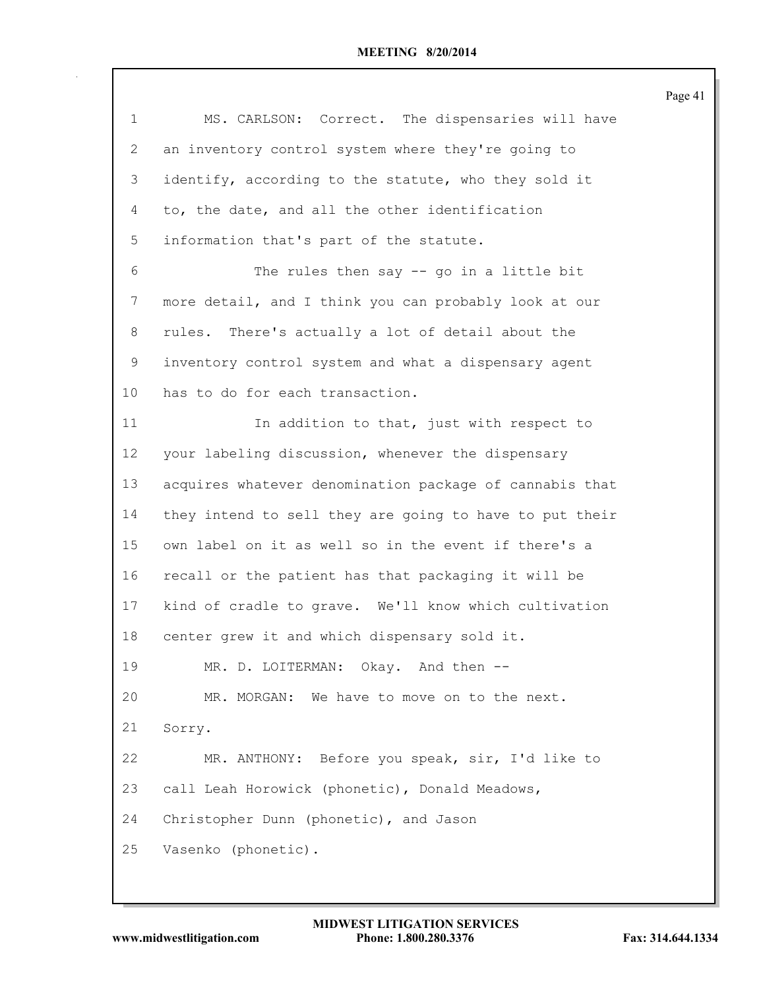| $\mathbf 1$ | MS. CARLSON: Correct. The dispensaries will have        |
|-------------|---------------------------------------------------------|
|             |                                                         |
| 2           | an inventory control system where they're going to      |
| 3           | identify, according to the statute, who they sold it    |
| 4           | to, the date, and all the other identification          |
| 5           | information that's part of the statute.                 |
| 6           | The rules then say $-$ go in a little bit               |
| 7           | more detail, and I think you can probably look at our   |
| 8           | rules. There's actually a lot of detail about the       |
| 9           | inventory control system and what a dispensary agent    |
| 10          | has to do for each transaction.                         |
| 11          | In addition to that, just with respect to               |
| 12          | your labeling discussion, whenever the dispensary       |
| 13          | acquires whatever denomination package of cannabis that |
| 14          | they intend to sell they are going to have to put their |
| 15          | own label on it as well so in the event if there's a    |
| 16          | recall or the patient has that packaging it will be     |
| 17          | kind of cradle to grave. We'll know which cultivation   |
| 18          | center grew it and which dispensary sold it.            |
| 19          | MR. D. LOITERMAN: Okay. And then --                     |
| 20          | MR. MORGAN: We have to move on to the next.             |
| 21          | Sorry.                                                  |
| 22          | MR. ANTHONY: Before you speak, sir, I'd like to         |
| 23          | call Leah Horowick (phonetic), Donald Meadows,          |
| 24          | Christopher Dunn (phonetic), and Jason                  |
| 25          | Vasenko (phonetic).                                     |
|             |                                                         |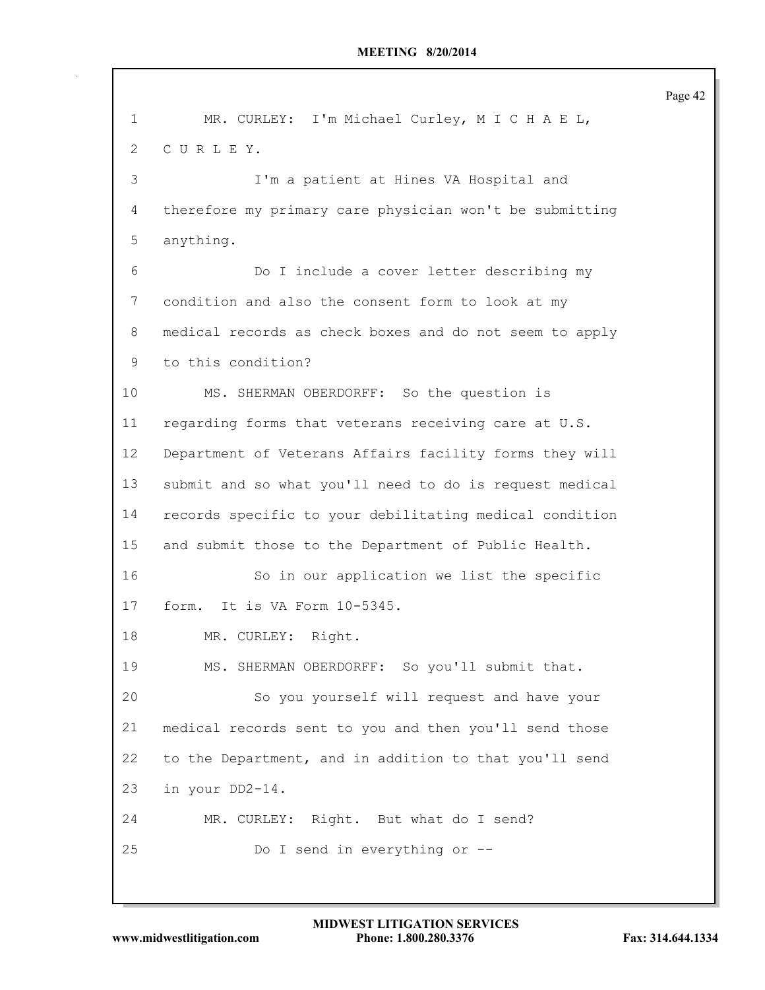| 1  | MR. CURLEY: I'm Michael Curley, M I C H A E L,          |
|----|---------------------------------------------------------|
| 2  | CURLEY.                                                 |
| 3  | I'm a patient at Hines VA Hospital and                  |
| 4  | therefore my primary care physician won't be submitting |
| 5  | anything.                                               |
| 6  | Do I include a cover letter describing my               |
| 7  | condition and also the consent form to look at my       |
| 8  | medical records as check boxes and do not seem to apply |
| 9  | to this condition?                                      |
| 10 | MS. SHERMAN OBERDORFF: So the question is               |
| 11 | regarding forms that veterans receiving care at U.S.    |
| 12 | Department of Veterans Affairs facility forms they will |
| 13 | submit and so what you'll need to do is request medical |
| 14 | records specific to your debilitating medical condition |
| 15 | and submit those to the Department of Public Health.    |
| 16 | So in our application we list the specific              |
| 17 | form. It is VA Form 10-5345.                            |
| 18 | MR. CURLEY: Right.                                      |
| 19 | MS. SHERMAN OBERDORFF: So you'll submit that.           |
| 20 | So you yourself will request and have your              |
| 21 | medical records sent to you and then you'll send those  |
| 22 | to the Department, and in addition to that you'll send  |
| 23 | in your DD2-14.                                         |
| 24 | MR. CURLEY: Right. But what do I send?                  |
| 25 | Do I send in everything or --                           |
|    |                                                         |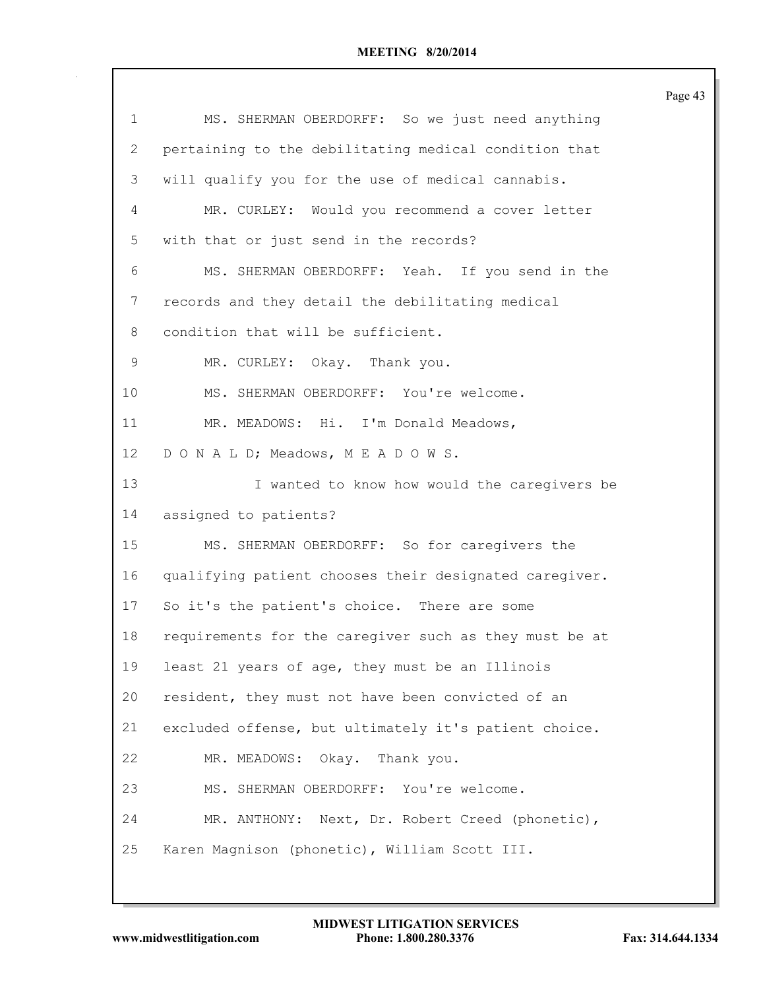|              |                                                        | Page 43 |
|--------------|--------------------------------------------------------|---------|
| 1            | MS. SHERMAN OBERDORFF: So we just need anything        |         |
| $\mathbf{2}$ | pertaining to the debilitating medical condition that  |         |
| 3            | will qualify you for the use of medical cannabis.      |         |
| 4            | MR. CURLEY: Would you recommend a cover letter         |         |
| 5            | with that or just send in the records?                 |         |
| 6            | MS. SHERMAN OBERDORFF: Yeah. If you send in the        |         |
| 7            | records and they detail the debilitating medical       |         |
| 8            | condition that will be sufficient.                     |         |
| $\mathsf 9$  | MR. CURLEY: Okay. Thank you.                           |         |
| 10           | MS. SHERMAN OBERDORFF: You're welcome.                 |         |
| 11           | MR. MEADOWS: Hi. I'm Donald Meadows,                   |         |
| 12           | DONALD; Meadows, MEADOWS.                              |         |
| 13           | I wanted to know how would the caregivers be           |         |
| 14           | assigned to patients?                                  |         |
| 15           | MS. SHERMAN OBERDORFF: So for caregivers the           |         |
| 16           | qualifying patient chooses their designated caregiver. |         |
| 17           | So it's the patient's choice. There are some           |         |
| 18           | requirements for the caregiver such as they must be at |         |
| 19           | least 21 years of age, they must be an Illinois        |         |
| 20           | resident, they must not have been convicted of an      |         |
| 21           | excluded offense, but ultimately it's patient choice.  |         |
| 22           | MR. MEADOWS: Okay. Thank you.                          |         |
| 23           | MS. SHERMAN OBERDORFF: You're welcome.                 |         |
| 24           | MR. ANTHONY: Next, Dr. Robert Creed (phonetic),        |         |
| 25           | Karen Magnison (phonetic), William Scott III.          |         |
|              |                                                        |         |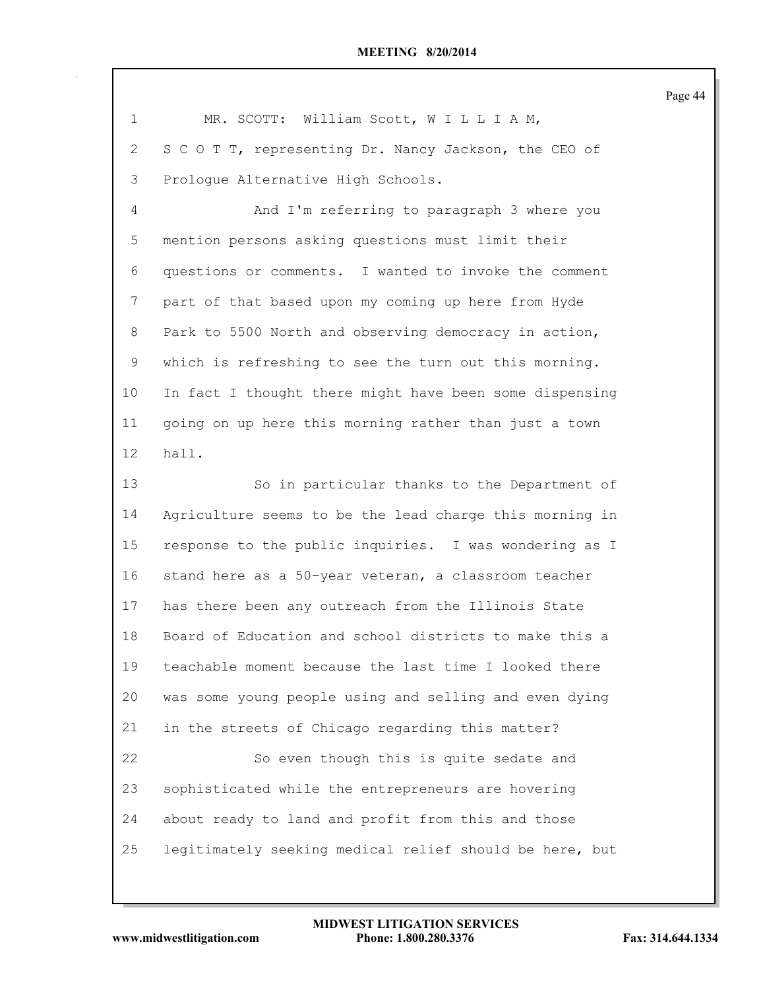| $\mathbf 1$     | MR. SCOTT: William Scott, W I L L I A M,                |
|-----------------|---------------------------------------------------------|
| 2               | S C O T T, representing Dr. Nancy Jackson, the CEO of   |
| 3               | Prologue Alternative High Schools.                      |
| 4               | And I'm referring to paragraph 3 where you              |
| 5               | mention persons asking questions must limit their       |
| 6               | questions or comments. I wanted to invoke the comment   |
| 7               | part of that based upon my coming up here from Hyde     |
| 8               | Park to 5500 North and observing democracy in action,   |
| 9               | which is refreshing to see the turn out this morning.   |
| 10 <sub>o</sub> | In fact I thought there might have been some dispensing |
| 11              | going on up here this morning rather than just a town   |
| 12              | hall.                                                   |
| 13              | So in particular thanks to the Department of            |
| 14              | Agriculture seems to be the lead charge this morning in |
| 15              | response to the public inquiries. I was wondering as I  |
| 16              | stand here as a 50-year veteran, a classroom teacher    |
| 17              | has there been any outreach from the Illinois State     |
| 18              | Board of Education and school districts to make this a  |
| 19              | teachable moment because the last time I looked there   |
| 20              | was some young people using and selling and even dying  |
| 21              | in the streets of Chicago regarding this matter?        |
| 22              | So even though this is quite sedate and                 |
| 23              | sophisticated while the entrepreneurs are hovering      |
| 24              | about ready to land and profit from this and those      |
| 25              | legitimately seeking medical relief should be here, but |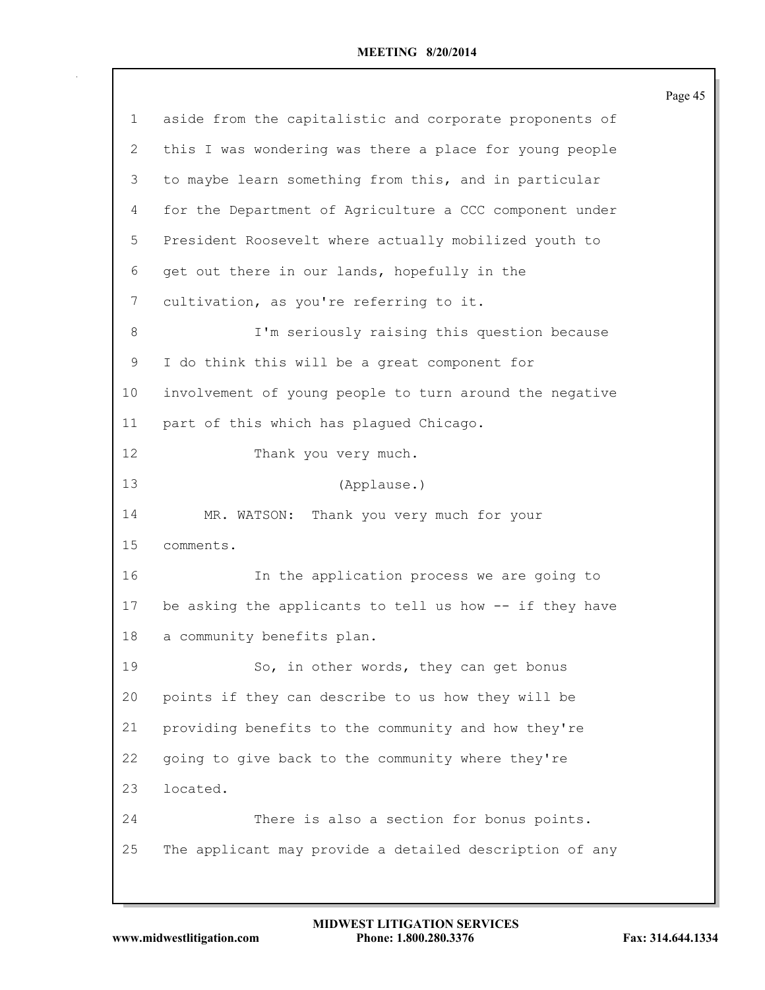|                |                                                         | Page 45 |
|----------------|---------------------------------------------------------|---------|
| $\mathbf 1$    | aside from the capitalistic and corporate proponents of |         |
| 2              | this I was wondering was there a place for young people |         |
| 3              | to maybe learn something from this, and in particular   |         |
| $\overline{4}$ | for the Department of Agriculture a CCC component under |         |
| 5              | President Roosevelt where actually mobilized youth to   |         |
| 6              | get out there in our lands, hopefully in the            |         |
| 7              | cultivation, as you're referring to it.                 |         |
| $8\,$          | I'm seriously raising this question because             |         |
| 9              | I do think this will be a great component for           |         |
| 10             | involvement of young people to turn around the negative |         |
| 11             | part of this which has plagued Chicago.                 |         |
| 12             | Thank you very much.                                    |         |
| 13             | (Applause.)                                             |         |
| 14             | Thank you very much for your<br>MR. WATSON:             |         |
| 15             | comments.                                               |         |
| 16             | In the application process we are going to              |         |
| 17             | be asking the applicants to tell us how -- if they have |         |
| 18             | a community benefits plan.                              |         |
| 19             | So, in other words, they can get bonus                  |         |
| 20             | points if they can describe to us how they will be      |         |
| 21             | providing benefits to the community and how they're     |         |
| 22             | going to give back to the community where they're       |         |
| 23             | located.                                                |         |
| 24             | There is also a section for bonus points.               |         |
| 25             | The applicant may provide a detailed description of any |         |
|                |                                                         |         |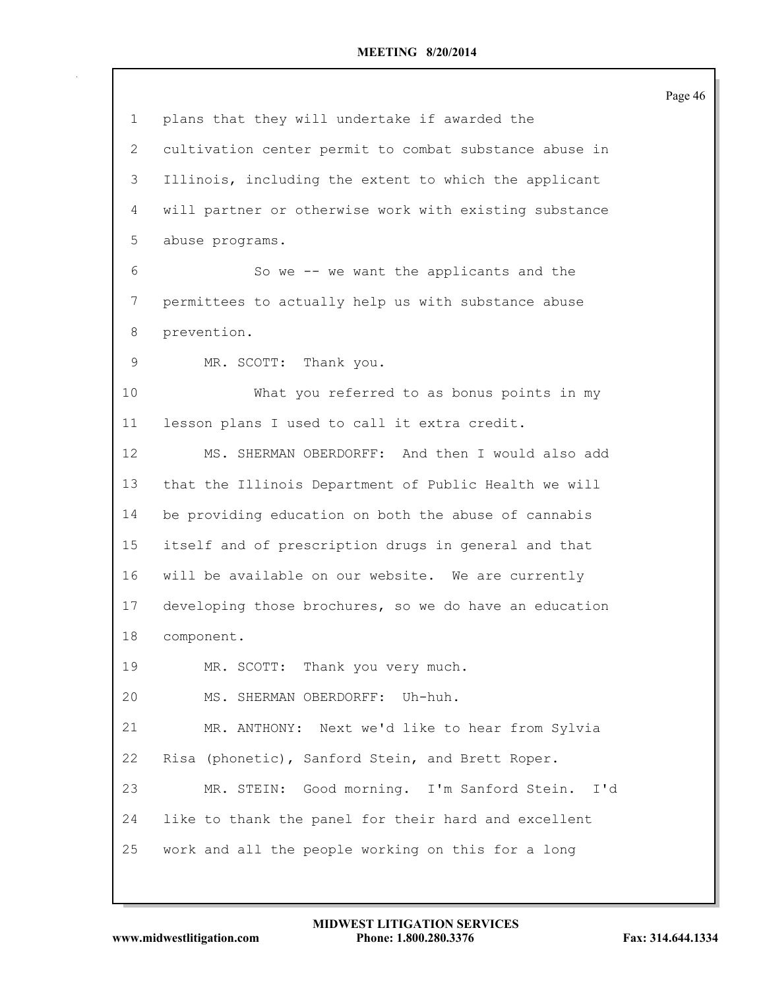| 1               | plans that they will undertake if awarded the          |
|-----------------|--------------------------------------------------------|
| $\mathbf{2}^-$  | cultivation center permit to combat substance abuse in |
| 3               | Illinois, including the extent to which the applicant  |
| 4               | will partner or otherwise work with existing substance |
| 5               | abuse programs.                                        |
| 6               | So we -- we want the applicants and the                |
| 7               | permittees to actually help us with substance abuse    |
| 8               | prevention.                                            |
| 9               | MR. SCOTT: Thank you.                                  |
| 10              | What you referred to as bonus points in my             |
| 11              | lesson plans I used to call it extra credit.           |
| 12 <sup>°</sup> | MS. SHERMAN OBERDORFF: And then I would also add       |
| 13              | that the Illinois Department of Public Health we will  |
| 14              | be providing education on both the abuse of cannabis   |
| 15              | itself and of prescription drugs in general and that   |
| 16              | will be available on our website. We are currently     |
| 17              | developing those brochures, so we do have an education |
| 18              | component.                                             |
| 19              | MR. SCOTT: Thank you very much.                        |
| 20              | MS. SHERMAN OBERDORFF: Uh-huh.                         |
| 21              | MR. ANTHONY: Next we'd like to hear from Sylvia        |
| 22              | Risa (phonetic), Sanford Stein, and Brett Roper.       |
| 23              | MR. STEIN: Good morning. I'm Sanford Stein. I'd        |
| 24              | like to thank the panel for their hard and excellent   |
| 25              | work and all the people working on this for a long     |
|                 |                                                        |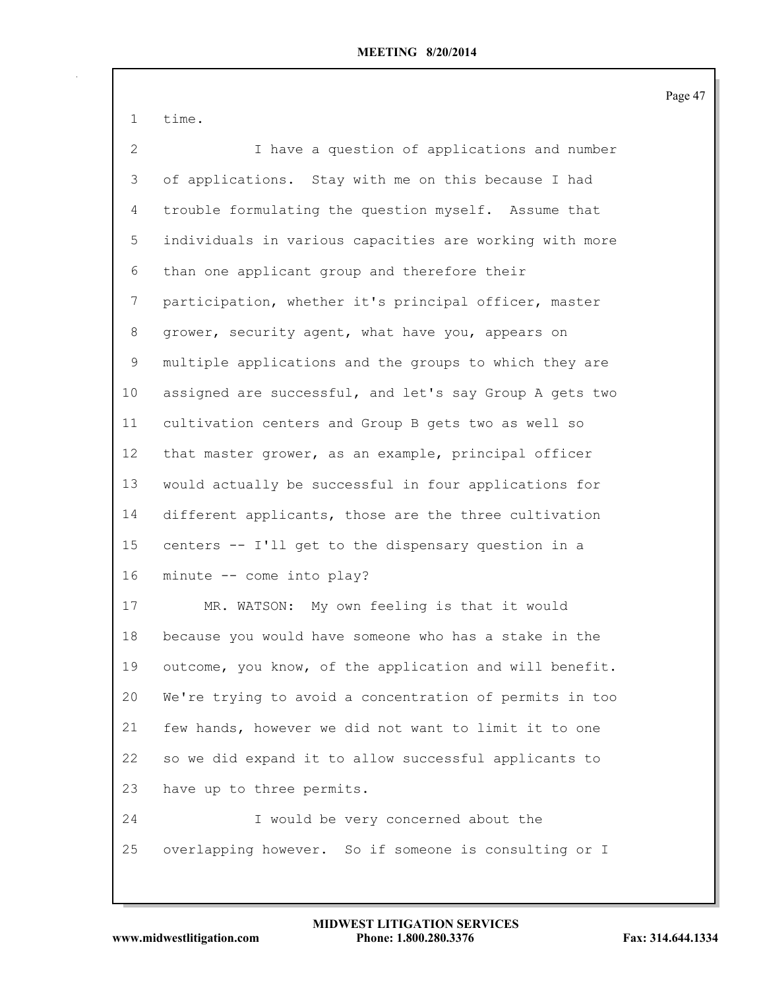time.

| $\overline{2}$ | I have a question of applications and number            |
|----------------|---------------------------------------------------------|
| 3              | of applications. Stay with me on this because I had     |
| 4              | trouble formulating the question myself. Assume that    |
| 5              | individuals in various capacities are working with more |
| 6              | than one applicant group and therefore their            |
| 7              | participation, whether it's principal officer, master   |
| 8              | grower, security agent, what have you, appears on       |
| 9              | multiple applications and the groups to which they are  |
| 10             | assigned are successful, and let's say Group A gets two |
| 11             | cultivation centers and Group B gets two as well so     |
| 12             | that master grower, as an example, principal officer    |
| 13             | would actually be successful in four applications for   |
| 14             | different applicants, those are the three cultivation   |
| 15             | centers -- I'll get to the dispensary question in a     |
| 16             | minute -- come into play?                               |
| 17             | MR. WATSON: My own feeling is that it would             |
| 18             | because you would have someone who has a stake in the   |
| 19             | outcome, you know, of the application and will benefit. |
| 20             | We're trying to avoid a concentration of permits in too |
| 21             | few hands, however we did not want to limit it to one   |
| 22             | so we did expand it to allow successful applicants to   |
| 23             | have up to three permits.                               |
| 24             | I would be very concerned about the                     |
| 25             | overlapping however. So if someone is consulting or I   |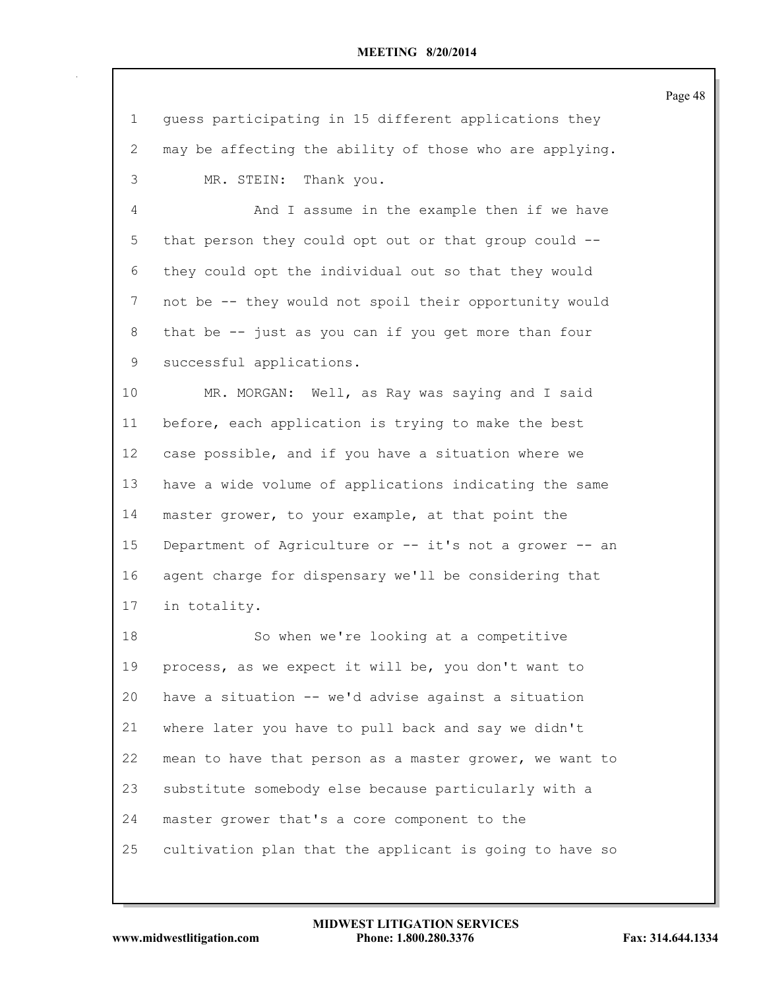| $\mathbf 1$     | guess participating in 15 different applications they   |
|-----------------|---------------------------------------------------------|
| $\mathbf{2}$    | may be affecting the ability of those who are applying. |
| 3               | MR. STEIN:<br>Thank you.                                |
| 4               | And I assume in the example then if we have             |
| 5               | that person they could opt out or that group could --   |
| 6               | they could opt the individual out so that they would    |
| 7               | not be -- they would not spoil their opportunity would  |
| 8               | that be -- just as you can if you get more than four    |
| 9               | successful applications.                                |
| 10 <sub>o</sub> | MR. MORGAN: Well, as Ray was saying and I said          |
| 11              | before, each application is trying to make the best     |
| 12              | case possible, and if you have a situation where we     |
| 13              | have a wide volume of applications indicating the same  |
| 14              | master grower, to your example, at that point the       |
| 15              | Department of Agriculture or -- it's not a grower -- an |
| 16              | agent charge for dispensary we'll be considering that   |
| 17              | in totality.                                            |
| 18              | So when we're looking at a competitive                  |
| 19              | process, as we expect it will be, you don't want to     |
| 20              | have a situation -- we'd advise against a situation     |
| 21              | where later you have to pull back and say we didn't     |
| 22              | mean to have that person as a master grower, we want to |
| 23              | substitute somebody else because particularly with a    |
| 24              | master grower that's a core component to the            |
| 25              | cultivation plan that the applicant is going to have so |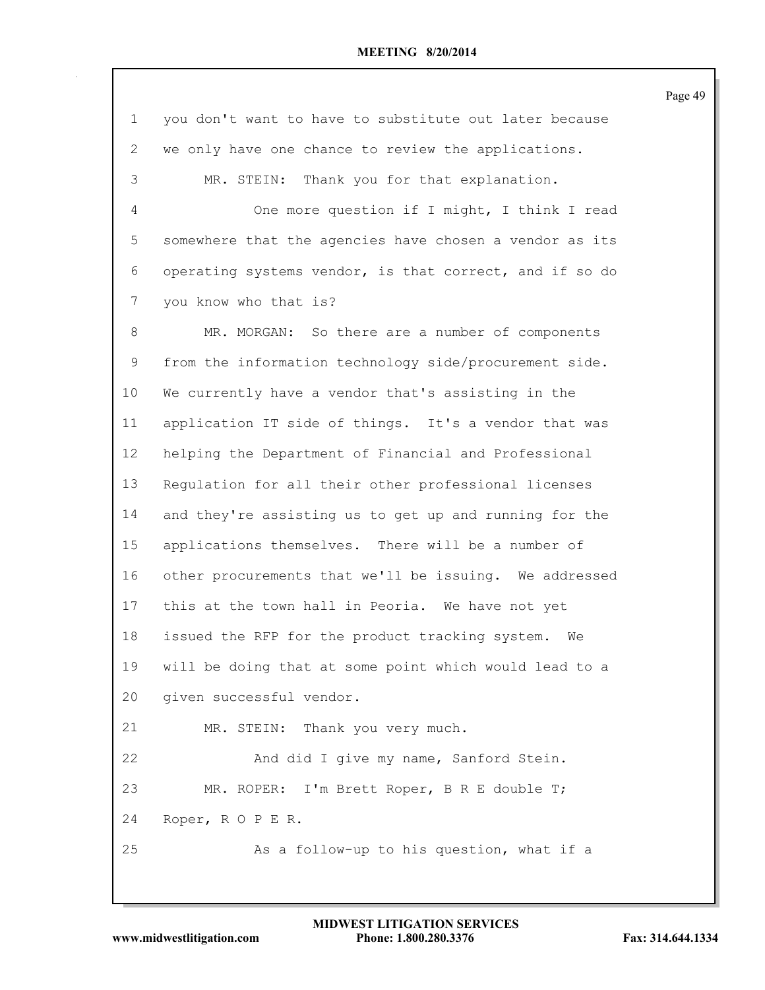| $\mathbf 1$    | you don't want to have to substitute out later because  |
|----------------|---------------------------------------------------------|
| $\overline{2}$ | we only have one chance to review the applications.     |
| 3              | MR. STEIN: Thank you for that explanation.              |
| 4              | One more question if I might, I think I read            |
| 5              | somewhere that the agencies have chosen a vendor as its |
| 6              | operating systems vendor, is that correct, and if so do |
| 7              | you know who that is?                                   |
| 8              | MR. MORGAN: So there are a number of components         |
| 9              | from the information technology side/procurement side.  |
| 10             | We currently have a vendor that's assisting in the      |
| 11             | application IT side of things. It's a vendor that was   |
| 12             | helping the Department of Financial and Professional    |
| 13             | Regulation for all their other professional licenses    |
| 14             | and they're assisting us to get up and running for the  |
| 15             | applications themselves. There will be a number of      |
| 16             | other procurements that we'll be issuing. We addressed  |
| 17             | this at the town hall in Peoria. We have not yet        |
| 18             | issued the RFP for the product tracking system. We      |
| 19             | will be doing that at some point which would lead to a  |
| 20             | given successful vendor.                                |
| 21             | MR. STEIN: Thank you very much.                         |
| 22             | And did I give my name, Sanford Stein.                  |
| 23             | MR. ROPER: I'm Brett Roper, B R E double T;             |
| 24             | Roper, ROPER.                                           |
| 25             | As a follow-up to his question, what if a               |
|                |                                                         |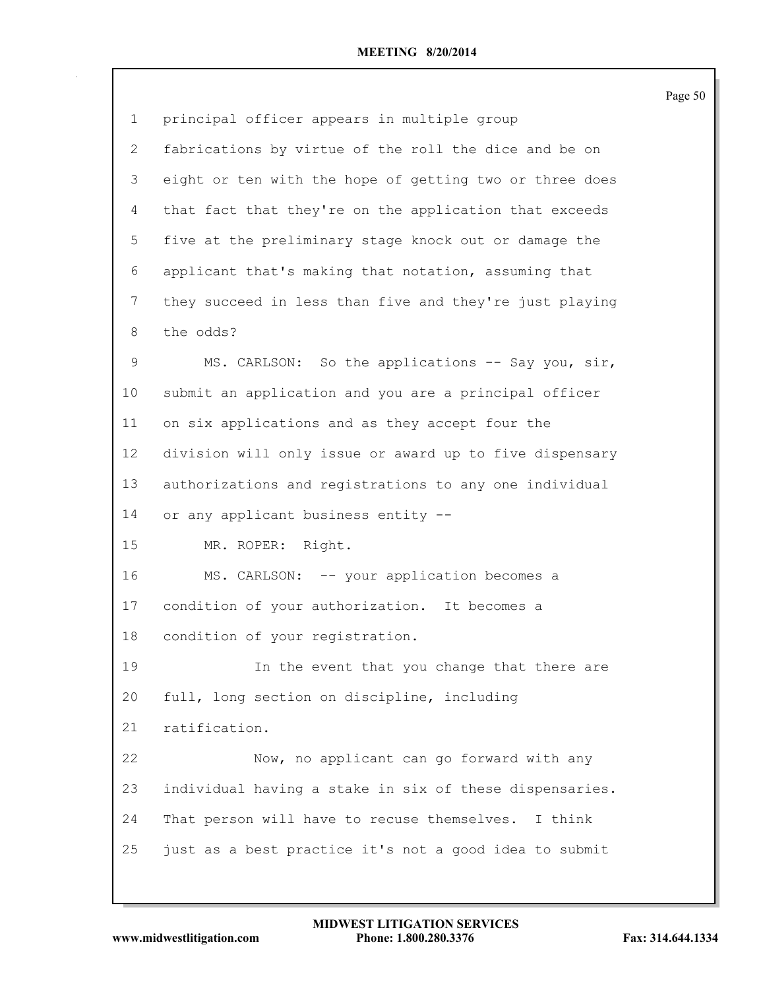|             |                                                         | Page 50 |
|-------------|---------------------------------------------------------|---------|
| $\mathbf 1$ | principal officer appears in multiple group             |         |
| 2           | fabrications by virtue of the roll the dice and be on   |         |
| 3           | eight or ten with the hope of getting two or three does |         |
| 4           | that fact that they're on the application that exceeds  |         |
| 5           | five at the preliminary stage knock out or damage the   |         |
| 6           | applicant that's making that notation, assuming that    |         |
| 7           | they succeed in less than five and they're just playing |         |
| 8           | the odds?                                               |         |
| 9           | MS. CARLSON: So the applications -- Say you, sir,       |         |
| 10          | submit an application and you are a principal officer   |         |
| 11          | on six applications and as they accept four the         |         |
| 12          | division will only issue or award up to five dispensary |         |
| 13          | authorizations and registrations to any one individual  |         |
| 14          | or any applicant business entity --                     |         |
| 15          | MR. ROPER: Right.                                       |         |
| 16          | MS. CARLSON: -- your application becomes a              |         |
| 17          | condition of your authorization. It becomes a           |         |
| 18          | condition of your registration.                         |         |
| 19          | In the event that you change that there are             |         |
| 20          | full, long section on discipline, including             |         |
| 21          | ratification.                                           |         |
| 22          | Now, no applicant can go forward with any               |         |
| 23          | individual having a stake in six of these dispensaries. |         |
| 24          | That person will have to recuse themselves. I think     |         |
| 25          | just as a best practice it's not a good idea to submit  |         |
|             |                                                         |         |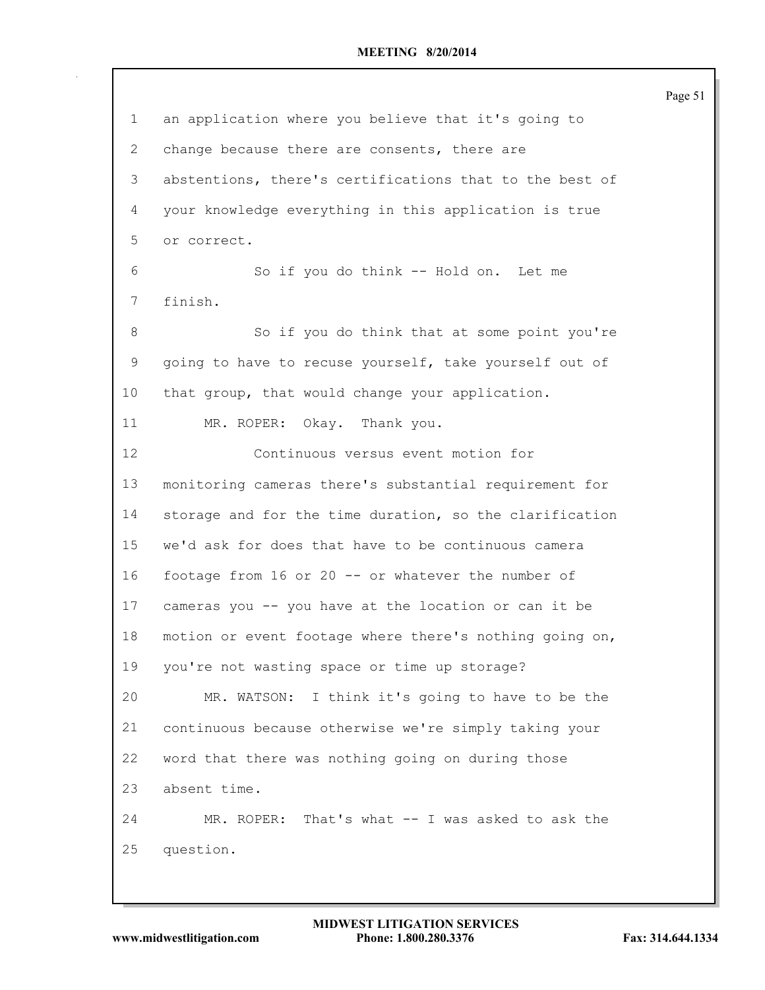| $\mathbf 1$ | an application where you believe that it's going to     |
|-------------|---------------------------------------------------------|
| 2           | change because there are consents, there are            |
| 3           | abstentions, there's certifications that to the best of |
| 4           | your knowledge everything in this application is true   |
| 5           | or correct.                                             |
| 6           | So if you do think -- Hold on. Let me                   |
| 7           | finish.                                                 |
| 8           | So if you do think that at some point you're            |
| 9           | going to have to recuse yourself, take yourself out of  |
| 10          | that group, that would change your application.         |
| 11          | MR. ROPER: Okay. Thank you.                             |
| 12          | Continuous versus event motion for                      |
| 13          | monitoring cameras there's substantial requirement for  |
| 14          | storage and for the time duration, so the clarification |
| 15          | we'd ask for does that have to be continuous camera     |
| 16          | footage from 16 or 20 -- or whatever the number of      |
| 17          | cameras you -- you have at the location or can it be    |
| 18          | motion or event footage where there's nothing going on, |
| 19          | you're not wasting space or time up storage?            |
| 20          | MR. WATSON: I think it's going to have to be the        |
| 21          | continuous because otherwise we're simply taking your   |
| 22          | word that there was nothing going on during those       |
| 23          | absent time.                                            |
| 24          | MR. ROPER: That's what -- I was asked to ask the        |
| 25          | question.                                               |
|             |                                                         |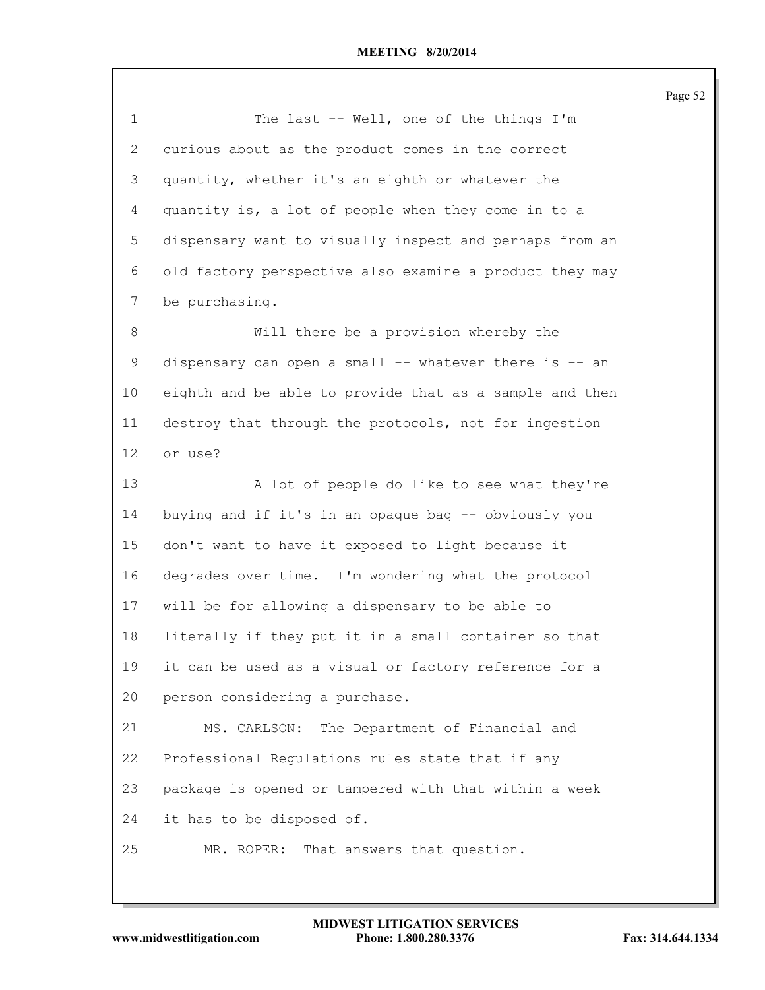| $\mathbf 1$ | The last -- Well, one of the things I'm                 |
|-------------|---------------------------------------------------------|
| 2           | curious about as the product comes in the correct       |
| 3           | quantity, whether it's an eighth or whatever the        |
| 4           | quantity is, a lot of people when they come in to a     |
| 5           | dispensary want to visually inspect and perhaps from an |
| 6           | old factory perspective also examine a product they may |
| 7           | be purchasing.                                          |
| 8           | Will there be a provision whereby the                   |
| 9           | dispensary can open a small -- whatever there is -- an  |
| 10          | eighth and be able to provide that as a sample and then |
| 11          | destroy that through the protocols, not for ingestion   |
| 12          | or use?                                                 |
| 13          | A lot of people do like to see what they're             |
| 14          | buying and if it's in an opaque bag -- obviously you    |
| 15          | don't want to have it exposed to light because it       |
| 16          | degrades over time. I'm wondering what the protocol     |
| 17          | will be for allowing a dispensary to be able to         |
| 18          | literally if they put it in a small container so that   |
| 19          | it can be used as a visual or factory reference for a   |
| 20          | person considering a purchase.                          |
| 21          | MS. CARLSON:<br>The Department of Financial and         |
| 22          | Professional Regulations rules state that if any        |
| 23          | package is opened or tampered with that within a week   |
| 24          | it has to be disposed of.                               |
| 25          | That answers that question.<br>MR. ROPER:               |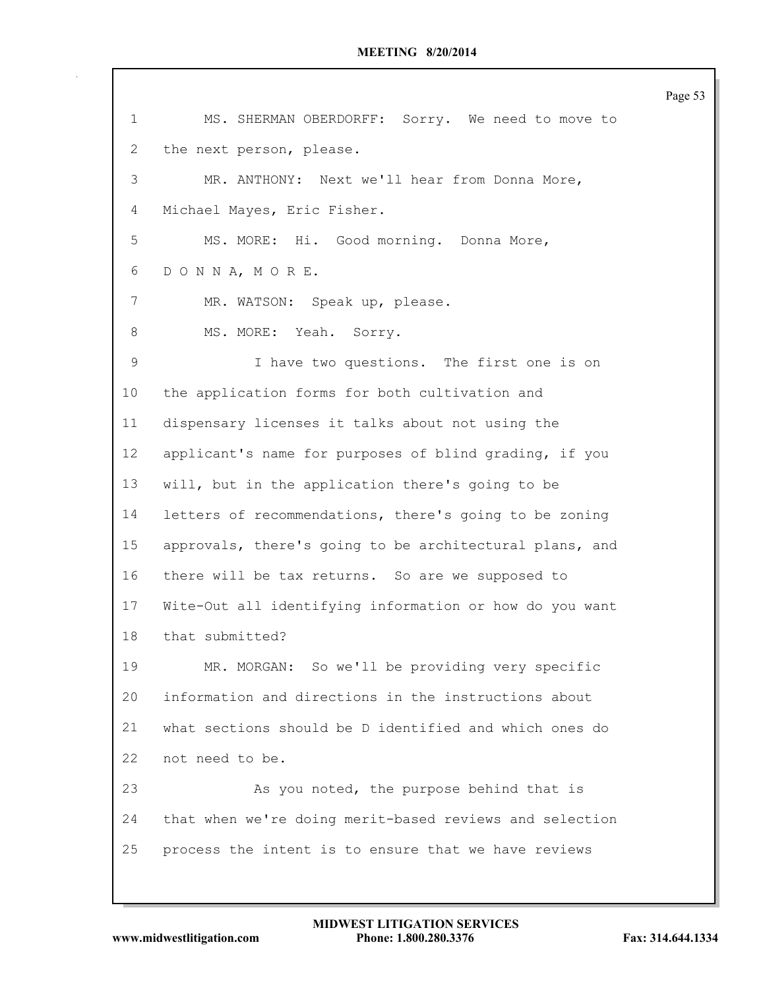| 1  | MS. SHERMAN OBERDORFF: Sorry. We need to move to        |
|----|---------------------------------------------------------|
| 2  | the next person, please.                                |
| 3  | MR. ANTHONY: Next we'll hear from Donna More,           |
| 4  | Michael Mayes, Eric Fisher.                             |
| 5  | MS. MORE: Hi. Good morning. Donna More,                 |
| 6  | DONNA, MORE.                                            |
| 7  | MR. WATSON: Speak up, please.                           |
| 8  | MS. MORE: Yeah. Sorry.                                  |
| 9  | I have two questions. The first one is on               |
| 10 | the application forms for both cultivation and          |
| 11 | dispensary licenses it talks about not using the        |
| 12 | applicant's name for purposes of blind grading, if you  |
| 13 | will, but in the application there's going to be        |
| 14 | letters of recommendations, there's going to be zoning  |
| 15 | approvals, there's going to be architectural plans, and |
| 16 | there will be tax returns. So are we supposed to        |
| 17 | Wite-Out all identifying information or how do you want |
| 18 | that submitted?                                         |
| 19 | MR. MORGAN: So we'll be providing very specific         |
| 20 | information and directions in the instructions about    |
| 21 | what sections should be D identified and which ones do  |
| 22 | not need to be.                                         |
| 23 | As you noted, the purpose behind that is                |
| 24 | that when we're doing merit-based reviews and selection |
| 25 | process the intent is to ensure that we have reviews    |
|    |                                                         |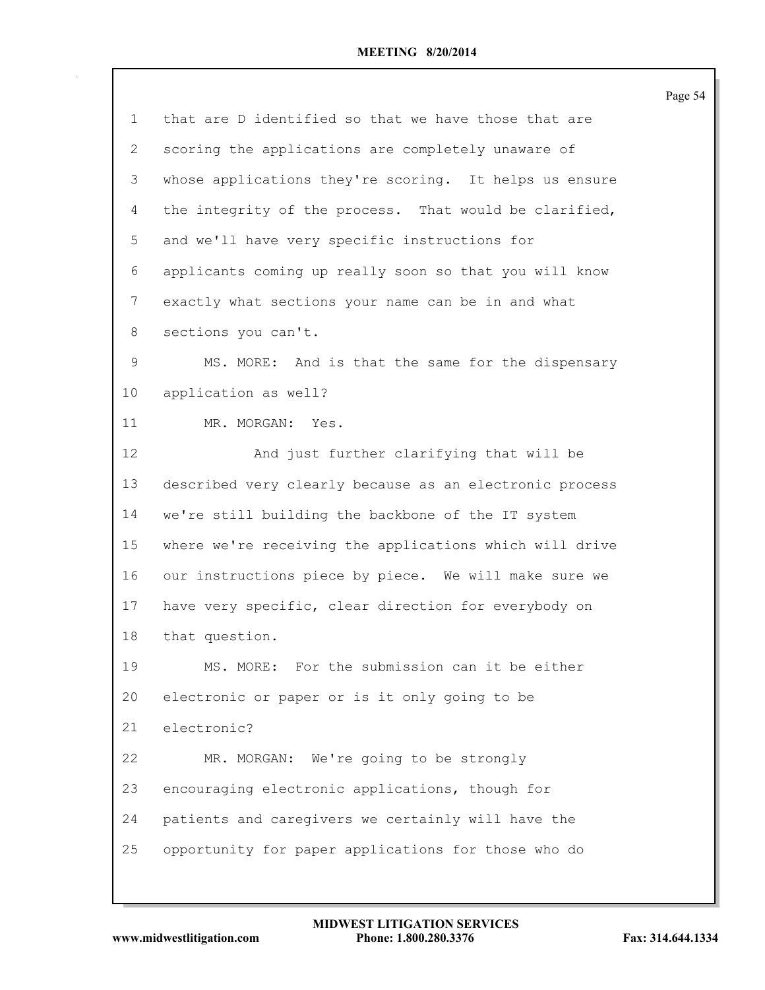|                 |                                                         | Page 54 |
|-----------------|---------------------------------------------------------|---------|
| $\mathbf 1$     | that are D identified so that we have those that are    |         |
| $\mathbf{2}$    | scoring the applications are completely unaware of      |         |
| 3               | whose applications they're scoring. It helps us ensure  |         |
| 4               | the integrity of the process. That would be clarified,  |         |
| 5               | and we'll have very specific instructions for           |         |
| 6               | applicants coming up really soon so that you will know  |         |
| 7               | exactly what sections your name can be in and what      |         |
| 8               | sections you can't.                                     |         |
| 9               | MS. MORE: And is that the same for the dispensary       |         |
| 10 <sup>°</sup> | application as well?                                    |         |
| 11              | MR. MORGAN: Yes.                                        |         |
| 12              | And just further clarifying that will be                |         |
| 13              | described very clearly because as an electronic process |         |
| 14              | we're still building the backbone of the IT system      |         |
| 15              | where we're receiving the applications which will drive |         |
| 16              | our instructions piece by piece. We will make sure we   |         |
| 17              | have very specific, clear direction for everybody on    |         |
| 18              | that question.                                          |         |
| 19              | MS. MORE: For the submission can it be either           |         |
| 20              | electronic or paper or is it only going to be           |         |
| 21              | electronic?                                             |         |
| 22              | MR. MORGAN: We're going to be strongly                  |         |
| 23              | encouraging electronic applications, though for         |         |
| 24              | patients and caregivers we certainly will have the      |         |
| 25              | opportunity for paper applications for those who do     |         |
|                 |                                                         |         |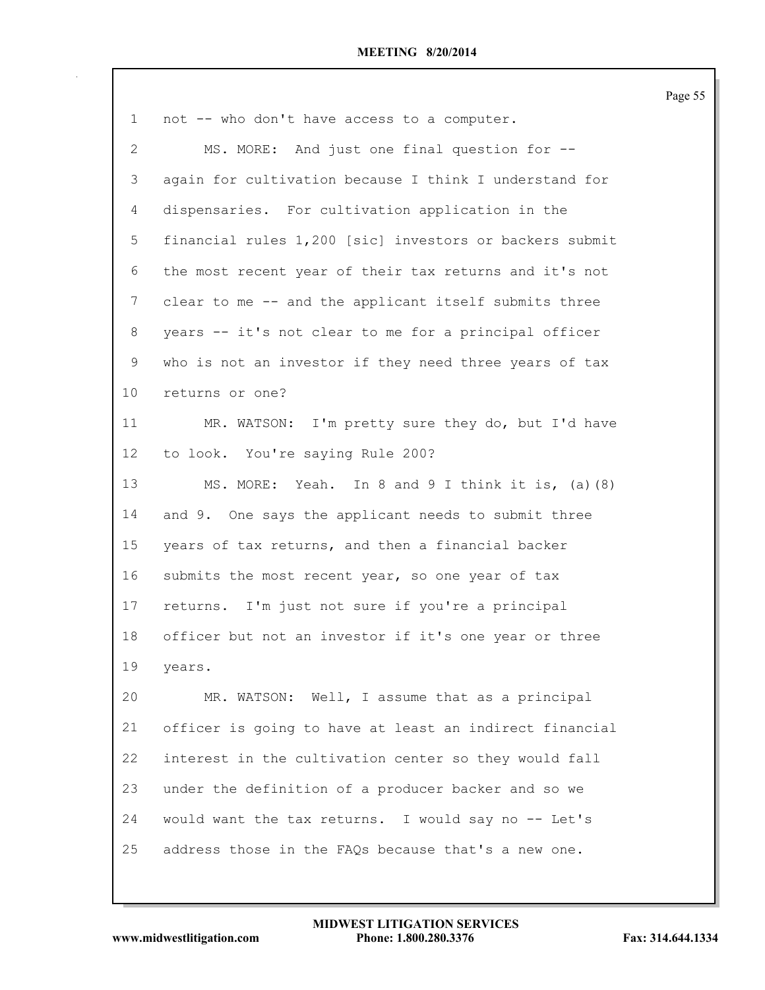| 1               | not -- who don't have access to a computer.             |
|-----------------|---------------------------------------------------------|
| 2               | MS. MORE: And just one final question for --            |
| 3               | again for cultivation because I think I understand for  |
| 4               | dispensaries. For cultivation application in the        |
| 5               | financial rules 1,200 [sic] investors or backers submit |
| 6               | the most recent year of their tax returns and it's not  |
| 7               | clear to me -- and the applicant itself submits three   |
| 8               | years -- it's not clear to me for a principal officer   |
| 9               | who is not an investor if they need three years of tax  |
| 10 <sub>o</sub> | returns or one?                                         |
| 11              | MR. WATSON: I'm pretty sure they do, but I'd have       |
| 12              | to look. You're saying Rule 200?                        |
| 13              | MS. MORE: Yeah. In 8 and 9 I think it is, (a) (8)       |
| 14              | and 9. One says the applicant needs to submit three     |
| 15              | years of tax returns, and then a financial backer       |
| 16              | submits the most recent year, so one year of tax        |
| 17              | returns. I'm just not sure if you're a principal        |
| 18              | officer but not an investor if it's one year or three   |
| 19              | years.                                                  |
| 20              | MR. WATSON: Well, I assume that as a principal          |
| 21              | officer is going to have at least an indirect financial |
| 22              | interest in the cultivation center so they would fall   |
| 23              | under the definition of a producer backer and so we     |
| 24              | would want the tax returns. I would say no -- Let's     |
| 25              | address those in the FAQs because that's a new one.     |
|                 |                                                         |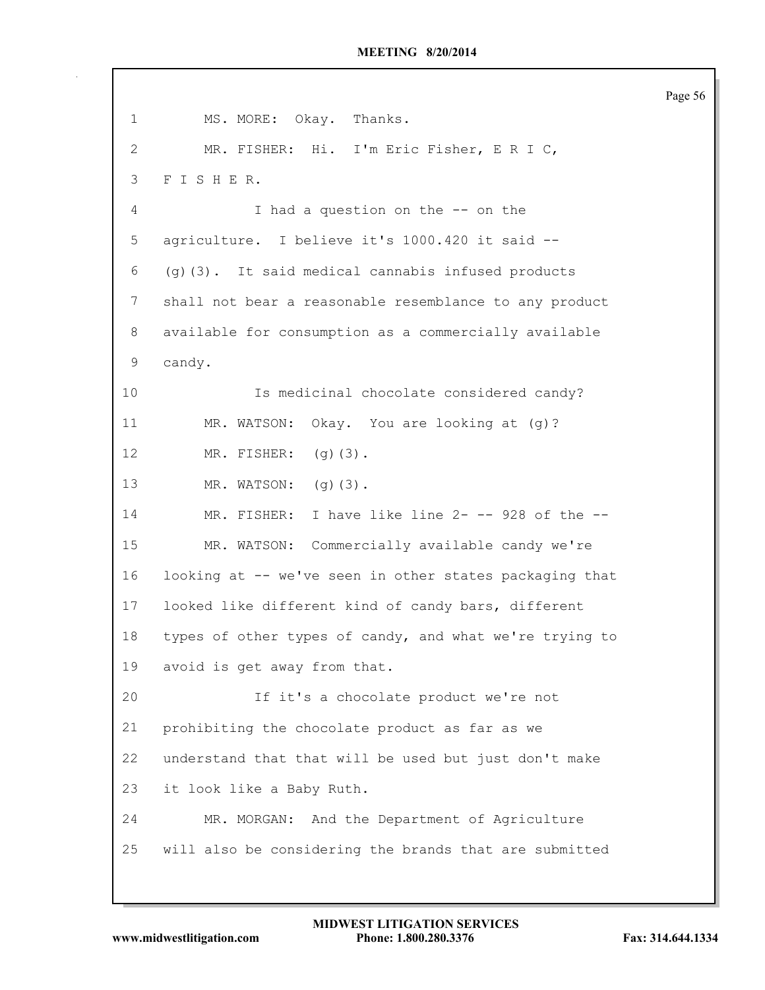1 MS. MORE: Okay. Thanks. MR. FISHER: Hi. I'm Eric Fisher, E R I C, F I S H E R. I had a question on the -- on the agriculture. I believe it's 1000.420 it said -- (g)(3). It said medical cannabis infused products shall not bear a reasonable resemblance to any product available for consumption as a commercially available candy. Is medicinal chocolate considered candy? MR. WATSON: Okay. You are looking at (g)? MR. FISHER: (g)(3). 13 MR. WATSON: (g)(3). MR. FISHER: I have like line 2- -- 928 of the -- MR. WATSON: Commercially available candy we're looking at -- we've seen in other states packaging that looked like different kind of candy bars, different types of other types of candy, and what we're trying to avoid is get away from that. If it's a chocolate product we're not prohibiting the chocolate product as far as we understand that that will be used but just don't make it look like a Baby Ruth. MR. MORGAN: And the Department of Agriculture will also be considering the brands that are submitted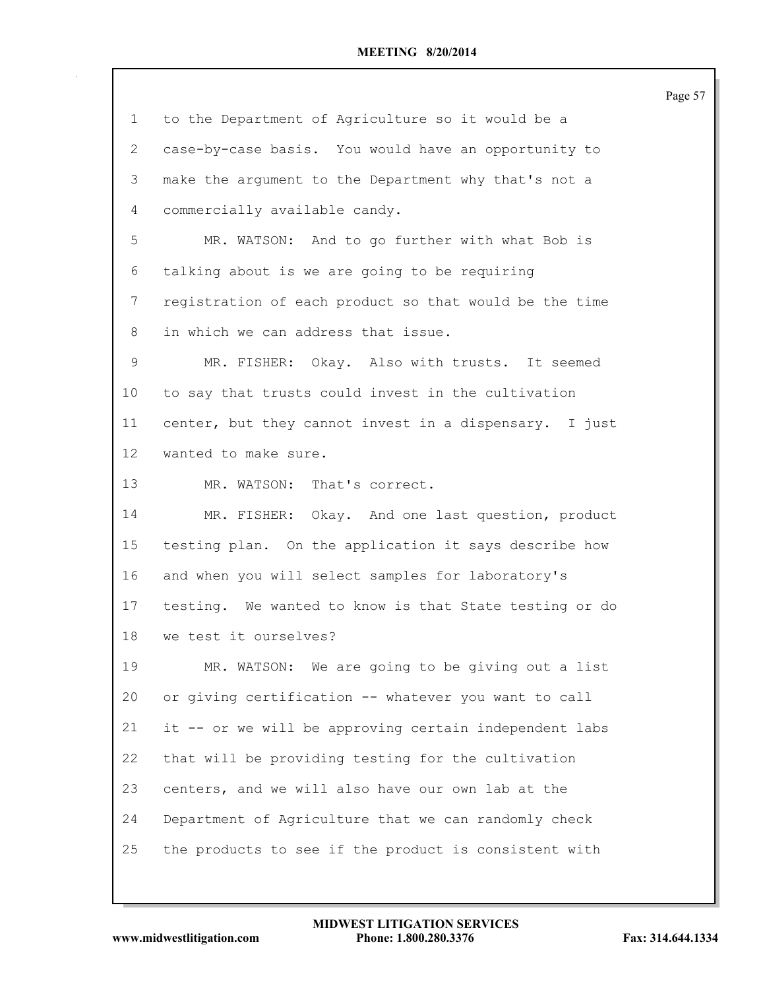| 1               | to the Department of Agriculture so it would be a      |
|-----------------|--------------------------------------------------------|
| 2               | case-by-case basis. You would have an opportunity to   |
| 3               | make the argument to the Department why that's not a   |
| 4               | commercially available candy.                          |
| 5               | MR. WATSON: And to go further with what Bob is         |
| 6               | talking about is we are going to be requiring          |
| 7               | registration of each product so that would be the time |
| 8               | in which we can address that issue.                    |
| 9               | MR. FISHER: Okay. Also with trusts. It seemed          |
| 10 <sub>1</sub> | to say that trusts could invest in the cultivation     |
| 11              | center, but they cannot invest in a dispensary. I just |
| 12 <sup>°</sup> | wanted to make sure.                                   |
| 13              | MR. WATSON: That's correct.                            |
| 14              | MR. FISHER: Okay. And one last question, product       |
| 15              | testing plan. On the application it says describe how  |
| 16              | and when you will select samples for laboratory's      |
| 17              | testing. We wanted to know is that State testing or do |
| 18              | we test it ourselves?                                  |
| 19              | MR. WATSON: We are going to be giving out a list       |
| 20              | or giving certification -- whatever you want to call   |
| 21              | it -- or we will be approving certain independent labs |
| 22              | that will be providing testing for the cultivation     |
| 23              | centers, and we will also have our own lab at the      |
| 24              | Department of Agriculture that we can randomly check   |
| 25              | the products to see if the product is consistent with  |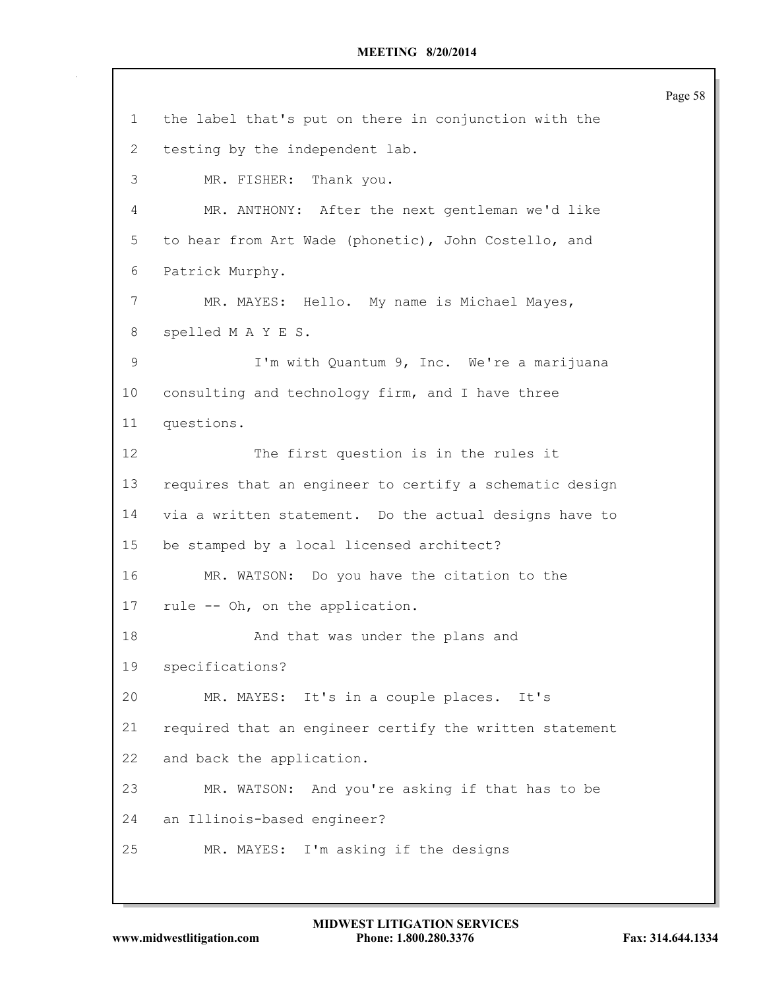the label that's put on there in conjunction with the testing by the independent lab. MR. FISHER: Thank you. MR. ANTHONY: After the next gentleman we'd like to hear from Art Wade (phonetic), John Costello, and Patrick Murphy. MR. MAYES: Hello. My name is Michael Mayes, spelled M A Y E S. I'm with Quantum 9, Inc. We're a marijuana consulting and technology firm, and I have three questions. The first question is in the rules it requires that an engineer to certify a schematic design via a written statement. Do the actual designs have to be stamped by a local licensed architect? MR. WATSON: Do you have the citation to the rule -- Oh, on the application. 18 And that was under the plans and specifications? MR. MAYES: It's in a couple places. It's required that an engineer certify the written statement and back the application. MR. WATSON: And you're asking if that has to be an Illinois-based engineer? MR. MAYES: I'm asking if the designs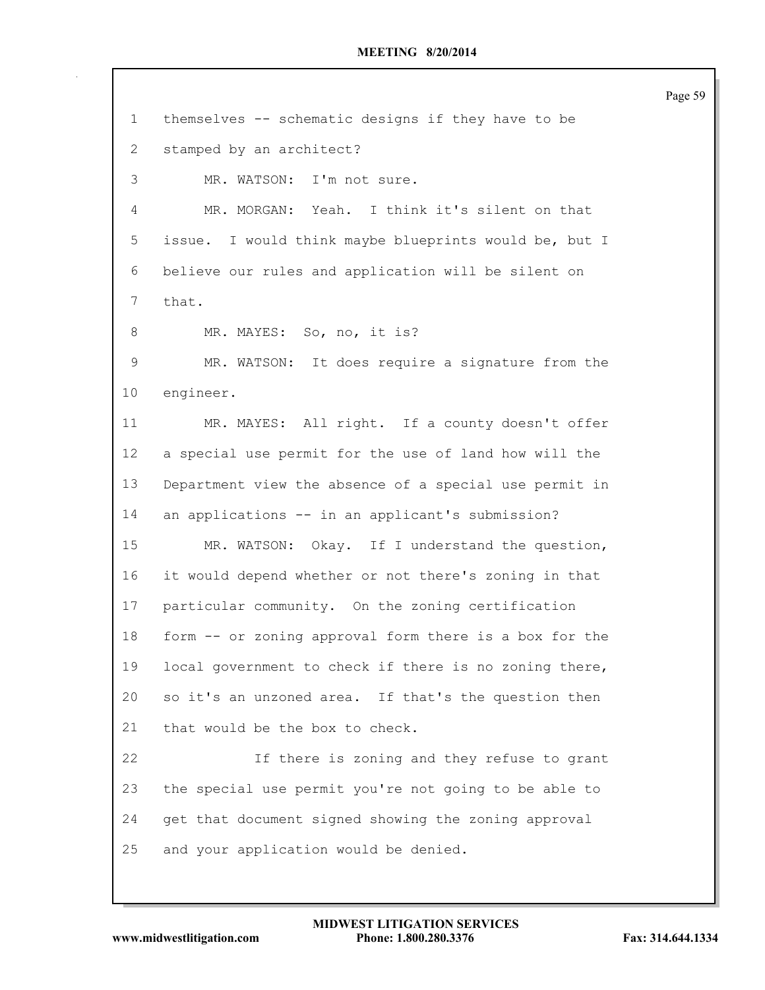| $\mathbf 1$  | themselves -- schematic designs if they have to be     |
|--------------|--------------------------------------------------------|
| $\mathbf{2}$ | stamped by an architect?                               |
| 3            | MR. WATSON: I'm not sure.                              |
| 4            | MR. MORGAN: Yeah. I think it's silent on that          |
| 5            | issue. I would think maybe blueprints would be, but I  |
| 6            | believe our rules and application will be silent on    |
| 7            | that.                                                  |
| 8            | MR. MAYES: So, no, it is?                              |
| 9            | MR. WATSON: It does require a signature from the       |
| 10           | engineer.                                              |
| 11           | MR. MAYES: All right. If a county doesn't offer        |
| 12           | a special use permit for the use of land how will the  |
| 13           | Department view the absence of a special use permit in |
| 14           | an applications -- in an applicant's submission?       |
| 15           | MR. WATSON: Okay. If I understand the question,        |
| 16           | it would depend whether or not there's zoning in that  |
| 17           | particular community. On the zoning certification      |
| 18           | form -- or zoning approval form there is a box for the |
| 19           | local government to check if there is no zoning there, |
| 20           | so it's an unzoned area. If that's the question then   |
| 21           | that would be the box to check.                        |
| 22           | If there is zoning and they refuse to grant            |
| 23           | the special use permit you're not going to be able to  |
| 24           | get that document signed showing the zoning approval   |
| 25           | and your application would be denied.                  |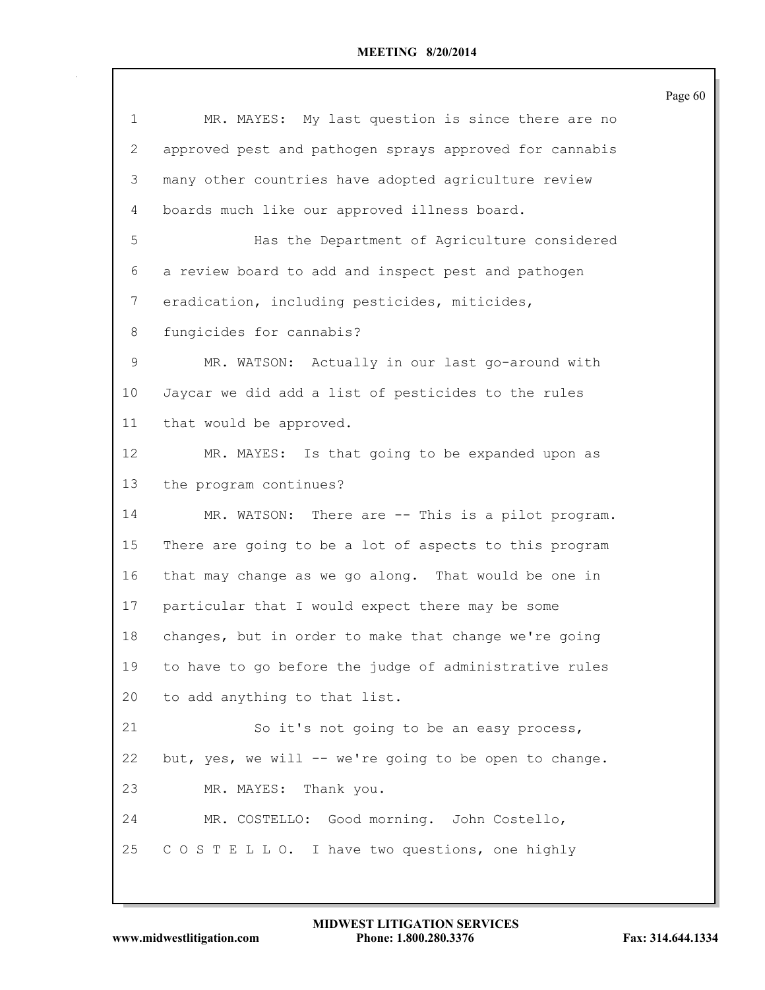|              |                                                         | Page 60 |
|--------------|---------------------------------------------------------|---------|
| $\mathbf 1$  | MR. MAYES: My last question is since there are no       |         |
| $\mathbf{2}$ | approved pest and pathogen sprays approved for cannabis |         |
| 3            | many other countries have adopted agriculture review    |         |
| 4            | boards much like our approved illness board.            |         |
| 5            | Has the Department of Agriculture considered            |         |
| 6            | a review board to add and inspect pest and pathogen     |         |
| 7            | eradication, including pesticides, miticides,           |         |
| 8            | fungicides for cannabis?                                |         |
| 9            | MR. WATSON: Actually in our last go-around with         |         |
| $10 \,$      | Jaycar we did add a list of pesticides to the rules     |         |
| 11           | that would be approved.                                 |         |
| 12           | MR. MAYES: Is that going to be expanded upon as         |         |
| 13           | the program continues?                                  |         |
| 14           | MR. WATSON: There are -- This is a pilot program.       |         |
| 15           | There are going to be a lot of aspects to this program  |         |
| 16           | that may change as we go along. That would be one in    |         |
| 17           | particular that I would expect there may be some        |         |
| 18           | changes, but in order to make that change we're going   |         |
| 19           | to have to go before the judge of administrative rules  |         |
| 20           | to add anything to that list.                           |         |
| 21           | So it's not going to be an easy process,                |         |
| 22           | but, yes, we will -- we're going to be open to change.  |         |
| 23           | MR. MAYES: Thank you.                                   |         |
| 24           | MR. COSTELLO: Good morning. John Costello,              |         |
| 25           | COSTELLO. I have two questions, one highly              |         |
|              |                                                         |         |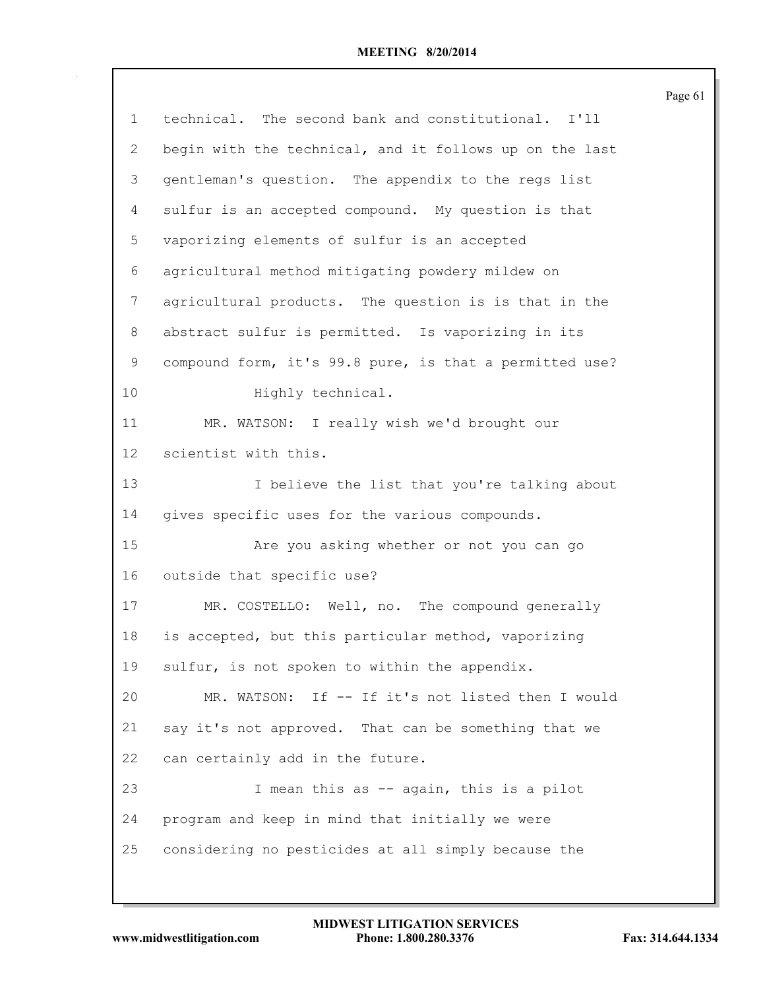|                |                                                         | Page 61 |
|----------------|---------------------------------------------------------|---------|
| $\mathbf 1$    | technical. The second bank and constitutional. I'll     |         |
| $\overline{2}$ | begin with the technical, and it follows up on the last |         |
| 3              | gentleman's question. The appendix to the regs list     |         |
| $\overline{4}$ | sulfur is an accepted compound. My question is that     |         |
| 5              | vaporizing elements of sulfur is an accepted            |         |
| 6              | agricultural method mitigating powdery mildew on        |         |
| $7\phantom{.}$ | agricultural products. The question is is that in the   |         |
| 8              | abstract sulfur is permitted. Is vaporizing in its      |         |
| 9              | compound form, it's 99.8 pure, is that a permitted use? |         |
| 10             | Highly technical.                                       |         |
| 11             | MR. WATSON: I really wish we'd brought our              |         |
| 12             | scientist with this.                                    |         |
| 13             | I believe the list that you're talking about            |         |
| 14             | gives specific uses for the various compounds.          |         |
| 15             | Are you asking whether or not you can go                |         |
| 16             | outside that specific use?                              |         |
| 17             | MR. COSTELLO: Well, no. The compound generally          |         |
| 18             | is accepted, but this particular method, vaporizing     |         |
| 19             | sulfur, is not spoken to within the appendix.           |         |
| 20             | MR. WATSON: If -- If it's not listed then I would       |         |
| 21             | say it's not approved. That can be something that we    |         |
| 22             | can certainly add in the future.                        |         |
| 23             | I mean this as -- again, this is a pilot                |         |
| 24             | program and keep in mind that initially we were         |         |
| 25             | considering no pesticides at all simply because the     |         |
|                |                                                         |         |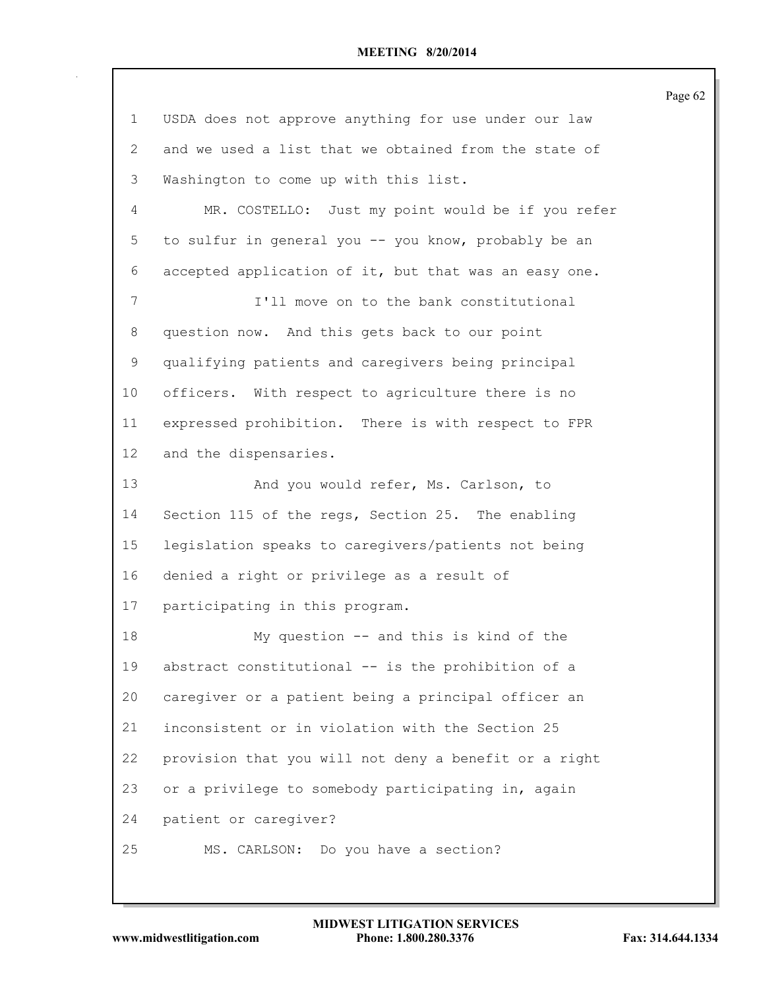USDA does not approve anything for use under our law and we used a list that we obtained from the state of Washington to come up with this list. MR. COSTELLO: Just my point would be if you refer to sulfur in general you -- you know, probably be an accepted application of it, but that was an easy one. I'll move on to the bank constitutional question now. And this gets back to our point qualifying patients and caregivers being principal officers. With respect to agriculture there is no expressed prohibition. There is with respect to FPR and the dispensaries. 13 And you would refer, Ms. Carlson, to Section 115 of the regs, Section 25. The enabling legislation speaks to caregivers/patients not being denied a right or privilege as a result of participating in this program. My question -- and this is kind of the abstract constitutional -- is the prohibition of a caregiver or a patient being a principal officer an inconsistent or in violation with the Section 25 provision that you will not deny a benefit or a right or a privilege to somebody participating in, again patient or caregiver? MS. CARLSON: Do you have a section?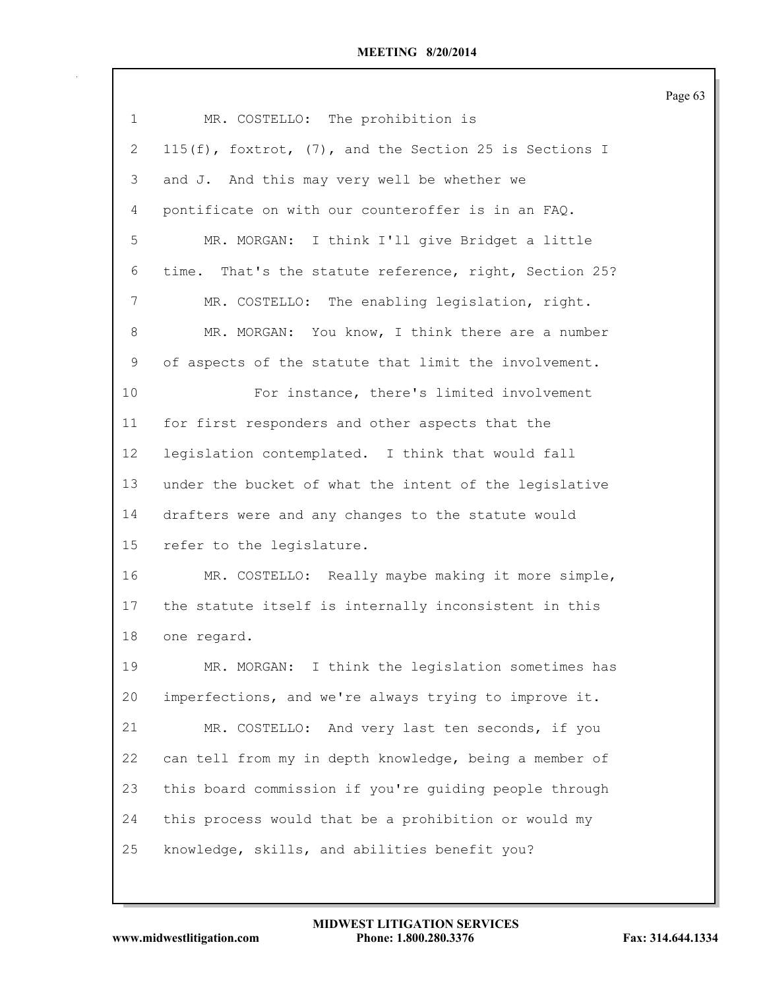| $\mathbf{1}$ | MR. COSTELLO: The prohibition is                          |
|--------------|-----------------------------------------------------------|
| $\mathbf{2}$ | 115(f), foxtrot, $(7)$ , and the Section 25 is Sections I |
| 3            | and J. And this may very well be whether we               |
| 4            | pontificate on with our counteroffer is in an FAQ.        |
| 5            | MR. MORGAN: I think I'll give Bridget a little            |
| 6            | time. That's the statute reference, right, Section 25?    |
| 7            | MR. COSTELLO: The enabling legislation, right.            |
| 8            | MR. MORGAN: You know, I think there are a number          |
| 9            | of aspects of the statute that limit the involvement.     |
| 10           | For instance, there's limited involvement                 |
| 11           | for first responders and other aspects that the           |
| 12           | legislation contemplated. I think that would fall         |
| 13           | under the bucket of what the intent of the legislative    |
| 14           | drafters were and any changes to the statute would        |
| 15           | refer to the legislature.                                 |
| 16           | MR. COSTELLO: Really maybe making it more simple,         |
| 17           | the statute itself is internally inconsistent in this     |
| 18           | one regard.                                               |
| 19           | MR. MORGAN: I think the legislation sometimes has         |
| 20           | imperfections, and we're always trying to improve it.     |
| 21           | MR. COSTELLO: And very last ten seconds, if you           |
| 22           | can tell from my in depth knowledge, being a member of    |
| 23           | this board commission if you're guiding people through    |
| 24           | this process would that be a prohibition or would my      |
| 25           | knowledge, skills, and abilities benefit you?             |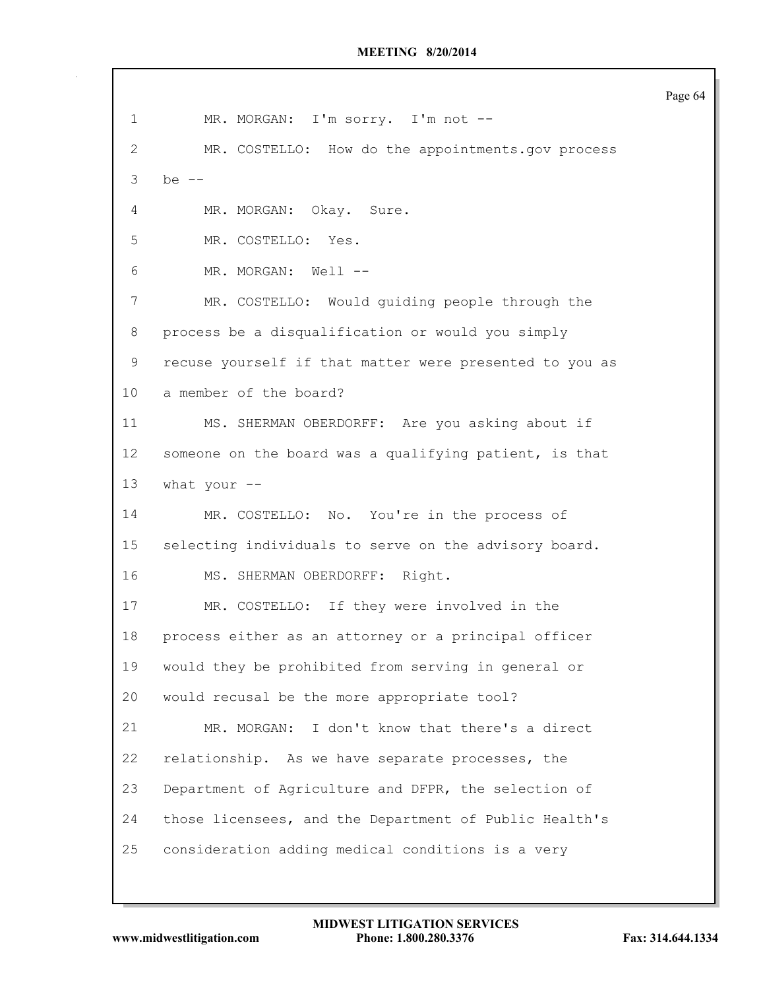1 MR. MORGAN: I'm sorry. I'm not -- MR. COSTELLO: How do the appointments.gov process be -- MR. MORGAN: Okay. Sure. MR. COSTELLO: Yes. MR. MORGAN: Well -- MR. COSTELLO: Would guiding people through the process be a disqualification or would you simply recuse yourself if that matter were presented to you as a member of the board? MS. SHERMAN OBERDORFF: Are you asking about if someone on the board was a qualifying patient, is that what your -- MR. COSTELLO: No. You're in the process of selecting individuals to serve on the advisory board. MS. SHERMAN OBERDORFF: Right. MR. COSTELLO: If they were involved in the process either as an attorney or a principal officer would they be prohibited from serving in general or would recusal be the more appropriate tool? MR. MORGAN: I don't know that there's a direct relationship. As we have separate processes, the Department of Agriculture and DFPR, the selection of those licensees, and the Department of Public Health's consideration adding medical conditions is a very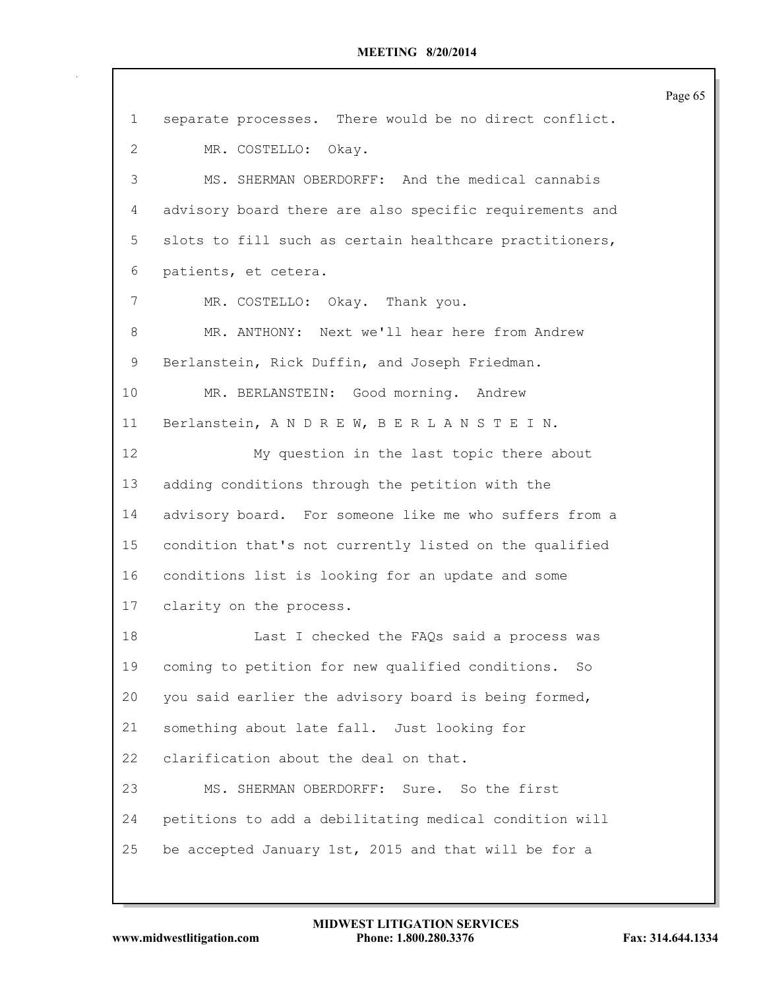separate processes. There would be no direct conflict. MR. COSTELLO: Okay. MS. SHERMAN OBERDORFF: And the medical cannabis advisory board there are also specific requirements and slots to fill such as certain healthcare practitioners, patients, et cetera. MR. COSTELLO: Okay. Thank you. MR. ANTHONY: Next we'll hear here from Andrew Berlanstein, Rick Duffin, and Joseph Friedman. MR. BERLANSTEIN: Good morning. Andrew Berlanstein, A N D R E W, B E R L A N S T E I N. My question in the last topic there about adding conditions through the petition with the advisory board. For someone like me who suffers from a condition that's not currently listed on the qualified conditions list is looking for an update and some clarity on the process. Last I checked the FAQs said a process was coming to petition for new qualified conditions. So you said earlier the advisory board is being formed, something about late fall. Just looking for clarification about the deal on that. MS. SHERMAN OBERDORFF: Sure. So the first petitions to add a debilitating medical condition will be accepted January 1st, 2015 and that will be for a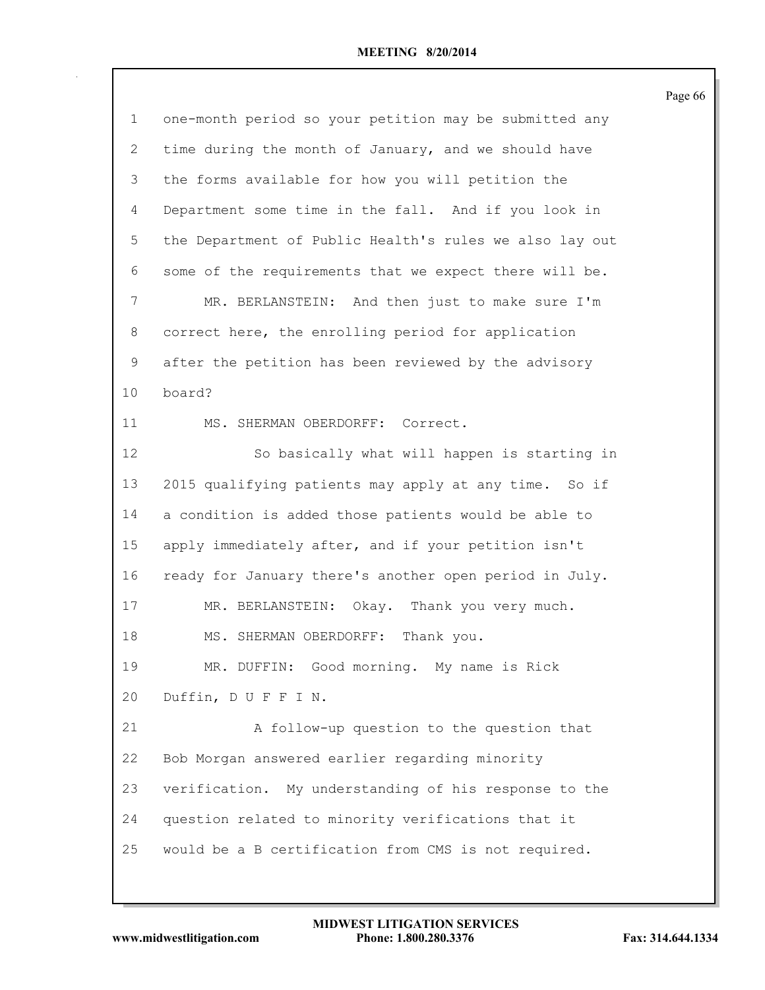| $\mathbf 1$    | one-month period so your petition may be submitted any  |
|----------------|---------------------------------------------------------|
| $\overline{2}$ | time during the month of January, and we should have    |
| 3              | the forms available for how you will petition the       |
| $\overline{4}$ | Department some time in the fall. And if you look in    |
| 5              | the Department of Public Health's rules we also lay out |
| 6              | some of the requirements that we expect there will be.  |
| 7              | MR. BERLANSTEIN: And then just to make sure I'm         |
| 8              | correct here, the enrolling period for application      |
| 9              | after the petition has been reviewed by the advisory    |
| 10             | board?                                                  |
| 11             | MS. SHERMAN OBERDORFF: Correct.                         |
| 12             | So basically what will happen is starting in            |
| 13             | 2015 qualifying patients may apply at any time. So if   |
| 14             | a condition is added those patients would be able to    |
| 15             | apply immediately after, and if your petition isn't     |
| 16             | ready for January there's another open period in July.  |
| 17             | MR. BERLANSTEIN: Okay. Thank you very much.             |
| 18             | Thank you.<br>MS. SHERMAN OBERDORFF:                    |
| 19             | MR. DUFFIN: Good morning. My name is Rick               |
| 20             | Duffin, DUFFIN.                                         |
| 21             | A follow-up question to the question that               |
| 22             | Bob Morgan answered earlier regarding minority          |
| 23             | verification. My understanding of his response to the   |
| 24             | question related to minority verifications that it      |
| 25             | would be a B certification from CMS is not required.    |
|                |                                                         |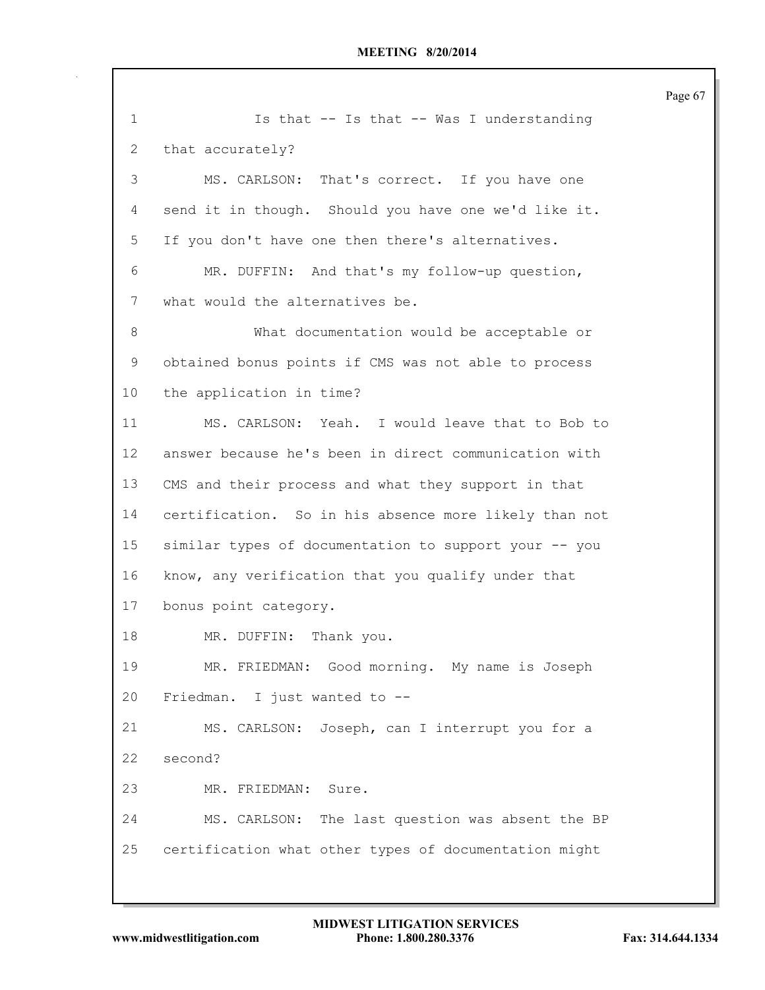| $\mathbf{1}$    | Is that -- Is that -- Was I understanding             |
|-----------------|-------------------------------------------------------|
| 2               | that accurately?                                      |
| 3               | MS. CARLSON: That's correct. If you have one          |
| 4               | send it in though. Should you have one we'd like it.  |
| 5               | If you don't have one then there's alternatives.      |
| 6               | MR. DUFFIN: And that's my follow-up question,         |
| 7               | what would the alternatives be.                       |
| 8               | What documentation would be acceptable or             |
| 9               | obtained bonus points if CMS was not able to process  |
| 10 <sub>o</sub> | the application in time?                              |
| 11              | MS. CARLSON: Yeah. I would leave that to Bob to       |
| 12 <sup>°</sup> | answer because he's been in direct communication with |
| 13              | CMS and their process and what they support in that   |
| 14              | certification. So in his absence more likely than not |
| 15              | similar types of documentation to support your -- you |
| 16              | know, any verification that you qualify under that    |
| 17              | bonus point category.                                 |
| 18              | MR. DUFFIN: Thank you.                                |
| 19              | MR. FRIEDMAN: Good morning. My name is Joseph         |
| 20              | Friedman. I just wanted to --                         |
| 21              | MS. CARLSON: Joseph, can I interrupt you for a        |
| 22              | second?                                               |
| 23              | MR. FRIEDMAN:<br>Sure.                                |
| 24              | MS. CARLSON: The last question was absent the BP      |
| 25              | certification what other types of documentation might |
|                 |                                                       |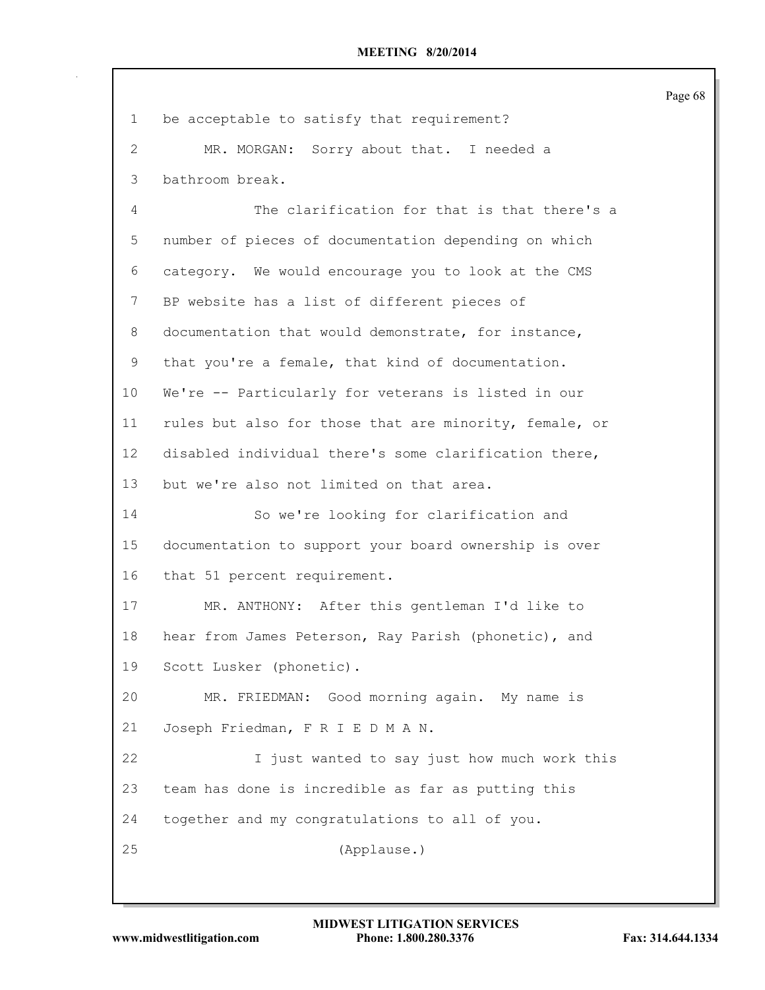| 1  | be acceptable to satisfy that requirement?             |
|----|--------------------------------------------------------|
| 2  | MR. MORGAN: Sorry about that. I needed a               |
| 3  | bathroom break.                                        |
| 4  | The clarification for that is that there's a           |
| 5  | number of pieces of documentation depending on which   |
| 6  | category. We would encourage you to look at the CMS    |
| 7  | BP website has a list of different pieces of           |
| 8  | documentation that would demonstrate, for instance,    |
| 9  | that you're a female, that kind of documentation.      |
| 10 | We're -- Particularly for veterans is listed in our    |
| 11 | rules but also for those that are minority, female, or |
| 12 | disabled individual there's some clarification there,  |
| 13 | but we're also not limited on that area.               |
| 14 | So we're looking for clarification and                 |
| 15 | documentation to support your board ownership is over  |
| 16 | that 51 percent requirement.                           |
| 17 | MR. ANTHONY: After this gentleman I'd like to          |
| 18 | hear from James Peterson, Ray Parish (phonetic), and   |
| 19 | Scott Lusker (phonetic).                               |
| 20 | MR. FRIEDMAN: Good morning again. My name is           |
| 21 | Joseph Friedman, F R I E D M A N.                      |
| 22 | I just wanted to say just how much work this           |
| 23 | team has done is incredible as far as putting this     |
| 24 | together and my congratulations to all of you.         |
| 25 | (Applause.)                                            |
|    |                                                        |

 $\mathsf{l}$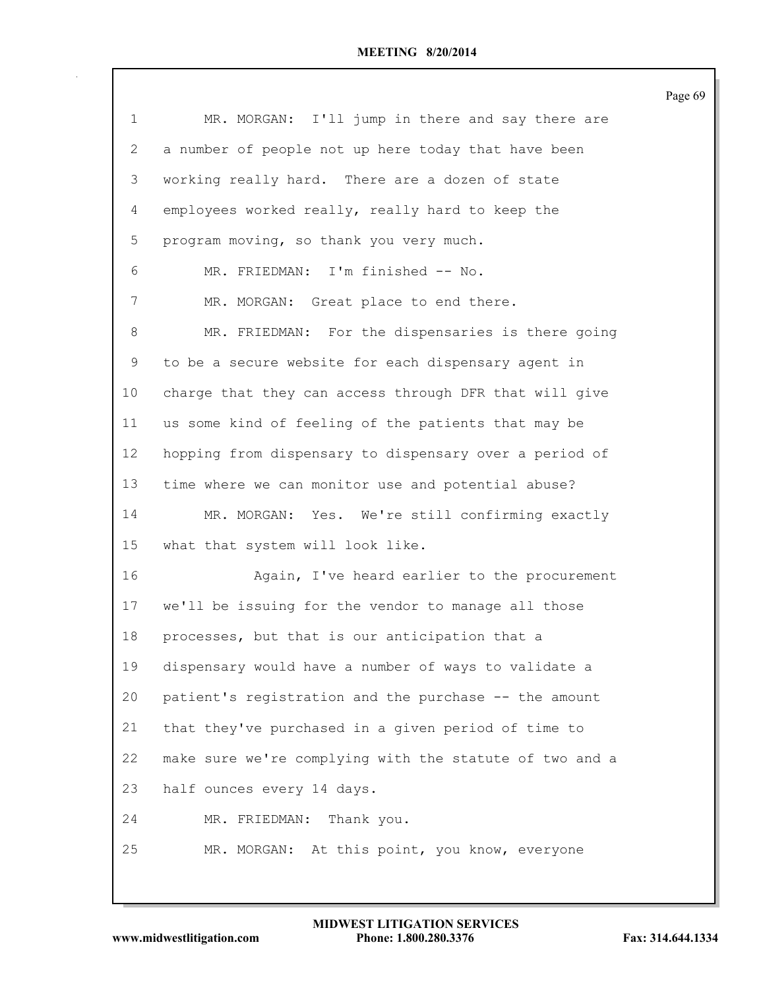| $\mathbf 1$     | MR. MORGAN: I'll jump in there and say there are        |
|-----------------|---------------------------------------------------------|
| 2               | a number of people not up here today that have been     |
| 3               | working really hard. There are a dozen of state         |
| 4               | employees worked really, really hard to keep the        |
| 5               | program moving, so thank you very much.                 |
| 6               | MR. FRIEDMAN: I'm finished -- No.                       |
| 7               | MR. MORGAN: Great place to end there.                   |
| 8               | MR. FRIEDMAN: For the dispensaries is there going       |
| 9               | to be a secure website for each dispensary agent in     |
| $10 \,$         | charge that they can access through DFR that will give  |
| 11              | us some kind of feeling of the patients that may be     |
| 12 <sup>°</sup> | hopping from dispensary to dispensary over a period of  |
| 13              | time where we can monitor use and potential abuse?      |
| 14              | MR. MORGAN: Yes. We're still confirming exactly         |
| 15              | what that system will look like.                        |
| 16              | Again, I've heard earlier to the procurement            |
| 17              | we'll be issuing for the vendor to manage all those     |
| 18              | processes, but that is our anticipation that a          |
| 19              | dispensary would have a number of ways to validate a    |
| 20              | patient's registration and the purchase -- the amount   |
| 21              | that they've purchased in a given period of time to     |
| 22              | make sure we're complying with the statute of two and a |
| 23              | half ounces every 14 days.                              |
| 24              | MR. FRIEDMAN:<br>Thank you.                             |
| 25              | At this point, you know, everyone<br>MR. MORGAN:        |
|                 |                                                         |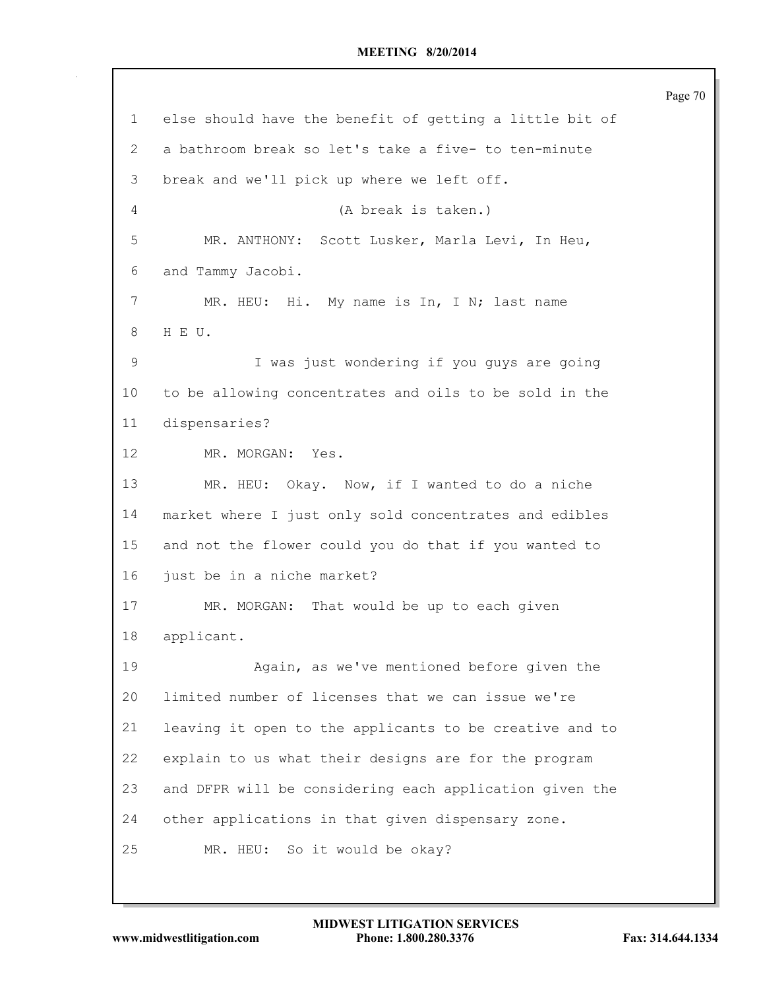Page 70 else should have the benefit of getting a little bit of a bathroom break so let's take a five- to ten-minute break and we'll pick up where we left off. (A break is taken.) MR. ANTHONY: Scott Lusker, Marla Levi, In Heu, and Tammy Jacobi. 7 MR. HEU: Hi. My name is In, I N; last name H E U. I was just wondering if you guys are going to be allowing concentrates and oils to be sold in the dispensaries? MR. MORGAN: Yes. MR. HEU: Okay. Now, if I wanted to do a niche market where I just only sold concentrates and edibles and not the flower could you do that if you wanted to just be in a niche market? MR. MORGAN: That would be up to each given applicant. Again, as we've mentioned before given the limited number of licenses that we can issue we're leaving it open to the applicants to be creative and to explain to us what their designs are for the program and DFPR will be considering each application given the other applications in that given dispensary zone. MR. HEU: So it would be okay?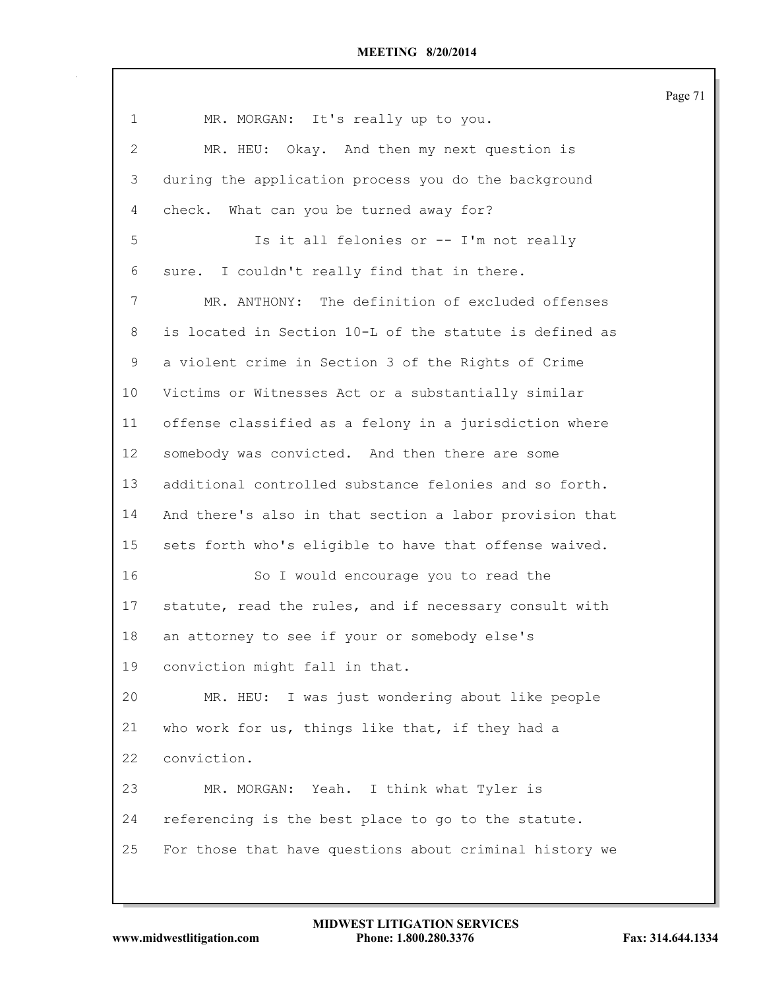MR. MORGAN: It's really up to you. MR. HEU: Okay. And then my next question is during the application process you do the background check. What can you be turned away for? Is it all felonies or -- I'm not really sure. I couldn't really find that in there. MR. ANTHONY: The definition of excluded offenses is located in Section 10-L of the statute is defined as a violent crime in Section 3 of the Rights of Crime Victims or Witnesses Act or a substantially similar offense classified as a felony in a jurisdiction where somebody was convicted. And then there are some additional controlled substance felonies and so forth. And there's also in that section a labor provision that sets forth who's eligible to have that offense waived. So I would encourage you to read the statute, read the rules, and if necessary consult with an attorney to see if your or somebody else's conviction might fall in that. MR. HEU: I was just wondering about like people who work for us, things like that, if they had a conviction. MR. MORGAN: Yeah. I think what Tyler is referencing is the best place to go to the statute. For those that have questions about criminal history we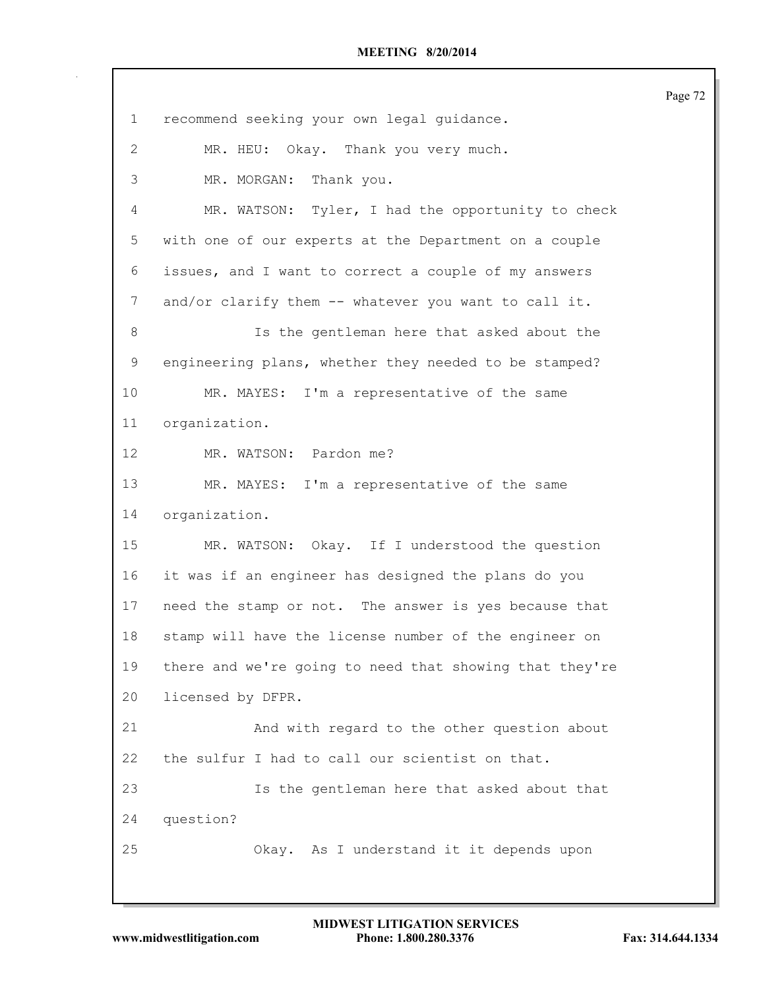| 1               | recommend seeking your own legal guidance.              |
|-----------------|---------------------------------------------------------|
| $\mathbf{2}$    | MR. HEU: Okay. Thank you very much.                     |
| 3               | MR. MORGAN: Thank you.                                  |
| 4               | MR. WATSON: Tyler, I had the opportunity to check       |
| 5               | with one of our experts at the Department on a couple   |
| 6               | issues, and I want to correct a couple of my answers    |
| 7               | and/or clarify them -- whatever you want to call it.    |
| 8               | Is the gentleman here that asked about the              |
| 9               | engineering plans, whether they needed to be stamped?   |
| 10              | MR. MAYES: I'm a representative of the same             |
| 11              | organization.                                           |
| 12 <sup>°</sup> | MR. WATSON: Pardon me?                                  |
| 13              | MR. MAYES: I'm a representative of the same             |
| 14              | organization.                                           |
| 15              | MR. WATSON: Okay. If I understood the question          |
| 16              | it was if an engineer has designed the plans do you     |
| 17              | need the stamp or not. The answer is yes because that   |
| 18              | stamp will have the license number of the engineer on   |
| 19              | there and we're going to need that showing that they're |
| 20              | licensed by DFPR.                                       |
| 21              | And with regard to the other question about             |
| 22              | the sulfur I had to call our scientist on that.         |
| 23              | Is the gentleman here that asked about that             |
| 24              | question?                                               |
| 25              | Okay. As I understand it it depends upon                |
|                 |                                                         |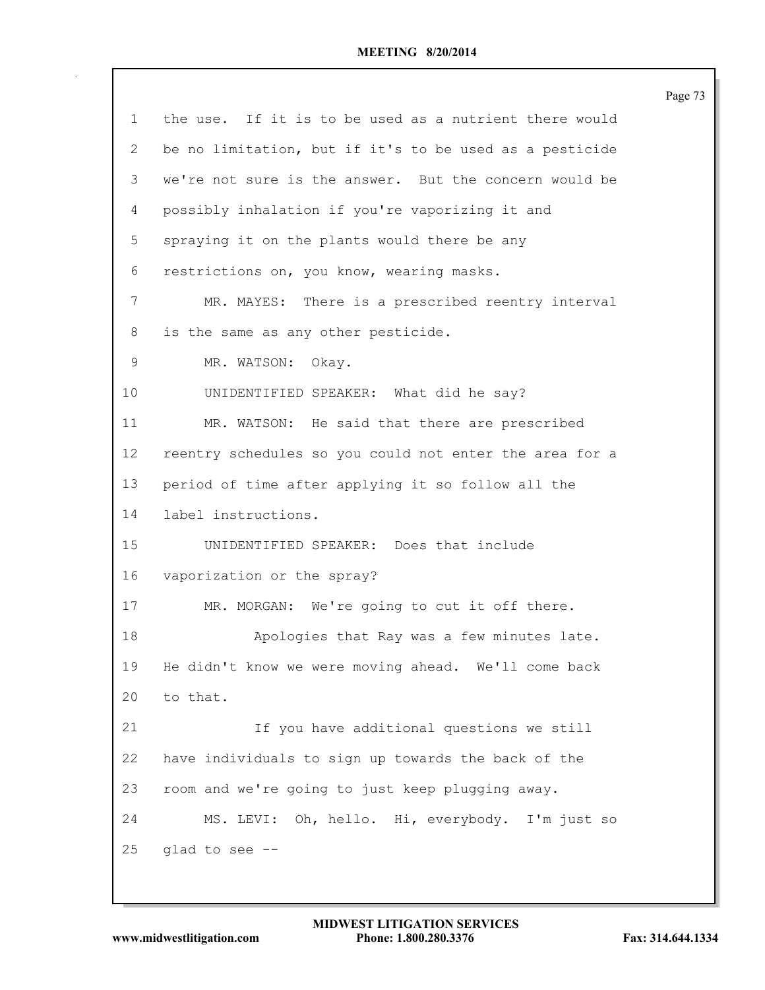| $\mathbf{1}$    | the use. If it is to be used as a nutrient there would  |
|-----------------|---------------------------------------------------------|
| 2               | be no limitation, but if it's to be used as a pesticide |
| 3               | we're not sure is the answer. But the concern would be  |
| 4               | possibly inhalation if you're vaporizing it and         |
| 5               | spraying it on the plants would there be any            |
| 6               | restrictions on, you know, wearing masks.               |
| 7               | MR. MAYES: There is a prescribed reentry interval       |
| 8               | is the same as any other pesticide.                     |
| 9               | MR. WATSON: Okay.                                       |
| 10 <sup>°</sup> | UNIDENTIFIED SPEAKER: What did he say?                  |
| 11              | MR. WATSON: He said that there are prescribed           |
| 12              | reentry schedules so you could not enter the area for a |
| 13              | period of time after applying it so follow all the      |
| 14              | label instructions.                                     |
| 15 <sub>1</sub> | UNIDENTIFIED SPEAKER: Does that include                 |
| 16              | vaporization or the spray?                              |
| 17              | MR. MORGAN: We're going to cut it off there.            |
| 18              | Apologies that Ray was a few minutes late.              |
| 19              | He didn't know we were moving ahead. We'll come back    |
| 20              | to that.                                                |
| 21              | If you have additional questions we still               |
| 22              | have individuals to sign up towards the back of the     |
| 23              | room and we're going to just keep plugging away.        |
| 24              | MS. LEVI: Oh, hello. Hi, everybody. I'm just so         |
| 25              | glad to see --                                          |
|                 |                                                         |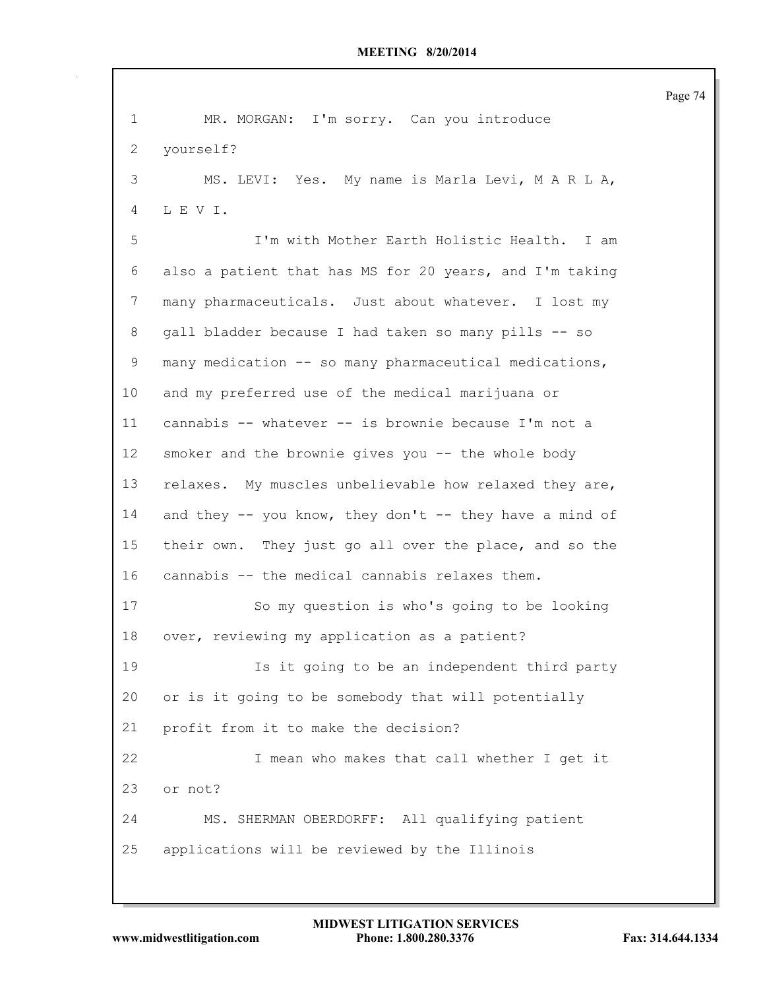| $\mathbf{1}$    | MR. MORGAN: I'm sorry. Can you introduce                |
|-----------------|---------------------------------------------------------|
| 2               | yourself?                                               |
| 3               | MS. LEVI: Yes. My name is Marla Levi, M A R L A,        |
| 4               | L E V I.                                                |
| 5               | I'm with Mother Earth Holistic Health. I am             |
| 6               | also a patient that has MS for 20 years, and I'm taking |
| 7               | many pharmaceuticals. Just about whatever. I lost my    |
| 8               | gall bladder because I had taken so many pills -- so    |
| 9               | many medication -- so many pharmaceutical medications,  |
| 10              | and my preferred use of the medical marijuana or        |
| 11              | cannabis -- whatever -- is brownie because I'm not a    |
| 12 <sup>°</sup> | smoker and the brownie gives you -- the whole body      |
| 13              | relaxes. My muscles unbelievable how relaxed they are,  |
| 14              | and they -- you know, they don't -- they have a mind of |
| 15              | their own. They just go all over the place, and so the  |
| 16              | cannabis -- the medical cannabis relaxes them.          |
| 17              | So my question is who's going to be looking             |
| 18              | over, reviewing my application as a patient?            |
| 19              | Is it going to be an independent third party            |
| 20              | or is it going to be somebody that will potentially     |
| 21              | profit from it to make the decision?                    |
| 22              | I mean who makes that call whether I get it             |
| 23              | or not?                                                 |
| 24              | MS. SHERMAN OBERDORFF: All qualifying patient           |
| 25              | applications will be reviewed by the Illinois           |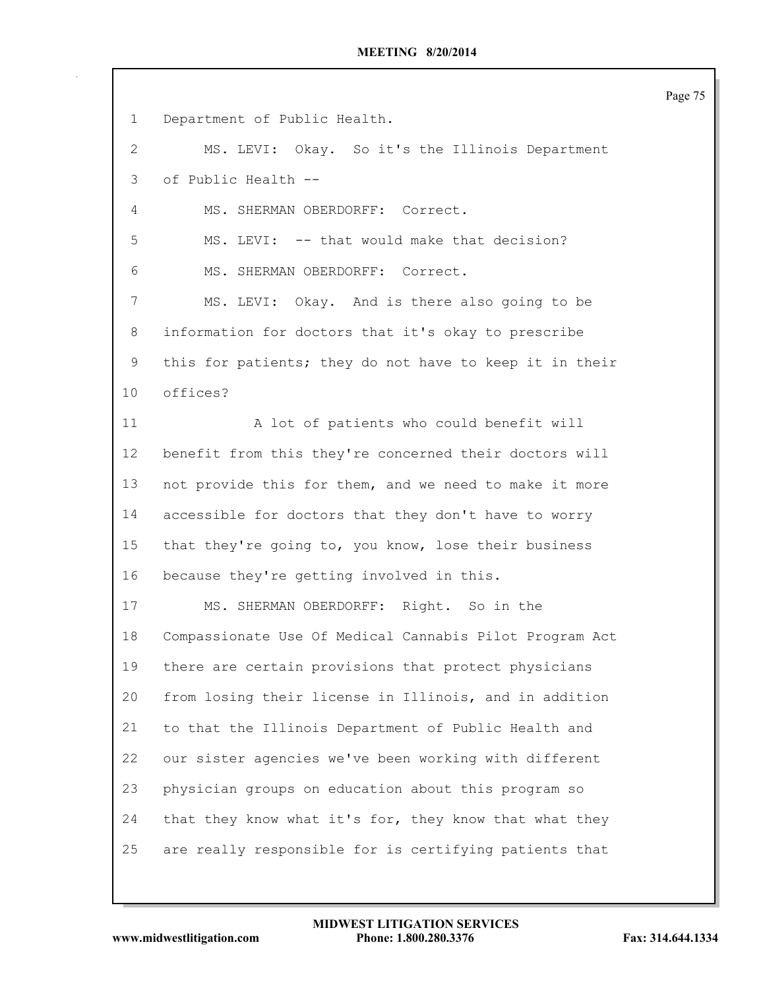Department of Public Health. MS. LEVI: Okay. So it's the Illinois Department of Public Health -- MS. SHERMAN OBERDORFF: Correct. MS. LEVI: -- that would make that decision? MS. SHERMAN OBERDORFF: Correct. MS. LEVI: Okay. And is there also going to be information for doctors that it's okay to prescribe this for patients; they do not have to keep it in their offices? A lot of patients who could benefit will benefit from this they're concerned their doctors will not provide this for them, and we need to make it more accessible for doctors that they don't have to worry that they're going to, you know, lose their business because they're getting involved in this. MS. SHERMAN OBERDORFF: Right. So in the Compassionate Use Of Medical Cannabis Pilot Program Act there are certain provisions that protect physicians from losing their license in Illinois, and in addition to that the Illinois Department of Public Health and our sister agencies we've been working with different physician groups on education about this program so 24 that they know what it's for, they know that what they are really responsible for is certifying patients that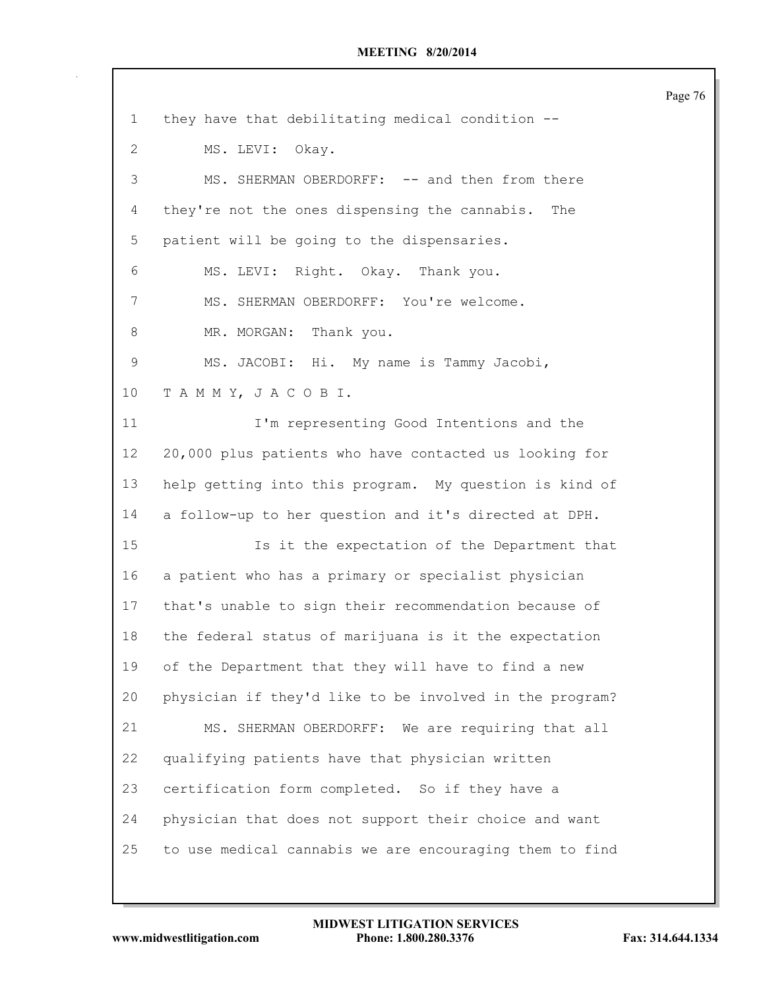| $\mathbf 1$     | they have that debilitating medical condition --        |
|-----------------|---------------------------------------------------------|
| $\mathbf{2}$    | MS. LEVI: Okay.                                         |
| 3               | MS. SHERMAN OBERDORFF: -- and then from there           |
| 4               | they're not the ones dispensing the cannabis.<br>The    |
| 5               | patient will be going to the dispensaries.              |
| 6               | MS. LEVI: Right. Okay. Thank you.                       |
| 7               | MS. SHERMAN OBERDORFF: You're welcome.                  |
| 8               | MR. MORGAN: Thank you.                                  |
| 9               | MS. JACOBI: Hi. My name is Tammy Jacobi,                |
| 10              | TAMMY, JACOBI.                                          |
| 11              | I'm representing Good Intentions and the                |
| 12 <sup>°</sup> | 20,000 plus patients who have contacted us looking for  |
| 13              | help getting into this program. My question is kind of  |
| 14              | a follow-up to her question and it's directed at DPH.   |
| 15              | Is it the expectation of the Department that            |
| 16              | a patient who has a primary or specialist physician     |
| 17              | that's unable to sign their recommendation because of   |
| 18              | the federal status of marijuana is it the expectation   |
| 19              | of the Department that they will have to find a new     |
| 20              | physician if they'd like to be involved in the program? |
| 21              | MS. SHERMAN OBERDORFF: We are requiring that all        |
| 22              | qualifying patients have that physician written         |
| 23              | certification form completed. So if they have a         |
| 24              | physician that does not support their choice and want   |
| 25              | to use medical cannabis we are encouraging them to find |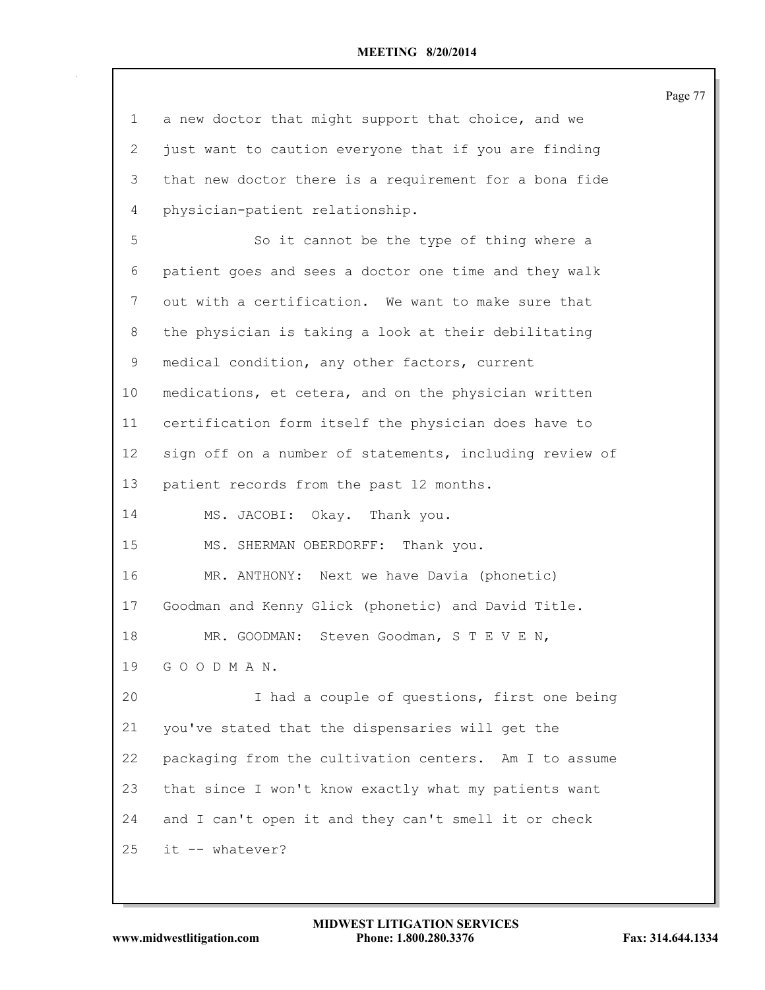| 1  | a new doctor that might support that choice, and we     |
|----|---------------------------------------------------------|
|    |                                                         |
| 2  | just want to caution everyone that if you are finding   |
| 3  | that new doctor there is a requirement for a bona fide  |
| 4  | physician-patient relationship.                         |
| 5  | So it cannot be the type of thing where a               |
| 6  | patient goes and sees a doctor one time and they walk   |
| 7  | out with a certification. We want to make sure that     |
| 8  | the physician is taking a look at their debilitating    |
| 9  | medical condition, any other factors, current           |
| 10 | medications, et cetera, and on the physician written    |
| 11 | certification form itself the physician does have to    |
| 12 | sign off on a number of statements, including review of |
| 13 | patient records from the past 12 months.                |
| 14 | MS. JACOBI: Okay. Thank you.                            |
| 15 | MS. SHERMAN OBERDORFF: Thank you.                       |
| 16 | MR. ANTHONY: Next we have Davia (phonetic)              |
| 17 | Goodman and Kenny Glick (phonetic) and David Title.     |
| 18 | MR. GOODMAN: Steven Goodman, S T E V E N,               |
| 19 | GOODMAN.                                                |
| 20 | I had a couple of questions, first one being            |
| 21 | you've stated that the dispensaries will get the        |
| 22 | packaging from the cultivation centers. Am I to assume  |
| 23 | that since I won't know exactly what my patients want   |
| 24 | and I can't open it and they can't smell it or check    |
| 25 | it -- whatever?                                         |
|    |                                                         |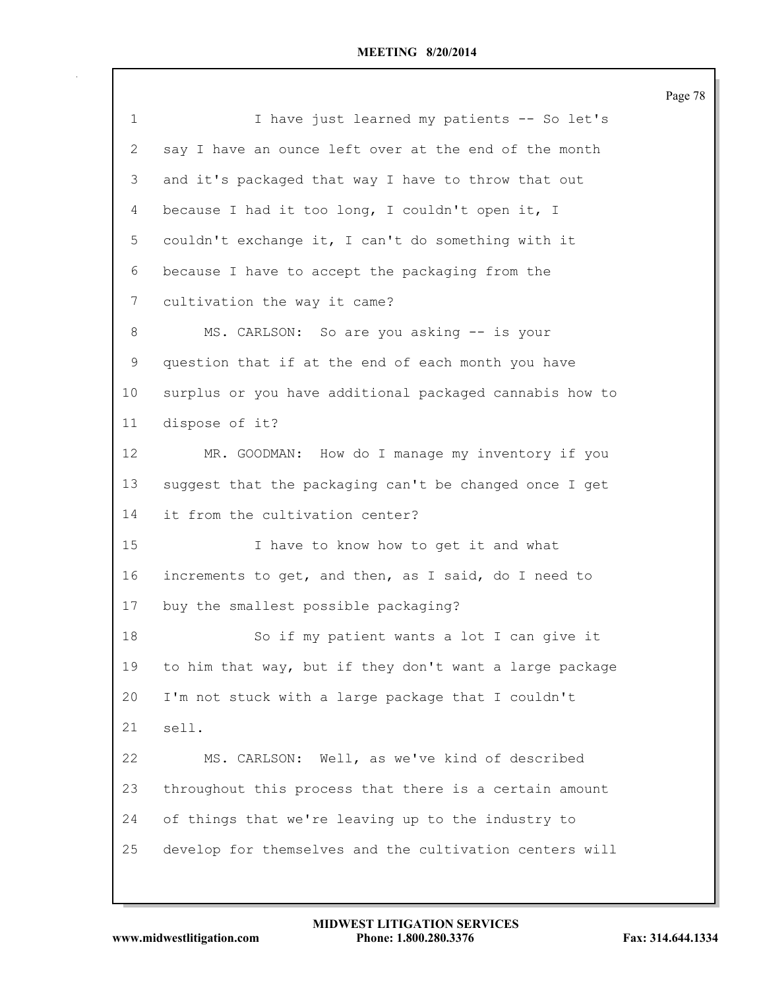| $\mathbf 1$     | I have just learned my patients -- So let's             |
|-----------------|---------------------------------------------------------|
| 2               | say I have an ounce left over at the end of the month   |
| 3               | and it's packaged that way I have to throw that out     |
| 4               | because I had it too long, I couldn't open it, I        |
| 5               | couldn't exchange it, I can't do something with it      |
| 6               | because I have to accept the packaging from the         |
| 7               | cultivation the way it came?                            |
| 8               | MS. CARLSON: So are you asking -- is your               |
| 9               | question that if at the end of each month you have      |
| 10              | surplus or you have additional packaged cannabis how to |
| 11              | dispose of it?                                          |
| 12 <sup>°</sup> | MR. GOODMAN: How do I manage my inventory if you        |
| 13              | suggest that the packaging can't be changed once I get  |
| 14              | it from the cultivation center?                         |
| 15              | I have to know how to get it and what                   |
| 16              | increments to get, and then, as I said, do I need to    |
| 17              | buy the smallest possible packaging?                    |
| 18              | So if my patient wants a lot I can give it              |
| 19              | to him that way, but if they don't want a large package |
| 20              | I'm not stuck with a large package that I couldn't      |
| 21              | sell.                                                   |
| 22              | MS. CARLSON: Well, as we've kind of described           |
| 23              | throughout this process that there is a certain amount  |
| 24              | of things that we're leaving up to the industry to      |
| 25              | develop for themselves and the cultivation centers will |
|                 |                                                         |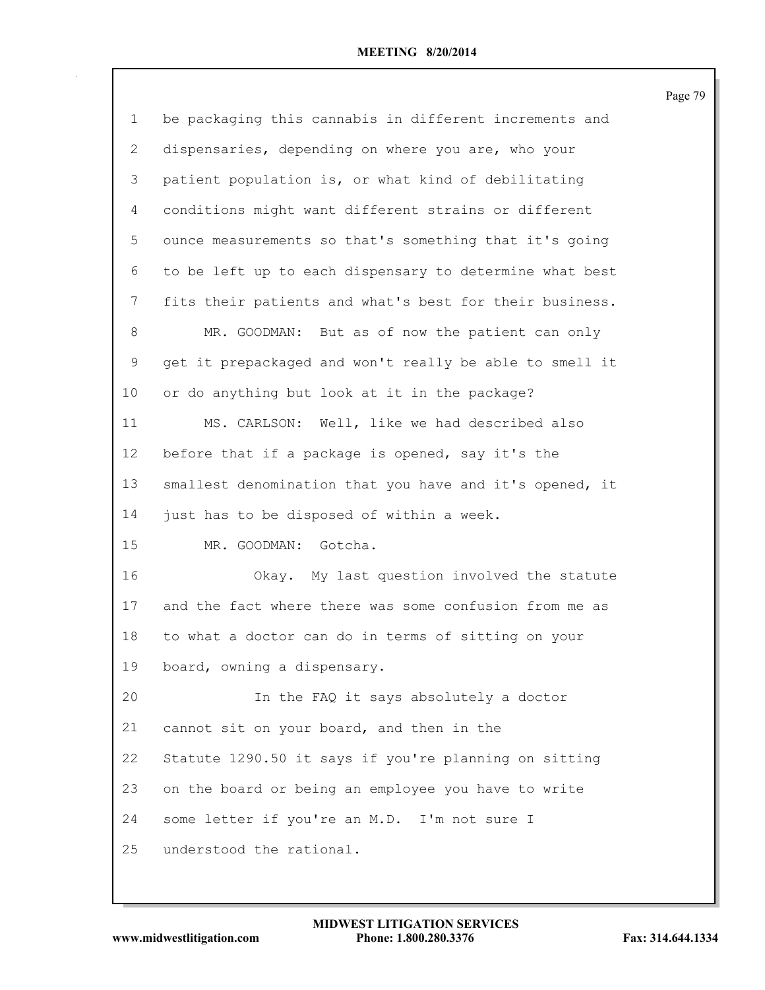| $\mathbf{1}$ | be packaging this cannabis in different increments and  |
|--------------|---------------------------------------------------------|
| 2            | dispensaries, depending on where you are, who your      |
| 3            | patient population is, or what kind of debilitating     |
| 4            | conditions might want different strains or different    |
| 5            | ounce measurements so that's something that it's going  |
| 6            | to be left up to each dispensary to determine what best |
| 7            | fits their patients and what's best for their business. |
| 8            | MR. GOODMAN: But as of now the patient can only         |
| 9            | get it prepackaged and won't really be able to smell it |
| 10           | or do anything but look at it in the package?           |
| 11           | MS. CARLSON: Well, like we had described also           |
| 12           | before that if a package is opened, say it's the        |
| 13           | smallest denomination that you have and it's opened, it |
| 14           | just has to be disposed of within a week.               |
| 15           | MR. GOODMAN: Gotcha.                                    |
| 16           | Okay. My last question involved the statute             |
| 17           | and the fact where there was some confusion from me as  |
| 18           | to what a doctor can do in terms of sitting on your     |
| 19           | board, owning a dispensary.                             |
| 20           | In the FAQ it says absolutely a doctor                  |
| 21           | cannot sit on your board, and then in the               |
| 22           | Statute 1290.50 it says if you're planning on sitting   |
| 23           | on the board or being an employee you have to write     |
| 24           | some letter if you're an M.D. I'm not sure I            |
| 25           | understood the rational.                                |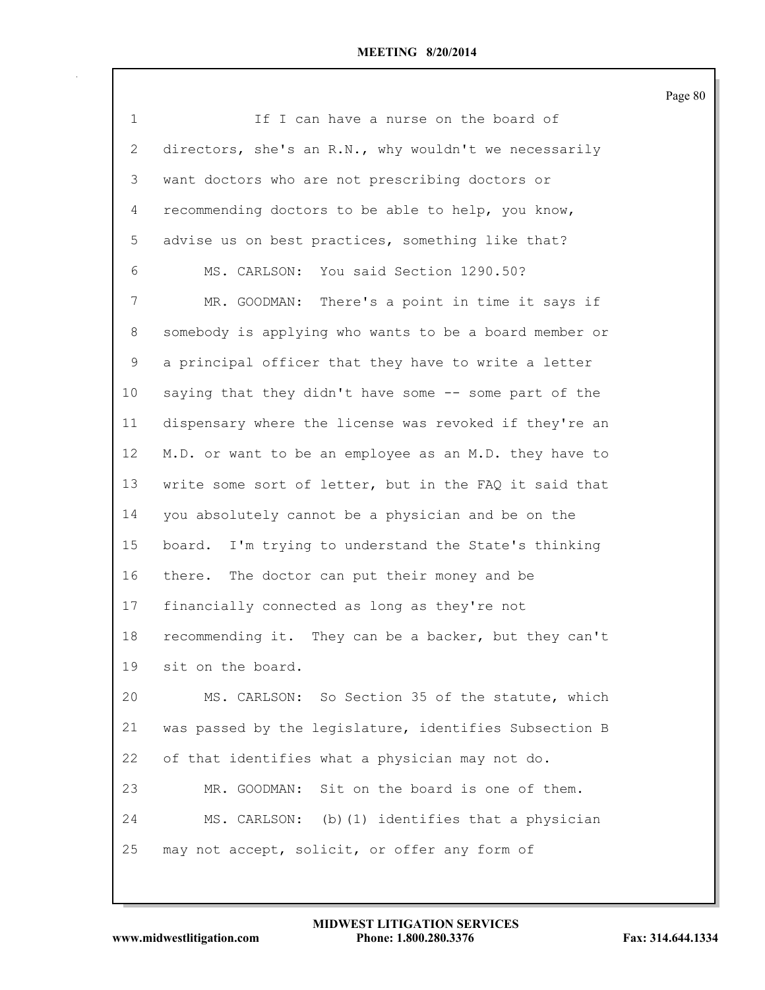| $\mathbf 1$  | If I can have a nurse on the board of                  |
|--------------|--------------------------------------------------------|
| $\mathbf{2}$ | directors, she's an R.N., why wouldn't we necessarily  |
| 3            | want doctors who are not prescribing doctors or        |
| 4            | recommending doctors to be able to help, you know,     |
| 5            | advise us on best practices, something like that?      |
| 6            | You said Section 1290.50?<br>MS. CARLSON:              |
| 7            | MR. GOODMAN:<br>There's a point in time it says if     |
| 8            | somebody is applying who wants to be a board member or |
| 9            | a principal officer that they have to write a letter   |
| 10           | saying that they didn't have some -- some part of the  |
| 11           | dispensary where the license was revoked if they're an |
| 12           | M.D. or want to be an employee as an M.D. they have to |
| 13           | write some sort of letter, but in the FAQ it said that |
| 14           | you absolutely cannot be a physician and be on the     |
| 15           | board. I'm trying to understand the State's thinking   |
| 16           | there. The doctor can put their money and be           |
| 17           | financially connected as long as they're not           |
| 18           | recommending it. They can be a backer, but they can't  |
| 19           | sit on the board.                                      |
| 20           | MS. CARLSON: So Section 35 of the statute, which       |
| 21           | was passed by the legislature, identifies Subsection B |
| 22           | of that identifies what a physician may not do.        |
| 23           | MR. GOODMAN: Sit on the board is one of them.          |
| 24           | MS. CARLSON: (b) (1) identifies that a physician       |
| 25           | may not accept, solicit, or offer any form of          |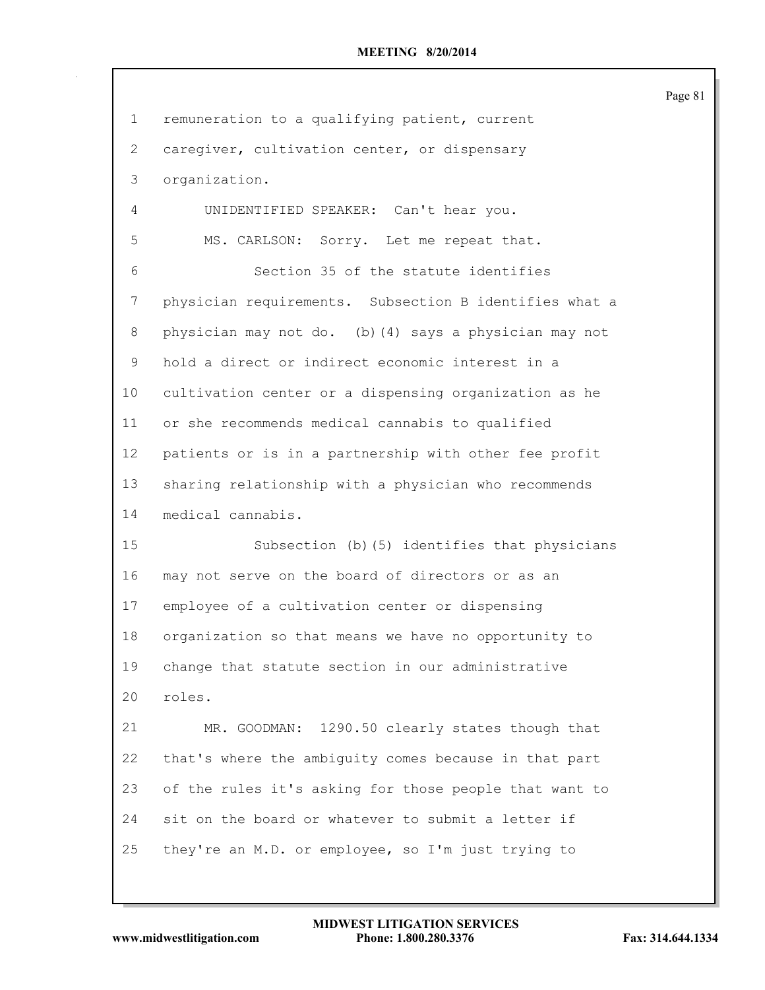| $\mathbf 1$     | remuneration to a qualifying patient, current          |
|-----------------|--------------------------------------------------------|
| $\mathbf{2}$    | caregiver, cultivation center, or dispensary           |
| 3               | organization.                                          |
| 4               | UNIDENTIFIED SPEAKER: Can't hear you.                  |
| 5               | MS. CARLSON: Sorry. Let me repeat that.                |
| 6               | Section 35 of the statute identifies                   |
| 7               | physician requirements. Subsection B identifies what a |
| 8               | physician may not do. (b) (4) says a physician may not |
| 9               | hold a direct or indirect economic interest in a       |
| 10 <sup>°</sup> | cultivation center or a dispensing organization as he  |
| 11              | or she recommends medical cannabis to qualified        |
| 12              | patients or is in a partnership with other fee profit  |
| 13              | sharing relationship with a physician who recommends   |
| 14              | medical cannabis.                                      |
| 15              | Subsection (b) (5) identifies that physicians          |
| 16              | may not serve on the board of directors or as an       |
| 17              | employee of a cultivation center or dispensing         |
| 18              | organization so that means we have no opportunity to   |
| 19              | change that statute section in our administrative      |
| 20              | roles.                                                 |
| 21              | MR. GOODMAN: 1290.50 clearly states though that        |
| 22              | that's where the ambiguity comes because in that part  |
| 23              | of the rules it's asking for those people that want to |
| 24              | sit on the board or whatever to submit a letter if     |
| 25              | they're an M.D. or employee, so I'm just trying to     |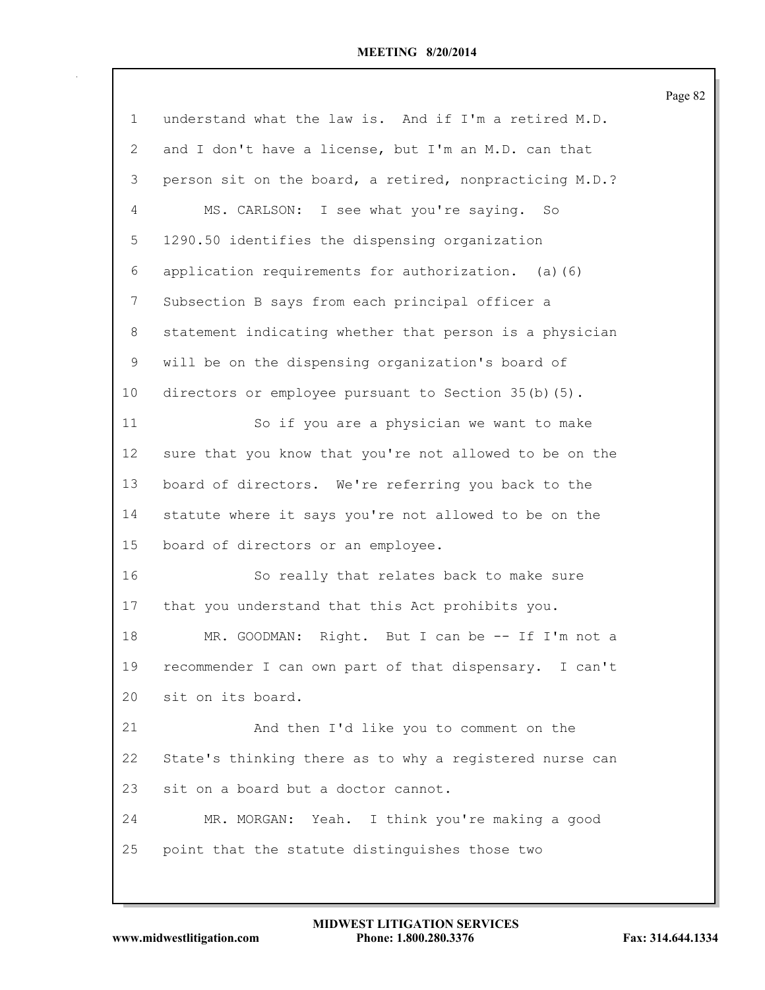| 1               | understand what the law is. And if I'm a retired M.D.   |
|-----------------|---------------------------------------------------------|
| 2               | and I don't have a license, but I'm an M.D. can that    |
| 3               | person sit on the board, a retired, nonpracticing M.D.? |
| 4               | MS. CARLSON: I see what you're saying.<br>So            |
| 5               | 1290.50 identifies the dispensing organization          |
| 6               | application requirements for authorization. (a) (6)     |
| 7               | Subsection B says from each principal officer a         |
| 8               | statement indicating whether that person is a physician |
| 9               | will be on the dispensing organization's board of       |
| 10              | directors or employee pursuant to Section 35(b)(5).     |
| 11              | So if you are a physician we want to make               |
| 12 <sup>°</sup> | sure that you know that you're not allowed to be on the |
| 13              | board of directors. We're referring you back to the     |
| 14              | statute where it says you're not allowed to be on the   |
| 15              | board of directors or an employee.                      |
| 16              | So really that relates back to make sure                |
| 17              | that you understand that this Act prohibits you.        |
| 18              | Right. But I can be -- If I'm not a<br>MR. GOODMAN:     |
| 19              | recommender I can own part of that dispensary. I can't  |
| 20              | sit on its board.                                       |
| 21              | And then I'd like you to comment on the                 |
| 22              | State's thinking there as to why a registered nurse can |
| 23              | sit on a board but a doctor cannot.                     |
| 24              | MR. MORGAN: Yeah. I think you're making a good          |
| 25              | point that the statute distinguishes those two          |
|                 |                                                         |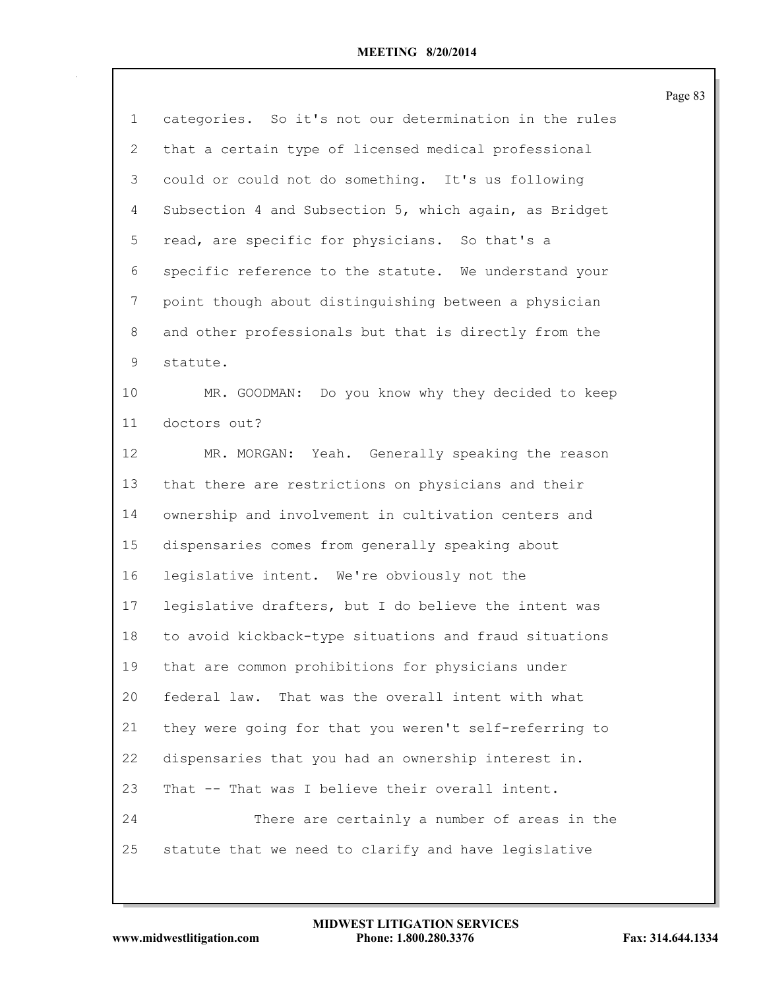|                 |                                                        | Page 83 |
|-----------------|--------------------------------------------------------|---------|
| $\mathbf 1$     | categories. So it's not our determination in the rules |         |
| $\mathbf{2}$    | that a certain type of licensed medical professional   |         |
| 3               | could or could not do something. It's us following     |         |
| $\overline{4}$  | Subsection 4 and Subsection 5, which again, as Bridget |         |
| 5               | read, are specific for physicians. So that's a         |         |
| 6               | specific reference to the statute. We understand your  |         |
| $7\phantom{.0}$ | point though about distinguishing between a physician  |         |
| 8               | and other professionals but that is directly from the  |         |
| $\mathsf 9$     | statute.                                               |         |
| 10              | MR. GOODMAN: Do you know why they decided to keep      |         |
| 11              | doctors out?                                           |         |
| 12              | MR. MORGAN: Yeah. Generally speaking the reason        |         |
| 13              | that there are restrictions on physicians and their    |         |
| 14              | ownership and involvement in cultivation centers and   |         |
| 15              | dispensaries comes from generally speaking about       |         |
| 16              | legislative intent. We're obviously not the            |         |
| 17              | legislative drafters, but I do believe the intent was  |         |
| 18              | to avoid kickback-type situations and fraud situations |         |
| 19              | that are common prohibitions for physicians under      |         |
| 20              | federal law. That was the overall intent with what     |         |
| 21              | they were going for that you weren't self-referring to |         |
| 22              | dispensaries that you had an ownership interest in.    |         |
| 23              | That -- That was I believe their overall intent.       |         |
| 24              | There are certainly a number of areas in the           |         |
| 25              | statute that we need to clarify and have legislative   |         |
|                 |                                                        |         |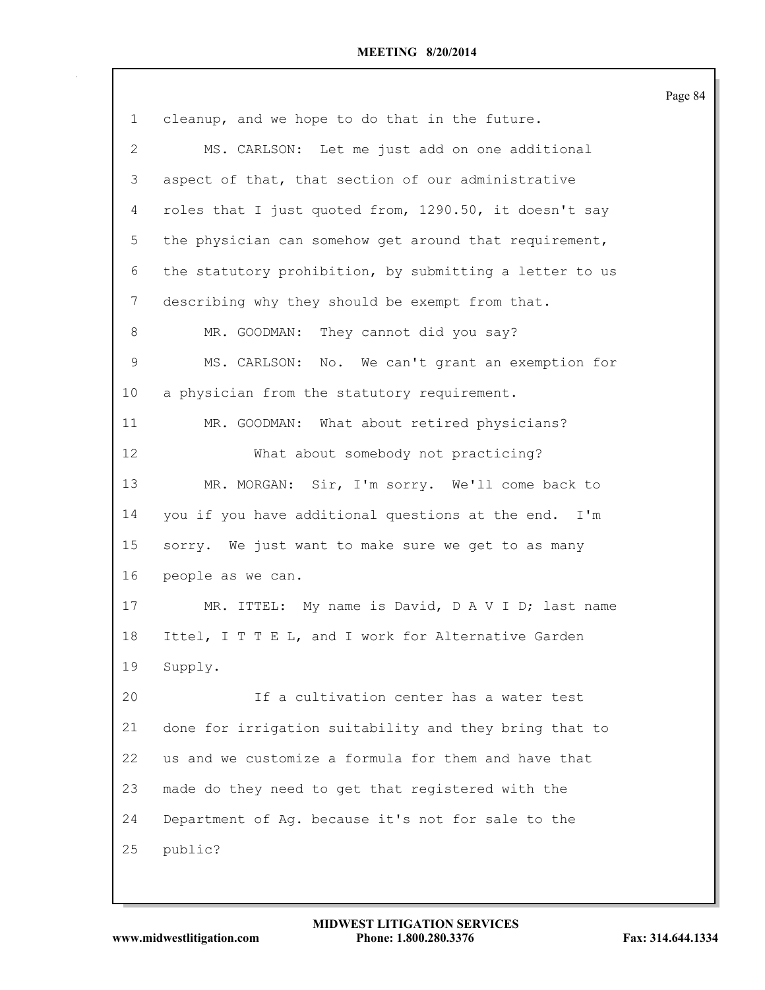| 1             | cleanup, and we hope to do that in the future.          |
|---------------|---------------------------------------------------------|
| 2             | MS. CARLSON: Let me just add on one additional          |
| 3             | aspect of that, that section of our administrative      |
| 4             | roles that I just quoted from, 1290.50, it doesn't say  |
| 5             | the physician can somehow get around that requirement,  |
| 6             | the statutory prohibition, by submitting a letter to us |
| 7             | describing why they should be exempt from that.         |
| 8             | MR. GOODMAN: They cannot did you say?                   |
| $\mathcal{G}$ | MS. CARLSON: No. We can't grant an exemption for        |
| $10 \,$       | a physician from the statutory requirement.             |
| 11            | MR. GOODMAN: What about retired physicians?             |
| 12            | What about somebody not practicing?                     |
| 13            | MR. MORGAN: Sir, I'm sorry. We'll come back to          |
| 14            | you if you have additional questions at the end. I'm    |
| 15            | sorry. We just want to make sure we get to as many      |
| 16            | people as we can.                                       |
| 17            | MR. ITTEL: My name is David, D A V I D; last name       |
| 18            | Ittel, I T T E L, and I work for Alternative Garden     |
| 19            | Supply.                                                 |
| 20            | If a cultivation center has a water test                |
| 21            | done for irrigation suitability and they bring that to  |
| 22            | us and we customize a formula for them and have that    |
| 23            | made do they need to get that registered with the       |
| 24            | Department of Ag. because it's not for sale to the      |
| 25            | public?                                                 |
|               |                                                         |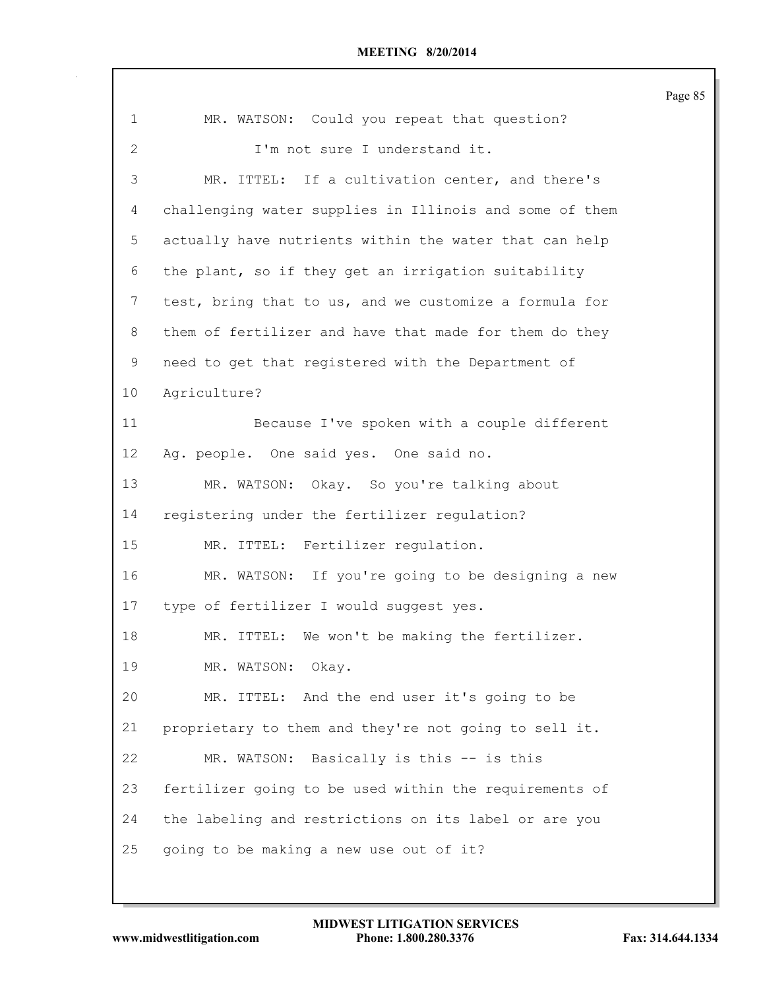| $\mathbf 1$     | MR. WATSON: Could you repeat that question?             |
|-----------------|---------------------------------------------------------|
| 2               | I'm not sure I understand it.                           |
| 3               | MR. ITTEL: If a cultivation center, and there's         |
| $\overline{4}$  | challenging water supplies in Illinois and some of them |
| 5               | actually have nutrients within the water that can help  |
| 6               | the plant, so if they get an irrigation suitability     |
| 7               | test, bring that to us, and we customize a formula for  |
| 8               | them of fertilizer and have that made for them do they  |
| 9               | need to get that registered with the Department of      |
| 10 <sup>°</sup> | Agriculture?                                            |
| 11              | Because I've spoken with a couple different             |
| 12              | Ag. people. One said yes. One said no.                  |
| 13              | MR. WATSON: Okay. So you're talking about               |
| 14              | registering under the fertilizer regulation?            |
| 15              | MR. ITTEL: Fertilizer regulation.                       |
| 16              | MR. WATSON: If you're going to be designing a new       |
| 17              | type of fertilizer I would suggest yes.                 |
| 18              | MR. ITTEL: We won't be making the fertilizer.           |
| 19              | MR. WATSON: Okay.                                       |
| 20              | MR. ITTEL: And the end user it's going to be            |
| 21              | proprietary to them and they're not going to sell it.   |
| 22              | MR. WATSON: Basically is this -- is this                |
| 23              | fertilizer going to be used within the requirements of  |
| 24              | the labeling and restrictions on its label or are you   |
| 25              | going to be making a new use out of it?                 |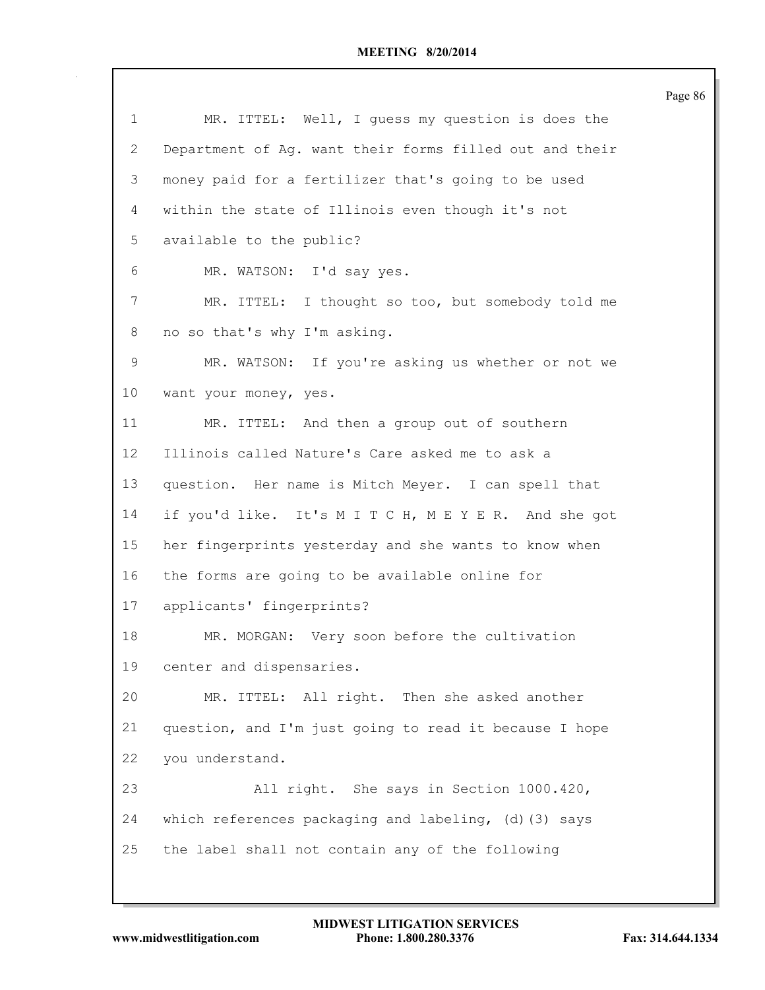|              |                                                         | Page 86 |
|--------------|---------------------------------------------------------|---------|
| $\mathbf 1$  | MR. ITTEL: Well, I guess my question is does the        |         |
| $\mathbf{2}$ | Department of Ag. want their forms filled out and their |         |
| 3            | money paid for a fertilizer that's going to be used     |         |
| 4            | within the state of Illinois even though it's not       |         |
| 5            | available to the public?                                |         |
| 6            | MR. WATSON: I'd say yes.                                |         |
| 7            | MR. ITTEL: I thought so too, but somebody told me       |         |
| 8            | no so that's why I'm asking.                            |         |
| 9            | MR. WATSON: If you're asking us whether or not we       |         |
| 10           | want your money, yes.                                   |         |
| 11           | MR. ITTEL: And then a group out of southern             |         |
| 12           | Illinois called Nature's Care asked me to ask a         |         |
| 13           | question. Her name is Mitch Meyer. I can spell that     |         |
| 14           | if you'd like. It's M I T C H, M E Y E R. And she got   |         |
| 15           | her fingerprints yesterday and she wants to know when   |         |
| 16           | the forms are going to be available online for          |         |
| 17           | applicants' fingerprints?                               |         |
| 18           | MR. MORGAN: Very soon before the cultivation            |         |
| 19           | center and dispensaries.                                |         |
| 20           | MR. ITTEL: All right. Then she asked another            |         |
| 21           | question, and I'm just going to read it because I hope  |         |
| 22           | you understand.                                         |         |
| 23           | All right. She says in Section 1000.420,                |         |
| 24           | which references packaging and labeling, (d) (3) says   |         |
| 25           | the label shall not contain any of the following        |         |
|              |                                                         |         |

 $\mathbf{I}$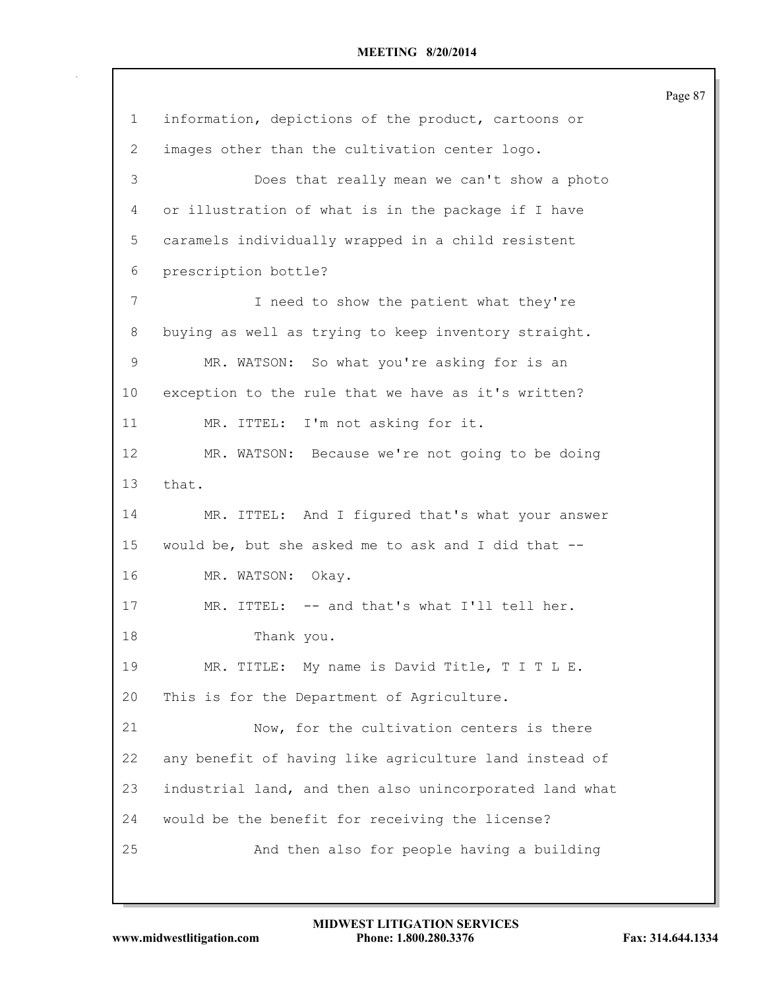|              |                                                         | Page 87 |
|--------------|---------------------------------------------------------|---------|
| $\mathbf 1$  | information, depictions of the product, cartoons or     |         |
| $\mathbf{2}$ | images other than the cultivation center logo.          |         |
| 3            | Does that really mean we can't show a photo             |         |
| 4            | or illustration of what is in the package if I have     |         |
| 5            | caramels individually wrapped in a child resistent      |         |
| 6            | prescription bottle?                                    |         |
| 7            | I need to show the patient what they're                 |         |
| 8            | buying as well as trying to keep inventory straight.    |         |
| 9            | MR. WATSON: So what you're asking for is an             |         |
| 10           | exception to the rule that we have as it's written?     |         |
| 11           | MR. ITTEL: I'm not asking for it.                       |         |
| 12           | MR. WATSON: Because we're not going to be doing         |         |
| 13           | that.                                                   |         |
| 14           | MR. ITTEL: And I figured that's what your answer        |         |
| 15           | would be, but she asked me to ask and I did that --     |         |
| 16           | MR. WATSON:<br>Okay.                                    |         |
| 17           | MR. ITTEL: -- and that's what I'll tell her.            |         |
| 18           | Thank you.                                              |         |
| 19           | MR. TITLE: My name is David Title, T I T L E.           |         |
| 20           | This is for the Department of Agriculture.              |         |
| 21           | Now, for the cultivation centers is there               |         |
| 22           | any benefit of having like agriculture land instead of  |         |
| 23           | industrial land, and then also unincorporated land what |         |
| 24           | would be the benefit for receiving the license?         |         |
| 25           | And then also for people having a building              |         |
|              |                                                         |         |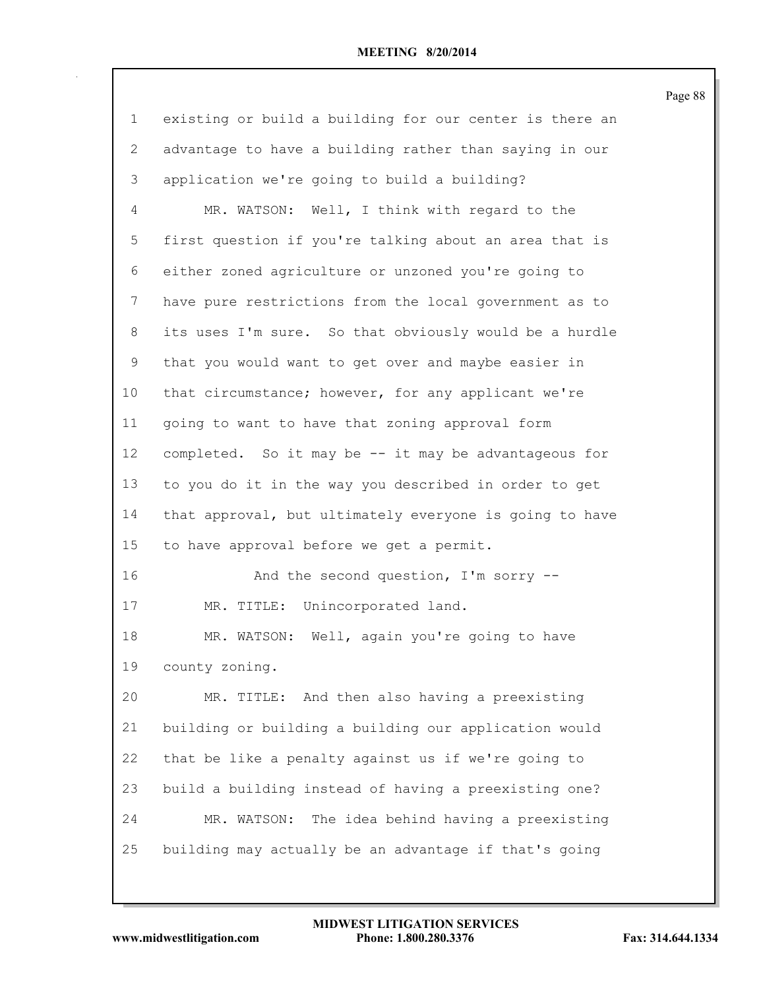|                |                                                         | Page 88 |
|----------------|---------------------------------------------------------|---------|
| $\mathbf 1$    | existing or build a building for our center is there an |         |
| 2              | advantage to have a building rather than saying in our  |         |
| 3              | application we're going to build a building?            |         |
| $\overline{4}$ | MR. WATSON: Well, I think with regard to the            |         |
| 5              | first question if you're talking about an area that is  |         |
| 6              | either zoned agriculture or unzoned you're going to     |         |
| 7              | have pure restrictions from the local government as to  |         |
| $8\,$          | its uses I'm sure. So that obviously would be a hurdle  |         |
| 9              | that you would want to get over and maybe easier in     |         |
| 10             | that circumstance; however, for any applicant we're     |         |
| 11             | going to want to have that zoning approval form         |         |
| 12             | completed. So it may be -- it may be advantageous for   |         |
| 13             | to you do it in the way you described in order to get   |         |
| 14             | that approval, but ultimately everyone is going to have |         |
| 15             | to have approval before we get a permit.                |         |
| 16             | And the second question, I'm sorry --                   |         |
| 17             | Unincorporated land.<br>MR. TITLE:                      |         |
| 18             | Well, again you're going to have<br>MR. WATSON:         |         |
| 19             | county zoning.                                          |         |
| 20             | MR. TITLE: And then also having a preexisting           |         |
| 21             | building or building a building our application would   |         |
| 22             | that be like a penalty against us if we're going to     |         |
| 23             | build a building instead of having a preexisting one?   |         |
| 24             | The idea behind having a preexisting<br>MR. WATSON:     |         |
| 25             | building may actually be an advantage if that's going   |         |
|                |                                                         |         |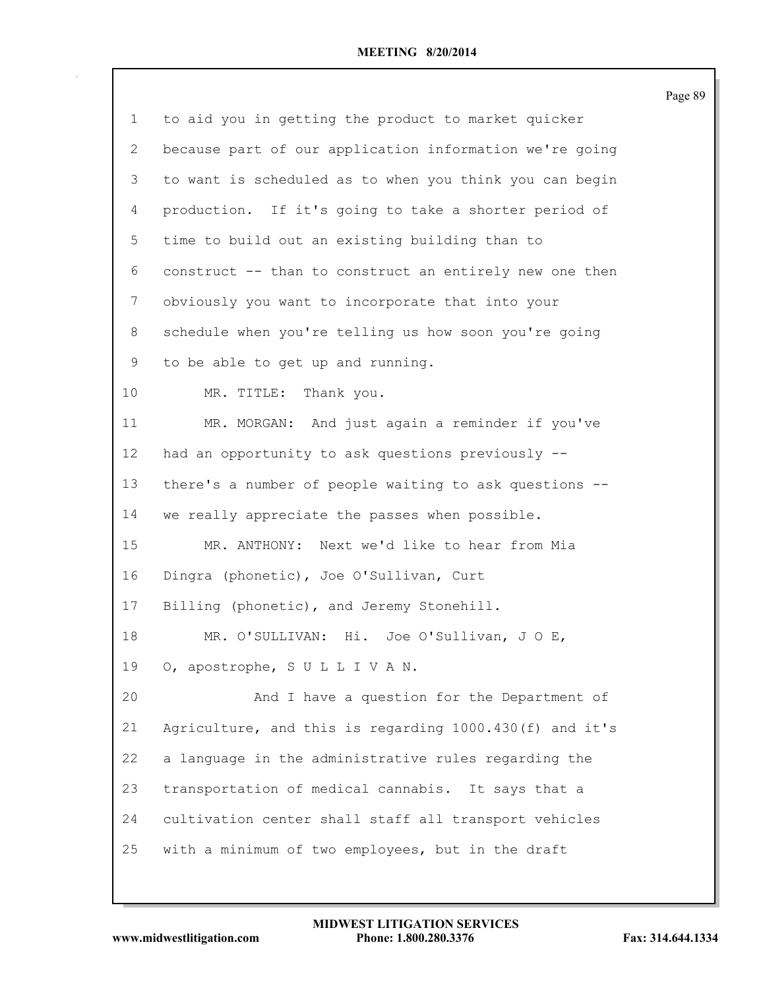|                |                                                         | Page 89 |
|----------------|---------------------------------------------------------|---------|
| $\mathbf 1$    | to aid you in getting the product to market quicker     |         |
| $\overline{2}$ | because part of our application information we're going |         |
| 3              | to want is scheduled as to when you think you can begin |         |
| $\overline{4}$ | production. If it's going to take a shorter period of   |         |
| 5              | time to build out an existing building than to          |         |
| 6              | construct -- than to construct an entirely new one then |         |
| $7\phantom{.}$ | obviously you want to incorporate that into your        |         |
| 8              | schedule when you're telling us how soon you're going   |         |
| 9              | to be able to get up and running.                       |         |
| 10             | Thank you.<br>MR. TITLE:                                |         |
| 11             | MR. MORGAN: And just again a reminder if you've         |         |
| 12             | had an opportunity to ask questions previously --       |         |
| 13             | there's a number of people waiting to ask questions --  |         |
| 14             | we really appreciate the passes when possible.          |         |
| 15             | Next we'd like to hear from Mia<br>MR. ANTHONY:         |         |
| 16             | Dingra (phonetic), Joe O'Sullivan, Curt                 |         |
| 17             | Billing (phonetic), and Jeremy Stonehill.               |         |
| 18             | MR. O'SULLIVAN: Hi. Joe O'Sullivan, J O E,              |         |
| 19             | O, apostrophe, SULLIVAN.                                |         |
| 20             | And I have a question for the Department of             |         |
| 21             | Agriculture, and this is regarding 1000.430(f) and it's |         |
| 22             | a language in the administrative rules regarding the    |         |
| 23             | transportation of medical cannabis. It says that a      |         |
| 24             | cultivation center shall staff all transport vehicles   |         |
| 25             | with a minimum of two employees, but in the draft       |         |
|                |                                                         |         |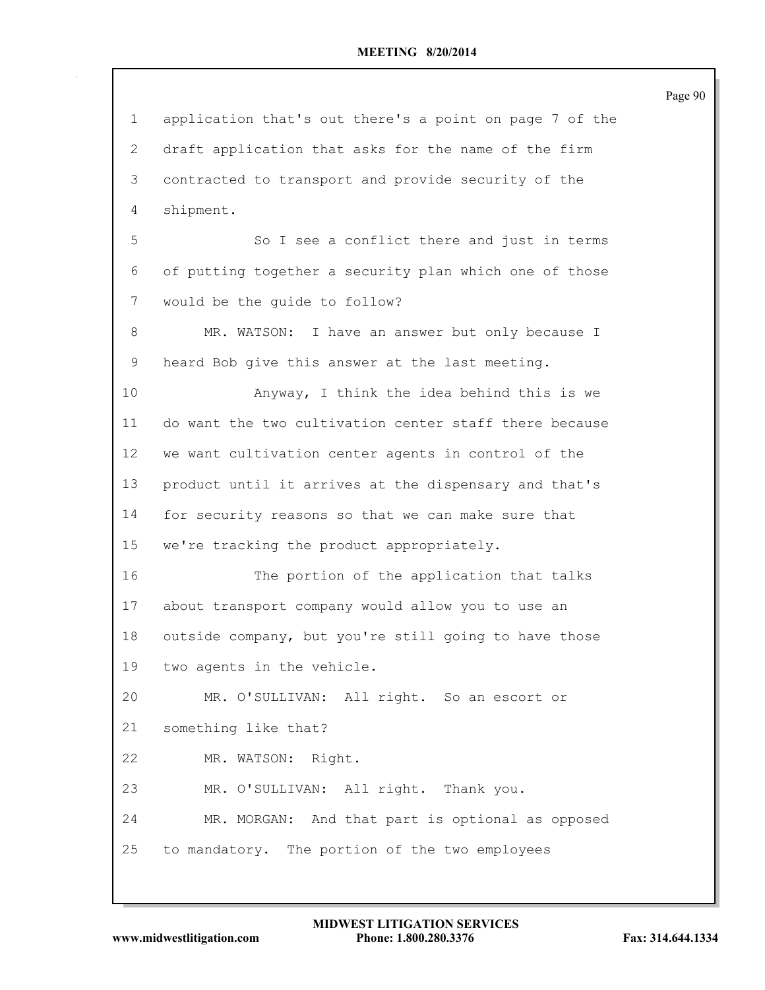| 1  | application that's out there's a point on page 7 of the |
|----|---------------------------------------------------------|
| 2  | draft application that asks for the name of the firm    |
| 3  | contracted to transport and provide security of the     |
| 4  | shipment.                                               |
| 5  | So I see a conflict there and just in terms             |
| 6  | of putting together a security plan which one of those  |
| 7  | would be the guide to follow?                           |
| 8  | MR. WATSON: I have an answer but only because I         |
| 9  | heard Bob give this answer at the last meeting.         |
| 10 | Anyway, I think the idea behind this is we              |
| 11 | do want the two cultivation center staff there because  |
| 12 | we want cultivation center agents in control of the     |
| 13 | product until it arrives at the dispensary and that's   |
| 14 | for security reasons so that we can make sure that      |
| 15 | we're tracking the product appropriately.               |
| 16 | The portion of the application that talks               |
| 17 | about transport company would allow you to use an       |
| 18 | outside company, but you're still going to have those   |
| 19 | two agents in the vehicle.                              |
| 20 | MR. O'SULLIVAN: All right. So an escort or              |
| 21 | something like that?                                    |
| 22 | MR. WATSON: Right.                                      |
| 23 | MR. O'SULLIVAN: All right. Thank you.                   |
| 24 | MR. MORGAN: And that part is optional as opposed        |
| 25 | to mandatory. The portion of the two employees          |
|    |                                                         |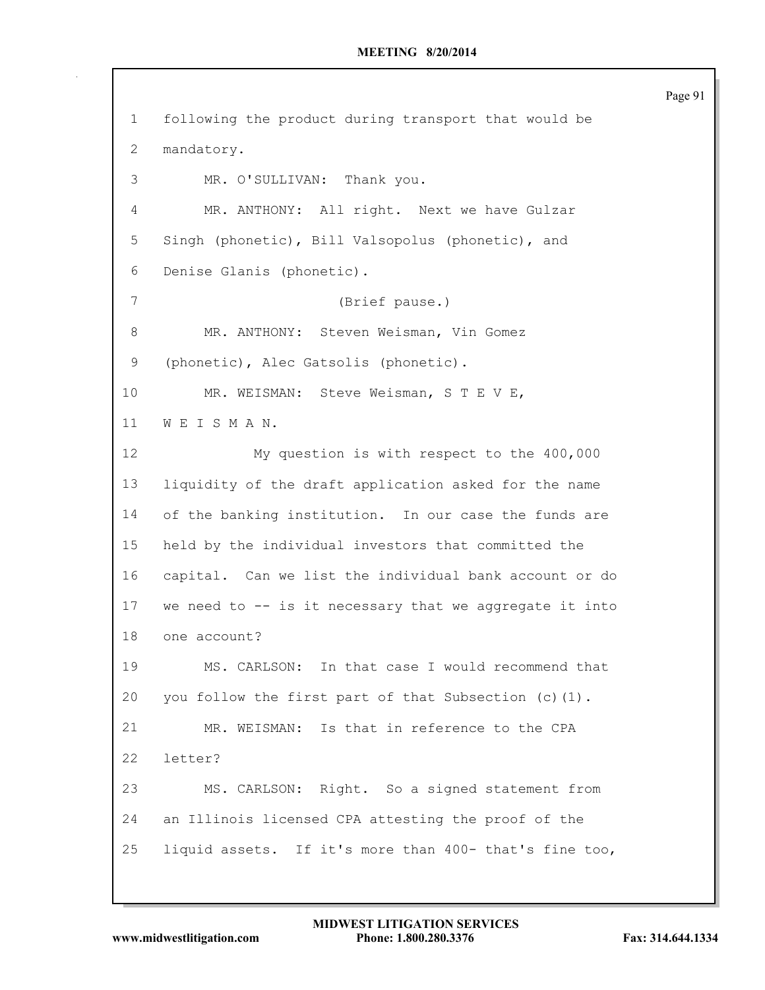following the product during transport that would be mandatory. MR. O'SULLIVAN: Thank you. MR. ANTHONY: All right. Next we have Gulzar Singh (phonetic), Bill Valsopolus (phonetic), and Denise Glanis (phonetic). (Brief pause.) MR. ANTHONY: Steven Weisman, Vin Gomez (phonetic), Alec Gatsolis (phonetic). MR. WEISMAN: Steve Weisman, S T E V E, W E I S M A N. My question is with respect to the 400,000 liquidity of the draft application asked for the name of the banking institution. In our case the funds are held by the individual investors that committed the capital. Can we list the individual bank account or do we need to -- is it necessary that we aggregate it into one account? MS. CARLSON: In that case I would recommend that you follow the first part of that Subsection (c)(1). MR. WEISMAN: Is that in reference to the CPA letter? MS. CARLSON: Right. So a signed statement from an Illinois licensed CPA attesting the proof of the liquid assets. If it's more than 400- that's fine too,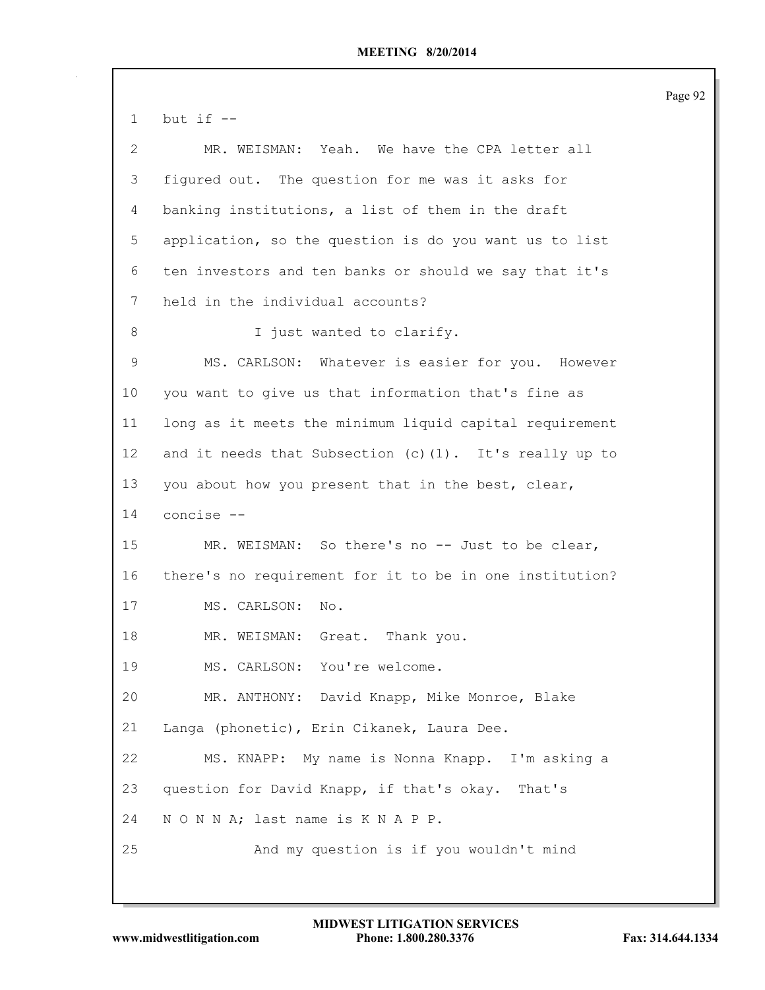1 but if  $-$  MR. WEISMAN: Yeah. We have the CPA letter all figured out. The question for me was it asks for banking institutions, a list of them in the draft application, so the question is do you want us to list ten investors and ten banks or should we say that it's held in the individual accounts? 8 I just wanted to clarify. MS. CARLSON: Whatever is easier for you. However you want to give us that information that's fine as long as it meets the minimum liquid capital requirement and it needs that Subsection (c)(1). It's really up to you about how you present that in the best, clear, concise -- 15 MR. WEISMAN: So there's no -- Just to be clear, there's no requirement for it to be in one institution? MS. CARLSON: No. 18 MR. WEISMAN: Great. Thank you. MS. CARLSON: You're welcome. MR. ANTHONY: David Knapp, Mike Monroe, Blake Langa (phonetic), Erin Cikanek, Laura Dee. MS. KNAPP: My name is Nonna Knapp. I'm asking a question for David Knapp, if that's okay. That's N O N N A; last name is K N A P P. And my question is if you wouldn't mind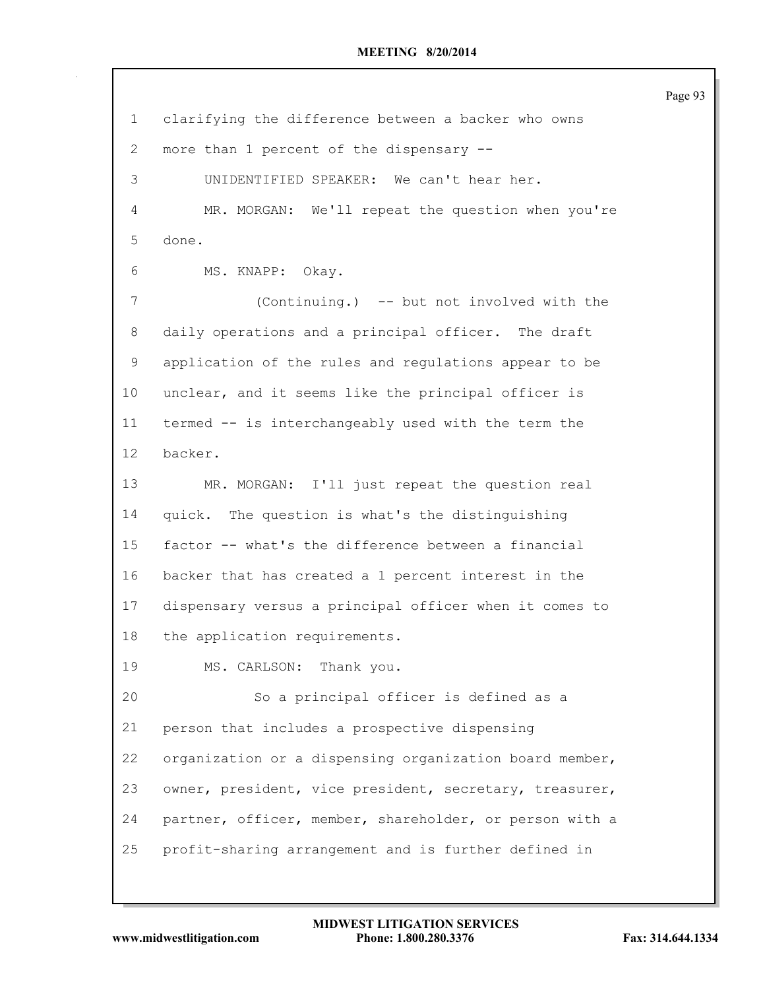clarifying the difference between a backer who owns more than 1 percent of the dispensary -- UNIDENTIFIED SPEAKER: We can't hear her. MR. MORGAN: We'll repeat the question when you're done. MS. KNAPP: Okay. (Continuing.) -- but not involved with the daily operations and a principal officer. The draft application of the rules and regulations appear to be unclear, and it seems like the principal officer is termed -- is interchangeably used with the term the backer. MR. MORGAN: I'll just repeat the question real quick. The question is what's the distinguishing factor -- what's the difference between a financial backer that has created a 1 percent interest in the dispensary versus a principal officer when it comes to the application requirements. MS. CARLSON: Thank you. So a principal officer is defined as a person that includes a prospective dispensing organization or a dispensing organization board member, owner, president, vice president, secretary, treasurer, partner, officer, member, shareholder, or person with a profit-sharing arrangement and is further defined in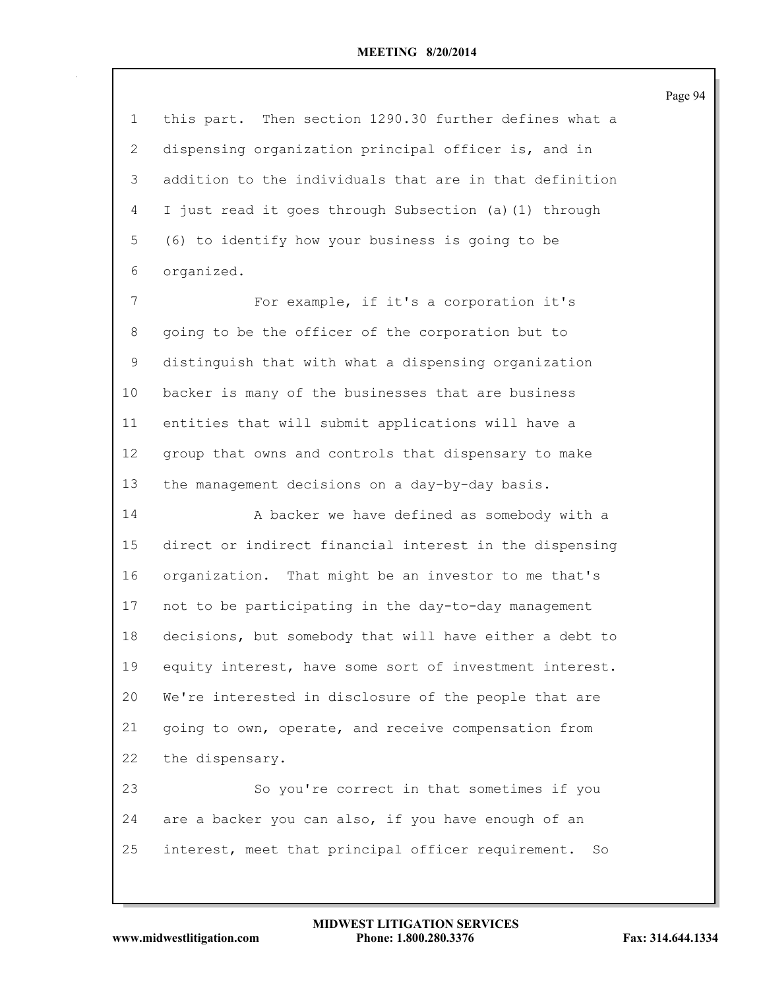this part. Then section 1290.30 further defines what a dispensing organization principal officer is, and in addition to the individuals that are in that definition I just read it goes through Subsection (a)(1) through (6) to identify how your business is going to be organized. For example, if it's a corporation it's going to be the officer of the corporation but to distinguish that with what a dispensing organization backer is many of the businesses that are business entities that will submit applications will have a group that owns and controls that dispensary to make the management decisions on a day-by-day basis. A backer we have defined as somebody with a direct or indirect financial interest in the dispensing organization. That might be an investor to me that's not to be participating in the day-to-day management decisions, but somebody that will have either a debt to equity interest, have some sort of investment interest. We're interested in disclosure of the people that are going to own, operate, and receive compensation from the dispensary. So you're correct in that sometimes if you are a backer you can also, if you have enough of an interest, meet that principal officer requirement. So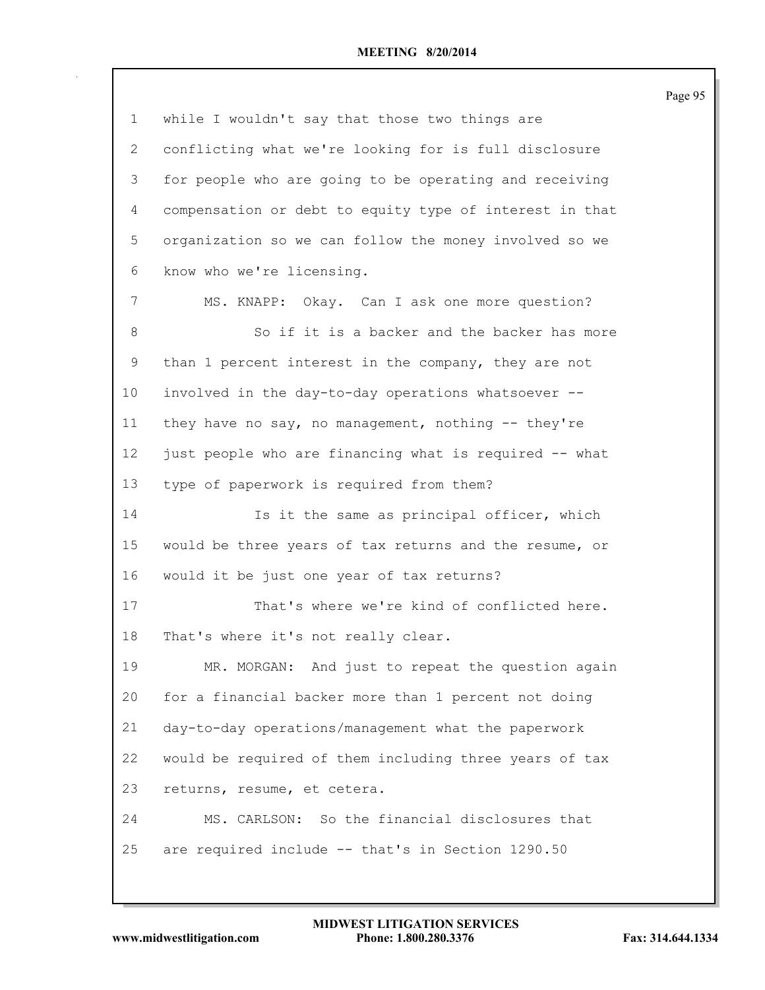|              |                                                         | rage |
|--------------|---------------------------------------------------------|------|
| 1            | while I wouldn't say that those two things are          |      |
| $\mathbf{2}$ | conflicting what we're looking for is full disclosure   |      |
| 3            | for people who are going to be operating and receiving  |      |
| 4            | compensation or debt to equity type of interest in that |      |
| 5            | organization so we can follow the money involved so we  |      |
| 6            | know who we're licensing.                               |      |
| 7            | MS. KNAPP: Okay. Can I ask one more question?           |      |
| 8            | So if it is a backer and the backer has more            |      |
| 9            | than 1 percent interest in the company, they are not    |      |
| 10           | involved in the day-to-day operations whatsoever --     |      |
| 11           | they have no say, no management, nothing -- they're     |      |
| 12           | just people who are financing what is required -- what  |      |
| 13           | type of paperwork is required from them?                |      |
| 14           | Is it the same as principal officer, which              |      |
| 15           | would be three years of tax returns and the resume, or  |      |
| 16           | would it be just one year of tax returns?               |      |
| 17           | That's where we're kind of conflicted here.             |      |
| 18           | That's where it's not really clear.                     |      |
| 19           | MR. MORGAN: And just to repeat the question again       |      |
| 20           | for a financial backer more than 1 percent not doing    |      |
| 21           | day-to-day operations/management what the paperwork     |      |
| 22           | would be required of them including three years of tax  |      |
| 23           | returns, resume, et cetera.                             |      |
| 24           | MS. CARLSON: So the financial disclosures that          |      |
| 25           | are required include -- that's in Section 1290.50       |      |
|              |                                                         |      |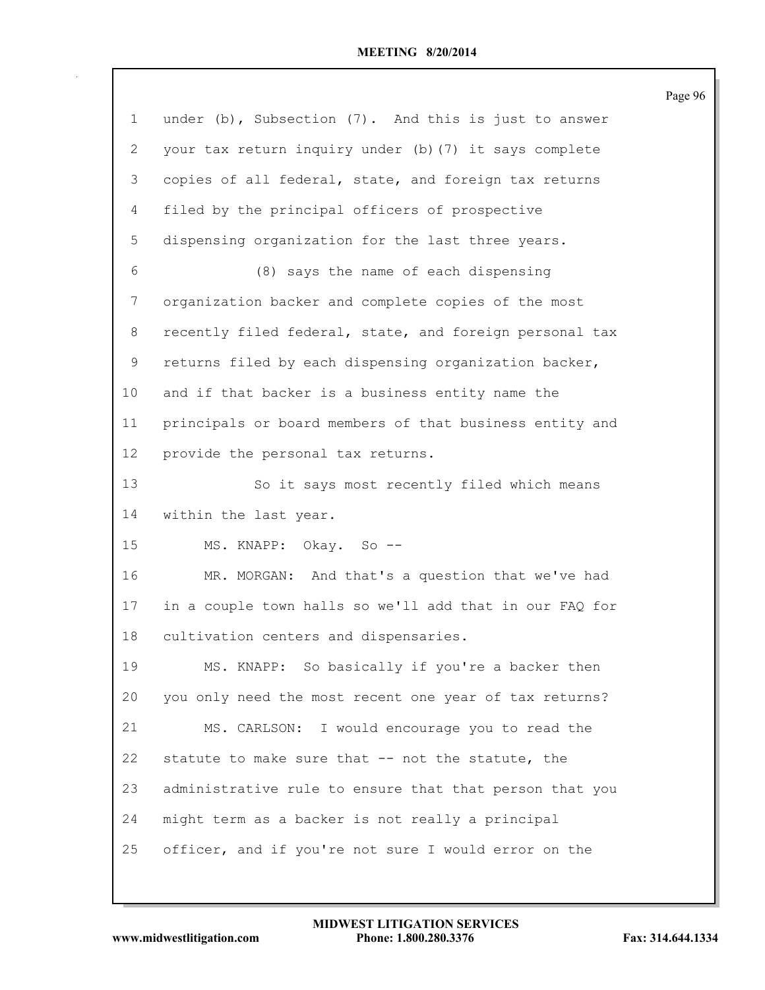|                |                                                         | Page 96 |
|----------------|---------------------------------------------------------|---------|
| $\mathbf 1$    | under (b), Subsection (7). And this is just to answer   |         |
| $\mathbf{2}$   | your tax return inquiry under (b) (7) it says complete  |         |
| 3              | copies of all federal, state, and foreign tax returns   |         |
| 4              | filed by the principal officers of prospective          |         |
| 5              | dispensing organization for the last three years.       |         |
| 6              | (8) says the name of each dispensing                    |         |
| $\overline{7}$ | organization backer and complete copies of the most     |         |
| $8\,$          | recently filed federal, state, and foreign personal tax |         |
| 9              | returns filed by each dispensing organization backer,   |         |
| 10             | and if that backer is a business entity name the        |         |
| 11             | principals or board members of that business entity and |         |
| 12             | provide the personal tax returns.                       |         |
| 13             | So it says most recently filed which means              |         |
| 14             | within the last year.                                   |         |
| 15             | MS. KNAPP: Okay. So --                                  |         |
| 16             | MR. MORGAN: And that's a question that we've had        |         |
| 17             | in a couple town halls so we'll add that in our FAQ for |         |
| 18             | cultivation centers and dispensaries.                   |         |
| 19             | MS. KNAPP: So basically if you're a backer then         |         |
| 20             | you only need the most recent one year of tax returns?  |         |
| 21             | MS. CARLSON: I would encourage you to read the          |         |
| 22             | statute to make sure that -- not the statute, the       |         |
| 23             | administrative rule to ensure that that person that you |         |
| 24             | might term as a backer is not really a principal        |         |
| 25             | officer, and if you're not sure I would error on the    |         |
|                |                                                         |         |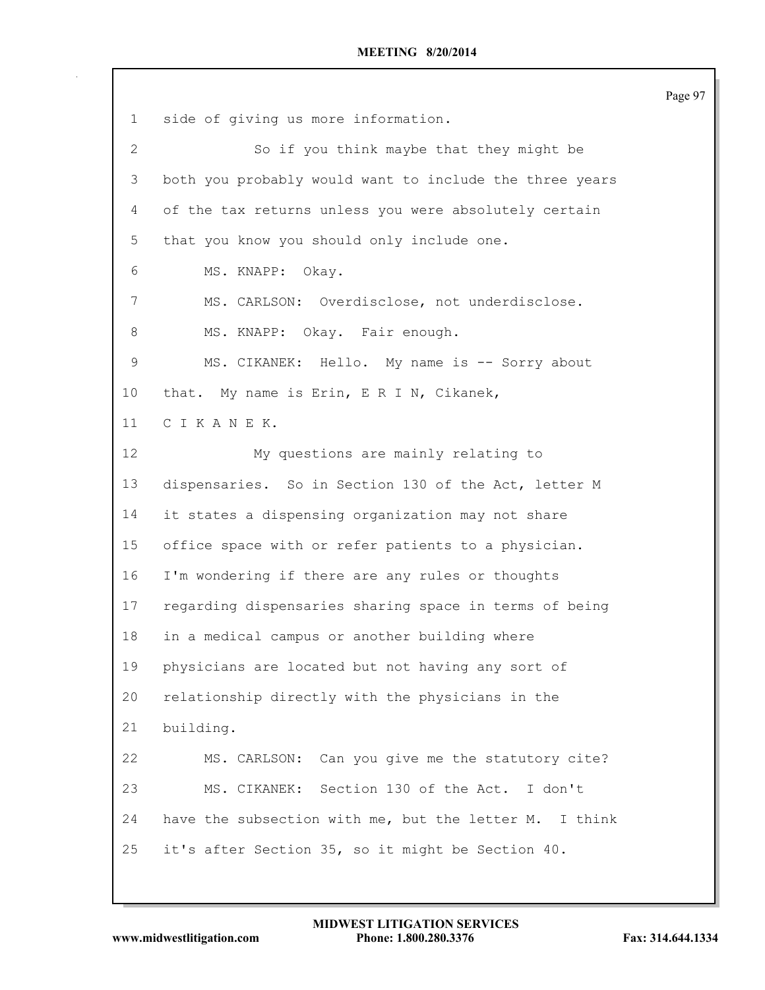Page 97 side of giving us more information. So if you think maybe that they might be both you probably would want to include the three years of the tax returns unless you were absolutely certain that you know you should only include one. MS. KNAPP: Okay. MS. CARLSON: Overdisclose, not underdisclose. 8 MS. KNAPP: Okay. Fair enough. MS. CIKANEK: Hello. My name is -- Sorry about 10 that. My name is Erin, E R I N, Cikanek, C I K A N E K. My questions are mainly relating to dispensaries. So in Section 130 of the Act, letter M it states a dispensing organization may not share office space with or refer patients to a physician. I'm wondering if there are any rules or thoughts regarding dispensaries sharing space in terms of being in a medical campus or another building where physicians are located but not having any sort of relationship directly with the physicians in the building. MS. CARLSON: Can you give me the statutory cite? MS. CIKANEK: Section 130 of the Act. I don't have the subsection with me, but the letter M. I think it's after Section 35, so it might be Section 40.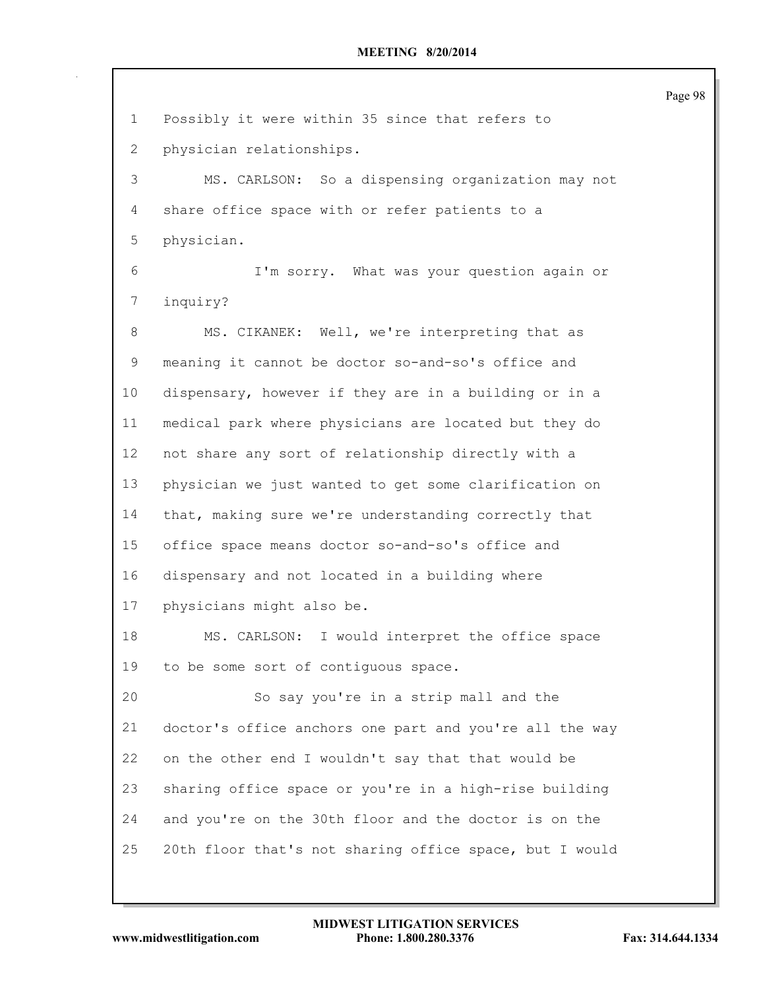| 1               | Possibly it were within 35 since that refers to         |
|-----------------|---------------------------------------------------------|
| $\mathbf{2}$    | physician relationships.                                |
| 3               | MS. CARLSON: So a dispensing organization may not       |
| 4               | share office space with or refer patients to a          |
| 5               | physician.                                              |
| 6               | I'm sorry. What was your question again or              |
| 7               | inquiry?                                                |
| 8               | MS. CIKANEK: Well, we're interpreting that as           |
| 9               | meaning it cannot be doctor so-and-so's office and      |
| 10 <sup>°</sup> | dispensary, however if they are in a building or in a   |
| 11              | medical park where physicians are located but they do   |
| 12              | not share any sort of relationship directly with a      |
| 13              | physician we just wanted to get some clarification on   |
| 14              | that, making sure we're understanding correctly that    |
| 15              | office space means doctor so-and-so's office and        |
| 16              | dispensary and not located in a building where          |
| 17              | physicians might also be.                               |
| 18              | MS. CARLSON: I would interpret the office space         |
| 19              | to be some sort of contiguous space.                    |
| 20              | So say you're in a strip mall and the                   |
| 21              | doctor's office anchors one part and you're all the way |
| 22              | on the other end I wouldn't say that that would be      |
| 23              | sharing office space or you're in a high-rise building  |
| 24              | and you're on the 30th floor and the doctor is on the   |
| 25              | 20th floor that's not sharing office space, but I would |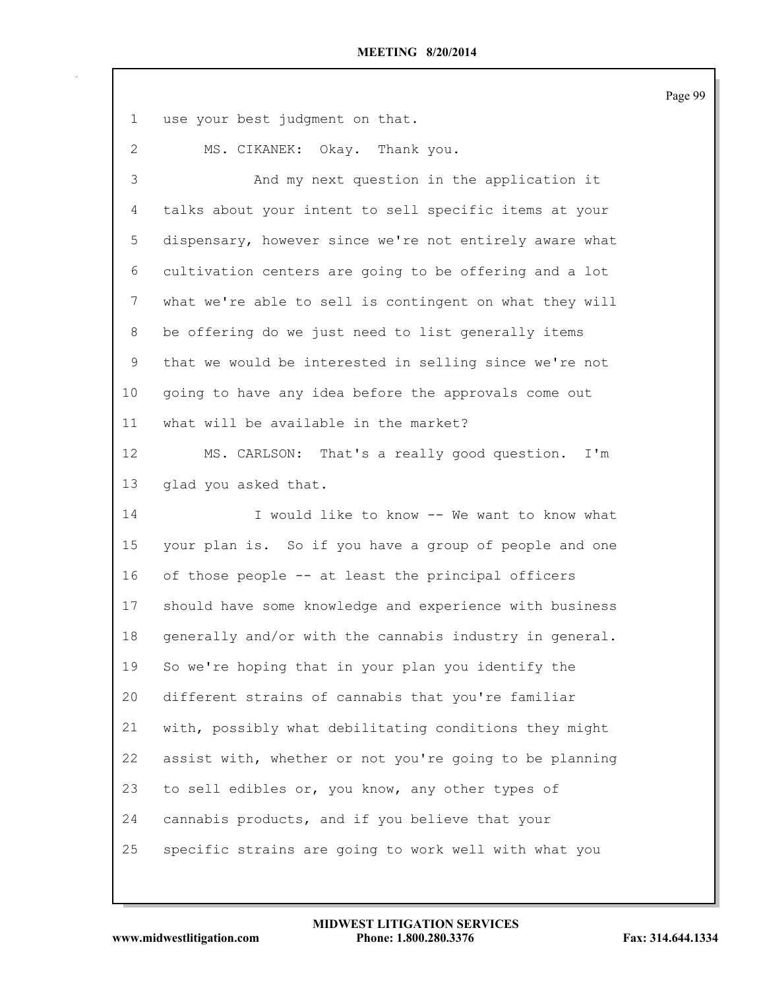use your best judgment on that. MS. CIKANEK: Okay. Thank you. And my next question in the application it talks about your intent to sell specific items at your dispensary, however since we're not entirely aware what cultivation centers are going to be offering and a lot what we're able to sell is contingent on what they will be offering do we just need to list generally items that we would be interested in selling since we're not going to have any idea before the approvals come out what will be available in the market? MS. CARLSON: That's a really good question. I'm glad you asked that. I would like to know -- We want to know what your plan is. So if you have a group of people and one of those people -- at least the principal officers should have some knowledge and experience with business generally and/or with the cannabis industry in general. So we're hoping that in your plan you identify the different strains of cannabis that you're familiar with, possibly what debilitating conditions they might assist with, whether or not you're going to be planning to sell edibles or, you know, any other types of cannabis products, and if you believe that your specific strains are going to work well with what you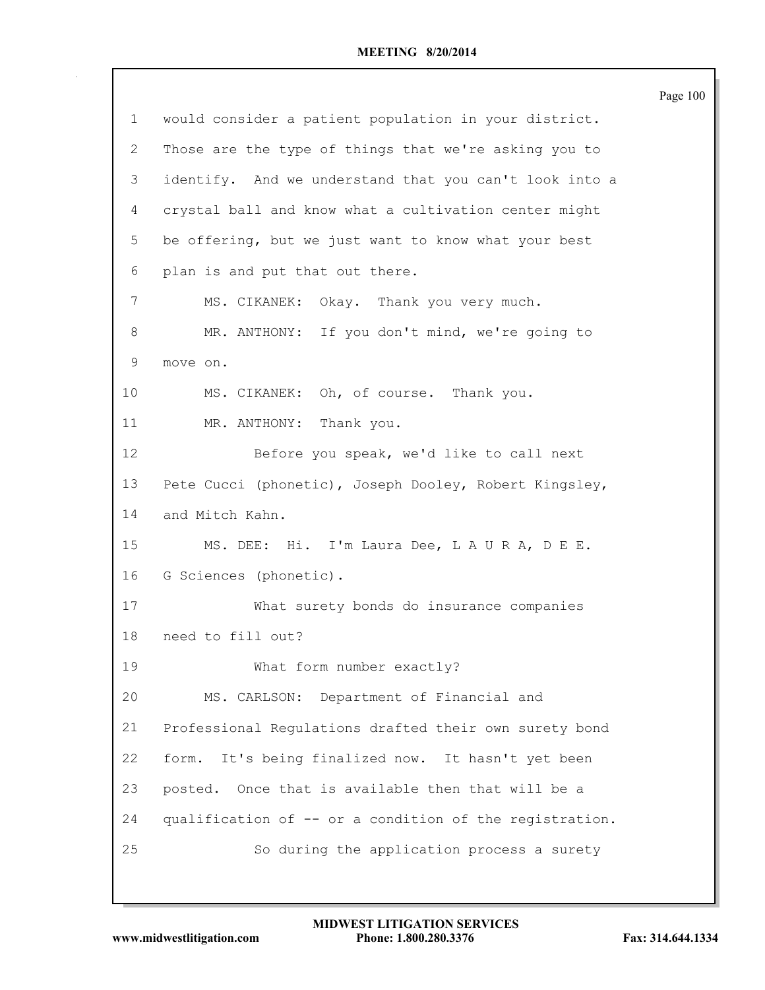|             |                                                         | Page 100 |
|-------------|---------------------------------------------------------|----------|
| $\mathbf 1$ | would consider a patient population in your district.   |          |
| 2           | Those are the type of things that we're asking you to   |          |
| 3           | identify. And we understand that you can't look into a  |          |
| 4           | crystal ball and know what a cultivation center might   |          |
| 5           | be offering, but we just want to know what your best    |          |
| 6           | plan is and put that out there.                         |          |
| 7           | MS. CIKANEK: Okay. Thank you very much.                 |          |
| 8           | MR. ANTHONY: If you don't mind, we're going to          |          |
| 9           | move on.                                                |          |
| 10          | MS. CIKANEK: Oh, of course. Thank you.                  |          |
| 11          | MR. ANTHONY: Thank you.                                 |          |
| 12          | Before you speak, we'd like to call next                |          |
| 13          | Pete Cucci (phonetic), Joseph Dooley, Robert Kingsley,  |          |
| 14          | and Mitch Kahn.                                         |          |
| 15          | MS. DEE: Hi. I'm Laura Dee, L A U R A, D E E.           |          |
| 16          | G Sciences (phonetic).                                  |          |
| 17          | What surety bonds do insurance companies                |          |
| 18          | need to fill out?                                       |          |
| 19          | What form number exactly?                               |          |
| 20          | MS. CARLSON: Department of Financial and                |          |
| 21          | Professional Regulations drafted their own surety bond  |          |
| 22          | It's being finalized now. It hasn't yet been<br>form.   |          |
| 23          | posted. Once that is available then that will be a      |          |
| 24          | qualification of -- or a condition of the registration. |          |
| 25          | So during the application process a surety              |          |
|             |                                                         |          |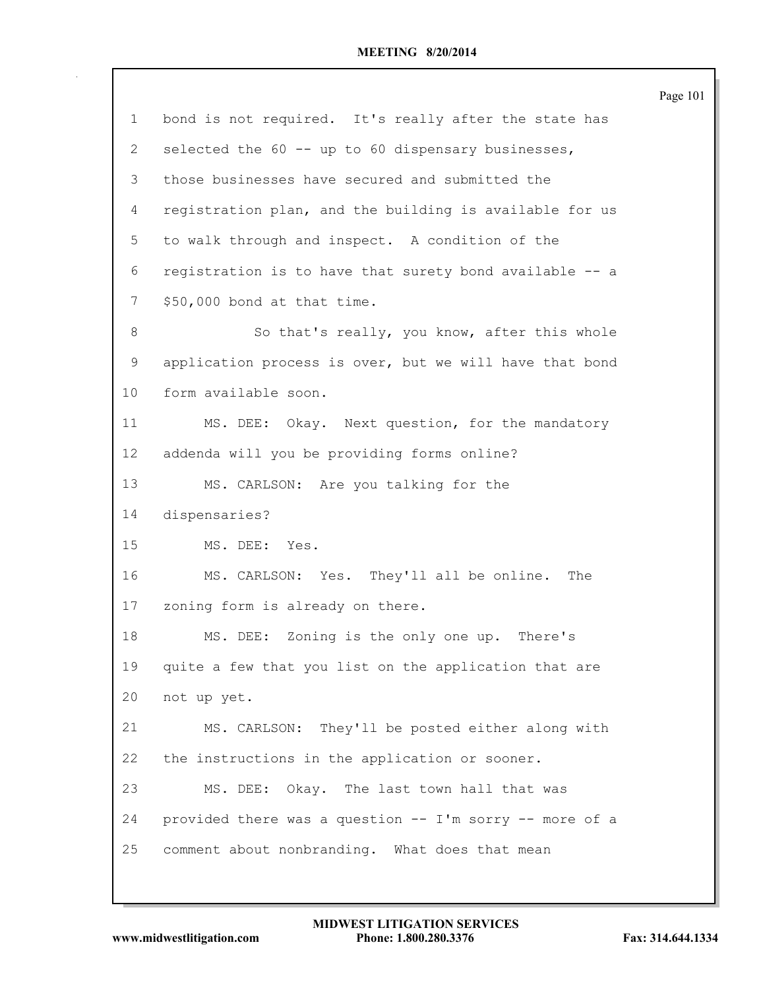|                |                                                         | Page 101 |
|----------------|---------------------------------------------------------|----------|
| $\mathbf 1$    | bond is not required. It's really after the state has   |          |
| $\mathbf{2}$   | selected the 60 -- up to 60 dispensary businesses,      |          |
| 3              | those businesses have secured and submitted the         |          |
| $\overline{4}$ | registration plan, and the building is available for us |          |
| 5              | to walk through and inspect. A condition of the         |          |
| 6              | registration is to have that surety bond available -- a |          |
| 7              | \$50,000 bond at that time.                             |          |
| $8\,$          | So that's really, you know, after this whole            |          |
| $\mathsf 9$    | application process is over, but we will have that bond |          |
| 10             | form available soon.                                    |          |
| 11             | MS. DEE: Okay. Next question, for the mandatory         |          |
| 12             | addenda will you be providing forms online?             |          |
| 13             | MS. CARLSON: Are you talking for the                    |          |
| 14             | dispensaries?                                           |          |
| 15             | MS. DEE:<br>Yes.                                        |          |
| 16             | MS. CARLSON: Yes. They'll all be online. The            |          |
| 17             | zoning form is already on there.                        |          |
| 18             | Zoning is the only one up. There's<br>MS. DEE:          |          |
| 19             | quite a few that you list on the application that are   |          |
| 20             | not up yet.                                             |          |
| 21             | MS. CARLSON: They'll be posted either along with        |          |
| 22             | the instructions in the application or sooner.          |          |
| 23             | MS. DEE: Okay. The last town hall that was              |          |
| 24             | provided there was a question -- I'm sorry -- more of a |          |
| 25             | comment about nonbranding. What does that mean          |          |
|                |                                                         |          |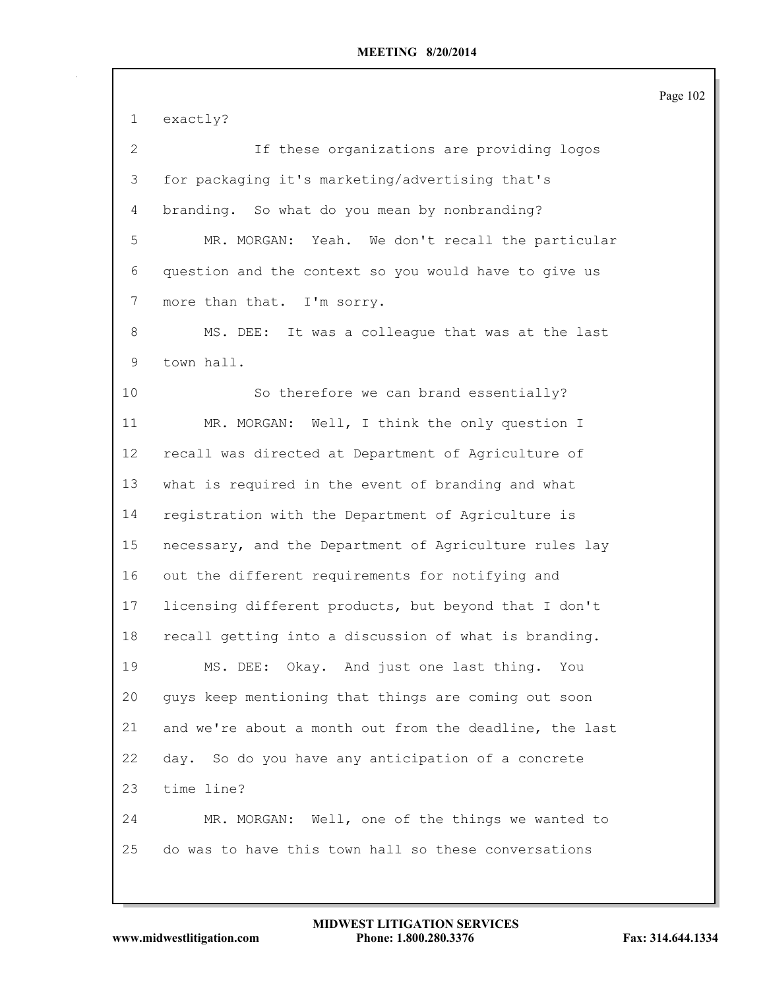exactly? If these organizations are providing logos for packaging it's marketing/advertising that's branding. So what do you mean by nonbranding? MR. MORGAN: Yeah. We don't recall the particular question and the context so you would have to give us 7 more than that. I'm sorry. MS. DEE: It was a colleague that was at the last town hall. So therefore we can brand essentially? MR. MORGAN: Well, I think the only question I recall was directed at Department of Agriculture of what is required in the event of branding and what registration with the Department of Agriculture is necessary, and the Department of Agriculture rules lay out the different requirements for notifying and licensing different products, but beyond that I don't recall getting into a discussion of what is branding. MS. DEE: Okay. And just one last thing. You guys keep mentioning that things are coming out soon and we're about a month out from the deadline, the last day. So do you have any anticipation of a concrete time line? MR. MORGAN: Well, one of the things we wanted to do was to have this town hall so these conversations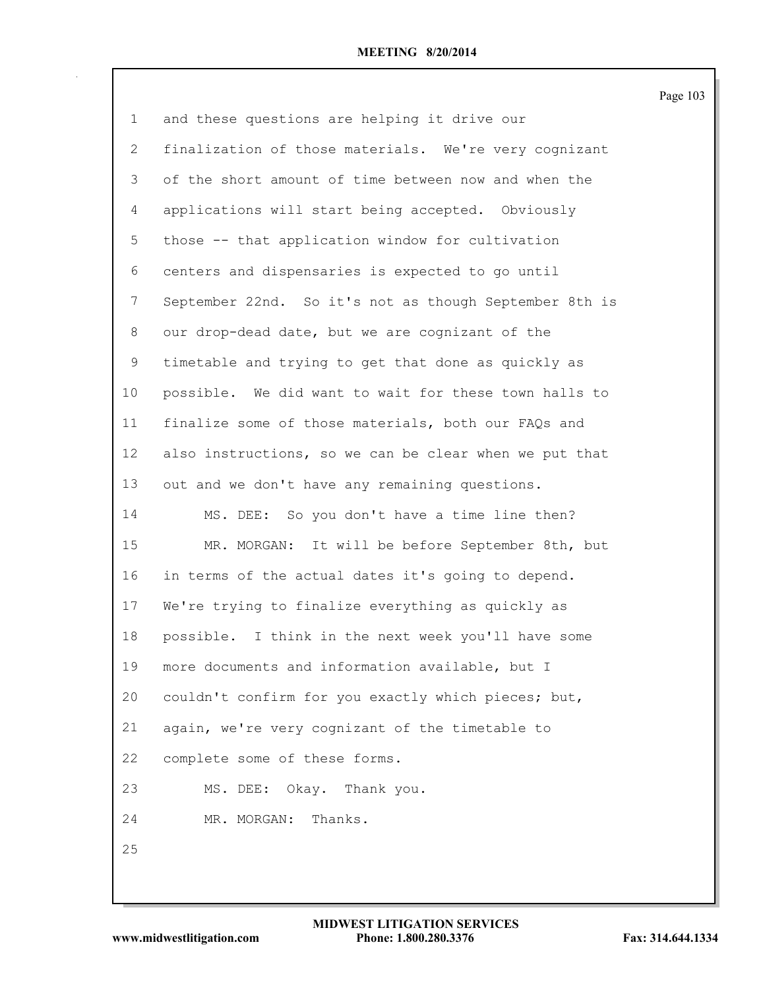| $\mathbf 1$  | and these questions are helping it drive our           |
|--------------|--------------------------------------------------------|
| $\mathbf{2}$ | finalization of those materials. We're very cognizant  |
| 3            | of the short amount of time between now and when the   |
| 4            | applications will start being accepted. Obviously      |
| 5            | those -- that application window for cultivation       |
| 6            | centers and dispensaries is expected to go until       |
| 7            | September 22nd. So it's not as though September 8th is |
| 8            | our drop-dead date, but we are cognizant of the        |
| 9            | timetable and trying to get that done as quickly as    |
| 10           | possible. We did want to wait for these town halls to  |
| 11           | finalize some of those materials, both our FAQs and    |
| 12           | also instructions, so we can be clear when we put that |
| 13           | out and we don't have any remaining questions.         |
| 14           | MS. DEE: So you don't have a time line then?           |
| 15           | MR. MORGAN: It will be before September 8th, but       |
| 16           | in terms of the actual dates it's going to depend.     |
| 17           | We're trying to finalize everything as quickly as      |
| 18           | possible. I think in the next week you'll have some    |
| 19           | more documents and information available, but I        |
| 20           | couldn't confirm for you exactly which pieces; but,    |
| 21           | again, we're very cognizant of the timetable to        |
| 22           | complete some of these forms.                          |
| 23           | MS. DEE: Okay. Thank you.                              |
| 24           | Thanks.<br>MR. MORGAN:                                 |
| 25           |                                                        |
|              |                                                        |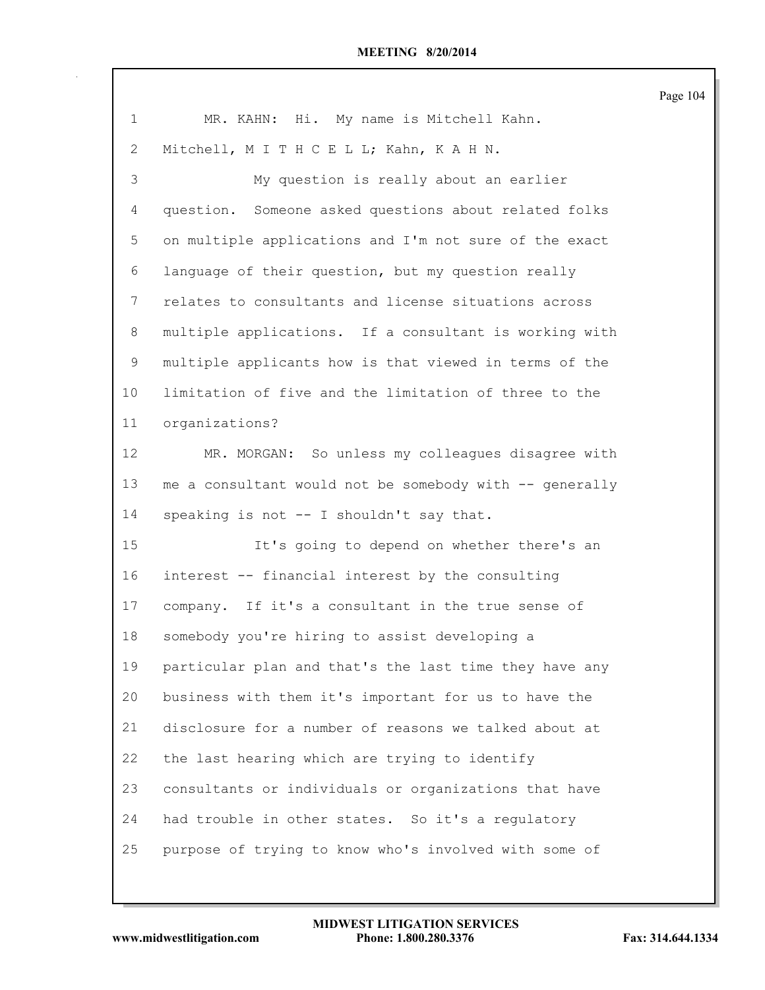| $\mathbf 1$  | MR. KAHN: Hi. My name is Mitchell Kahn.                 |
|--------------|---------------------------------------------------------|
| $\mathbf{2}$ | Mitchell, M I T H C E L L; Kahn, K A H N.               |
| 3            | My question is really about an earlier                  |
| 4            | question. Someone asked questions about related folks   |
| 5            | on multiple applications and I'm not sure of the exact  |
| 6            | language of their question, but my question really      |
| 7            | relates to consultants and license situations across    |
| 8            | multiple applications. If a consultant is working with  |
| 9            | multiple applicants how is that viewed in terms of the  |
| 10           | limitation of five and the limitation of three to the   |
| 11           | organizations?                                          |
| 12           | MR. MORGAN: So unless my colleagues disagree with       |
| 13           | me a consultant would not be somebody with -- generally |
| 14           | speaking is not -- I shouldn't say that.                |
| 15           | It's going to depend on whether there's an              |
| 16           | interest -- financial interest by the consulting        |
| 17           | company. If it's a consultant in the true sense of      |
| 18           | somebody you're hiring to assist developing a           |
| 19           | particular plan and that's the last time they have any  |
| 20           | business with them it's important for us to have the    |
| 21           | disclosure for a number of reasons we talked about at   |
| 22           | the last hearing which are trying to identify           |
| 23           | consultants or individuals or organizations that have   |
| 24           | had trouble in other states. So it's a regulatory       |
| 25           | purpose of trying to know who's involved with some of   |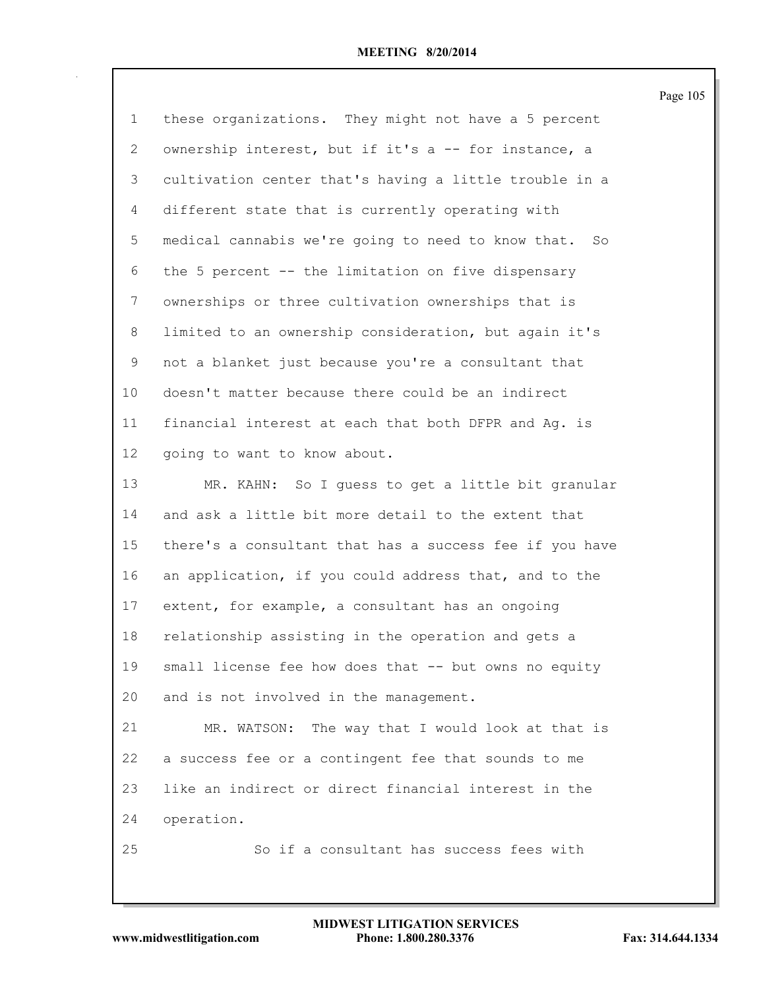| 1               | these organizations. They might not have a 5 percent     |
|-----------------|----------------------------------------------------------|
| 2               | ownership interest, but if it's a -- for instance, a     |
| 3               | cultivation center that's having a little trouble in a   |
| 4               | different state that is currently operating with         |
| 5               | medical cannabis we're going to need to know that.<br>So |
| 6               | the 5 percent -- the limitation on five dispensary       |
| 7               | ownerships or three cultivation ownerships that is       |
| 8               | limited to an ownership consideration, but again it's    |
| 9               | not a blanket just because you're a consultant that      |
| 10 <sub>o</sub> | doesn't matter because there could be an indirect        |
| 11              | financial interest at each that both DFPR and Ag. is     |
| 12              | going to want to know about.                             |
| 13              | MR. KAHN: So I guess to get a little bit granular        |
| 14              | and ask a little bit more detail to the extent that      |
| 15              | there's a consultant that has a success fee if you have  |
| 16              | an application, if you could address that, and to the    |
| 17              | extent, for example, a consultant has an ongoing         |
| 18              | relationship assisting in the operation and gets a       |
| 19              | small license fee how does that -- but owns no equity    |
| 20              | and is not involved in the management.                   |
| 21              | MR. WATSON: The way that I would look at that is         |
| 22              | a success fee or a contingent fee that sounds to me      |
| 23              | like an indirect or direct financial interest in the     |
| 24              | operation.                                               |
| 25              | So if a consultant has success fees with                 |
|                 |                                                          |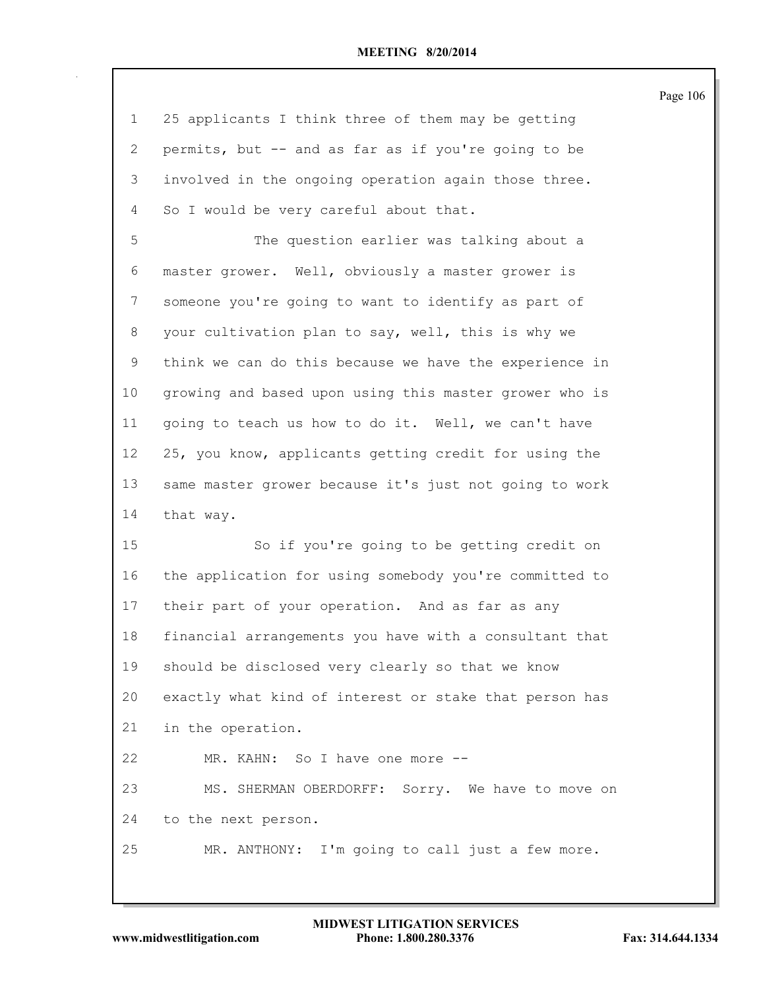25 applicants I think three of them may be getting permits, but -- and as far as if you're going to be involved in the ongoing operation again those three. So I would be very careful about that. The question earlier was talking about a master grower. Well, obviously a master grower is someone you're going to want to identify as part of your cultivation plan to say, well, this is why we think we can do this because we have the experience in growing and based upon using this master grower who is going to teach us how to do it. Well, we can't have 25, you know, applicants getting credit for using the same master grower because it's just not going to work that way. So if you're going to be getting credit on the application for using somebody you're committed to their part of your operation. And as far as any financial arrangements you have with a consultant that should be disclosed very clearly so that we know exactly what kind of interest or stake that person has in the operation. MR. KAHN: So I have one more -- MS. SHERMAN OBERDORFF: Sorry. We have to move on to the next person. MR. ANTHONY: I'm going to call just a few more.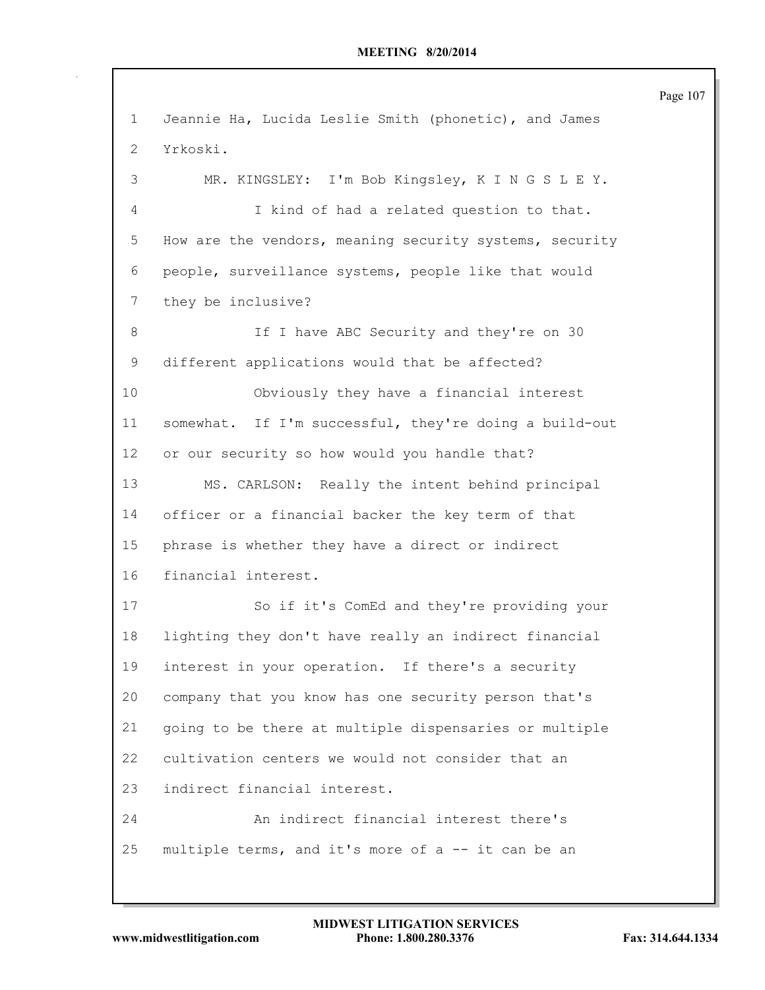| 1                     | Jeannie Ha, Lucida Leslie Smith (phonetic), and James   |
|-----------------------|---------------------------------------------------------|
| $\mathbf{2}^{\prime}$ | Yrkoski.                                                |
| 3                     | MR. KINGSLEY: I'm Bob Kingsley, K I N G S L E Y.        |
| 4                     | I kind of had a related question to that.               |
| 5                     | How are the vendors, meaning security systems, security |
| 6                     | people, surveillance systems, people like that would    |
| 7                     | they be inclusive?                                      |
| 8                     | If I have ABC Security and they're on 30                |
| 9                     | different applications would that be affected?          |
| 10                    | Obviously they have a financial interest                |
| 11                    | somewhat. If I'm successful, they're doing a build-out  |
| 12 <sup>°</sup>       | or our security so how would you handle that?           |
| 13                    | MS. CARLSON: Really the intent behind principal         |
| 14                    | officer or a financial backer the key term of that      |
| 15                    | phrase is whether they have a direct or indirect        |
| 16                    | financial interest.                                     |
| 17                    | So if it's ComEd and they're providing your             |
| 18                    | lighting they don't have really an indirect financial   |
| 19                    | interest in your operation. If there's a security       |
| 20                    | company that you know has one security person that's    |
| 21                    | going to be there at multiple dispensaries or multiple  |
| 22                    | cultivation centers we would not consider that an       |
| 23                    | indirect financial interest.                            |
| 24                    | An indirect financial interest there's                  |
| 25                    | multiple terms, and it's more of a -- it can be an      |
|                       |                                                         |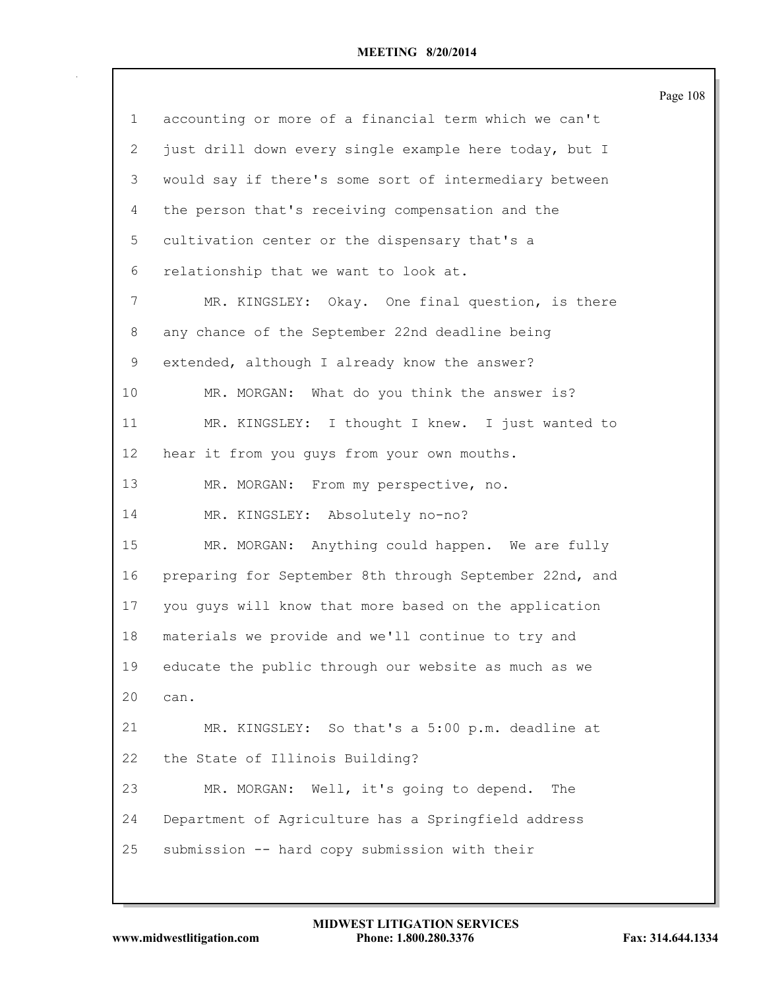|             |                                                         | Page 108 |
|-------------|---------------------------------------------------------|----------|
| $\mathbf 1$ | accounting or more of a financial term which we can't   |          |
| 2           | just drill down every single example here today, but I  |          |
| 3           | would say if there's some sort of intermediary between  |          |
| 4           | the person that's receiving compensation and the        |          |
| 5           | cultivation center or the dispensary that's a           |          |
| 6           | relationship that we want to look at.                   |          |
| 7           | MR. KINGSLEY: Okay. One final question, is there        |          |
| 8           | any chance of the September 22nd deadline being         |          |
| 9           | extended, although I already know the answer?           |          |
| 10          | MR. MORGAN: What do you think the answer is?            |          |
| 11          | MR. KINGSLEY: I thought I knew. I just wanted to        |          |
| 12          | hear it from you guys from your own mouths.             |          |
| 13          | MR. MORGAN: From my perspective, no.                    |          |
| 14          | MR. KINGSLEY: Absolutely no-no?                         |          |
| 15          | MR. MORGAN: Anything could happen. We are fully         |          |
| 16          | preparing for September 8th through September 22nd, and |          |
| 17          | you quys will know that more based on the application   |          |
| 18          | materials we provide and we'll continue to try and      |          |
| 19          | educate the public through our website as much as we    |          |
| 20          | can.                                                    |          |
| 21          | MR. KINGSLEY: So that's a 5:00 p.m. deadline at         |          |
| 22          | the State of Illinois Building?                         |          |
| 23          | Well, it's going to depend.<br>MR. MORGAN:<br>The       |          |
| 24          | Department of Agriculture has a Springfield address     |          |
| 25          | submission -- hard copy submission with their           |          |
|             |                                                         |          |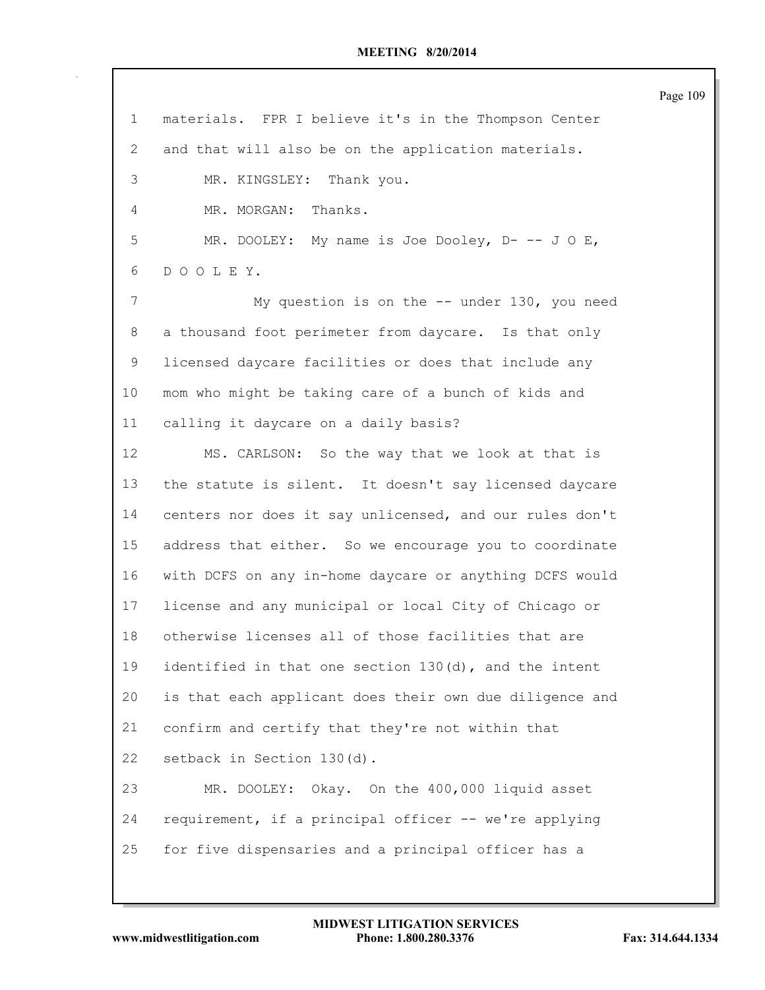| $\mathbf{1}$    | materials. FPR I believe it's in the Thompson Center    |
|-----------------|---------------------------------------------------------|
| $\mathbf{2}$    | and that will also be on the application materials.     |
| 3               | MR. KINGSLEY: Thank you.                                |
| 4               | MR. MORGAN: Thanks.                                     |
| 5               | MR. DOOLEY: My name is Joe Dooley, $D$ --- J O E,       |
| 6               | DOOLEY.                                                 |
| 7               | My question is on the $--$ under 130, you need          |
| 8               | a thousand foot perimeter from daycare. Is that only    |
| 9               | licensed daycare facilities or does that include any    |
| 10              | mom who might be taking care of a bunch of kids and     |
| 11              | calling it daycare on a daily basis?                    |
| 12 <sup>°</sup> | MS. CARLSON: So the way that we look at that is         |
| 13              | the statute is silent. It doesn't say licensed daycare  |
| 14              | centers nor does it say unlicensed, and our rules don't |
| 15              | address that either. So we encourage you to coordinate  |
| 16              | with DCFS on any in-home daycare or anything DCFS would |
| 17              | license and any municipal or local City of Chicago or   |
| 18              | otherwise licenses all of those facilities that are     |
| 19              | identified in that one section 130(d), and the intent   |
| 20              | is that each applicant does their own due diligence and |
| 21              | confirm and certify that they're not within that        |
| 22              | setback in Section 130(d).                              |
| 23              | MR. DOOLEY: Okay. On the 400,000 liquid asset           |
| 24              | requirement, if a principal officer -- we're applying   |
| 25              | for five dispensaries and a principal officer has a     |
|                 |                                                         |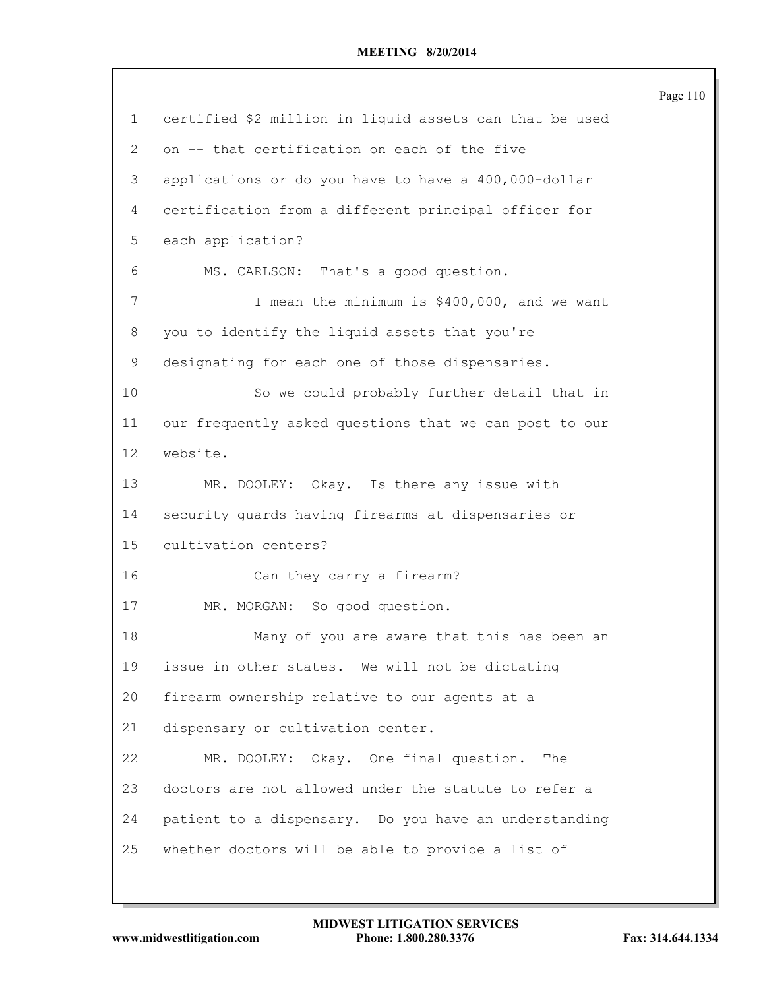| 1  | certified \$2 million in liquid assets can that be used |
|----|---------------------------------------------------------|
| 2  | on -- that certification on each of the five            |
| 3  | applications or do you have to have a 400,000-dollar    |
| 4  | certification from a different principal officer for    |
| 5  | each application?                                       |
| 6  | MS. CARLSON: That's a good question.                    |
| 7  | I mean the minimum is \$400,000, and we want            |
| 8  | you to identify the liquid assets that you're           |
| 9  | designating for each one of those dispensaries.         |
| 10 | So we could probably further detail that in             |
| 11 | our frequently asked questions that we can post to our  |
| 12 | website.                                                |
| 13 | MR. DOOLEY: Okay. Is there any issue with               |
| 14 | security guards having firearms at dispensaries or      |
| 15 | cultivation centers?                                    |
| 16 | Can they carry a firearm?                               |
| 17 | MR. MORGAN: So good question.                           |
| 18 | Many of you are aware that this has been an             |
| 19 | issue in other states. We will not be dictating         |
| 20 | firearm ownership relative to our agents at a           |
| 21 | dispensary or cultivation center.                       |
| 22 | MR. DOOLEY: Okay. One final question.<br>The            |
| 23 | doctors are not allowed under the statute to refer a    |
| 24 | patient to a dispensary. Do you have an understanding   |
| 25 | whether doctors will be able to provide a list of       |
|    |                                                         |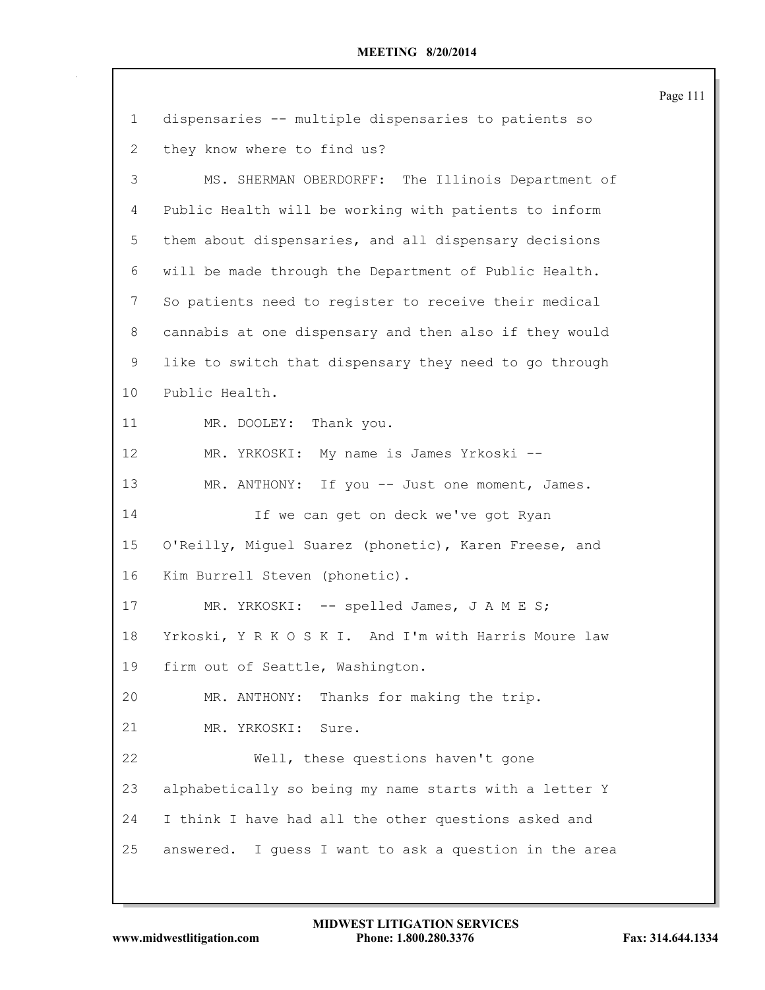| 1               | dispensaries -- multiple dispensaries to patients so   |
|-----------------|--------------------------------------------------------|
| 2               | they know where to find us?                            |
| 3               | MS. SHERMAN OBERDORFF: The Illinois Department of      |
| 4               | Public Health will be working with patients to inform  |
| 5               | them about dispensaries, and all dispensary decisions  |
| 6               | will be made through the Department of Public Health.  |
| 7               | So patients need to register to receive their medical  |
| 8               | cannabis at one dispensary and then also if they would |
| 9               | like to switch that dispensary they need to go through |
| 10 <sub>1</sub> | Public Health.                                         |
| 11              | MR. DOOLEY: Thank you.                                 |
| 12              | MR. YRKOSKI: My name is James Yrkoski --               |
| 13              | MR. ANTHONY: If you -- Just one moment, James.         |
| 14              | If we can get on deck we've got Ryan                   |
| 15              | O'Reilly, Miguel Suarez (phonetic), Karen Freese, and  |
| 16              | Kim Burrell Steven (phonetic).                         |
| 17              | MR. YRKOSKI: -- spelled James, J A M E S;              |
| 18              | Yrkoski, Y R K O S K I. And I'm with Harris Moure law  |
| 19              | firm out of Seattle, Washington.                       |
| 20              | Thanks for making the trip.<br>MR. ANTHONY:            |
| 21              | Sure.<br>MR. YRKOSKI:                                  |
| 22              | Well, these questions haven't gone                     |
| 23              | alphabetically so being my name starts with a letter Y |
| 24              | I think I have had all the other questions asked and   |
| 25              | answered. I guess I want to ask a question in the area |
|                 |                                                        |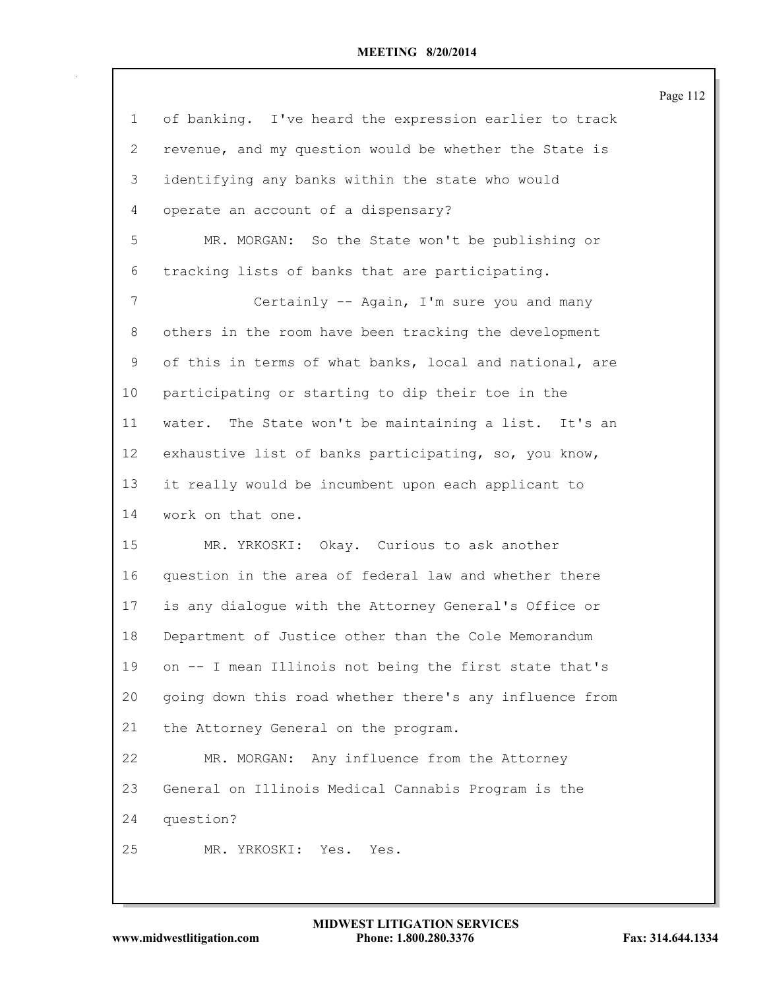| 1               | of banking. I've heard the expression earlier to track  |
|-----------------|---------------------------------------------------------|
| 2               | revenue, and my question would be whether the State is  |
| 3               | identifying any banks within the state who would        |
| 4               | operate an account of a dispensary?                     |
| 5               | MR. MORGAN: So the State won't be publishing or         |
| 6               | tracking lists of banks that are participating.         |
| 7               | Certainly -- Again, I'm sure you and many               |
| 8               | others in the room have been tracking the development   |
| 9               | of this in terms of what banks, local and national, are |
| 10              | participating or starting to dip their toe in the       |
| 11              | water. The State won't be maintaining a list. It's an   |
| 12 <sup>°</sup> | exhaustive list of banks participating, so, you know,   |
| 13              | it really would be incumbent upon each applicant to     |
| 14              | work on that one.                                       |
| 15              | MR. YRKOSKI: Okay. Curious to ask another               |
| 16              | question in the area of federal law and whether there   |
| 17              | is any dialoque with the Attorney General's Office or   |
| 18              | Department of Justice other than the Cole Memorandum    |
| 19              | on -- I mean Illinois not being the first state that's  |
| 20              | going down this road whether there's any influence from |
| 21              | the Attorney General on the program.                    |
| 22              | MR. MORGAN: Any influence from the Attorney             |
| 23              | General on Illinois Medical Cannabis Program is the     |
| 24              | question?                                               |
| 25              | MR. YRKOSKI: Yes. Yes.                                  |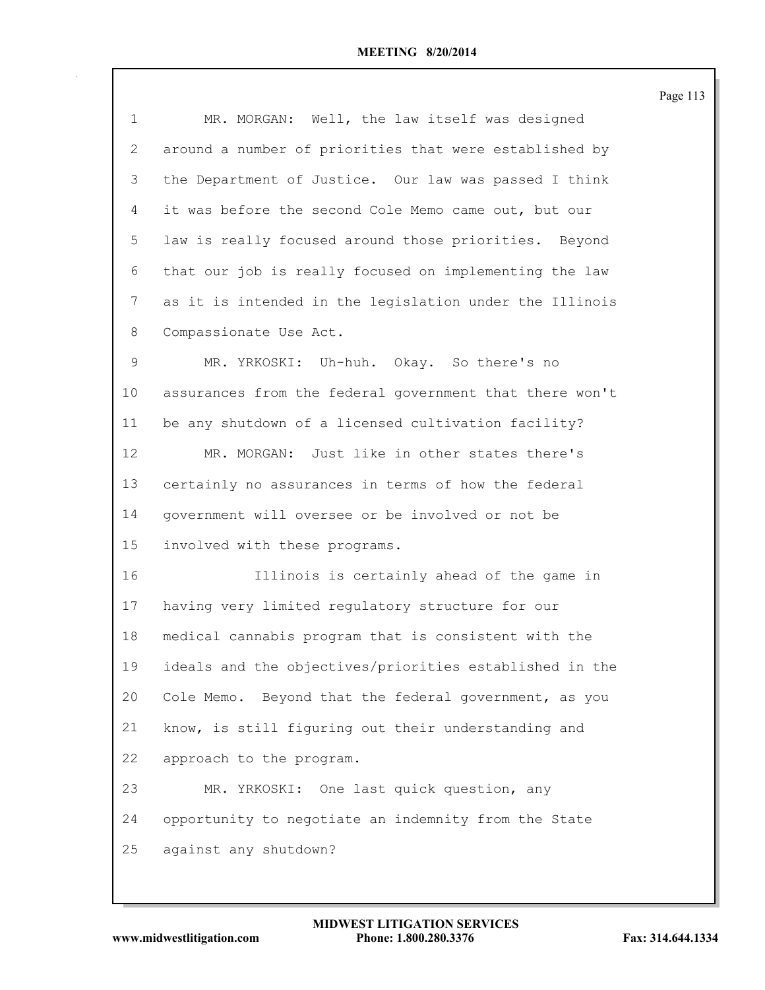| $\mathbf 1$       | MR. MORGAN: Well, the law itself was designed           |
|-------------------|---------------------------------------------------------|
| 2                 | around a number of priorities that were established by  |
| 3                 | the Department of Justice. Our law was passed I think   |
| 4                 | it was before the second Cole Memo came out, but our    |
| 5                 | law is really focused around those priorities. Beyond   |
| 6                 | that our job is really focused on implementing the law  |
| 7                 | as it is intended in the legislation under the Illinois |
| 8                 | Compassionate Use Act.                                  |
| 9                 | MR. YRKOSKI: Uh-huh. Okay. So there's no                |
| 10                | assurances from the federal government that there won't |
| 11                | be any shutdown of a licensed cultivation facility?     |
| $12 \overline{ }$ | MR. MORGAN: Just like in other states there's           |
| 13                | certainly no assurances in terms of how the federal     |
| 14                | government will oversee or be involved or not be        |
| 15                | involved with these programs.                           |
| 16                | Illinois is certainly ahead of the game in              |
| 17                | having very limited regulatory structure for our        |
| 18                | medical cannabis program that is consistent with the    |
| 19                | ideals and the objectives/priorities established in the |
| 20                | Cole Memo. Beyond that the federal government, as you   |
| 21                | know, is still figuring out their understanding and     |
| 22                | approach to the program.                                |
| 23                | MR. YRKOSKI: One last quick question, any               |
| 24                | opportunity to negotiate an indemnity from the State    |
| 25                | against any shutdown?                                   |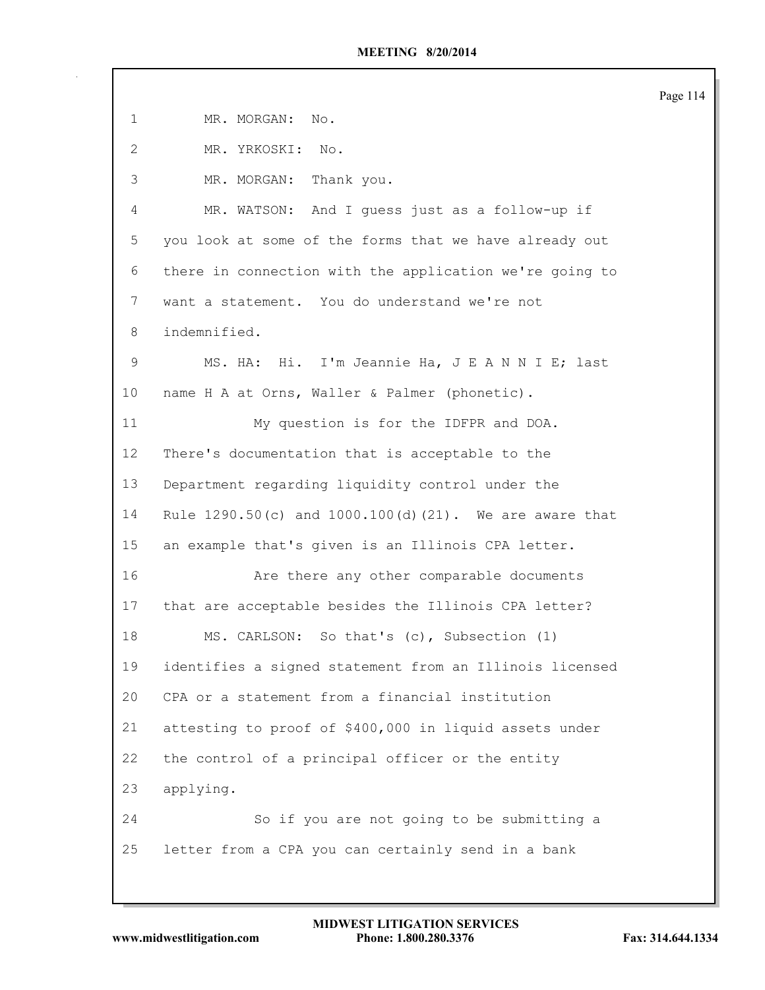|              |                                                         | Page 114 |
|--------------|---------------------------------------------------------|----------|
| $\mathbf 1$  | MR. MORGAN:<br>$\mathbb N \circ$ .                      |          |
| $\mathbf{2}$ | MR. YRKOSKI:<br>$\mathbb{N} \circ$ .                    |          |
| 3            | MR. MORGAN:<br>Thank you.                               |          |
| 4            | MR. WATSON: And I guess just as a follow-up if          |          |
| 5            | you look at some of the forms that we have already out  |          |
| 6            | there in connection with the application we're going to |          |
| 7            | want a statement. You do understand we're not           |          |
| 8            | indemnified.                                            |          |
| 9            | MS. HA: Hi. I'm Jeannie Ha, J E A N N I E; last         |          |
| 10           | name H A at Orns, Waller & Palmer (phonetic).           |          |
| 11           | My question is for the IDFPR and DOA.                   |          |
| 12           | There's documentation that is acceptable to the         |          |
| 13           | Department regarding liquidity control under the        |          |
| 14           | Rule 1290.50(c) and 1000.100(d)(21). We are aware that  |          |
| 15           | an example that's given is an Illinois CPA letter.      |          |
| 16           | Are there any other comparable documents                |          |
| 17           | that are acceptable besides the Illinois CPA letter?    |          |
| 18           | MS. CARLSON: So that's (c), Subsection (1)              |          |
| 19           | identifies a signed statement from an Illinois licensed |          |
| 20           | CPA or a statement from a financial institution         |          |
| 21           | attesting to proof of \$400,000 in liquid assets under  |          |
| 22           | the control of a principal officer or the entity        |          |
| 23           | applying.                                               |          |
| 24           | So if you are not going to be submitting a              |          |
| 25           | letter from a CPA you can certainly send in a bank      |          |
|              |                                                         |          |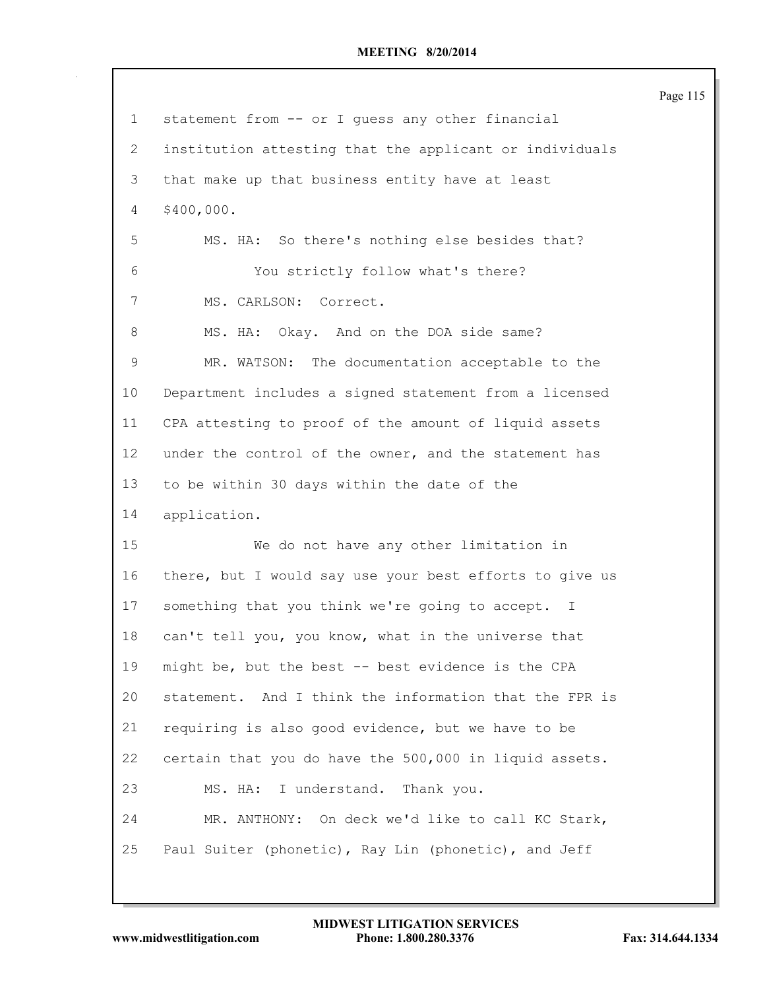| $\mathbf 1$     | statement from -- or I guess any other financial        |
|-----------------|---------------------------------------------------------|
| $\mathbf{2}$    | institution attesting that the applicant or individuals |
|                 |                                                         |
| 3               | that make up that business entity have at least         |
| 4               | \$400,000.                                              |
| 5               | MS. HA: So there's nothing else besides that?           |
| 6               | You strictly follow what's there?                       |
| 7               | MS. CARLSON: Correct.                                   |
| 8               | MS. HA: Okay. And on the DOA side same?                 |
| 9               | MR. WATSON: The documentation acceptable to the         |
| 10              | Department includes a signed statement from a licensed  |
| 11              | CPA attesting to proof of the amount of liquid assets   |
| 12 <sup>°</sup> | under the control of the owner, and the statement has   |
| 13              | to be within 30 days within the date of the             |
| 14              | application.                                            |
| 15              | We do not have any other limitation in                  |
| 16              | there, but I would say use your best efforts to give us |
| 17              | something that you think we're going to accept. I       |
| 18              | can't tell you, you know, what in the universe that     |
| 19              | might be, but the best -- best evidence is the CPA      |
| 20              | statement. And I think the information that the FPR is  |
| 21              | requiring is also good evidence, but we have to be      |
| 22              | certain that you do have the 500,000 in liquid assets.  |
| 23              | MS. HA: I understand. Thank you.                        |
| 24              | MR. ANTHONY: On deck we'd like to call KC Stark,        |
| 25              | Paul Suiter (phonetic), Ray Lin (phonetic), and Jeff    |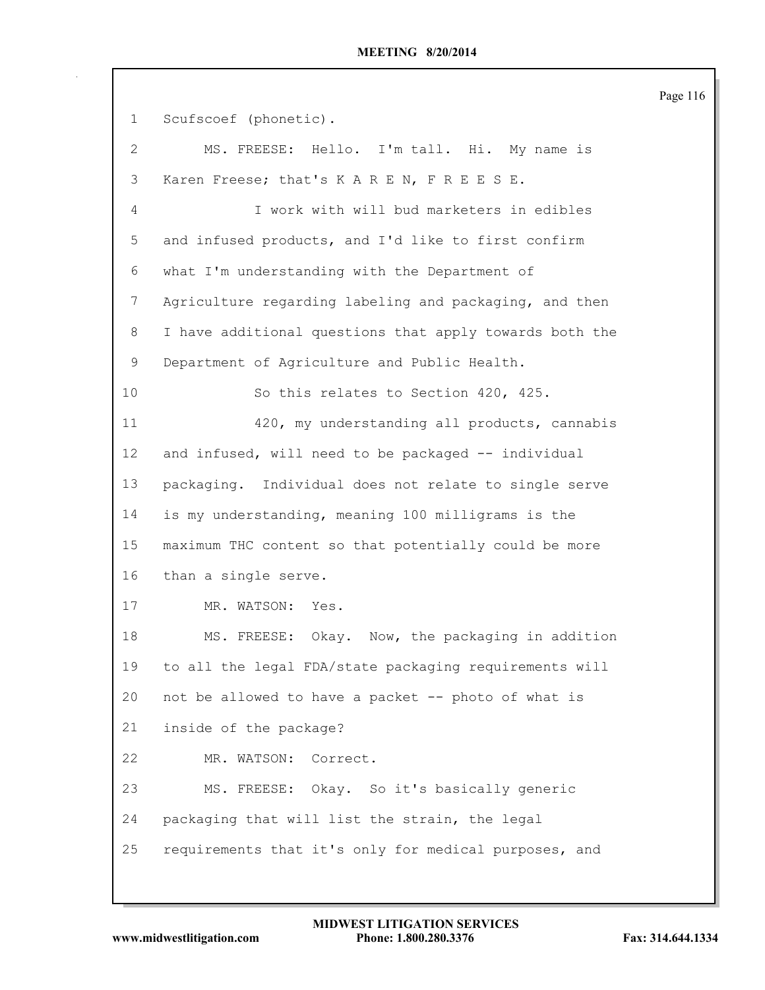```
1 Scufscoef (phonetic).
 2 MS. FREESE: Hello. I'm tall. Hi. My name is
 3 Karen Freese; that's K A R E N, F R E E S E.
 4 I work with will bud marketers in edibles
 5 and infused products, and I'd like to first confirm
 6 what I'm understanding with the Department of
 7 Agriculture regarding labeling and packaging, and then
 8 I have additional questions that apply towards both the
 9 Department of Agriculture and Public Health.
10 So this relates to Section 420, 425.
11 420, my understanding all products, cannabis
12 and infused, will need to be packaged -- individual
13 packaging. Individual does not relate to single serve
14 is my understanding, meaning 100 milligrams is the
15 maximum THC content so that potentially could be more
16 than a single serve.
17 MR. WATSON: Yes.
18 MS. FREESE: Okay. Now, the packaging in addition
19 to all the legal FDA/state packaging requirements will
20 not be allowed to have a packet -- photo of what is
21 inside of the package?
22 MR. WATSON: Correct.
23 MS. FREESE: Okay. So it's basically generic
24 packaging that will list the strain, the legal
25 requirements that it's only for medical purposes, and
```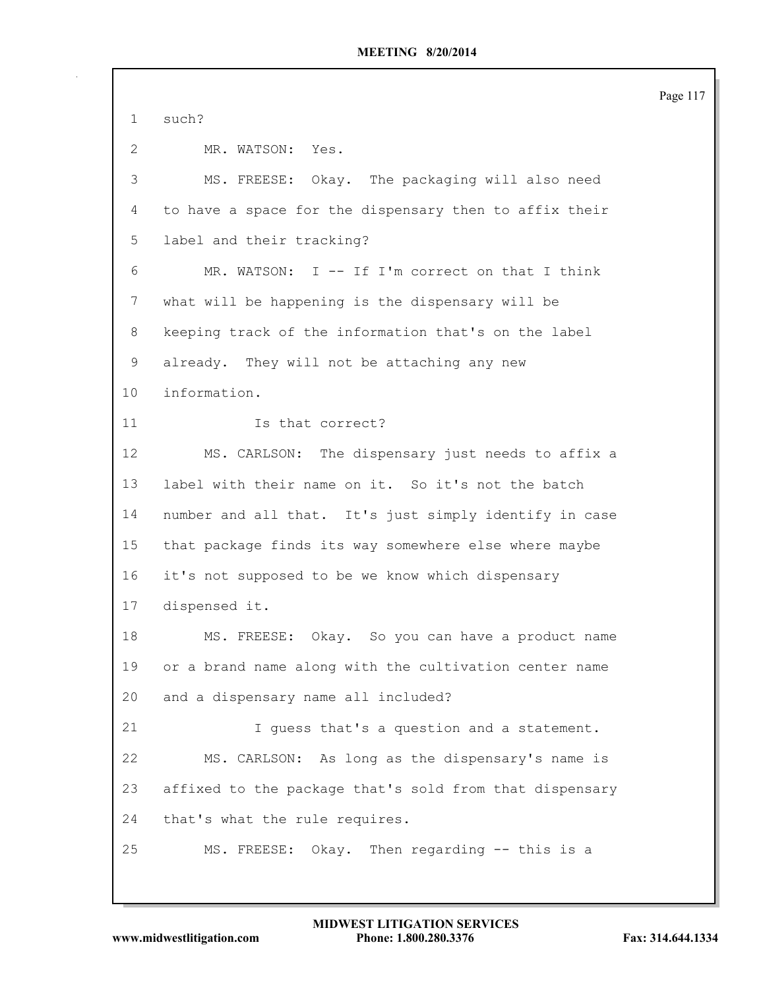Page 117 such? MR. WATSON: Yes. MS. FREESE: Okay. The packaging will also need to have a space for the dispensary then to affix their label and their tracking? MR. WATSON: I -- If I'm correct on that I think what will be happening is the dispensary will be keeping track of the information that's on the label already. They will not be attaching any new information. 11 Is that correct? MS. CARLSON: The dispensary just needs to affix a label with their name on it. So it's not the batch number and all that. It's just simply identify in case that package finds its way somewhere else where maybe it's not supposed to be we know which dispensary dispensed it. MS. FREESE: Okay. So you can have a product name or a brand name along with the cultivation center name and a dispensary name all included? I guess that's a question and a statement. MS. CARLSON: As long as the dispensary's name is affixed to the package that's sold from that dispensary that's what the rule requires. MS. FREESE: Okay. Then regarding -- this is a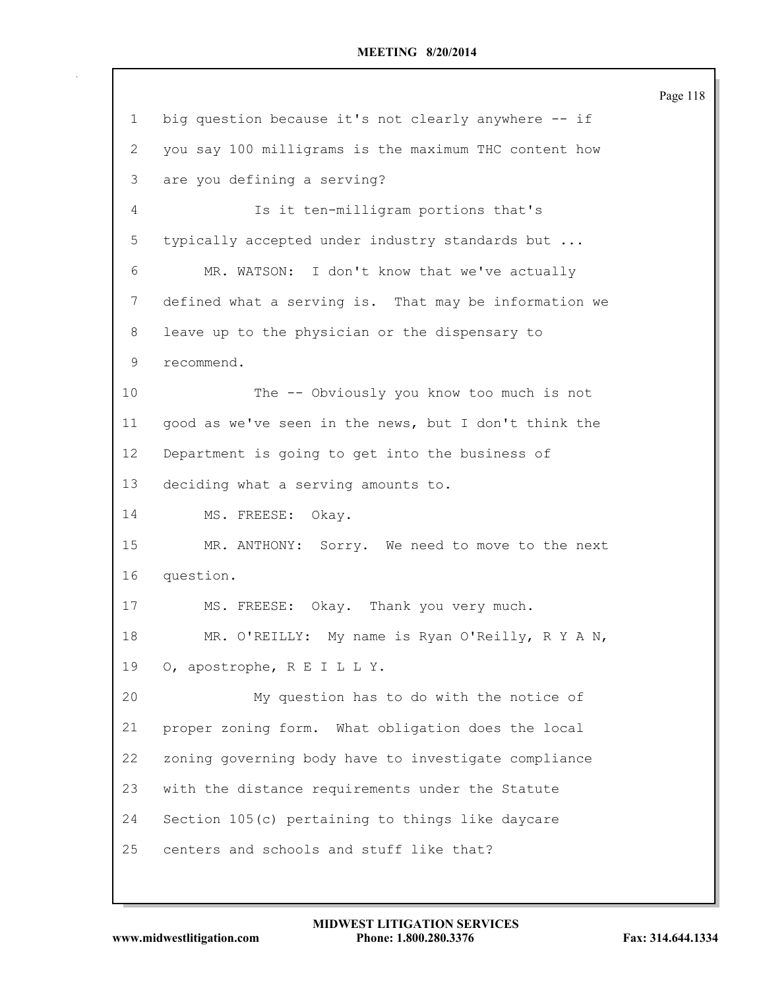big question because it's not clearly anywhere -- if you say 100 milligrams is the maximum THC content how are you defining a serving? Is it ten-milligram portions that's typically accepted under industry standards but ... MR. WATSON: I don't know that we've actually defined what a serving is. That may be information we leave up to the physician or the dispensary to recommend. The -- Obviously you know too much is not good as we've seen in the news, but I don't think the Department is going to get into the business of deciding what a serving amounts to. 14 MS. FREESE: Okay. MR. ANTHONY: Sorry. We need to move to the next question. MS. FREESE: Okay. Thank you very much. MR. O'REILLY: My name is Ryan O'Reilly, R Y A N, O, apostrophe, R E I L L Y. My question has to do with the notice of proper zoning form. What obligation does the local zoning governing body have to investigate compliance with the distance requirements under the Statute Section 105(c) pertaining to things like daycare centers and schools and stuff like that?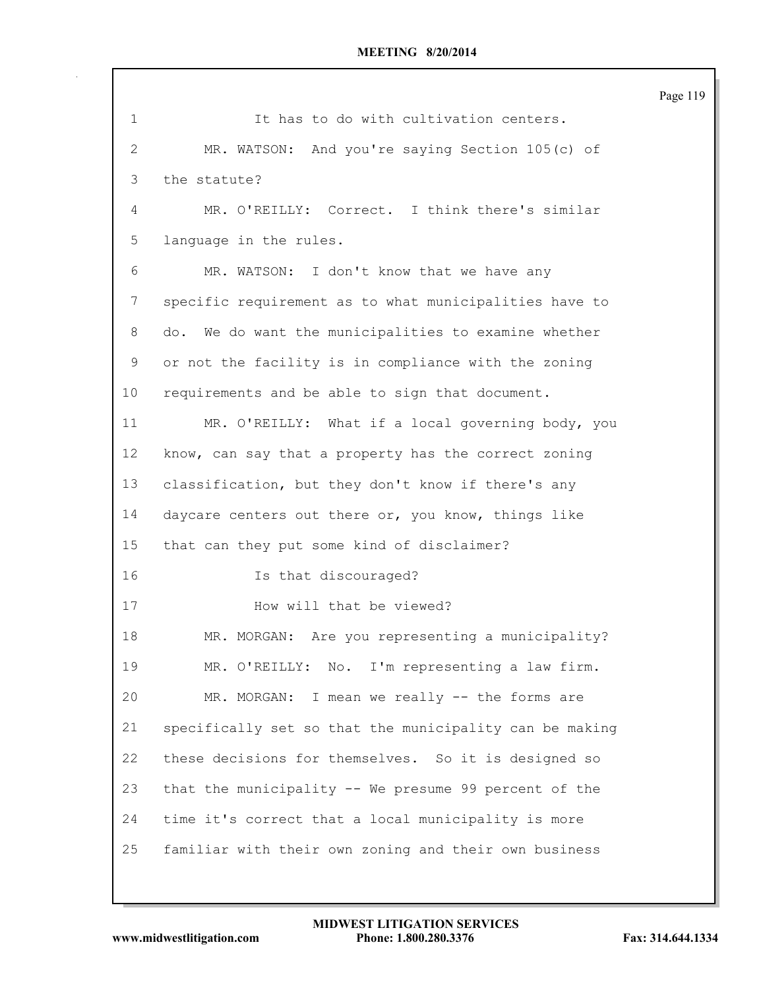| $\mathbf 1$ | It has to do with cultivation centers.                  |
|-------------|---------------------------------------------------------|
| 2           | MR. WATSON: And you're saying Section 105(c) of         |
| 3           | the statute?                                            |
| 4           | MR. O'REILLY: Correct. I think there's similar          |
| 5           | language in the rules.                                  |
| 6           | MR. WATSON: I don't know that we have any               |
| 7           | specific requirement as to what municipalities have to  |
| 8           | do. We do want the municipalities to examine whether    |
| 9           | or not the facility is in compliance with the zoning    |
| 10          | requirements and be able to sign that document.         |
| 11          | MR. O'REILLY: What if a local governing body, you       |
| 12          | know, can say that a property has the correct zoning    |
| 13          | classification, but they don't know if there's any      |
| 14          | daycare centers out there or, you know, things like     |
| 15          | that can they put some kind of disclaimer?              |
| 16          | Is that discouraged?                                    |
| 17          | How will that be viewed?                                |
| 18          | MR. MORGAN: Are you representing a municipality?        |
| 19          | MR. O'REILLY: No. I'm representing a law firm.          |
| 20          | MR. MORGAN: I mean we really -- the forms are           |
| 21          | specifically set so that the municipality can be making |
| 22          | these decisions for themselves. So it is designed so    |
| 23          | that the municipality -- We presume 99 percent of the   |
| 24          | time it's correct that a local municipality is more     |
| 25          | familiar with their own zoning and their own business   |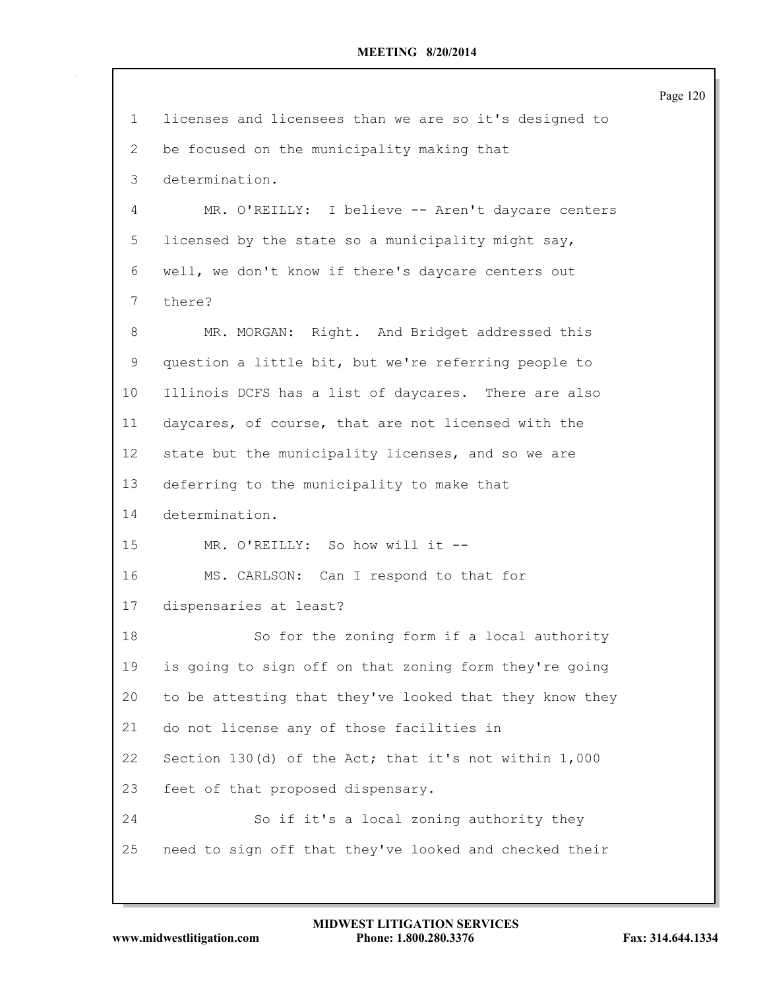|              |                                                         | Page 120 |
|--------------|---------------------------------------------------------|----------|
| $\mathbf{1}$ | licenses and licensees than we are so it's designed to  |          |
| 2            | be focused on the municipality making that              |          |
| 3            | determination.                                          |          |
| 4            | MR. O'REILLY: I believe -- Aren't daycare centers       |          |
| 5            | licensed by the state so a municipality might say,      |          |
| 6            | well, we don't know if there's daycare centers out      |          |
| 7            | there?                                                  |          |
| 8            | MR. MORGAN: Right. And Bridget addressed this           |          |
| 9            | question a little bit, but we're referring people to    |          |
| 10           | Illinois DCFS has a list of daycares. There are also    |          |
| 11           | daycares, of course, that are not licensed with the     |          |
| 12           | state but the municipality licenses, and so we are      |          |
| 13           | deferring to the municipality to make that              |          |
| 14           | determination.                                          |          |
| 15           | MR. O'REILLY: So how will it --                         |          |
| 16           | MS. CARLSON: Can I respond to that for                  |          |
| 17           | dispensaries at least?                                  |          |
| 18           | So for the zoning form if a local authority             |          |
| 19           | is going to sign off on that zoning form they're going  |          |
| 20           | to be attesting that they've looked that they know they |          |
| 21           | do not license any of those facilities in               |          |
| 22           | Section 130(d) of the Act; that it's not within $1,000$ |          |
| 23           | feet of that proposed dispensary.                       |          |
| 24           | So if it's a local zoning authority they                |          |
| 25           | need to sign off that they've looked and checked their  |          |
|              |                                                         |          |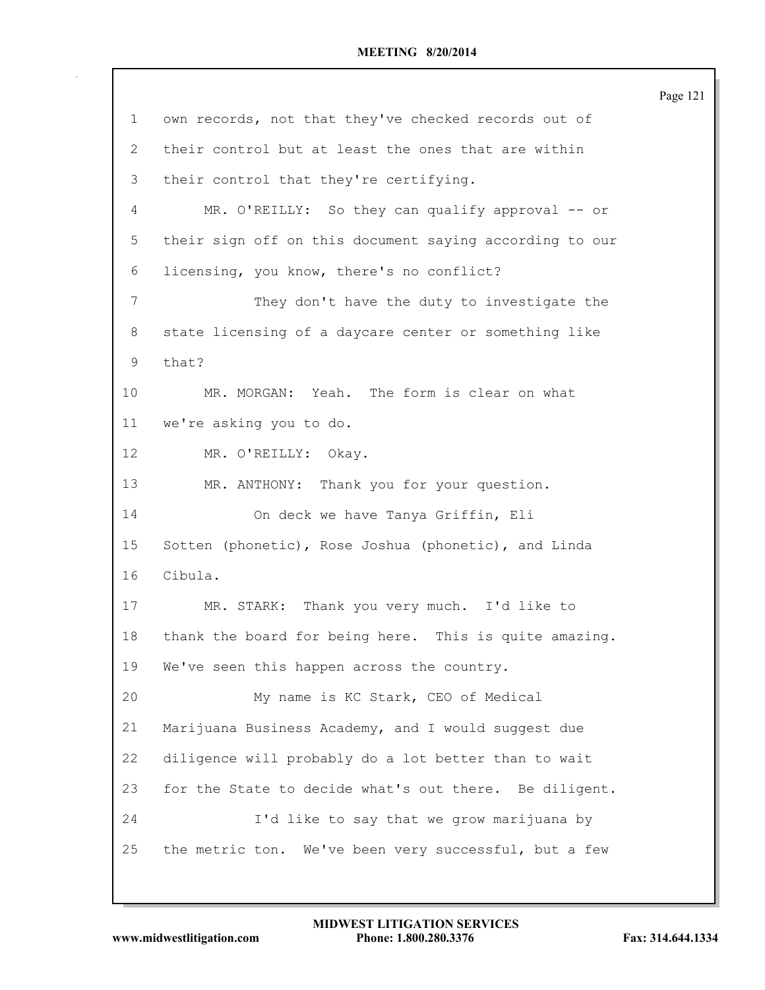|                |                                                         | Page 121 |
|----------------|---------------------------------------------------------|----------|
| $\mathbf 1$    | own records, not that they've checked records out of    |          |
| $\overline{2}$ | their control but at least the ones that are within     |          |
| 3              | their control that they're certifying.                  |          |
| 4              | MR. O'REILLY: So they can qualify approval -- or        |          |
| 5              | their sign off on this document saying according to our |          |
| 6              | licensing, you know, there's no conflict?               |          |
| 7              | They don't have the duty to investigate the             |          |
| 8              | state licensing of a daycare center or something like   |          |
| 9              | that?                                                   |          |
| 10             | MR. MORGAN: Yeah. The form is clear on what             |          |
| 11             | we're asking you to do.                                 |          |
| 12             | MR. O'REILLY: Okay.                                     |          |
| 13             | MR. ANTHONY: Thank you for your question.               |          |
| 14             | On deck we have Tanya Griffin, Eli                      |          |
| 15             | Sotten (phonetic), Rose Joshua (phonetic), and Linda    |          |
| 16             | Cibula.                                                 |          |
| 17             | MR. STARK: Thank you very much. I'd like to             |          |
| 18             | thank the board for being here. This is quite amazing.  |          |
| 19             | We've seen this happen across the country.              |          |
| 20             | My name is KC Stark, CEO of Medical                     |          |
| 21             | Marijuana Business Academy, and I would suggest due     |          |
| 22             | diligence will probably do a lot better than to wait    |          |
| 23             | for the State to decide what's out there. Be diligent.  |          |
| 24             | I'd like to say that we grow marijuana by               |          |
| 25             | the metric ton. We've been very successful, but a few   |          |
|                |                                                         |          |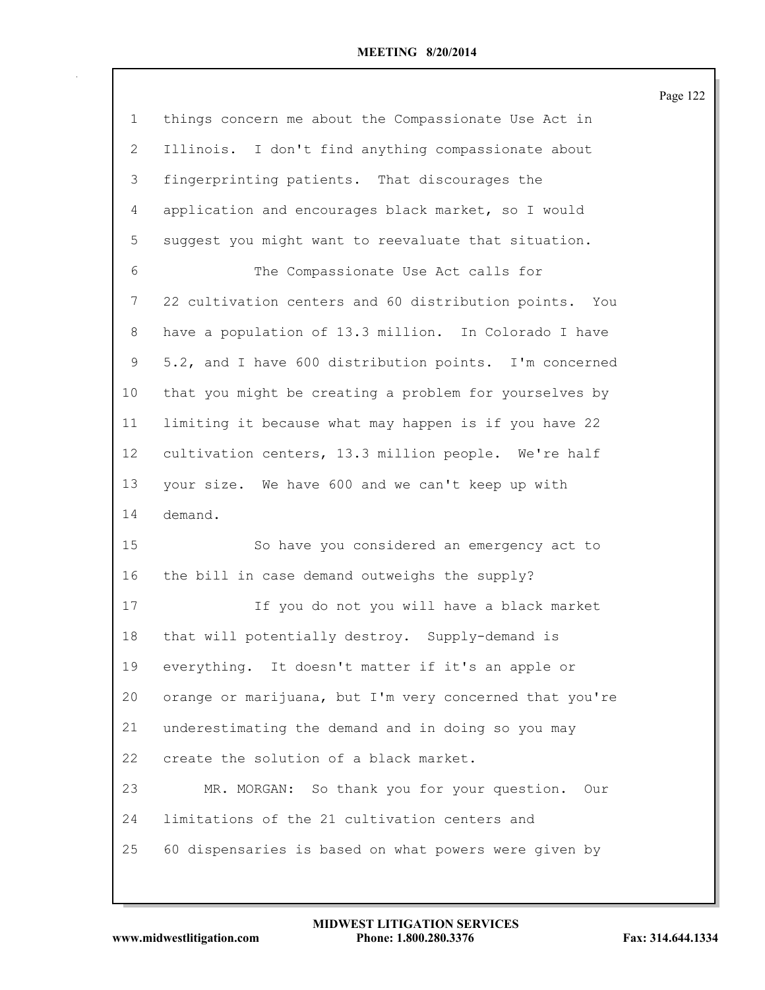| $\mathbf 1$  | things concern me about the Compassionate Use Act in    |
|--------------|---------------------------------------------------------|
| $\mathbf{2}$ | Illinois. I don't find anything compassionate about     |
| 3            | fingerprinting patients. That discourages the           |
| 4            | application and encourages black market, so I would     |
| 5            | suggest you might want to reevaluate that situation.    |
| 6            | The Compassionate Use Act calls for                     |
| 7            | 22 cultivation centers and 60 distribution points. You  |
| 8            | have a population of 13.3 million. In Colorado I have   |
| 9            | 5.2, and I have 600 distribution points. I'm concerned  |
| 10           | that you might be creating a problem for yourselves by  |
| 11           | limiting it because what may happen is if you have 22   |
| 12           | cultivation centers, 13.3 million people. We're half    |
| 13           | your size. We have 600 and we can't keep up with        |
| 14           | demand.                                                 |
| 15           | So have you considered an emergency act to              |
| 16           | the bill in case demand outweighs the supply?           |
| 17           | If you do not you will have a black market              |
| 18           | that will potentially destroy. Supply-demand is         |
| 19           | everything. It doesn't matter if it's an apple or       |
| 20           | orange or marijuana, but I'm very concerned that you're |
| 21           | underestimating the demand and in doing so you may      |
| 22           | create the solution of a black market.                  |
| 23           | MR. MORGAN: So thank you for your question.<br>Our      |
| 24           | limitations of the 21 cultivation centers and           |
| 25           | 60 dispensaries is based on what powers were given by   |
|              |                                                         |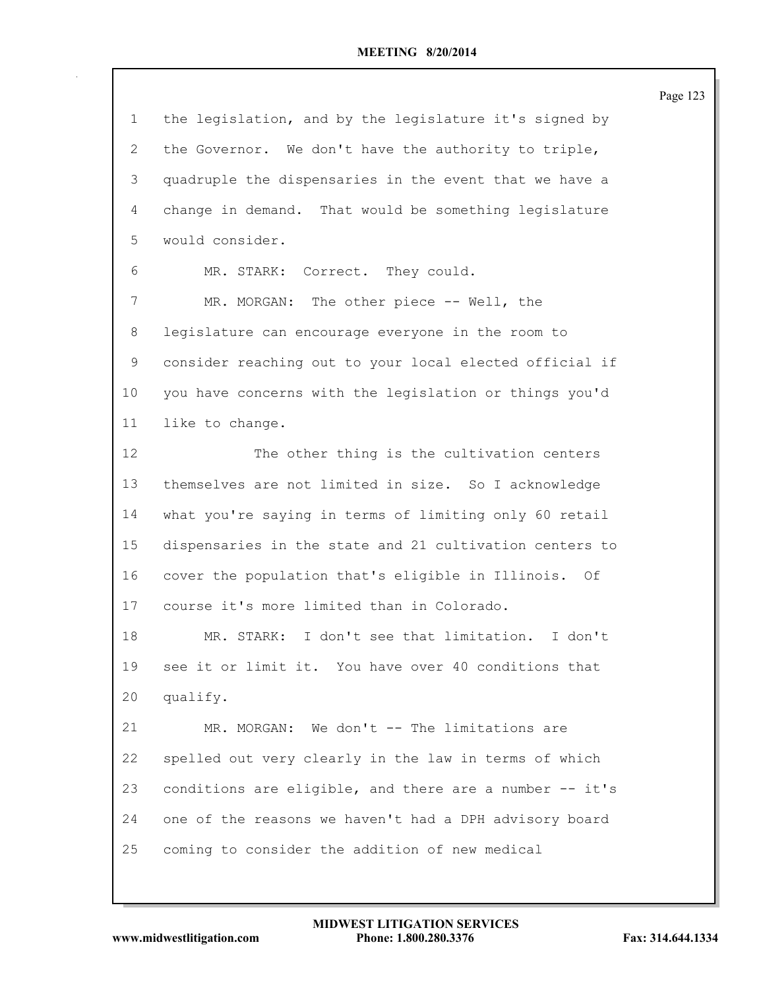| $\mathbf{1}$ | the legislation, and by the legislature it's signed by  |
|--------------|---------------------------------------------------------|
| 2            | the Governor. We don't have the authority to triple,    |
| 3            | quadruple the dispensaries in the event that we have a  |
| 4            | change in demand. That would be something legislature   |
| 5            | would consider.                                         |
| 6            | MR. STARK: Correct. They could.                         |
| 7            | MR. MORGAN: The other piece -- Well, the                |
| 8            | legislature can encourage everyone in the room to       |
| 9            | consider reaching out to your local elected official if |
| $10 \,$      | you have concerns with the legislation or things you'd  |
| 11           | like to change.                                         |
| 12           | The other thing is the cultivation centers              |
| 13           | themselves are not limited in size. So I acknowledge    |
| 14           | what you're saying in terms of limiting only 60 retail  |
| 15           | dispensaries in the state and 21 cultivation centers to |
| 16           | cover the population that's eligible in Illinois. Of    |
| 17           | course it's more limited than in Colorado.              |
| 18           | I don't see that limitation. I don't<br>MR. STARK:      |
| 19           | see it or limit it. You have over 40 conditions that    |
| 20           | qualify.                                                |
| 21           | MR. MORGAN: We don't -- The limitations are             |
| 22           | spelled out very clearly in the law in terms of which   |
| 23           | conditions are eligible, and there are a number -- it's |
| 24           | one of the reasons we haven't had a DPH advisory board  |
| 25           | coming to consider the addition of new medical          |
|              |                                                         |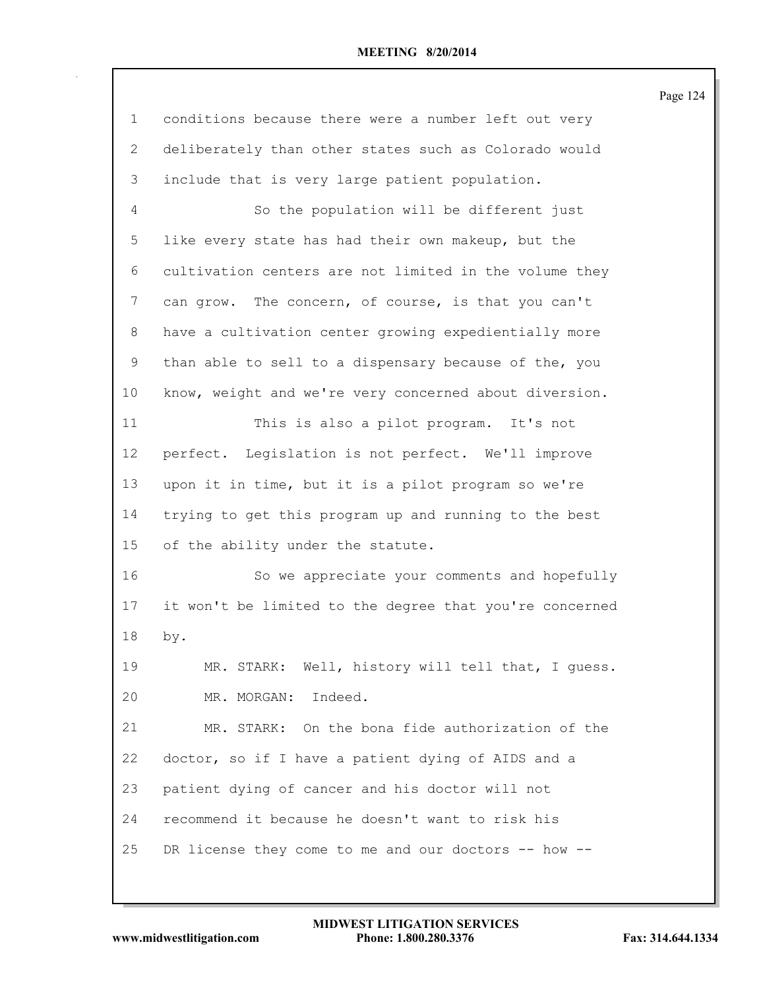conditions because there were a number left out very deliberately than other states such as Colorado would include that is very large patient population. So the population will be different just like every state has had their own makeup, but the cultivation centers are not limited in the volume they can grow. The concern, of course, is that you can't have a cultivation center growing expedientially more than able to sell to a dispensary because of the, you know, weight and we're very concerned about diversion. This is also a pilot program. It's not perfect. Legislation is not perfect. We'll improve upon it in time, but it is a pilot program so we're trying to get this program up and running to the best of the ability under the statute. So we appreciate your comments and hopefully it won't be limited to the degree that you're concerned by. MR. STARK: Well, history will tell that, I guess. MR. MORGAN: Indeed. MR. STARK: On the bona fide authorization of the doctor, so if I have a patient dying of AIDS and a patient dying of cancer and his doctor will not recommend it because he doesn't want to risk his DR license they come to me and our doctors -- how --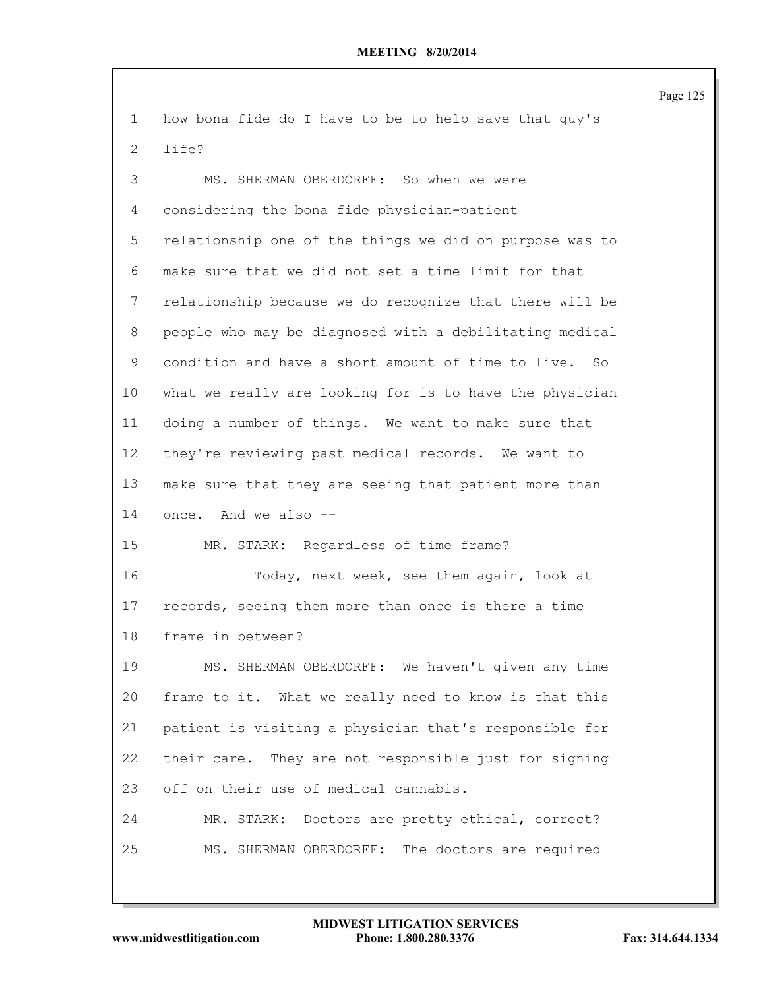| 1               | how bona fide do I have to be to help save that guy's    |
|-----------------|----------------------------------------------------------|
| 2               | life?                                                    |
| 3               | MS. SHERMAN OBERDORFF: So when we were                   |
| 4               | considering the bona fide physician-patient              |
| 5               | relationship one of the things we did on purpose was to  |
| 6               | make sure that we did not set a time limit for that      |
| 7               | relationship because we do recognize that there will be  |
| 8               | people who may be diagnosed with a debilitating medical  |
| 9               | condition and have a short amount of time to live.<br>So |
| 10              | what we really are looking for is to have the physician  |
| 11              | doing a number of things. We want to make sure that      |
| 12 <sup>°</sup> | they're reviewing past medical records. We want to       |
| 13              | make sure that they are seeing that patient more than    |
| 14              | once. And we also --                                     |
| 15              | MR. STARK: Regardless of time frame?                     |
| 16              | Today, next week, see them again, look at                |
| 17              | records, seeing them more than once is there a time      |
| 18              | frame in between?                                        |
| 19              | MS. SHERMAN OBERDORFF: We haven't given any time         |
| 20              | frame to it. What we really need to know is that this    |
| 21              | patient is visiting a physician that's responsible for   |
| 22              | their care. They are not responsible just for signing    |
| 23              | off on their use of medical cannabis.                    |
| 24              | MR. STARK: Doctors are pretty ethical, correct?          |
| 25              | MS. SHERMAN OBERDORFF: The doctors are required          |
|                 |                                                          |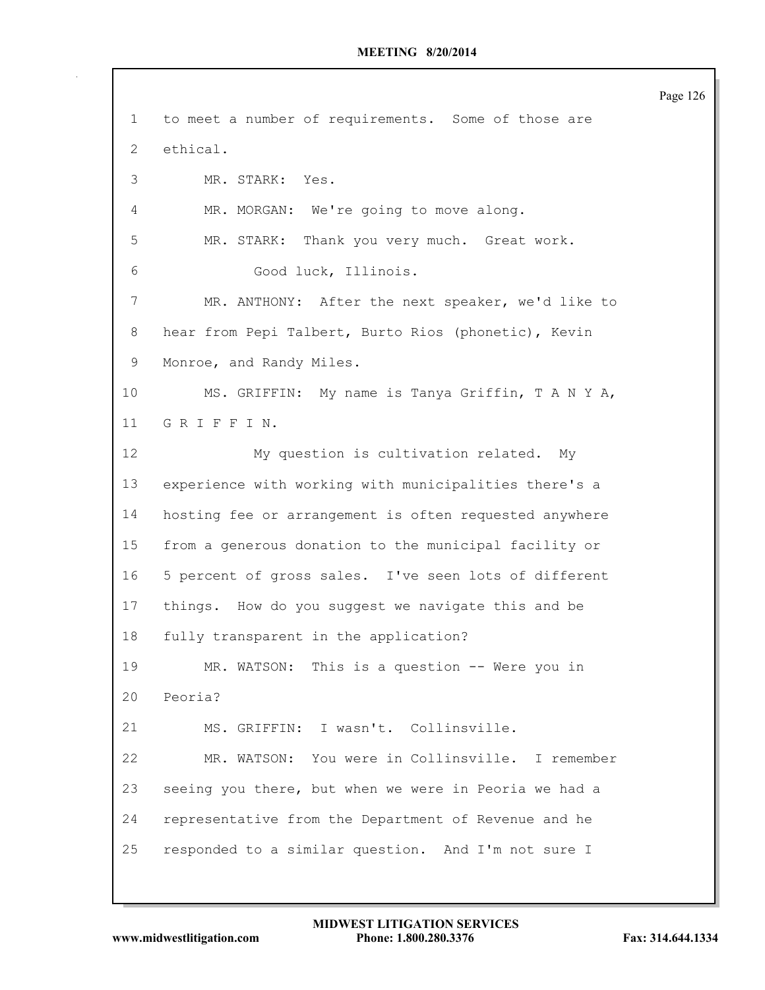Page 126 to meet a number of requirements. Some of those are ethical. MR. STARK: Yes. MR. MORGAN: We're going to move along. MR. STARK: Thank you very much. Great work. Good luck, Illinois. MR. ANTHONY: After the next speaker, we'd like to hear from Pepi Talbert, Burto Rios (phonetic), Kevin Monroe, and Randy Miles. MS. GRIFFIN: My name is Tanya Griffin, T A N Y A, G R I F F I N. My question is cultivation related. My experience with working with municipalities there's a hosting fee or arrangement is often requested anywhere from a generous donation to the municipal facility or 5 percent of gross sales. I've seen lots of different things. How do you suggest we navigate this and be fully transparent in the application? MR. WATSON: This is a question -- Were you in Peoria? MS. GRIFFIN: I wasn't. Collinsville. MR. WATSON: You were in Collinsville. I remember seeing you there, but when we were in Peoria we had a representative from the Department of Revenue and he responded to a similar question. And I'm not sure I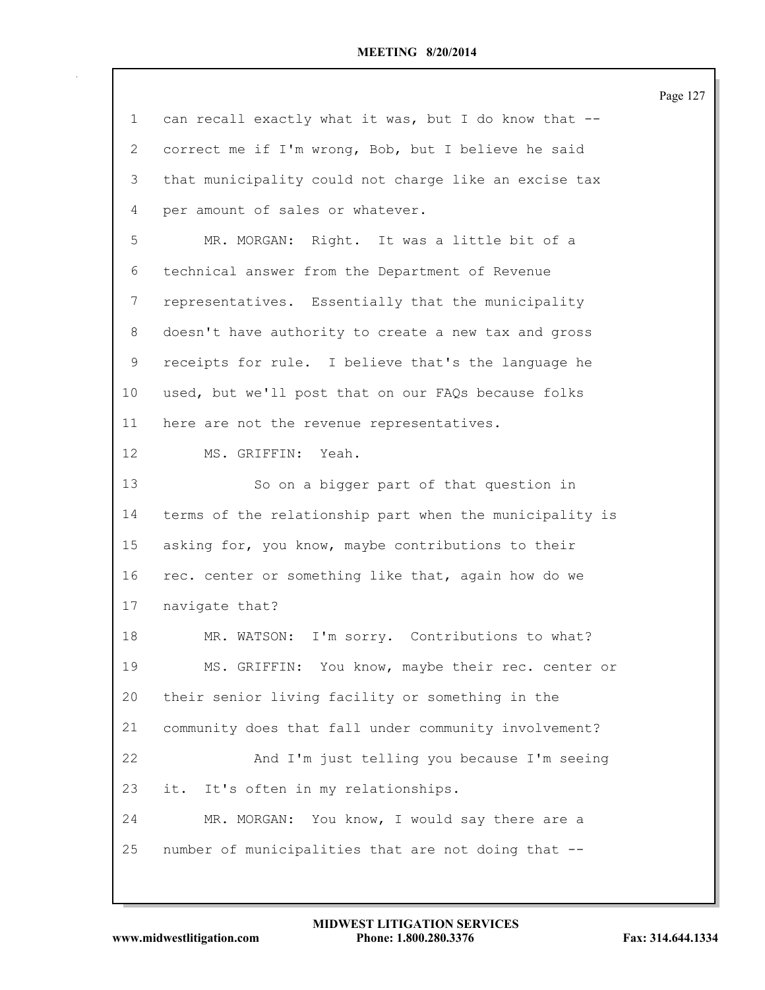| 1            | can recall exactly what it was, but I do know that --   |
|--------------|---------------------------------------------------------|
| $\mathbf{2}$ | correct me if I'm wrong, Bob, but I believe he said     |
| 3            | that municipality could not charge like an excise tax   |
| 4            | per amount of sales or whatever.                        |
| 5            | MR. MORGAN: Right. It was a little bit of a             |
| 6            | technical answer from the Department of Revenue         |
| 7            | representatives. Essentially that the municipality      |
| 8            | doesn't have authority to create a new tax and gross    |
| 9            | receipts for rule. I believe that's the language he     |
| 10           | used, but we'll post that on our FAQs because folks     |
| 11           | here are not the revenue representatives.               |
| 12           | MS. GRIFFIN: Yeah.                                      |
| 13           | So on a bigger part of that question in                 |
| 14           | terms of the relationship part when the municipality is |
| 15           | asking for, you know, maybe contributions to their      |
| 16           | rec. center or something like that, again how do we     |
| 17           | navigate that?                                          |
| 18           | I'm sorry. Contributions to what?<br>MR. WATSON:        |
| 19           | MS. GRIFFIN: You know, maybe their rec. center or       |
| 20           | their senior living facility or something in the        |
| 21           | community does that fall under community involvement?   |
| 22           | And I'm just telling you because I'm seeing             |
| 23           | it. It's often in my relationships.                     |
| 24           | MR. MORGAN: You know, I would say there are a           |
| 25           | number of municipalities that are not doing that --     |
|              |                                                         |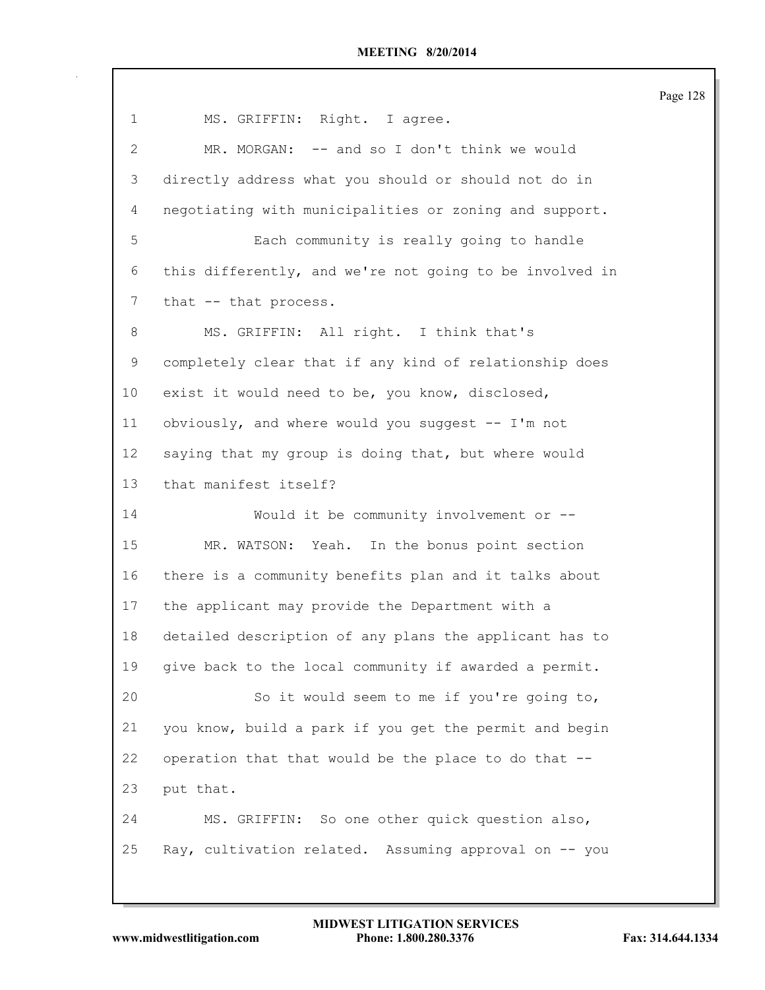Page 128 MS. GRIFFIN: Right. I agree. MR. MORGAN: -- and so I don't think we would directly address what you should or should not do in negotiating with municipalities or zoning and support. Each community is really going to handle this differently, and we're not going to be involved in 7 that -- that process. MS. GRIFFIN: All right. I think that's completely clear that if any kind of relationship does exist it would need to be, you know, disclosed, obviously, and where would you suggest -- I'm not saying that my group is doing that, but where would that manifest itself? Would it be community involvement or -- MR. WATSON: Yeah. In the bonus point section there is a community benefits plan and it talks about the applicant may provide the Department with a detailed description of any plans the applicant has to give back to the local community if awarded a permit. So it would seem to me if you're going to, you know, build a park if you get the permit and begin operation that that would be the place to do that -- put that. MS. GRIFFIN: So one other quick question also, Ray, cultivation related. Assuming approval on -- you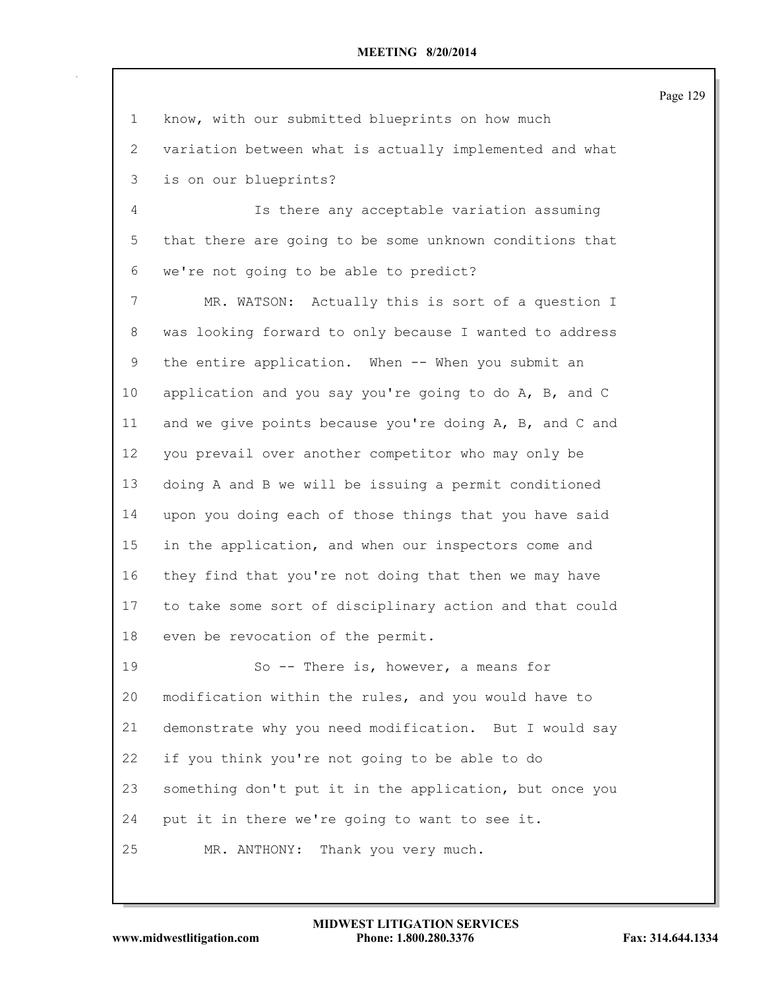| 1  | know, with our submitted blueprints on how much         |
|----|---------------------------------------------------------|
| 2  | variation between what is actually implemented and what |
| 3  | is on our blueprints?                                   |
| 4  | Is there any acceptable variation assuming              |
| 5  | that there are going to be some unknown conditions that |
| 6  | we're not going to be able to predict?                  |
| 7  | MR. WATSON: Actually this is sort of a question I       |
| 8  | was looking forward to only because I wanted to address |
| 9  | the entire application. When -- When you submit an      |
| 10 | application and you say you're going to do A, B, and C  |
| 11 | and we give points because you're doing A, B, and C and |
| 12 | you prevail over another competitor who may only be     |
| 13 | doing A and B we will be issuing a permit conditioned   |
| 14 | upon you doing each of those things that you have said  |
| 15 | in the application, and when our inspectors come and    |
| 16 | they find that you're not doing that then we may have   |
| 17 | to take some sort of disciplinary action and that could |
| 18 | even be revocation of the permit.                       |
| 19 | So $-$ - There is, however, a means for                 |
| 20 | modification within the rules, and you would have to    |
| 21 | demonstrate why you need modification. But I would say  |
| 22 | if you think you're not going to be able to do          |
| 23 | something don't put it in the application, but once you |
| 24 | put it in there we're going to want to see it.          |
| 25 | Thank you very much.<br>MR. ANTHONY:                    |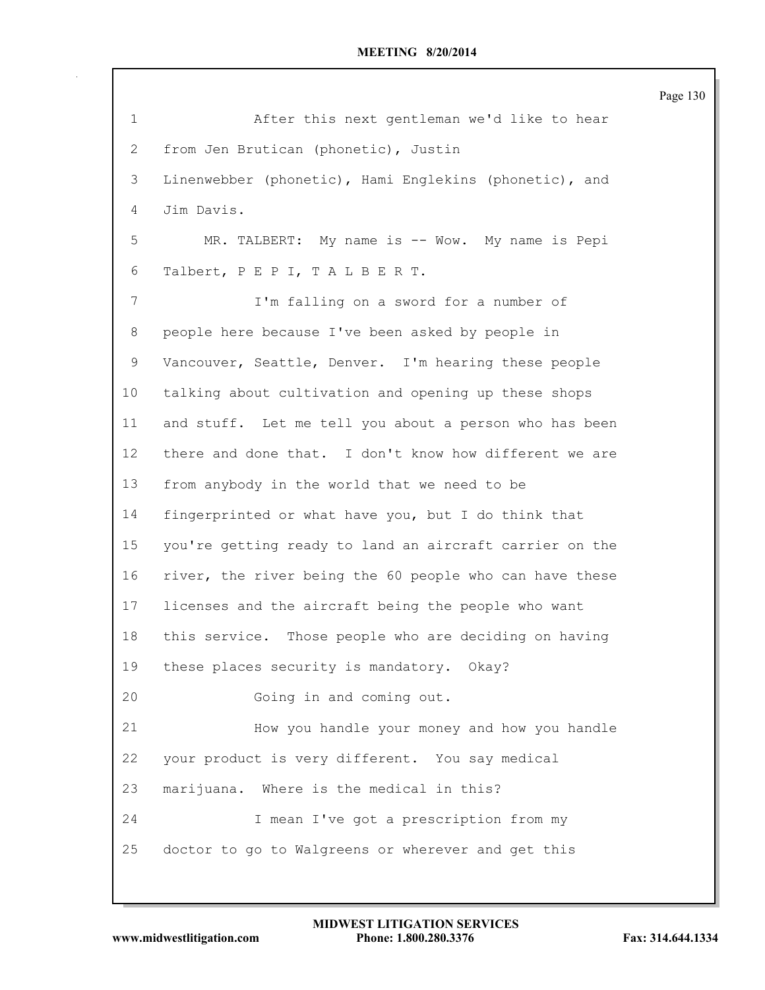| $\mathbf{1}$    | After this next gentleman we'd like to hear             |
|-----------------|---------------------------------------------------------|
| $\mathbf{2}$    | from Jen Brutican (phonetic), Justin                    |
| 3               | Linenwebber (phonetic), Hami Englekins (phonetic), and  |
| 4               | Jim Davis.                                              |
| 5               | MR. TALBERT: My name is -- Wow. My name is Pepi         |
| 6               | Talbert, PEPI, TALBERT.                                 |
| 7               | I'm falling on a sword for a number of                  |
| 8               | people here because I've been asked by people in        |
| 9               | Vancouver, Seattle, Denver. I'm hearing these people    |
| 10 <sup>°</sup> | talking about cultivation and opening up these shops    |
| 11              | and stuff. Let me tell you about a person who has been  |
| 12 <sup>°</sup> | there and done that. I don't know how different we are  |
| 13              | from anybody in the world that we need to be            |
| 14              | fingerprinted or what have you, but I do think that     |
| 15              | you're getting ready to land an aircraft carrier on the |
| 16              | river, the river being the 60 people who can have these |
| 17              | licenses and the aircraft being the people who want     |
| 18              | this service. Those people who are deciding on having   |
| 19              | these places security is mandatory. Okay?               |
| 20              | Going in and coming out.                                |
| 21              | How you handle your money and how you handle            |
| 22              | your product is very different. You say medical         |
| 23              | marijuana. Where is the medical in this?                |
| 24              | I mean I've got a prescription from my                  |
| 25              | doctor to go to Walgreens or wherever and get this      |
|                 |                                                         |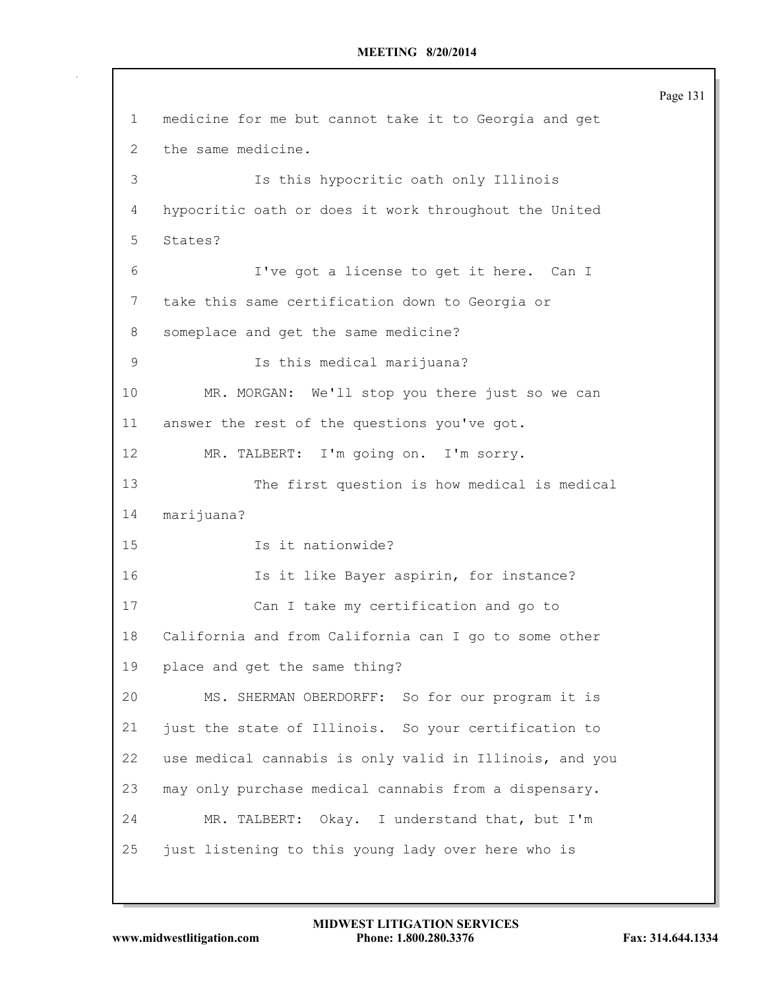Page 131 medicine for me but cannot take it to Georgia and get the same medicine. Is this hypocritic oath only Illinois hypocritic oath or does it work throughout the United States? I've got a license to get it here. Can I take this same certification down to Georgia or someplace and get the same medicine? Is this medical marijuana? MR. MORGAN: We'll stop you there just so we can answer the rest of the questions you've got. MR. TALBERT: I'm going on. I'm sorry. The first question is how medical is medical marijuana? Is it nationwide? **Is it like Bayer aspirin, for instance?**  Can I take my certification and go to California and from California can I go to some other place and get the same thing? MS. SHERMAN OBERDORFF: So for our program it is just the state of Illinois. So your certification to use medical cannabis is only valid in Illinois, and you may only purchase medical cannabis from a dispensary. MR. TALBERT: Okay. I understand that, but I'm just listening to this young lady over here who is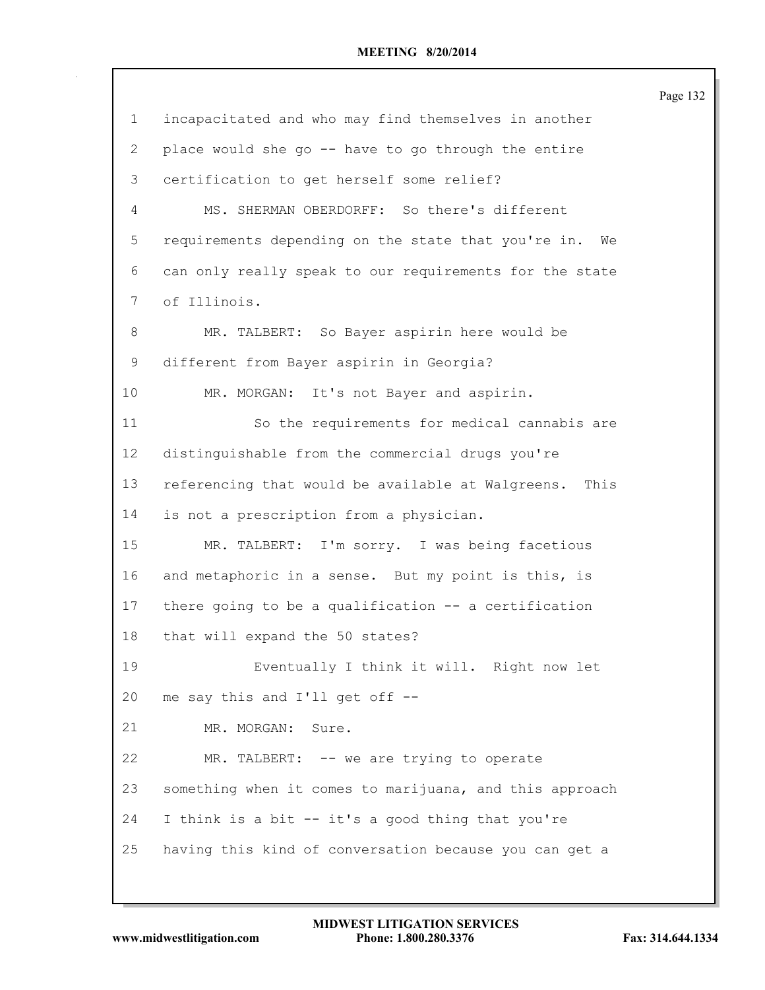| $\mathbf{1}$    | incapacitated and who may find themselves in another      |
|-----------------|-----------------------------------------------------------|
| 2               | place would she go -- have to go through the entire       |
| 3               | certification to get herself some relief?                 |
| 4               | MS. SHERMAN OBERDORFF: So there's different               |
| 5               | requirements depending on the state that you're in.<br>We |
| 6               | can only really speak to our requirements for the state   |
| 7               | of Illinois.                                              |
| 8               | MR. TALBERT: So Bayer aspirin here would be               |
| 9               | different from Bayer aspirin in Georgia?                  |
| 10              | MR. MORGAN: It's not Bayer and aspirin.                   |
| 11              | So the requirements for medical cannabis are              |
| 12 <sup>°</sup> | distinguishable from the commercial drugs you're          |
| 13              | referencing that would be available at Walgreens.<br>This |
| 14              | is not a prescription from a physician.                   |
| 15              | MR. TALBERT: I'm sorry. I was being facetious             |
| 16              | and metaphoric in a sense. But my point is this, is       |
| 17              | there going to be a qualification $-$ a certification     |
| 18              | that will expand the 50 states?                           |
| 19              | Eventually I think it will. Right now let                 |
| 20              | me say this and I'll get off --                           |
| 21              | MR. MORGAN: Sure.                                         |
| 22              | MR. TALBERT: -- we are trying to operate                  |
| 23              | something when it comes to marijuana, and this approach   |
| 24              | I think is a bit -- it's a good thing that you're         |
| 25              | having this kind of conversation because you can get a    |
|                 |                                                           |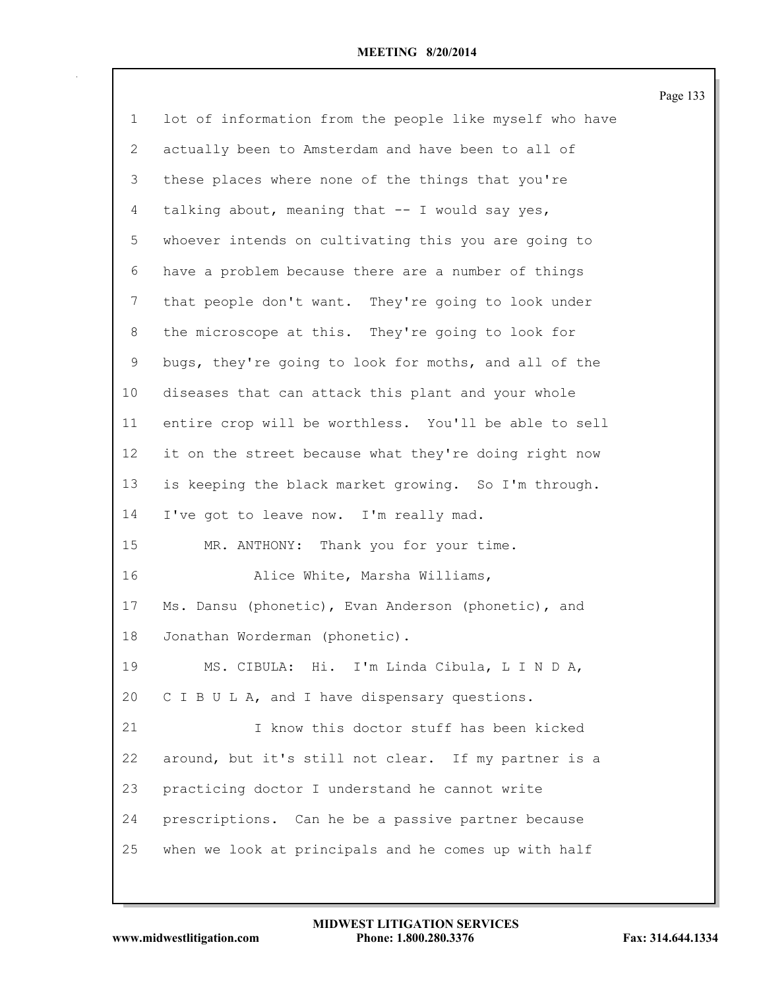| 1  | lot of information from the people like myself who have |
|----|---------------------------------------------------------|
| 2  | actually been to Amsterdam and have been to all of      |
| 3  | these places where none of the things that you're       |
| 4  | talking about, meaning that $-$ I would say yes,        |
| 5  | whoever intends on cultivating this you are going to    |
| 6  | have a problem because there are a number of things     |
| 7  | that people don't want. They're going to look under     |
| 8  | the microscope at this. They're going to look for       |
| 9  | bugs, they're going to look for moths, and all of the   |
| 10 | diseases that can attack this plant and your whole      |
| 11 | entire crop will be worthless. You'll be able to sell   |
| 12 | it on the street because what they're doing right now   |
| 13 | is keeping the black market growing. So I'm through.    |
| 14 | I've got to leave now. I'm really mad.                  |
| 15 | MR. ANTHONY: Thank you for your time.                   |
| 16 | Alice White, Marsha Williams,                           |
| 17 | Ms. Dansu (phonetic), Evan Anderson (phonetic), and     |
| 18 | Jonathan Worderman (phonetic).                          |
| 19 | MS. CIBULA: Hi. I'm Linda Cibula, L I N D A,            |
| 20 | C I B U L A, and I have dispensary questions.           |
| 21 | I know this doctor stuff has been kicked                |
| 22 | around, but it's still not clear. If my partner is a    |
| 23 | practicing doctor I understand he cannot write          |
| 24 | prescriptions. Can he be a passive partner because      |
| 25 | when we look at principals and he comes up with half    |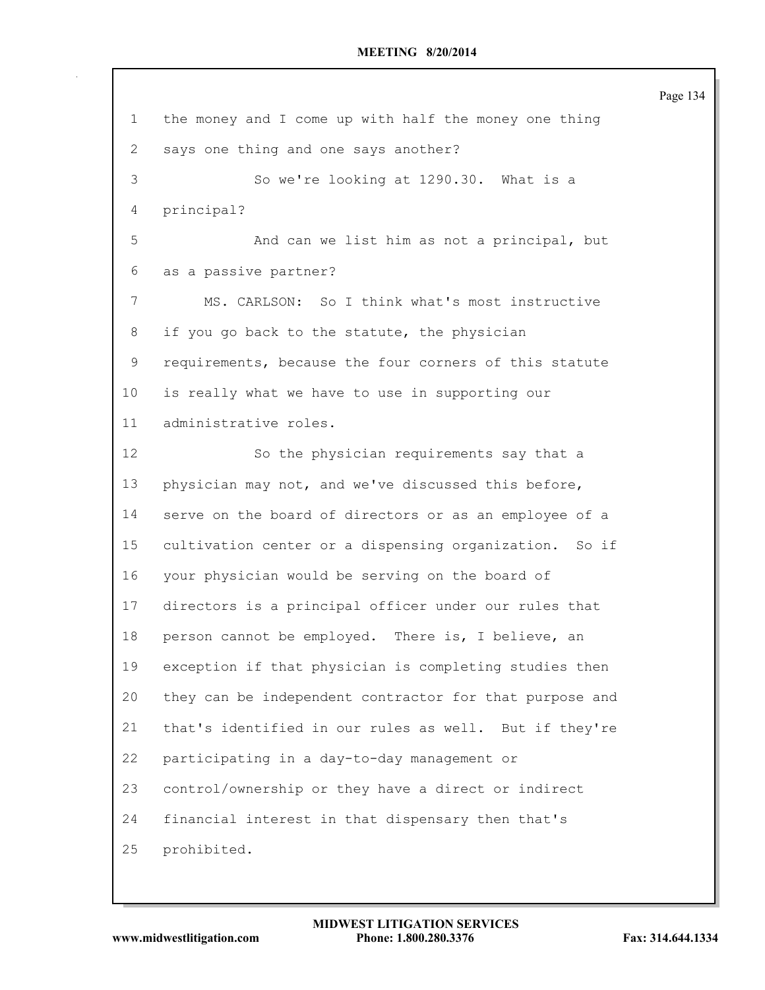|                |                                                         | Page 134 |
|----------------|---------------------------------------------------------|----------|
| $\mathbf 1$    | the money and I come up with half the money one thing   |          |
| $\mathbf{2}$   | says one thing and one says another?                    |          |
| 3              | So we're looking at 1290.30. What is a                  |          |
| $\overline{4}$ | principal?                                              |          |
| 5              | And can we list him as not a principal, but             |          |
| 6              | as a passive partner?                                   |          |
| $7\phantom{.}$ | MS. CARLSON: So I think what's most instructive         |          |
| 8              | if you go back to the statute, the physician            |          |
| $\mathsf 9$    | requirements, because the four corners of this statute  |          |
| 10             | is really what we have to use in supporting our         |          |
| 11             | administrative roles.                                   |          |
| 12             | So the physician requirements say that a                |          |
| 13             | physician may not, and we've discussed this before,     |          |
| 14             | serve on the board of directors or as an employee of a  |          |
| 15             | cultivation center or a dispensing organization. So if  |          |
| 16             | your physician would be serving on the board of         |          |
| 17             | directors is a principal officer under our rules that   |          |
| 18             | person cannot be employed. There is, I believe, an      |          |
| 19             | exception if that physician is completing studies then  |          |
| 20             | they can be independent contractor for that purpose and |          |
| 21             | that's identified in our rules as well. But if they're  |          |
| 22             | participating in a day-to-day management or             |          |
| 23             | control/ownership or they have a direct or indirect     |          |
| 24             | financial interest in that dispensary then that's       |          |
| 25             | prohibited.                                             |          |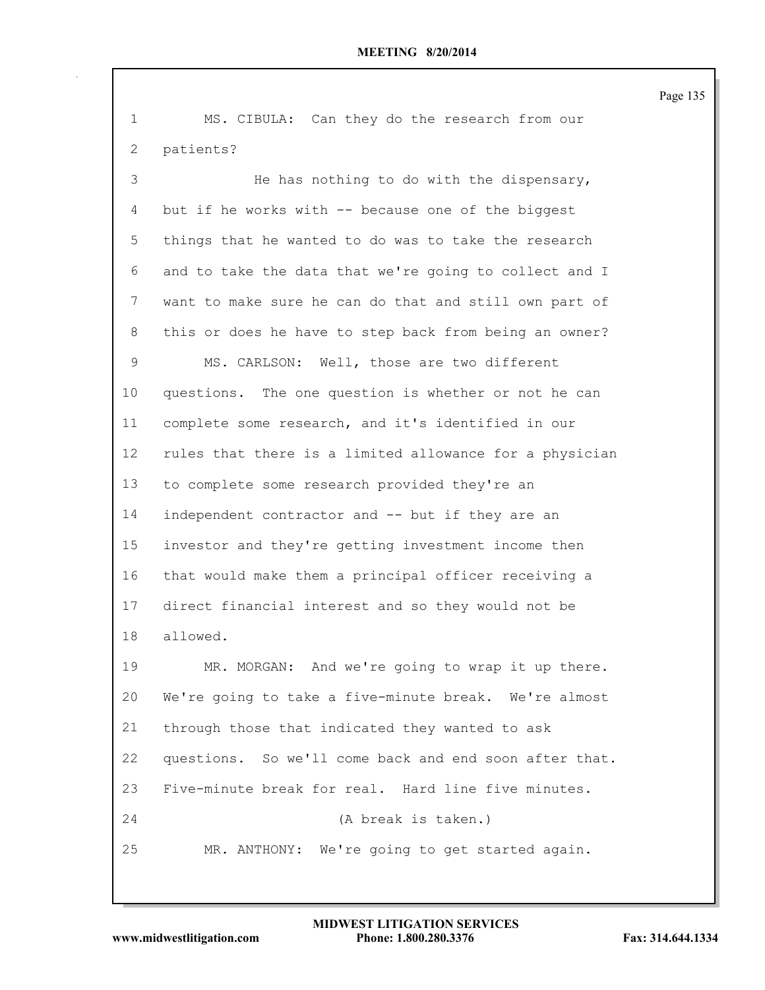| $\mathbf 1$    | MS. CIBULA: Can they do the research from our           |
|----------------|---------------------------------------------------------|
| $\overline{2}$ | patients?                                               |
| 3              | He has nothing to do with the dispensary,               |
| 4              | but if he works with -- because one of the biggest      |
| 5              | things that he wanted to do was to take the research    |
| 6              | and to take the data that we're going to collect and I  |
| 7              | want to make sure he can do that and still own part of  |
| 8              | this or does he have to step back from being an owner?  |
| $\mathsf 9$    | MS. CARLSON: Well, those are two different              |
| 10             | questions. The one question is whether or not he can    |
| 11             | complete some research, and it's identified in our      |
| 12             | rules that there is a limited allowance for a physician |
| 13             | to complete some research provided they're an           |
| 14             | independent contractor and -- but if they are an        |
| 15             | investor and they're getting investment income then     |
| 16             | that would make them a principal officer receiving a    |
| 17             | direct financial interest and so they would not be      |
| 18             | allowed.                                                |
| 19             | MR. MORGAN: And we're going to wrap it up there.        |
| 20             | We're going to take a five-minute break. We're almost   |
| 21             | through those that indicated they wanted to ask         |
| 22             | questions. So we'll come back and end soon after that.  |
| 23             | Five-minute break for real. Hard line five minutes.     |
| 24             | (A break is taken.)                                     |
| 25             | MR. ANTHONY: We're going to get started again.          |
|                |                                                         |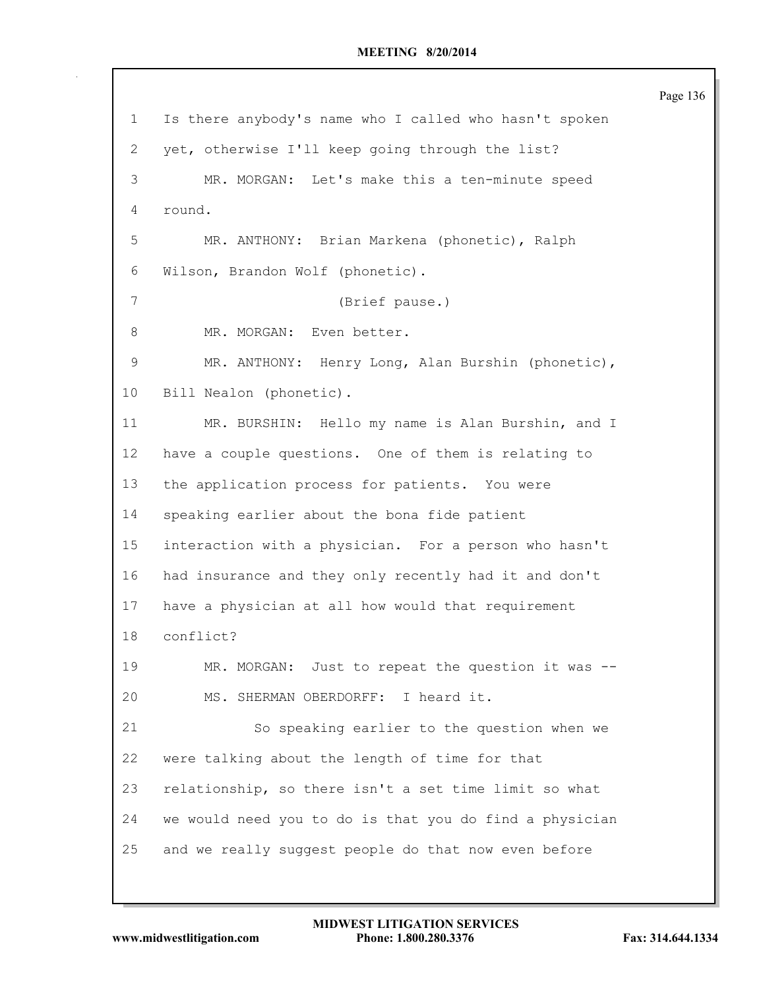|                   |                                                         | Page |
|-------------------|---------------------------------------------------------|------|
| $\mathbf 1$       | Is there anybody's name who I called who hasn't spoken  |      |
| $\mathbf{2}$      | yet, otherwise I'll keep going through the list?        |      |
| 3                 | MR. MORGAN: Let's make this a ten-minute speed          |      |
| $\overline{4}$    | round.                                                  |      |
| 5                 | MR. ANTHONY: Brian Markena (phonetic), Ralph            |      |
| 6                 | Wilson, Brandon Wolf (phonetic).                        |      |
| $\overline{7}$    | (Brief pause.)                                          |      |
| 8                 | MR. MORGAN: Even better.                                |      |
| 9                 | MR. ANTHONY: Henry Long, Alan Burshin (phonetic),       |      |
| 10                | Bill Nealon (phonetic).                                 |      |
| 11                | MR. BURSHIN: Hello my name is Alan Burshin, and I       |      |
| $12 \overline{ }$ | have a couple questions. One of them is relating to     |      |
| 13                | the application process for patients. You were          |      |
| 14                | speaking earlier about the bona fide patient            |      |
| 15                | interaction with a physician. For a person who hasn't   |      |
| 16                | had insurance and they only recently had it and don't   |      |
| 17                | have a physician at all how would that requirement      |      |
| 18                | conflict?                                               |      |
| 19                | MR. MORGAN: Just to repeat the question it was --       |      |
| 20                | MS. SHERMAN OBERDORFF: I heard it.                      |      |
| 21                | So speaking earlier to the question when we             |      |
| 22                | were talking about the length of time for that          |      |
| 23                | relationship, so there isn't a set time limit so what   |      |
| 24                | we would need you to do is that you do find a physician |      |
| 25                | and we really suggest people do that now even before    |      |
|                   |                                                         |      |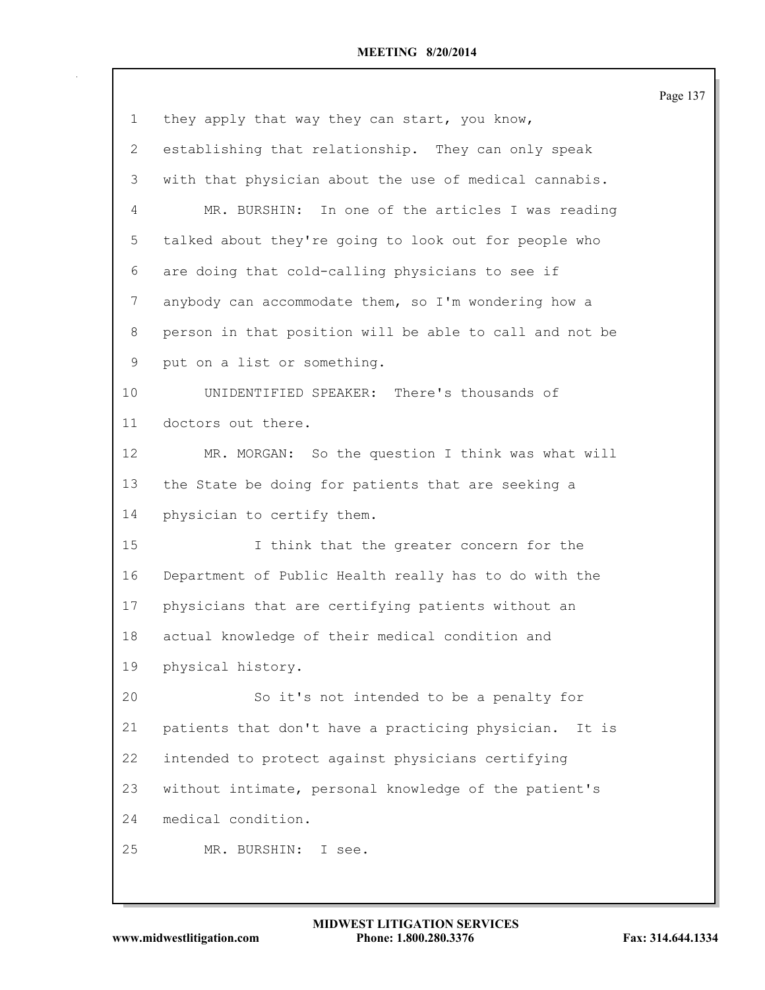|    |                                                           | Page 137 |
|----|-----------------------------------------------------------|----------|
| 1  | they apply that way they can start, you know,             |          |
| 2  | establishing that relationship. They can only speak       |          |
| 3  | with that physician about the use of medical cannabis.    |          |
| 4  | MR. BURSHIN: In one of the articles I was reading         |          |
| 5  | talked about they're going to look out for people who     |          |
| 6  | are doing that cold-calling physicians to see if          |          |
| 7  | anybody can accommodate them, so I'm wondering how a      |          |
| 8  | person in that position will be able to call and not be   |          |
| 9  | put on a list or something.                               |          |
| 10 | UNIDENTIFIED SPEAKER: There's thousands of                |          |
| 11 | doctors out there.                                        |          |
| 12 | MR. MORGAN: So the question I think was what will         |          |
| 13 | the State be doing for patients that are seeking a        |          |
| 14 | physician to certify them.                                |          |
| 15 | I think that the greater concern for the                  |          |
| 16 | Department of Public Health really has to do with the     |          |
| 17 | physicians that are certifying patients without an        |          |
| 18 | actual knowledge of their medical condition and           |          |
| 19 | physical history.                                         |          |
| 20 | So it's not intended to be a penalty for                  |          |
| 21 | patients that don't have a practicing physician.<br>It is |          |
| 22 | intended to protect against physicians certifying         |          |
| 23 | without intimate, personal knowledge of the patient's     |          |
| 24 | medical condition.                                        |          |
| 25 | MR. BURSHIN:<br>I see.                                    |          |
|    |                                                           |          |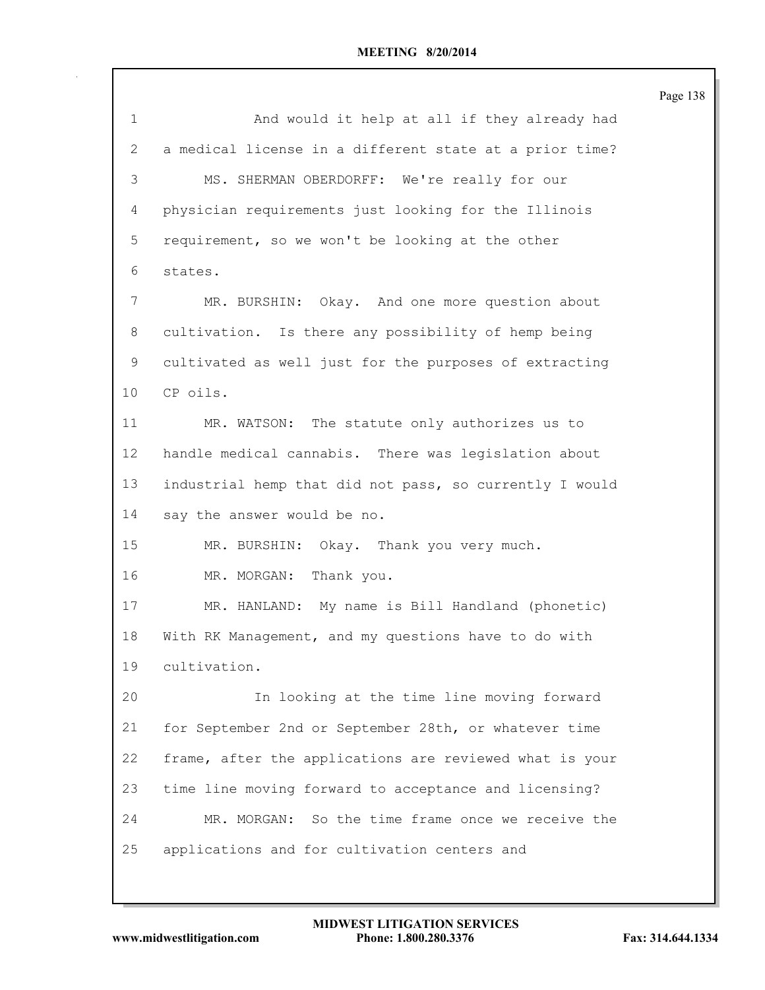| $\mathbf 1$     | And would it help at all if they already had            |
|-----------------|---------------------------------------------------------|
| 2               | a medical license in a different state at a prior time? |
| 3               | MS. SHERMAN OBERDORFF: We're really for our             |
| 4               | physician requirements just looking for the Illinois    |
| 5               | requirement, so we won't be looking at the other        |
| 6               | states.                                                 |
| 7               | MR. BURSHIN: Okay. And one more question about          |
| 8               | cultivation. Is there any possibility of hemp being     |
| 9               | cultivated as well just for the purposes of extracting  |
| 10 <sub>1</sub> | CP oils.                                                |
| 11              | MR. WATSON: The statute only authorizes us to           |
| 12 <sup>°</sup> | handle medical cannabis. There was legislation about    |
| 13              | industrial hemp that did not pass, so currently I would |
| 14              | say the answer would be no.                             |
| 15              | MR. BURSHIN: Okay. Thank you very much.                 |
| 16              | Thank you.<br>MR. MORGAN:                               |
| 17              | MR. HANLAND: My name is Bill Handland (phonetic)        |
| 18              | With RK Management, and my questions have to do with    |
| 19              | cultivation.                                            |
| 20              | In looking at the time line moving forward              |
| 21              | for September 2nd or September 28th, or whatever time   |
| 22              | frame, after the applications are reviewed what is your |
| 23              | time line moving forward to acceptance and licensing?   |
| 24              | MR. MORGAN: So the time frame once we receive the       |
| 25              | applications and for cultivation centers and            |
|                 |                                                         |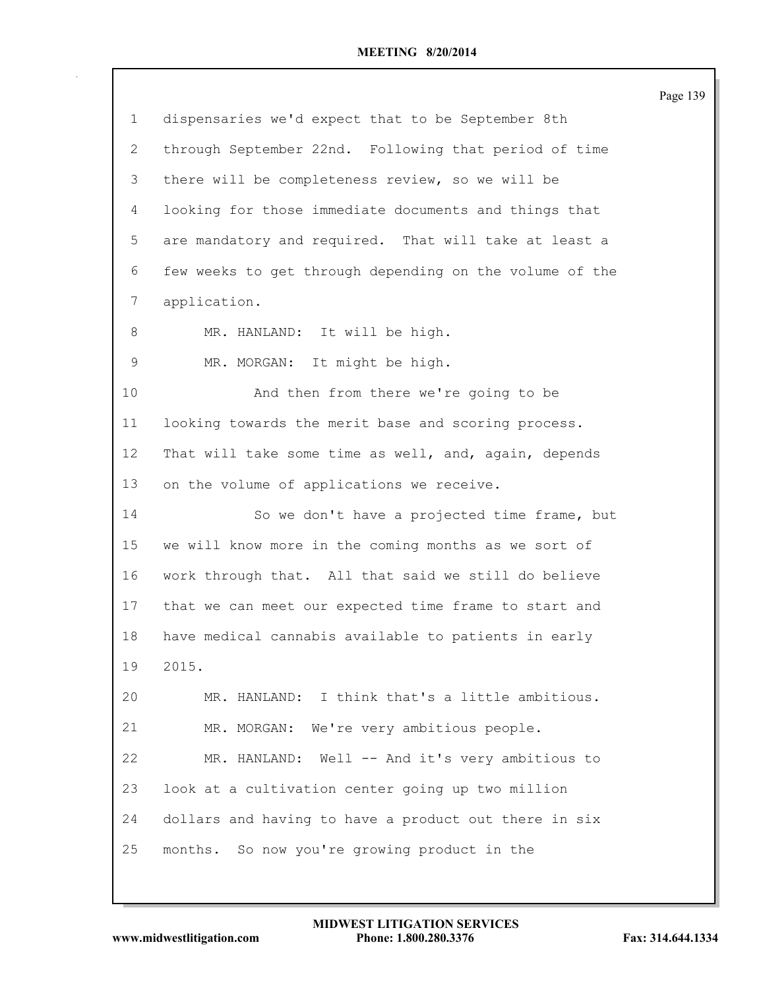|                |                                                         | Page 139 |
|----------------|---------------------------------------------------------|----------|
| $\mathbf 1$    | dispensaries we'd expect that to be September 8th       |          |
| $\overline{2}$ | through September 22nd. Following that period of time   |          |
| 3              | there will be completeness review, so we will be        |          |
| 4              | looking for those immediate documents and things that   |          |
| 5              | are mandatory and required. That will take at least a   |          |
| 6              | few weeks to get through depending on the volume of the |          |
| $7\phantom{.}$ | application.                                            |          |
| 8              | MR. HANLAND: It will be high.                           |          |
| $\mathsf 9$    | MR. MORGAN: It might be high.                           |          |
| 10             | And then from there we're going to be                   |          |
| 11             | looking towards the merit base and scoring process.     |          |
| 12             | That will take some time as well, and, again, depends   |          |
| 13             | on the volume of applications we receive.               |          |
| 14             | So we don't have a projected time frame, but            |          |
| 15             | we will know more in the coming months as we sort of    |          |
| 16             | work through that. All that said we still do believe    |          |
| 17             | that we can meet our expected time frame to start and   |          |
| 18             | have medical cannabis available to patients in early    |          |
| 19             | 2015.                                                   |          |
| 20             | MR. HANLAND: I think that's a little ambitious.         |          |
| 21             | We're very ambitious people.<br>MR. MORGAN:             |          |
| 22             | MR. HANLAND: Well -- And it's very ambitious to         |          |
| 23             | look at a cultivation center going up two million       |          |
| 24             | dollars and having to have a product out there in six   |          |
| 25             | months. So now you're growing product in the            |          |
|                |                                                         |          |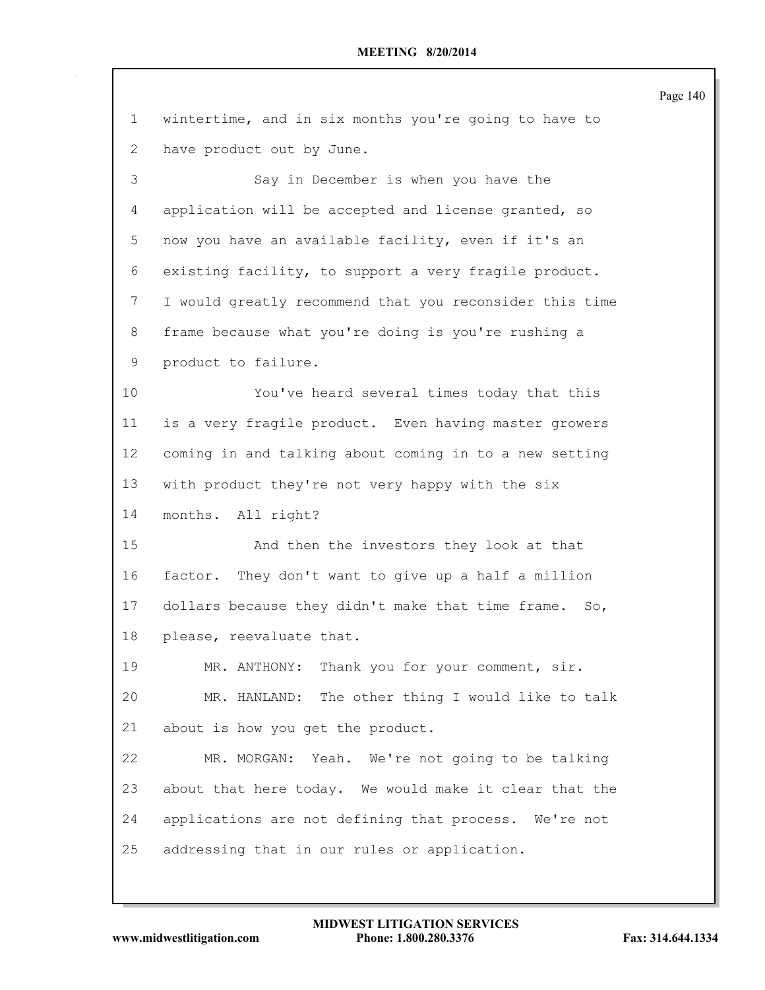| $\mathbf 1$     | wintertime, and in six months you're going to have to    |
|-----------------|----------------------------------------------------------|
| 2               | have product out by June.                                |
| 3               | Say in December is when you have the                     |
| 4               | application will be accepted and license granted, so     |
| 5               | now you have an available facility, even if it's an      |
| 6               | existing facility, to support a very fragile product.    |
| 7               | I would greatly recommend that you reconsider this time  |
| 8               | frame because what you're doing is you're rushing a      |
| 9               | product to failure.                                      |
| 10 <sub>o</sub> | You've heard several times today that this               |
| 11              | is a very fragile product. Even having master growers    |
| 12              | coming in and talking about coming in to a new setting   |
| 13              | with product they're not very happy with the six         |
| 14              | months. All right?                                       |
| 15              | And then the investors they look at that                 |
| 16              | factor. They don't want to give up a half a million      |
| 17              | dollars because they didn't make that time frame.<br>So, |
| 18              | please, reevaluate that.                                 |
| 19              | MR. ANTHONY: Thank you for your comment, sir.            |
| 20              | MR. HANLAND: The other thing I would like to talk        |
| 21              | about is how you get the product.                        |
| 22              | MR. MORGAN: Yeah. We're not going to be talking          |
| 23              | about that here today. We would make it clear that the   |
| 24              | applications are not defining that process. We're not    |
| 25              | addressing that in our rules or application.             |
|                 |                                                          |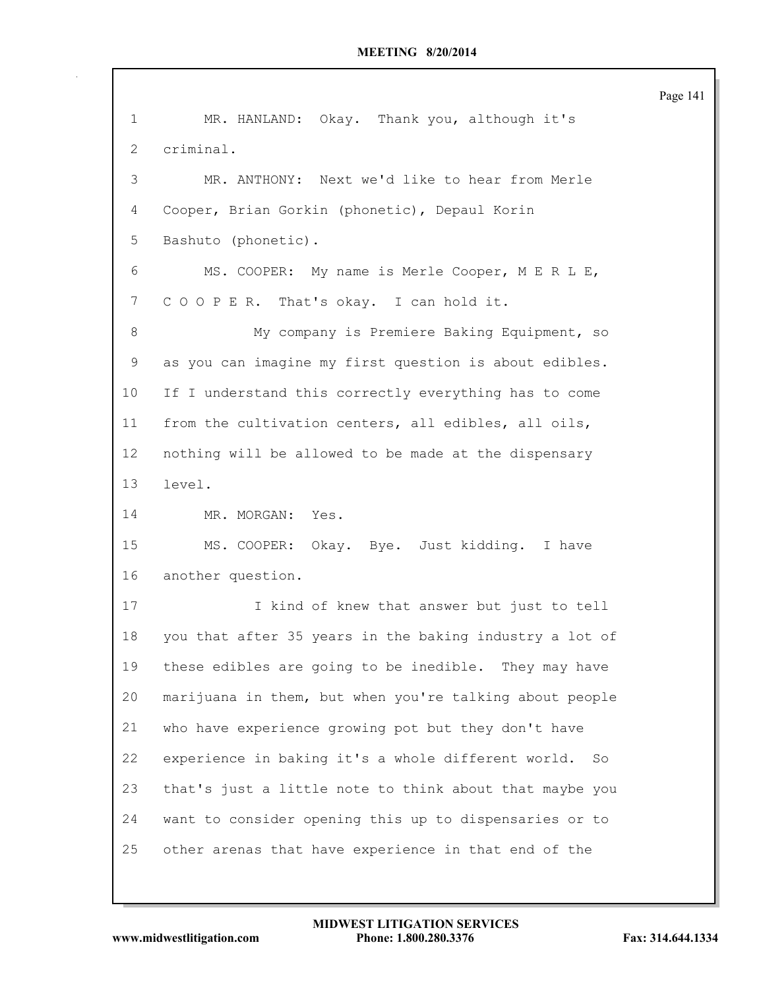| $\mathbf{1}$    | MR. HANLAND: Okay. Thank you, although it's              |
|-----------------|----------------------------------------------------------|
| $\mathbf{2}^-$  | criminal.                                                |
| 3               | MR. ANTHONY: Next we'd like to hear from Merle           |
| 4               | Cooper, Brian Gorkin (phonetic), Depaul Korin            |
| 5               | Bashuto (phonetic).                                      |
| 6               | MS. COOPER: My name is Merle Cooper, M E R L E,          |
| 7               | COOPER. That's okay. I can hold it.                      |
| 8               | My company is Premiere Baking Equipment, so              |
| 9               | as you can imagine my first question is about edibles.   |
| 10 <sup>°</sup> | If I understand this correctly everything has to come    |
| 11              | from the cultivation centers, all edibles, all oils,     |
| 12 <sup>°</sup> | nothing will be allowed to be made at the dispensary     |
| 13              | level.                                                   |
| 14              | MR. MORGAN: Yes.                                         |
| 15              | MS. COOPER: Okay. Bye. Just kidding. I have              |
| 16              | another question.                                        |
| 17              | I kind of knew that answer but just to tell              |
| 18              | you that after 35 years in the baking industry a lot of  |
| 19              | these edibles are going to be inedible. They may have    |
| 20              | marijuana in them, but when you're talking about people  |
| 21              | who have experience growing pot but they don't have      |
| 22              | experience in baking it's a whole different world.<br>So |
| 23              | that's just a little note to think about that maybe you  |
| 24              | want to consider opening this up to dispensaries or to   |
| 25              | other arenas that have experience in that end of the     |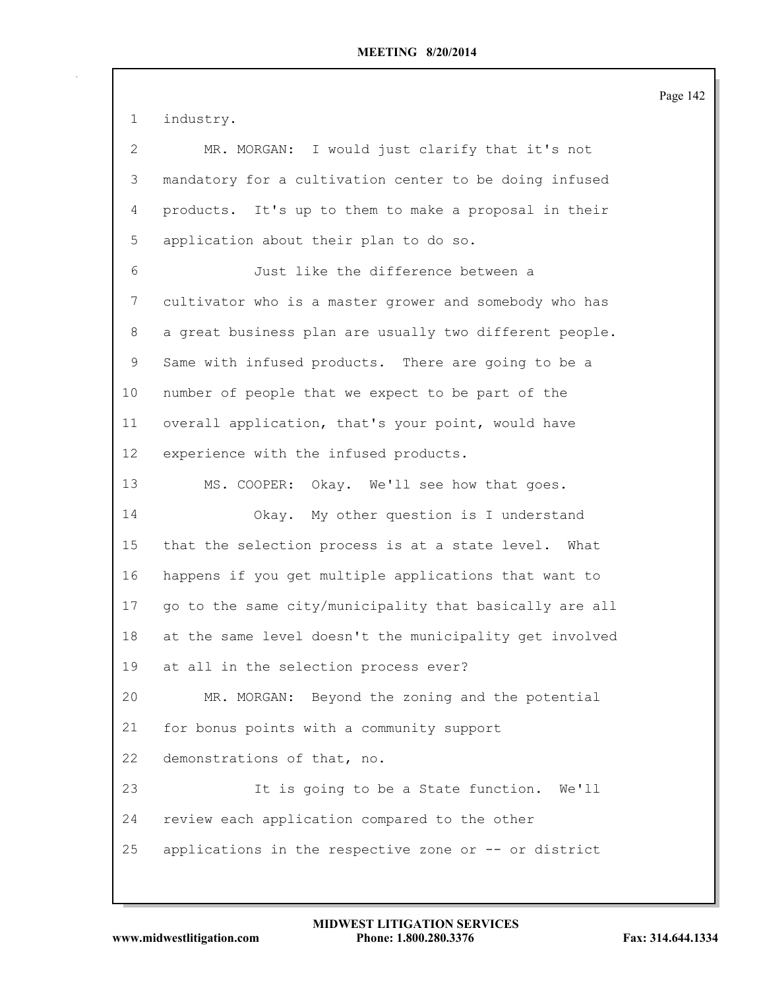industry.

| 2  | MR. MORGAN: I would just clarify that it's not          |
|----|---------------------------------------------------------|
| 3  | mandatory for a cultivation center to be doing infused  |
| 4  | products. It's up to them to make a proposal in their   |
| 5  | application about their plan to do so.                  |
| 6  | Just like the difference between a                      |
| 7  | cultivator who is a master grower and somebody who has  |
| 8  | a great business plan are usually two different people. |
| 9  | Same with infused products. There are going to be a     |
| 10 | number of people that we expect to be part of the       |
| 11 | overall application, that's your point, would have      |
| 12 | experience with the infused products.                   |
| 13 | MS. COOPER: Okay. We'll see how that goes.              |
|    |                                                         |
| 14 | Okay. My other question is I understand                 |
| 15 | that the selection process is at a state level. What    |
| 16 | happens if you get multiple applications that want to   |
| 17 | go to the same city/municipality that basically are all |
| 18 | at the same level doesn't the municipality get involved |
| 19 | at all in the selection process ever?                   |
| 20 | MR. MORGAN: Beyond the zoning and the potential         |
| 21 | for bonus points with a community support               |
| 22 | demonstrations of that, no.                             |
| 23 | It is going to be a State function. We'll               |
| 24 | review each application compared to the other           |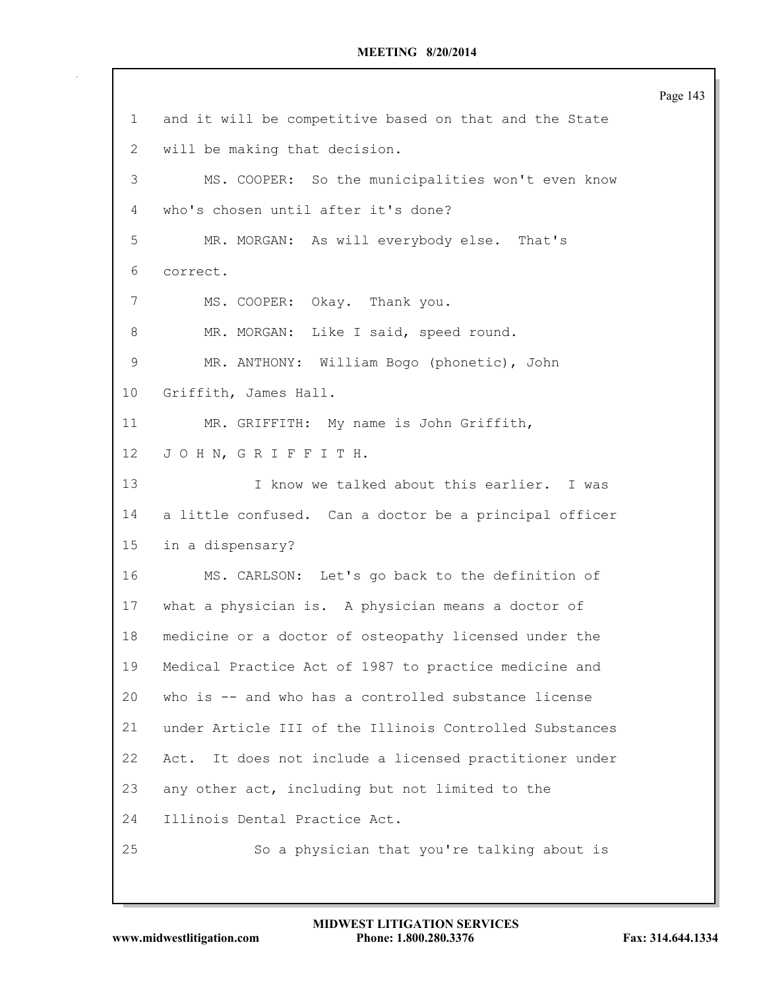|             |                                                         | Page 143 |
|-------------|---------------------------------------------------------|----------|
| $\mathbf 1$ | and it will be competitive based on that and the State  |          |
| 2           | will be making that decision.                           |          |
| 3           | MS. COOPER: So the municipalities won't even know       |          |
| 4           | who's chosen until after it's done?                     |          |
| 5           | MR. MORGAN: As will everybody else. That's              |          |
| 6           | correct.                                                |          |
| 7           | MS. COOPER: Okay. Thank you.                            |          |
| 8           | MR. MORGAN: Like I said, speed round.                   |          |
| $\mathsf 9$ | MR. ANTHONY: William Bogo (phonetic), John              |          |
| 10          | Griffith, James Hall.                                   |          |
| 11          | MR. GRIFFITH: My name is John Griffith,                 |          |
| 12          | JOHN, GRIFFITH.                                         |          |
| 13          | I know we talked about this earlier. I was              |          |
| 14          | a little confused. Can a doctor be a principal officer  |          |
| 15          | in a dispensary?                                        |          |
| 16          | MS. CARLSON: Let's go back to the definition of         |          |
| 17          | what a physician is. A physician means a doctor of      |          |
| 18          | medicine or a doctor of osteopathy licensed under the   |          |
| 19          | Medical Practice Act of 1987 to practice medicine and   |          |
| 20          | who is -- and who has a controlled substance license    |          |
| 21          | under Article III of the Illinois Controlled Substances |          |
| 22          | Act. It does not include a licensed practitioner under  |          |
| 23          | any other act, including but not limited to the         |          |
| 24          | Illinois Dental Practice Act.                           |          |
| 25          | So a physician that you're talking about is             |          |
|             |                                                         |          |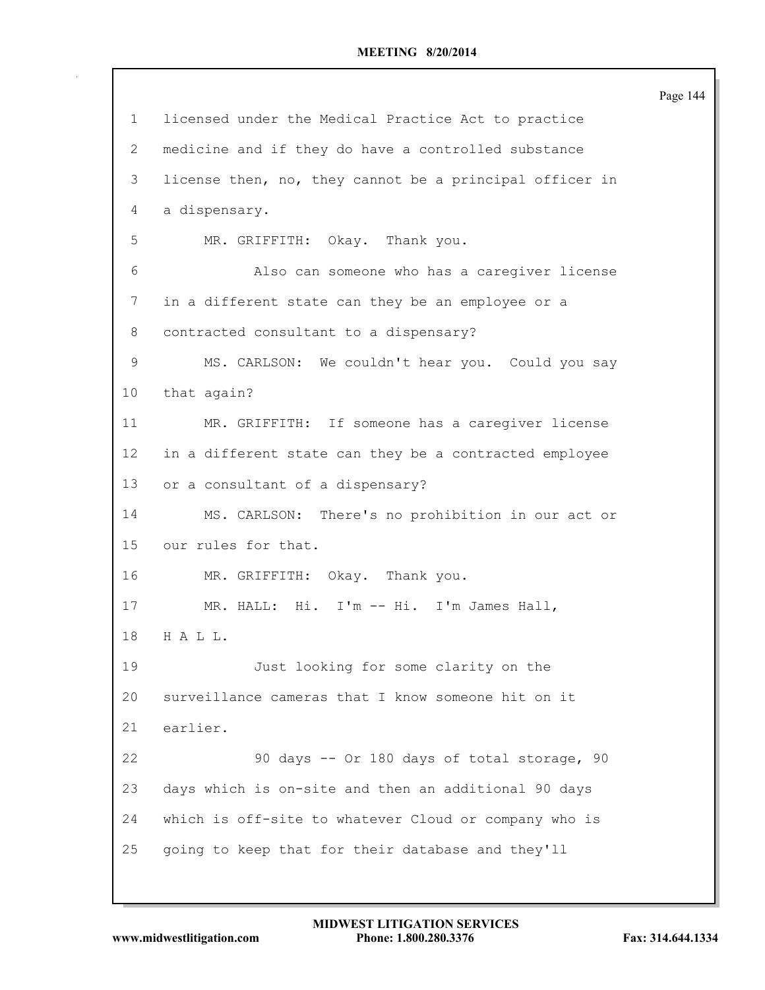|                |                                                         | Page 144 |
|----------------|---------------------------------------------------------|----------|
| $\mathbf{1}$   | licensed under the Medical Practice Act to practice     |          |
| $\mathbf{2}$   | medicine and if they do have a controlled substance     |          |
| 3              | license then, no, they cannot be a principal officer in |          |
| $\overline{4}$ | a dispensary.                                           |          |
| 5              | MR. GRIFFITH: Okay. Thank you.                          |          |
| 6              | Also can someone who has a caregiver license            |          |
| 7              | in a different state can they be an employee or a       |          |
| 8              | contracted consultant to a dispensary?                  |          |
| $\mathsf 9$    | MS. CARLSON: We couldn't hear you. Could you say        |          |
| 10             | that again?                                             |          |
| 11             | MR. GRIFFITH: If someone has a caregiver license        |          |
| 12             | in a different state can they be a contracted employee  |          |
| 13             | or a consultant of a dispensary?                        |          |
| 14             | MS. CARLSON: There's no prohibition in our act or       |          |
| 15             | our rules for that.                                     |          |
| 16             | MR. GRIFFITH: Okay. Thank you.                          |          |
| 17             | MR. HALL: Hi. I'm -- Hi. I'm James Hall,                |          |
| 18             | HALL.                                                   |          |
| 19             | Just looking for some clarity on the                    |          |
| 20             | surveillance cameras that I know someone hit on it      |          |
| 21             | earlier.                                                |          |
| 22             | 90 days -- Or 180 days of total storage, 90             |          |
| 23             | days which is on-site and then an additional 90 days    |          |
| 24             | which is off-site to whatever Cloud or company who is   |          |
| 25             | going to keep that for their database and they'll       |          |
|                |                                                         |          |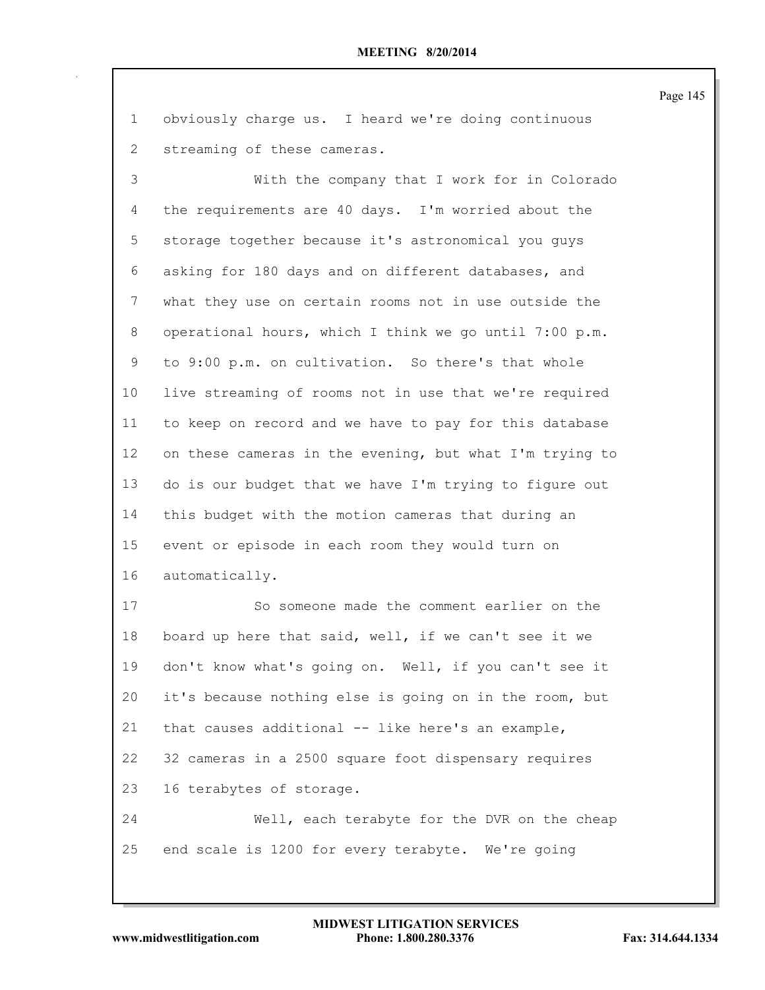| 1  | obviously charge us. I heard we're doing continuous     |
|----|---------------------------------------------------------|
| 2  | streaming of these cameras.                             |
| 3  | With the company that I work for in Colorado            |
| 4  | the requirements are 40 days. I'm worried about the     |
| 5  | storage together because it's astronomical you guys     |
| 6  | asking for 180 days and on different databases, and     |
| 7  | what they use on certain rooms not in use outside the   |
| 8  | operational hours, which I think we go until 7:00 p.m.  |
| 9  | to 9:00 p.m. on cultivation. So there's that whole      |
| 10 | live streaming of rooms not in use that we're required  |
| 11 | to keep on record and we have to pay for this database  |
| 12 | on these cameras in the evening, but what I'm trying to |
| 13 | do is our budget that we have I'm trying to figure out  |
| 14 | this budget with the motion cameras that during an      |
| 15 | event or episode in each room they would turn on        |
| 16 | automatically.                                          |
| 17 | So someone made the comment earlier on the              |
| 18 | board up here that said, well, if we can't see it we    |
| 19 | don't know what's going on. Well, if you can't see it   |
| 20 | it's because nothing else is going on in the room, but  |
| 21 | that causes additional -- like here's an example,       |
| 22 | 32 cameras in a 2500 square foot dispensary requires    |
| 23 | 16 terabytes of storage.                                |
| 24 | Well, each terabyte for the DVR on the cheap            |
| 25 | end scale is 1200 for every terabyte. We're going       |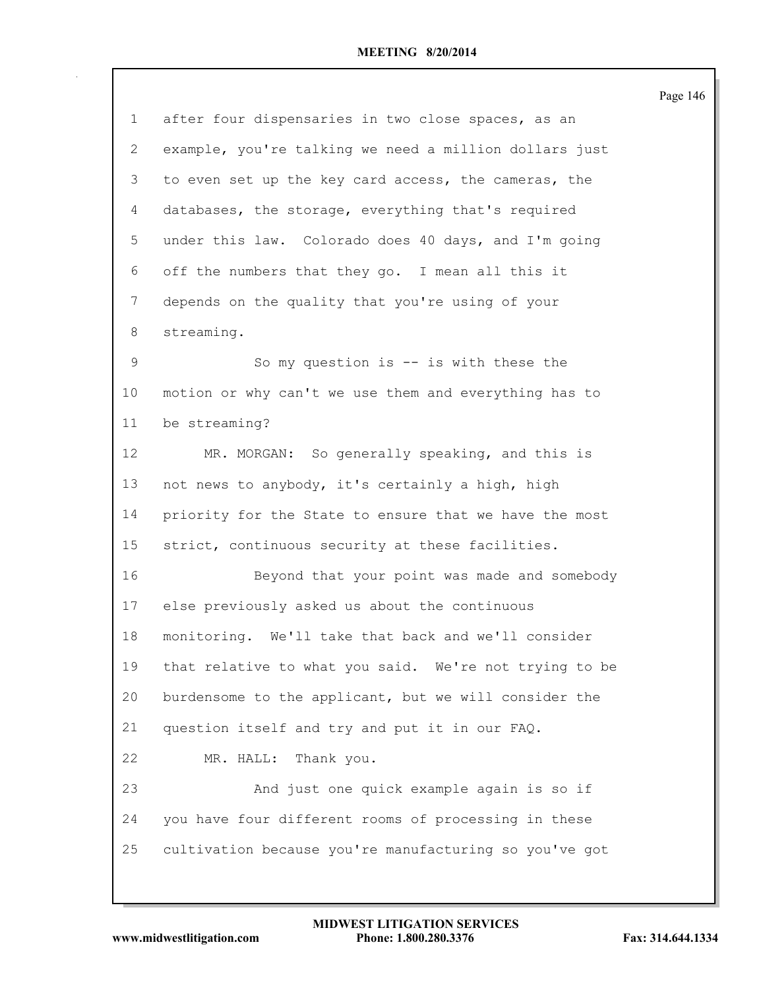|              |                                                        | Page 14t |
|--------------|--------------------------------------------------------|----------|
| $\mathbf 1$  | after four dispensaries in two close spaces, as an     |          |
| $\mathbf{2}$ | example, you're talking we need a million dollars just |          |
| 3            | to even set up the key card access, the cameras, the   |          |
| 4            | databases, the storage, everything that's required     |          |
| 5            | under this law. Colorado does 40 days, and I'm going   |          |
| 6            | off the numbers that they go. I mean all this it       |          |
| 7            | depends on the quality that you're using of your       |          |
| 8            | streaming.                                             |          |
| 9            | So my question is $--$ is with these the               |          |
| 10           | motion or why can't we use them and everything has to  |          |
| 11           | be streaming?                                          |          |
| 12           | MR. MORGAN: So generally speaking, and this is         |          |
| 13           | not news to anybody, it's certainly a high, high       |          |
| 14           | priority for the State to ensure that we have the most |          |
| 15           | strict, continuous security at these facilities.       |          |
| 16           | Beyond that your point was made and somebody           |          |
| 17           | else previously asked us about the continuous          |          |
| 18           | monitoring. We'll take that back and we'll consider    |          |
| 19           | that relative to what you said. We're not trying to be |          |
| 20           | burdensome to the applicant, but we will consider the  |          |
| 21           | question itself and try and put it in our FAQ.         |          |
| 22           | MR. HALL: Thank you.                                   |          |
| 23           | And just one quick example again is so if              |          |
| 24           | you have four different rooms of processing in these   |          |
| 25           | cultivation because you're manufacturing so you've got |          |
|              |                                                        |          |

 $P<sub>209</sub> 146$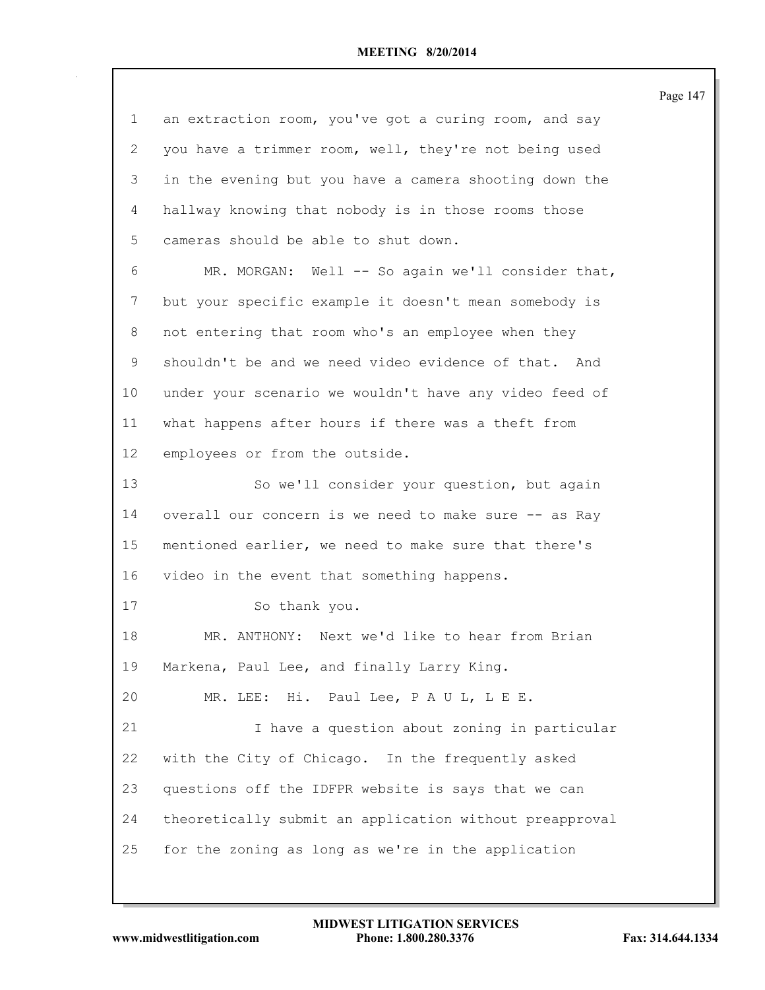| 1  | an extraction room, you've got a curing room, and say   |
|----|---------------------------------------------------------|
| 2  | you have a trimmer room, well, they're not being used   |
| 3  | in the evening but you have a camera shooting down the  |
| 4  | hallway knowing that nobody is in those rooms those     |
| 5  | cameras should be able to shut down.                    |
| 6  | MR. MORGAN: Well -- So again we'll consider that,       |
| 7  | but your specific example it doesn't mean somebody is   |
| 8  | not entering that room who's an employee when they      |
| 9  | shouldn't be and we need video evidence of that. And    |
| 10 | under your scenario we wouldn't have any video feed of  |
| 11 | what happens after hours if there was a theft from      |
| 12 | employees or from the outside.                          |
| 13 | So we'll consider your question, but again              |
| 14 | overall our concern is we need to make sure -- as Ray   |
| 15 | mentioned earlier, we need to make sure that there's    |
| 16 | video in the event that something happens.              |
| 17 | So thank you.                                           |
| 18 | MR. ANTHONY: Next we'd like to hear from Brian          |
| 19 | Markena, Paul Lee, and finally Larry King.              |
| 20 | MR. LEE: Hi. Paul Lee, P A U L, L E E.                  |
| 21 | I have a question about zoning in particular            |
| 22 | with the City of Chicago. In the frequently asked       |
| 23 | questions off the IDFPR website is says that we can     |
| 24 | theoretically submit an application without preapproval |
| 25 | for the zoning as long as we're in the application      |
|    |                                                         |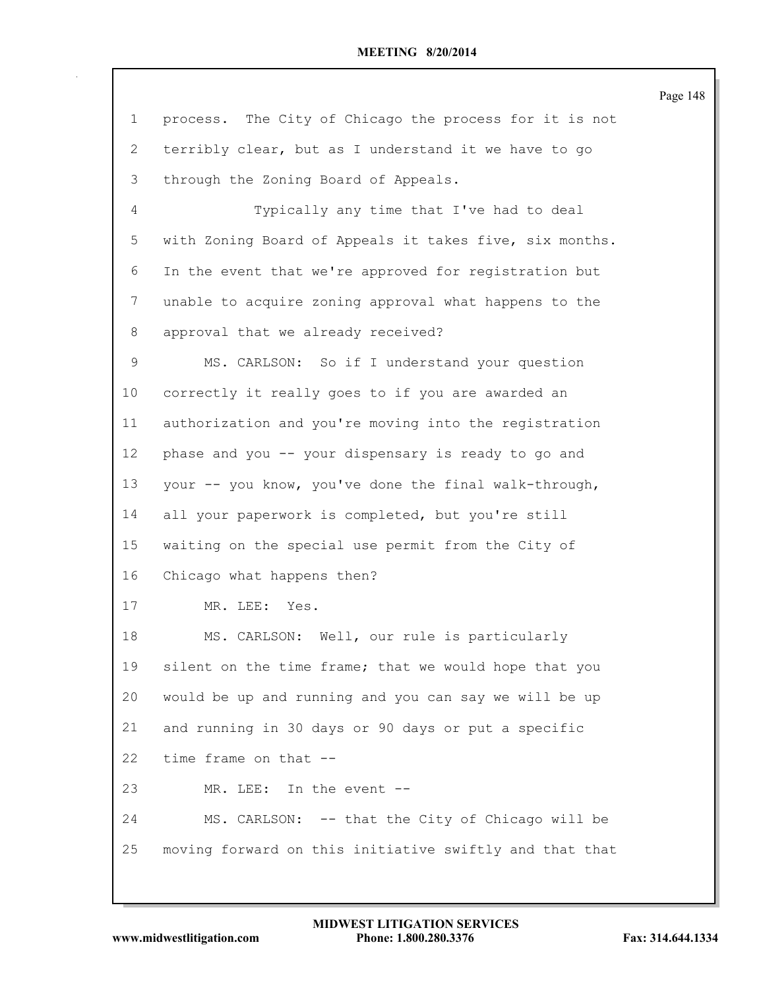| 1  | process. The City of Chicago the process for it is not  |
|----|---------------------------------------------------------|
| 2  | terribly clear, but as I understand it we have to go    |
| 3  | through the Zoning Board of Appeals.                    |
| 4  | Typically any time that I've had to deal                |
| 5  | with Zoning Board of Appeals it takes five, six months. |
| 6  | In the event that we're approved for registration but   |
| 7  | unable to acquire zoning approval what happens to the   |
| 8  | approval that we already received?                      |
| 9  | MS. CARLSON: So if I understand your question           |
| 10 | correctly it really goes to if you are awarded an       |
| 11 | authorization and you're moving into the registration   |
| 12 | phase and you -- your dispensary is ready to go and     |
| 13 | your -- you know, you've done the final walk-through,   |
| 14 | all your paperwork is completed, but you're still       |
| 15 | waiting on the special use permit from the City of      |
| 16 | Chicago what happens then?                              |
| 17 | MR. LEE: Yes.                                           |
| 18 | MS. CARLSON: Well, our rule is particularly             |
| 19 | silent on the time frame; that we would hope that you   |
| 20 | would be up and running and you can say we will be up   |
| 21 | and running in 30 days or 90 days or put a specific     |
| 22 | time frame on that --                                   |
| 23 | In the event --<br>MR. LEE:                             |
| 24 | MS. CARLSON: -- that the City of Chicago will be        |
| 25 | moving forward on this initiative swiftly and that that |
|    |                                                         |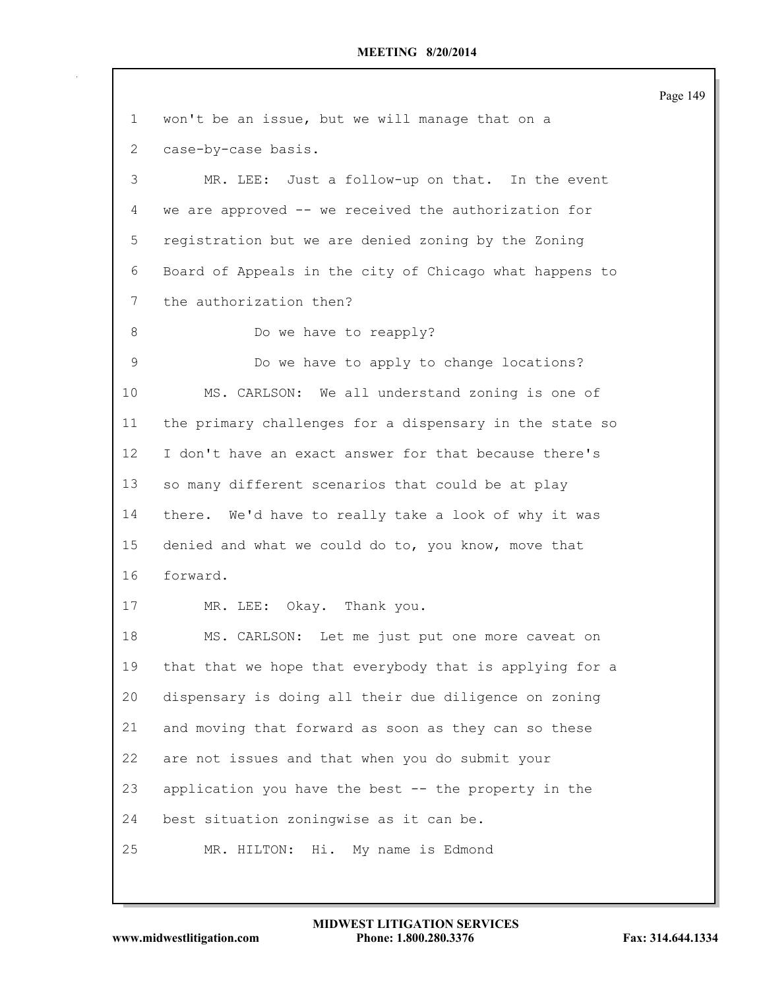| 1                         | won't be an issue, but we will manage that on a         |
|---------------------------|---------------------------------------------------------|
| $\mathbf{2}^{\mathsf{I}}$ | case-by-case basis.                                     |
| 3                         | MR. LEE: Just a follow-up on that. In the event         |
| 4                         | we are approved -- we received the authorization for    |
| 5                         | registration but we are denied zoning by the Zoning     |
| 6                         | Board of Appeals in the city of Chicago what happens to |
| 7                         | the authorization then?                                 |
| 8                         | Do we have to reapply?                                  |
| 9                         | Do we have to apply to change locations?                |
| 10                        | MS. CARLSON: We all understand zoning is one of         |
| 11                        | the primary challenges for a dispensary in the state so |
| 12                        | I don't have an exact answer for that because there's   |
| 13                        | so many different scenarios that could be at play       |
| 14                        | there. We'd have to really take a look of why it was    |
| 15                        | denied and what we could do to, you know, move that     |
| 16                        | forward.                                                |
| 17                        | MR. LEE: Okay. Thank you.                               |
| 18                        | MS. CARLSON: Let me just put one more caveat on         |
| 19                        | that that we hope that everybody that is applying for a |
| 20                        | dispensary is doing all their due diligence on zoning   |
| 21                        | and moving that forward as soon as they can so these    |
| 22                        | are not issues and that when you do submit your         |
| 23                        | application you have the best -- the property in the    |
| 24                        | best situation zoningwise as it can be.                 |
| 25                        | MR. HILTON: Hi. My name is Edmond                       |
|                           |                                                         |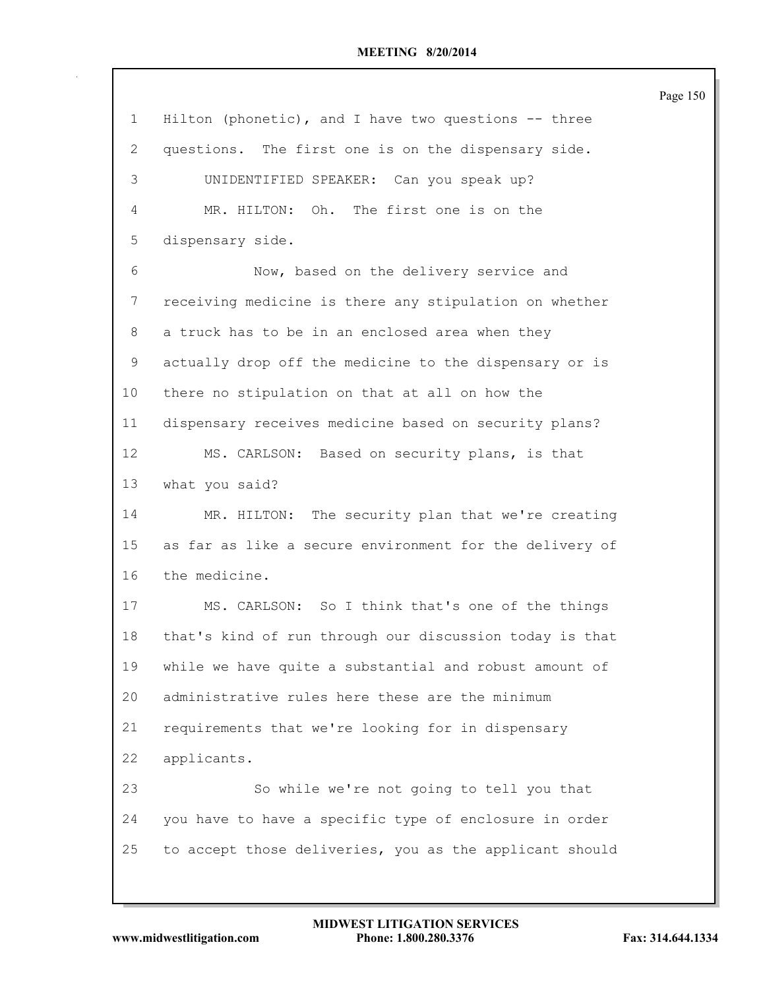Hilton (phonetic), and I have two questions -- three questions. The first one is on the dispensary side. UNIDENTIFIED SPEAKER: Can you speak up? MR. HILTON: Oh. The first one is on the dispensary side. Now, based on the delivery service and receiving medicine is there any stipulation on whether a truck has to be in an enclosed area when they actually drop off the medicine to the dispensary or is there no stipulation on that at all on how the dispensary receives medicine based on security plans? MS. CARLSON: Based on security plans, is that what you said? MR. HILTON: The security plan that we're creating as far as like a secure environment for the delivery of the medicine. MS. CARLSON: So I think that's one of the things that's kind of run through our discussion today is that while we have quite a substantial and robust amount of administrative rules here these are the minimum requirements that we're looking for in dispensary applicants. So while we're not going to tell you that you have to have a specific type of enclosure in order to accept those deliveries, you as the applicant should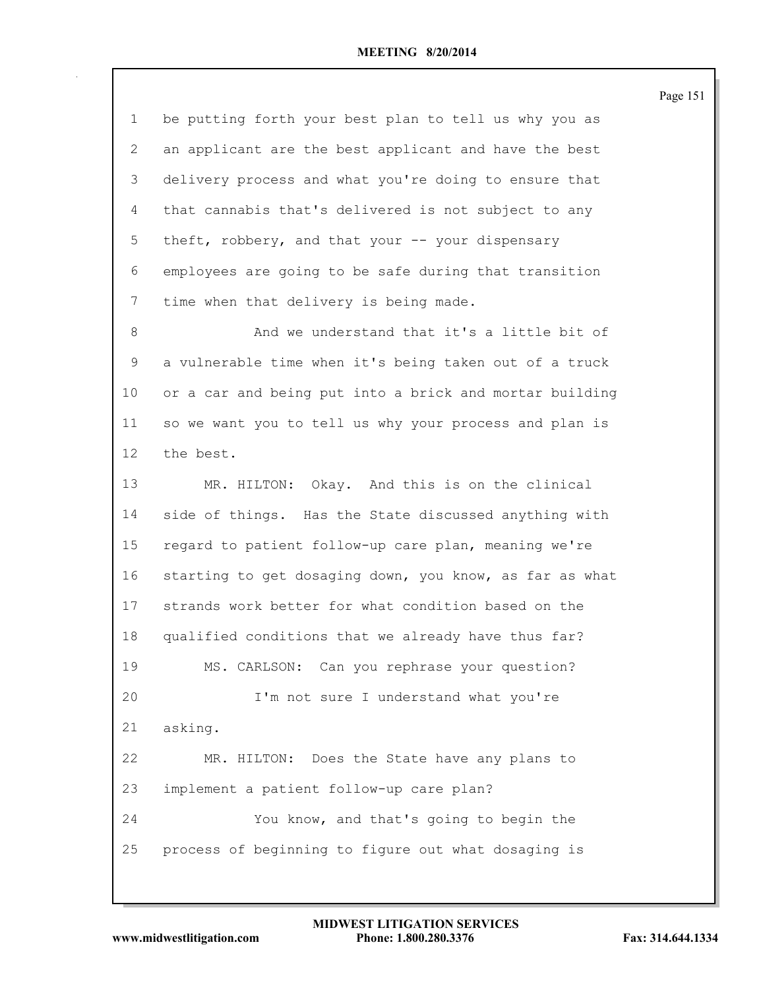be putting forth your best plan to tell us why you as an applicant are the best applicant and have the best delivery process and what you're doing to ensure that that cannabis that's delivered is not subject to any theft, robbery, and that your -- your dispensary employees are going to be safe during that transition time when that delivery is being made. 8 And we understand that it's a little bit of a vulnerable time when it's being taken out of a truck or a car and being put into a brick and mortar building so we want you to tell us why your process and plan is the best. MR. HILTON: Okay. And this is on the clinical side of things. Has the State discussed anything with regard to patient follow-up care plan, meaning we're starting to get dosaging down, you know, as far as what strands work better for what condition based on the qualified conditions that we already have thus far? MS. CARLSON: Can you rephrase your question? I'm not sure I understand what you're asking. MR. HILTON: Does the State have any plans to implement a patient follow-up care plan? You know, and that's going to begin the process of beginning to figure out what dosaging is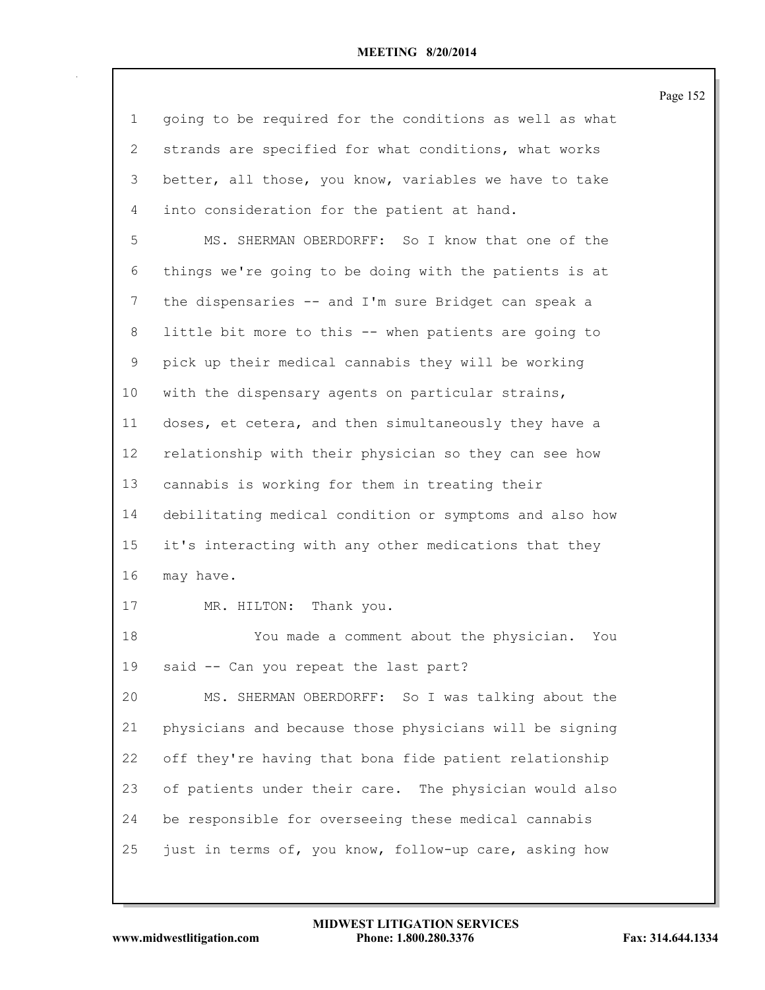| 1  | going to be required for the conditions as well as what |
|----|---------------------------------------------------------|
| 2  | strands are specified for what conditions, what works   |
| 3  | better, all those, you know, variables we have to take  |
| 4  | into consideration for the patient at hand.             |
| 5  | MS. SHERMAN OBERDORFF: So I know that one of the        |
| 6  | things we're going to be doing with the patients is at  |
| 7  | the dispensaries -- and I'm sure Bridget can speak a    |
| 8  | little bit more to this -- when patients are going to   |
| 9  | pick up their medical cannabis they will be working     |
| 10 | with the dispensary agents on particular strains,       |
| 11 | doses, et cetera, and then simultaneously they have a   |
| 12 | relationship with their physician so they can see how   |
| 13 | cannabis is working for them in treating their          |
| 14 | debilitating medical condition or symptoms and also how |
| 15 | it's interacting with any other medications that they   |
| 16 | may have.                                               |
| 17 | MR. HILTON: Thank you.                                  |
| 18 | You made a comment about the physician.<br>You          |
| 19 | said -- Can you repeat the last part?                   |
| 20 | MS. SHERMAN OBERDORFF: So I was talking about the       |
| 21 | physicians and because those physicians will be signing |
| 22 | off they're having that bona fide patient relationship  |
| 23 | of patients under their care. The physician would also  |
| 24 | be responsible for overseeing these medical cannabis    |
| 25 | just in terms of, you know, follow-up care, asking how  |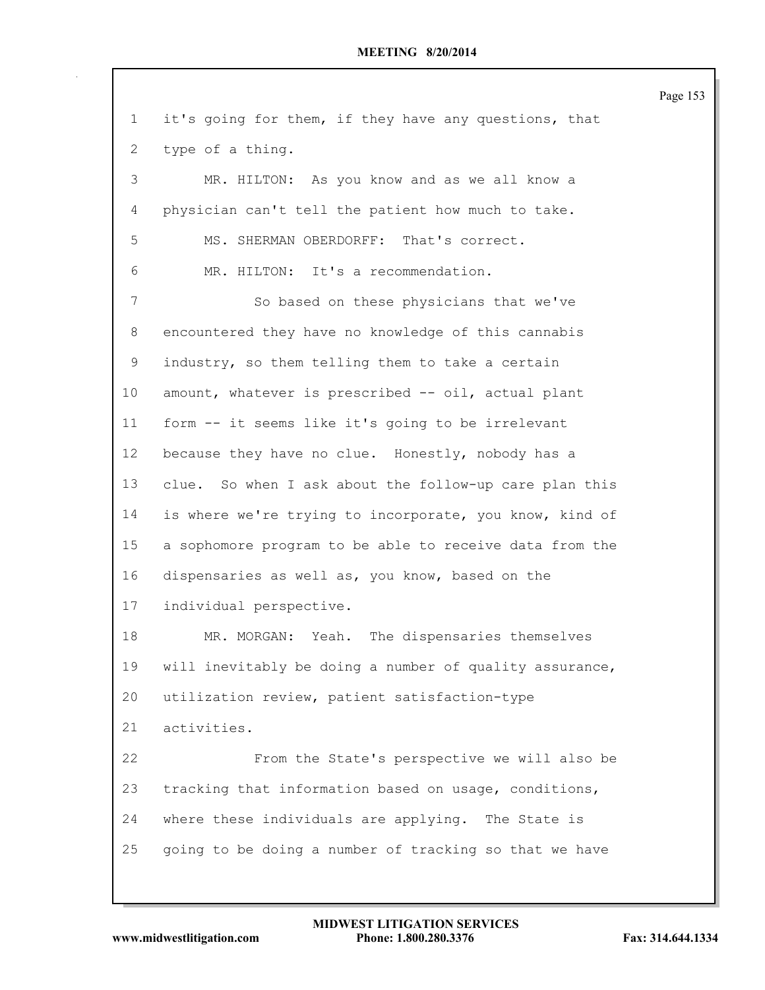| 1            | it's going for them, if they have any questions, that   |
|--------------|---------------------------------------------------------|
| $\mathbf{2}$ | type of a thing.                                        |
| 3            | MR. HILTON: As you know and as we all know a            |
| 4            | physician can't tell the patient how much to take.      |
| 5            | MS. SHERMAN OBERDORFF: That's correct.                  |
| 6            | MR. HILTON: It's a recommendation.                      |
| 7            | So based on these physicians that we've                 |
| 8            | encountered they have no knowledge of this cannabis     |
| 9            | industry, so them telling them to take a certain        |
| 10           | amount, whatever is prescribed -- oil, actual plant     |
| 11           | form -- it seems like it's going to be irrelevant       |
| 12           | because they have no clue. Honestly, nobody has a       |
| 13           | clue. So when I ask about the follow-up care plan this  |
| 14           | is where we're trying to incorporate, you know, kind of |
| 15           | a sophomore program to be able to receive data from the |
| 16           | dispensaries as well as, you know, based on the         |
| 17           | individual perspective.                                 |
| 18           | MR. MORGAN: Yeah. The dispensaries themselves           |
| 19           | will inevitably be doing a number of quality assurance, |
| 20           | utilization review, patient satisfaction-type           |
| 21           | activities.                                             |
| 22           | From the State's perspective we will also be            |
| 23           | tracking that information based on usage, conditions,   |
| 24           | where these individuals are applying. The State is      |
| 25           | going to be doing a number of tracking so that we have  |
|              |                                                         |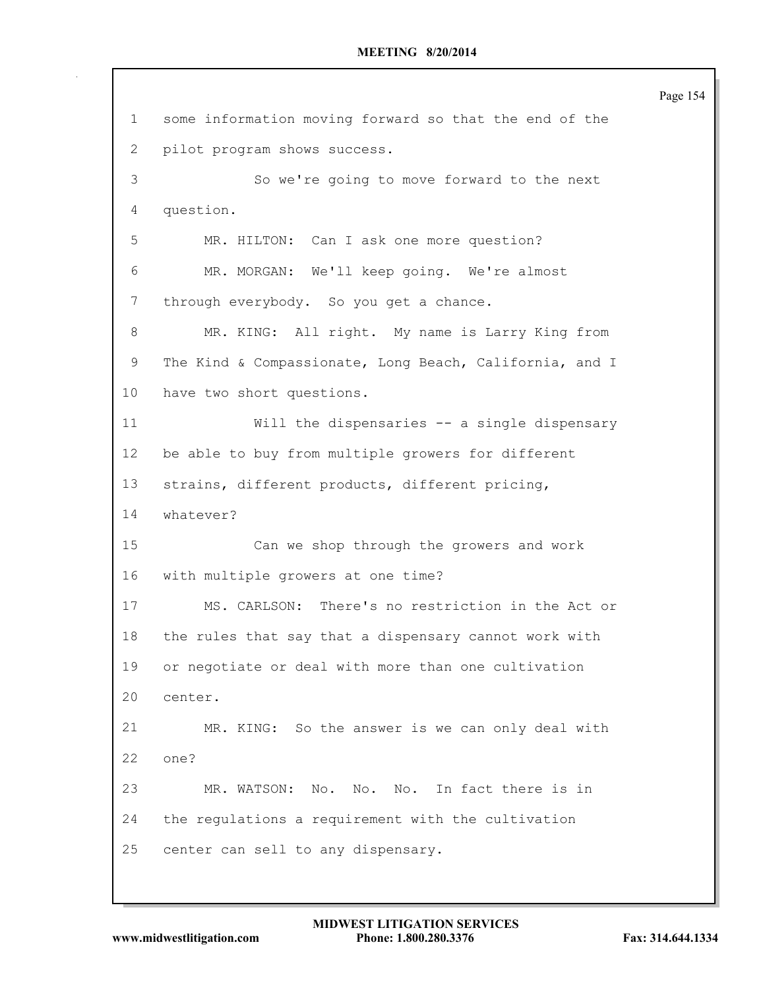some information moving forward so that the end of the pilot program shows success. So we're going to move forward to the next question. MR. HILTON: Can I ask one more question? MR. MORGAN: We'll keep going. We're almost through everybody. So you get a chance. MR. KING: All right. My name is Larry King from The Kind & Compassionate, Long Beach, California, and I have two short questions. Will the dispensaries -- a single dispensary be able to buy from multiple growers for different strains, different products, different pricing, whatever? Can we shop through the growers and work with multiple growers at one time? MS. CARLSON: There's no restriction in the Act or the rules that say that a dispensary cannot work with or negotiate or deal with more than one cultivation center. MR. KING: So the answer is we can only deal with one? MR. WATSON: No. No. No. In fact there is in the regulations a requirement with the cultivation center can sell to any dispensary.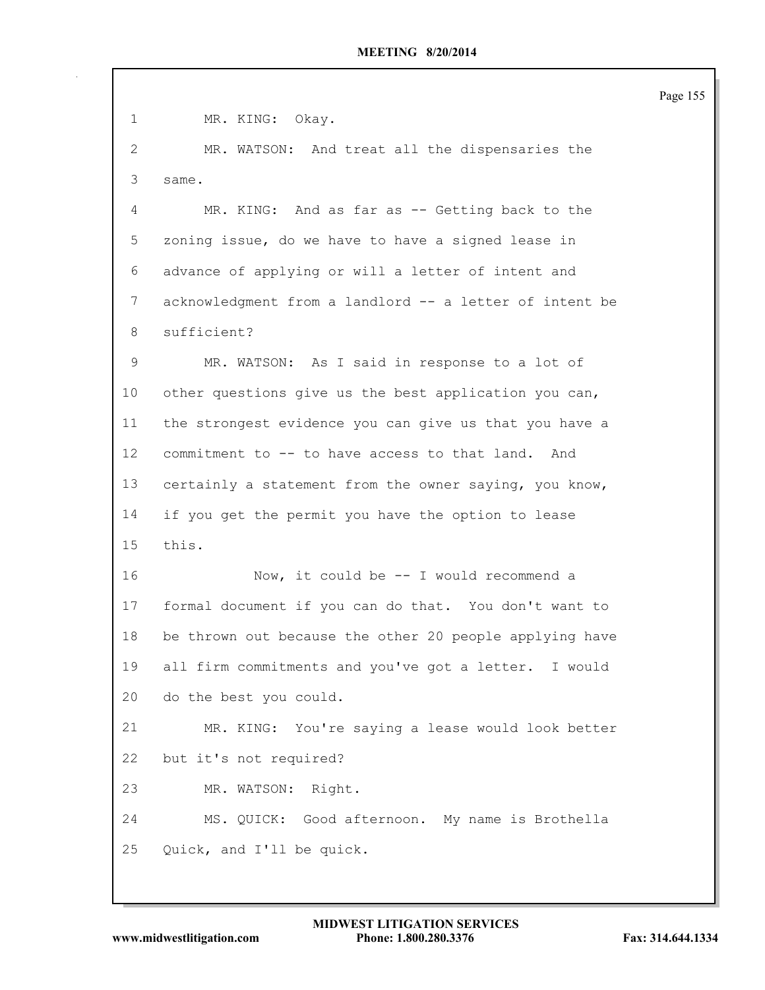| 1                 | MR. KING: Okay.                                         |
|-------------------|---------------------------------------------------------|
| 2                 | MR. WATSON: And treat all the dispensaries the          |
| 3                 | same.                                                   |
| 4                 | MR. KING: And as far as -- Getting back to the          |
| 5                 | zoning issue, do we have to have a signed lease in      |
| 6                 | advance of applying or will a letter of intent and      |
| 7                 | acknowledgment from a landlord -- a letter of intent be |
| 8                 | sufficient?                                             |
| 9                 | MR. WATSON: As I said in response to a lot of           |
| 10                | other questions give us the best application you can,   |
| 11                | the strongest evidence you can give us that you have a  |
| $12 \overline{ }$ | commitment to -- to have access to that land.<br>And    |
| 13                | certainly a statement from the owner saying, you know,  |
| 14                | if you get the permit you have the option to lease      |
| 15                | this.                                                   |
| 16                | Now, it could be -- I would recommend a                 |
| 17                | formal document if you can do that. You don't want to   |
| 18                | be thrown out because the other 20 people applying have |
| 19                | all firm commitments and you've got a letter. I would   |
| 20                | do the best you could.                                  |
| 21                | MR. KING: You're saying a lease would look better       |
| 22                | but it's not required?                                  |
| 23                | MR. WATSON: Right.                                      |
| 24                | MS. QUICK: Good afternoon. My name is Brothella         |
| 25                | Quick, and I'll be quick.                               |
|                   |                                                         |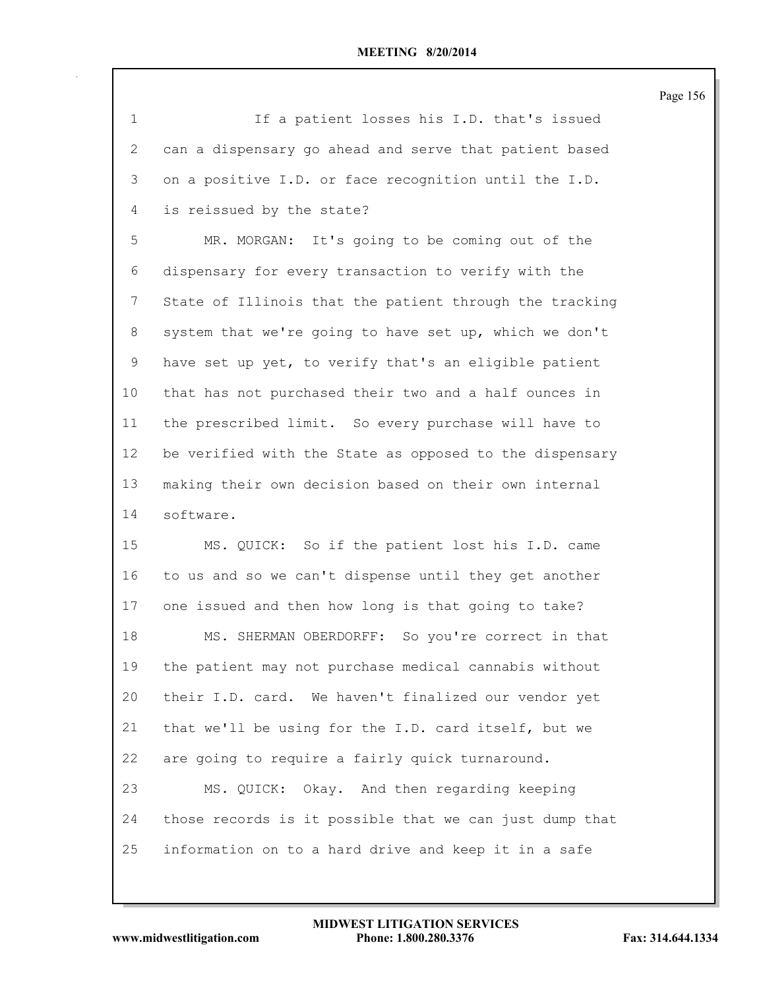If a patient losses his I.D. that's issued can a dispensary go ahead and serve that patient based on a positive I.D. or face recognition until the I.D. is reissued by the state? MR. MORGAN: It's going to be coming out of the dispensary for every transaction to verify with the State of Illinois that the patient through the tracking system that we're going to have set up, which we don't have set up yet, to verify that's an eligible patient that has not purchased their two and a half ounces in the prescribed limit. So every purchase will have to be verified with the State as opposed to the dispensary making their own decision based on their own internal software. MS. QUICK: So if the patient lost his I.D. came to us and so we can't dispense until they get another one issued and then how long is that going to take? MS. SHERMAN OBERDORFF: So you're correct in that the patient may not purchase medical cannabis without their I.D. card. We haven't finalized our vendor yet that we'll be using for the I.D. card itself, but we

are going to require a fairly quick turnaround.

 MS. QUICK: Okay. And then regarding keeping those records is it possible that we can just dump that information on to a hard drive and keep it in a safe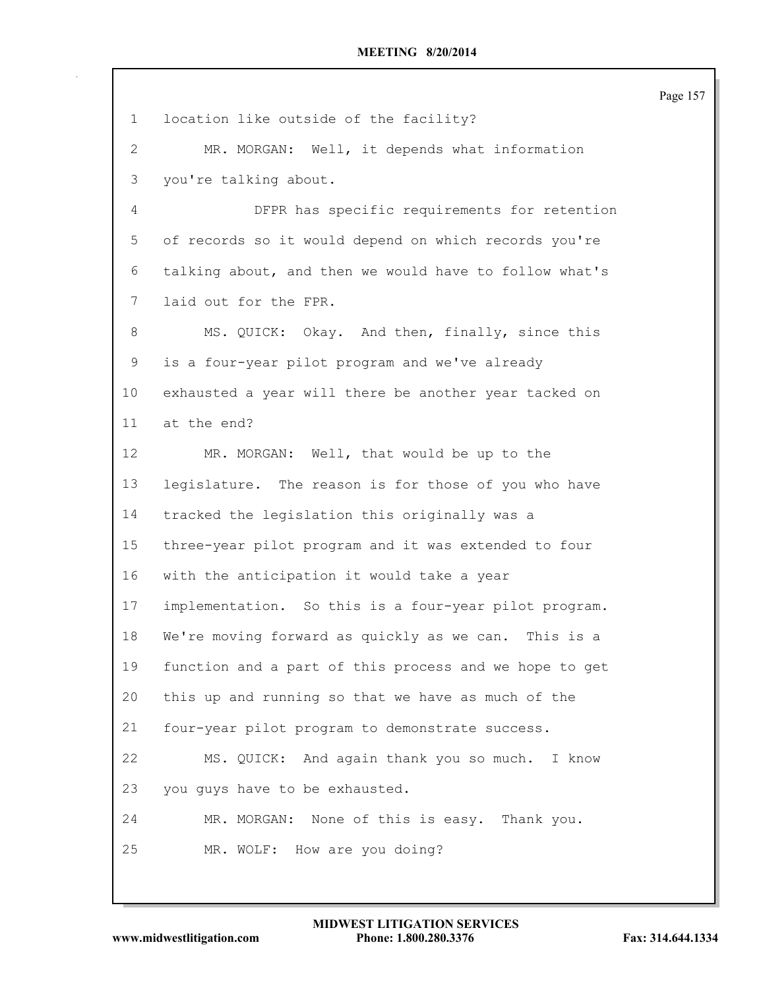| $\mathbf{1}$    | location like outside of the facility?                  |
|-----------------|---------------------------------------------------------|
| $\mathbf{2}$    | MR. MORGAN: Well, it depends what information           |
| 3               | you're talking about.                                   |
| 4               | DFPR has specific requirements for retention            |
| 5               | of records so it would depend on which records you're   |
| 6               | talking about, and then we would have to follow what's  |
| 7               | laid out for the FPR.                                   |
| 8               | MS. QUICK: Okay. And then, finally, since this          |
| 9               | is a four-year pilot program and we've already          |
| $10 \,$         | exhausted a year will there be another year tacked on   |
| 11              | at the end?                                             |
| 12 <sup>°</sup> | MR. MORGAN: Well, that would be up to the               |
| 13              | legislature. The reason is for those of you who have    |
| 14              | tracked the legislation this originally was a           |
| 15              | three-year pilot program and it was extended to four    |
| 16              | with the anticipation it would take a year              |
| 17              | implementation. So this is a four-year pilot program.   |
| 18              | We're moving forward as quickly as we can.<br>This is a |
| 19              | function and a part of this process and we hope to get  |
| 20              | this up and running so that we have as much of the      |
| 21              | four-year pilot program to demonstrate success.         |
| 22              | MS. QUICK: And again thank you so much. I know          |
| 23              | you guys have to be exhausted.                          |
| 24              | MR. MORGAN: None of this is easy. Thank you.            |
| 25              | MR. WOLF: How are you doing?                            |
|                 |                                                         |

 $\Gamma$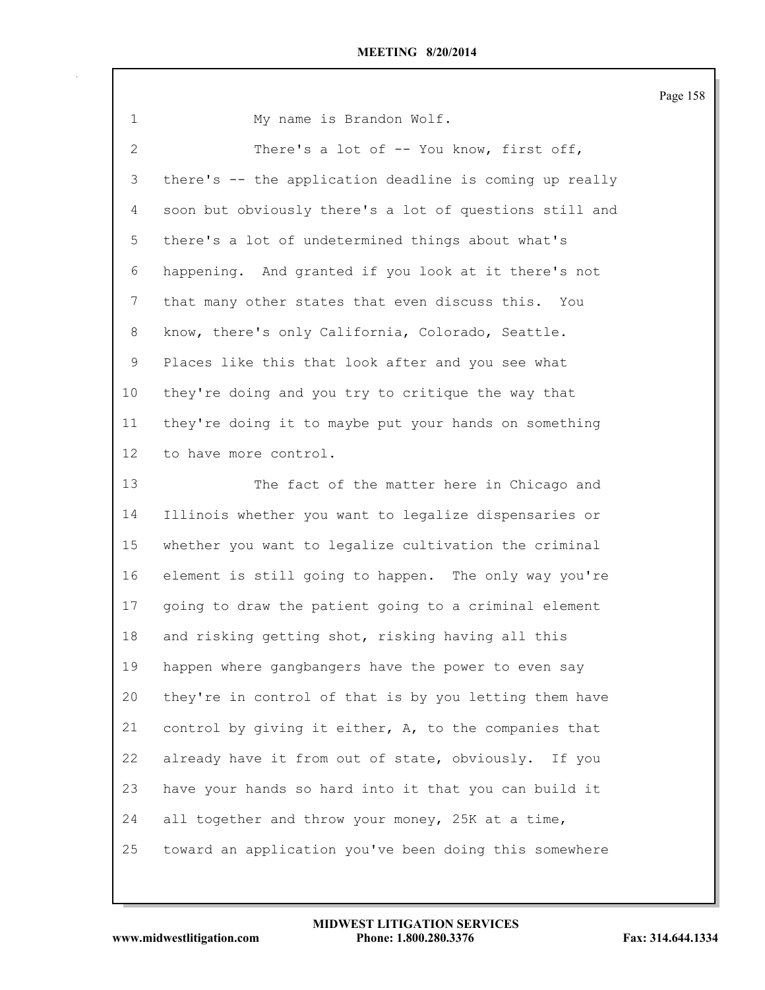| $\mathbf 1$  | My name is Brandon Wolf.                                |
|--------------|---------------------------------------------------------|
| $\mathbf{2}$ | There's a lot of -- You know, first off,                |
| 3            | there's -- the application deadline is coming up really |
| 4            | soon but obviously there's a lot of questions still and |
| 5            | there's a lot of undetermined things about what's       |
| 6            | happening. And granted if you look at it there's not    |
| 7            | that many other states that even discuss this. You      |
| 8            | know, there's only California, Colorado, Seattle.       |
| 9            | Places like this that look after and you see what       |
| 10           | they're doing and you try to critique the way that      |
| 11           | they're doing it to maybe put your hands on something   |
| 12           | to have more control.                                   |
| 13           | The fact of the matter here in Chicago and              |
| 14           | Illinois whether you want to legalize dispensaries or   |
| 15           | whether you want to legalize cultivation the criminal   |
| 16           | element is still going to happen. The only way you're   |
| 17           | going to draw the patient going to a criminal element   |
| 18           | and risking getting shot, risking having all this       |
| 19           | happen where gangbangers have the power to even say     |
| 20           | they're in control of that is by you letting them have  |
| 21           | control by giving it either, A, to the companies that   |
| 22           | already have it from out of state, obviously. If you    |
| 23           | have your hands so hard into it that you can build it   |
| 24           | all together and throw your money, 25K at a time,       |
| 25           | toward an application you've been doing this somewhere  |
|              |                                                         |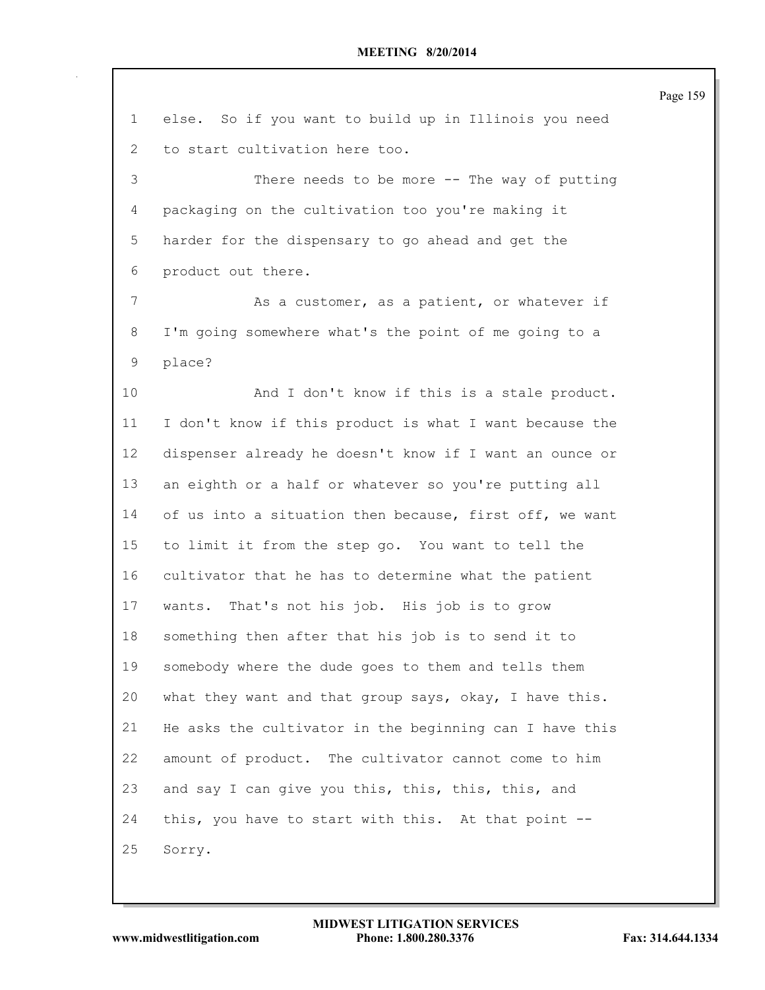| 1               | else. So if you want to build up in Illinois you need   |
|-----------------|---------------------------------------------------------|
| $\mathbf{2}$    | to start cultivation here too.                          |
| 3               | There needs to be more $--$ The way of putting          |
| 4               | packaging on the cultivation too you're making it       |
| 5               | harder for the dispensary to go ahead and get the       |
| 6               | product out there.                                      |
| 7               | As a customer, as a patient, or whatever if             |
| 8               | I'm going somewhere what's the point of me going to a   |
| 9               | place?                                                  |
| 10              | And I don't know if this is a stale product.            |
| 11              | I don't know if this product is what I want because the |
| 12 <sup>°</sup> | dispenser already he doesn't know if I want an ounce or |
| 13              | an eighth or a half or whatever so you're putting all   |
| 14              | of us into a situation then because, first off, we want |
| 15              | to limit it from the step go. You want to tell the      |
| 16              | cultivator that he has to determine what the patient    |
| 17              | wants. That's not his job. His job is to grow           |
| 18              | something then after that his job is to send it to      |
| 19              | somebody where the dude goes to them and tells them     |
| 20              | what they want and that group says, okay, I have this.  |
| 21              | He asks the cultivator in the beginning can I have this |
| 22              | amount of product. The cultivator cannot come to him    |
| 23              | and say I can give you this, this, this, this, and      |
| 24              | this, you have to start with this. At that point --     |
| 25              | Sorry.                                                  |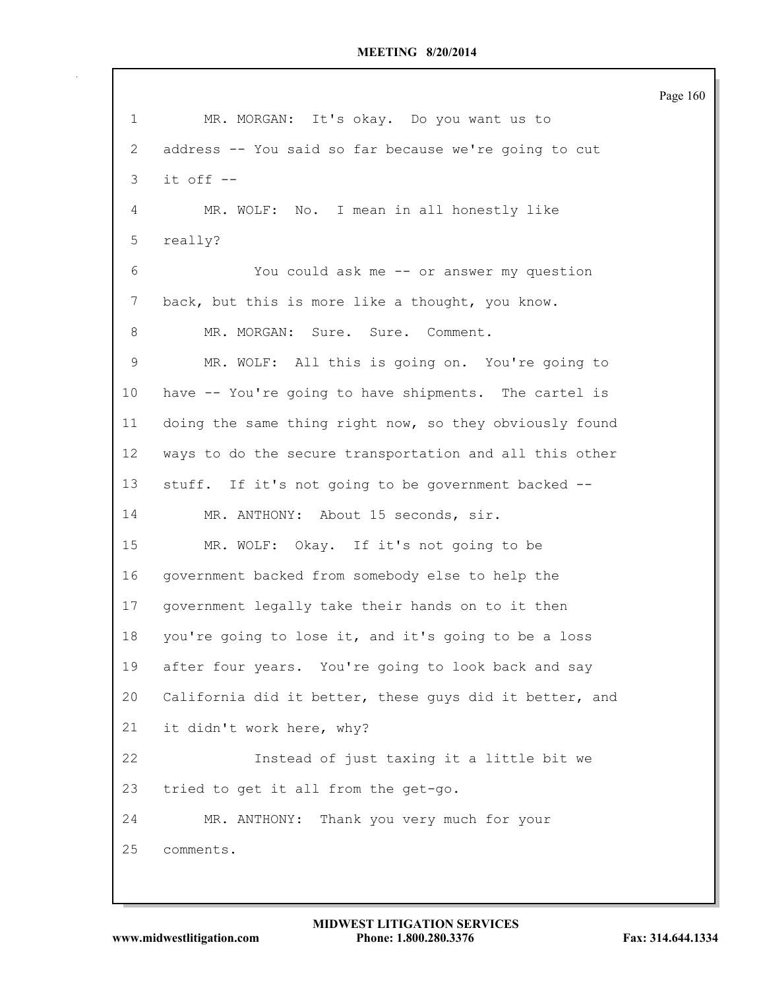```
1 MR. MORGAN: It's okay. Do you want us to
 2 address -- You said so far because we're going to cut
 3 it off -4 MR. WOLF: No. I mean in all honestly like
 5 really?
 6 You could ask me -- or answer my question
 7 back, but this is more like a thought, you know.
 8 MR. MORGAN: Sure. Sure. Comment.
 9 MR. WOLF: All this is going on. You're going to
10 have -- You're going to have shipments. The cartel is
11 doing the same thing right now, so they obviously found
12 ways to do the secure transportation and all this other
13 stuff. If it's not going to be government backed --
14 MR. ANTHONY: About 15 seconds, sir.
15 MR. WOLF: Okay. If it's not going to be
16 government backed from somebody else to help the
17 government legally take their hands on to it then
18 you're going to lose it, and it's going to be a loss
19 after four years. You're going to look back and say
20 California did it better, these guys did it better, and
21 it didn't work here, why?
22 Instead of just taxing it a little bit we
23 tried to get it all from the get-go.
24 MR. ANTHONY: Thank you very much for your
25 comments.
```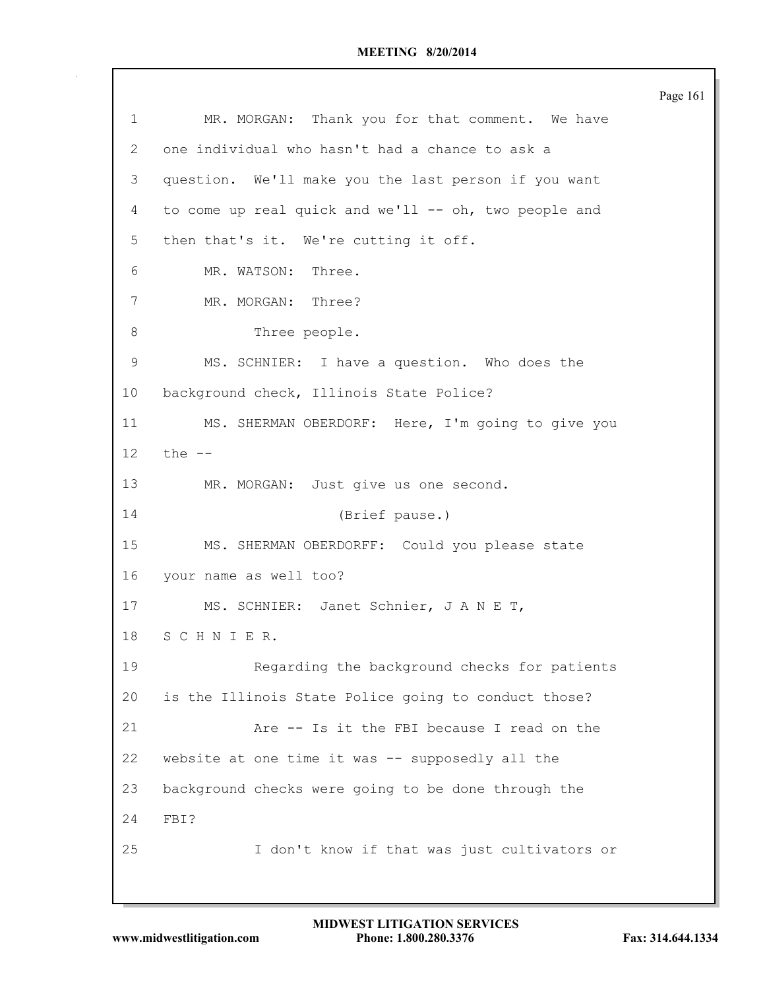|                |                                                       | Page 161 |
|----------------|-------------------------------------------------------|----------|
| 1              | MR. MORGAN: Thank you for that comment. We have       |          |
| $\overline{2}$ | one individual who hasn't had a chance to ask a       |          |
| 3              | question. We'll make you the last person if you want  |          |
| $\overline{4}$ | to come up real quick and we'll -- oh, two people and |          |
| 5              | then that's it. We're cutting it off.                 |          |
| 6              | MR. WATSON:<br>Three.                                 |          |
| 7              | MR. MORGAN: Three?                                    |          |
| 8              | Three people.                                         |          |
| $\mathsf 9$    | MS. SCHNIER: I have a question. Who does the          |          |
| 10             | background check, Illinois State Police?              |          |
| 11             | MS. SHERMAN OBERDORF: Here, I'm going to give you     |          |
| 12             | the --                                                |          |
| 13             | MR. MORGAN: Just give us one second.                  |          |
| 14             | (Brief pause.)                                        |          |
| 15             | MS. SHERMAN OBERDORFF: Could you please state         |          |
| 16             | your name as well too?                                |          |
| 17             | MS. SCHNIER: Janet Schnier, J A N E T,                |          |
| 18             | SCHNIER.                                              |          |
| 19             | Regarding the background checks for patients          |          |
| 20             | is the Illinois State Police going to conduct those?  |          |
| 21             | Are -- Is it the FBI because I read on the            |          |
| 22             | website at one time it was -- supposedly all the      |          |
| 23             | background checks were going to be done through the   |          |
| 24             | FBI?                                                  |          |
| 25             | I don't know if that was just cultivators or          |          |
|                |                                                       |          |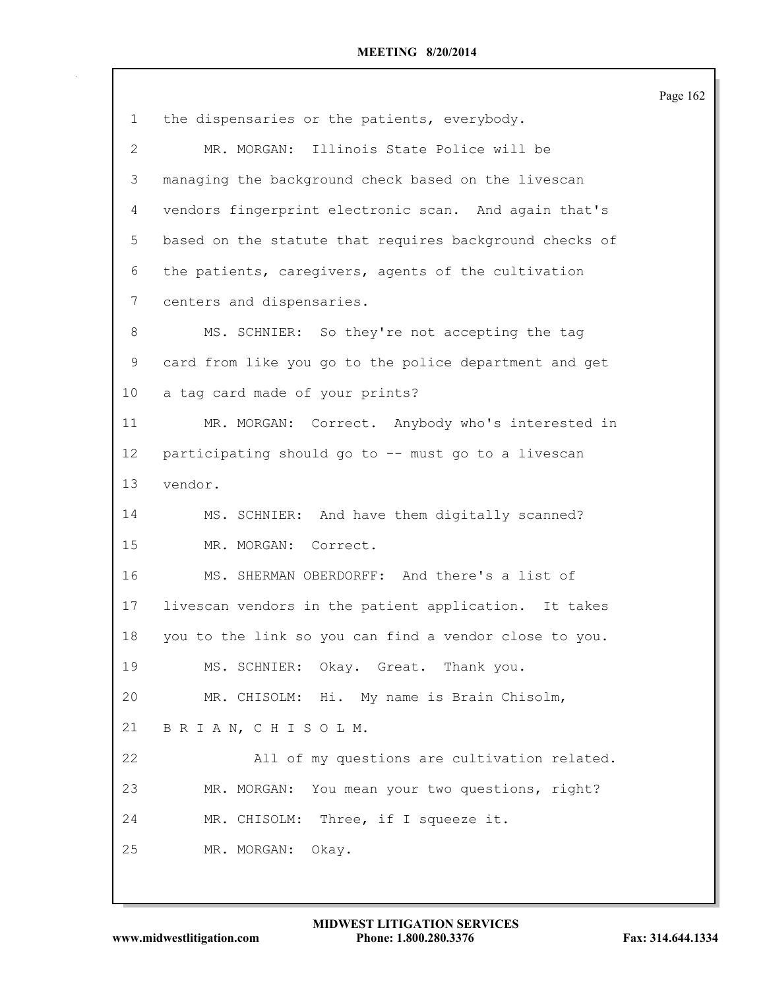| 1              | the dispensaries or the patients, everybody.            |
|----------------|---------------------------------------------------------|
| $\overline{2}$ | MR. MORGAN: Illinois State Police will be               |
| 3              | managing the background check based on the livescan     |
| 4              | vendors fingerprint electronic scan. And again that's   |
| 5              | based on the statute that requires background checks of |
| 6              | the patients, caregivers, agents of the cultivation     |
| 7              | centers and dispensaries.                               |
| 8              | MS. SCHNIER: So they're not accepting the tag           |
| 9              | card from like you go to the police department and get  |
| 10             | a tag card made of your prints?                         |
| 11             | MR. MORGAN: Correct. Anybody who's interested in        |
| 12             | participating should go to -- must go to a livescan     |
| 13             | vendor.                                                 |
| 14             | MS. SCHNIER: And have them digitally scanned?           |
| 15             | MR. MORGAN: Correct.                                    |
| 16             | MS. SHERMAN OBERDORFF: And there's a list of            |
| 17             | livescan vendors in the patient application. It takes   |
| 18             | you to the link so you can find a vendor close to you.  |
| 19             | MS. SCHNIER: Okay. Great. Thank you.                    |
| 20             | MR. CHISOLM: Hi. My name is Brain Chisolm,              |
| 21             | BRIAN, CHISOLM.                                         |
| 22             | All of my questions are cultivation related.            |
| 23             | MR. MORGAN: You mean your two questions, right?         |
| 24             | MR. CHISOLM: Three, if I squeeze it.                    |
| 25             | MR. MORGAN: Okay.                                       |
|                |                                                         |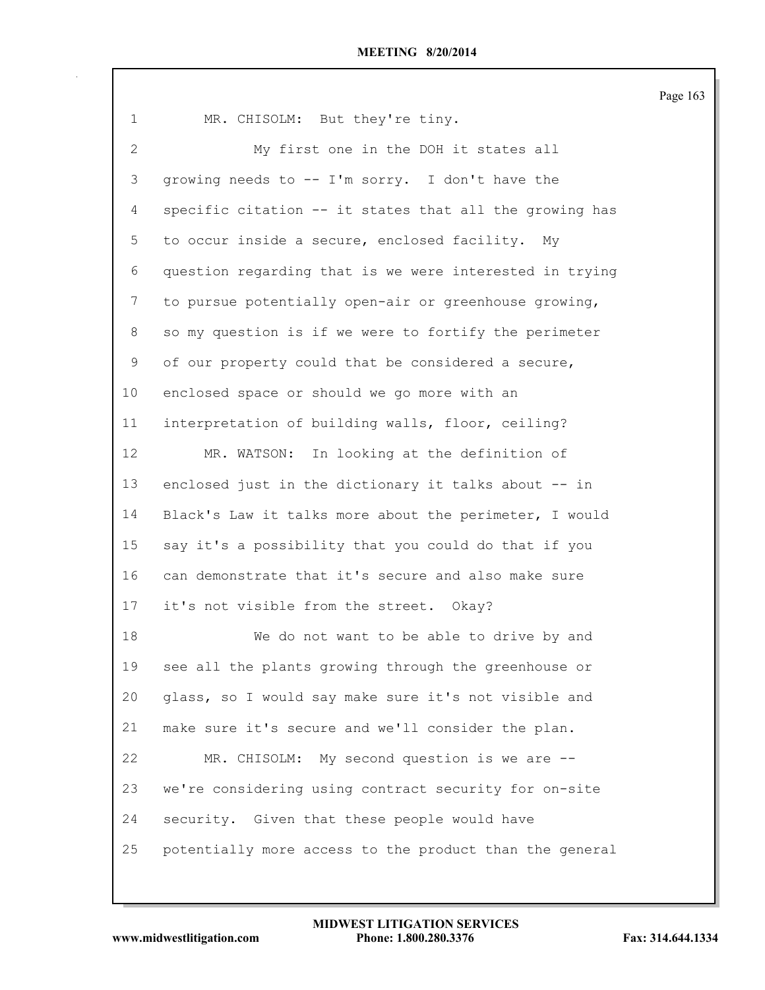| $\mathbf 1$ | MR. CHISOLM: But they're tiny.                          |
|-------------|---------------------------------------------------------|
| 2           | My first one in the DOH it states all                   |
| 3           | growing needs to -- I'm sorry. I don't have the         |
| 4           | specific citation -- it states that all the growing has |
| 5           | to occur inside a secure, enclosed facility. My         |
| 6           | question regarding that is we were interested in trying |
| 7           | to pursue potentially open-air or greenhouse growing,   |
| 8           | so my question is if we were to fortify the perimeter   |
| 9           | of our property could that be considered a secure,      |
| 10          | enclosed space or should we go more with an             |
| 11          | interpretation of building walls, floor, ceiling?       |
| 12          | MR. WATSON: In looking at the definition of             |
| 13          | enclosed just in the dictionary it talks about -- in    |
| 14          | Black's Law it talks more about the perimeter, I would  |
| 15          | say it's a possibility that you could do that if you    |
| 16          | can demonstrate that it's secure and also make sure     |
| 17          | it's not visible from the street. Okay?                 |
| 18          | We do not want to be able to drive by and               |
| 19          | see all the plants growing through the greenhouse or    |
| 20          | glass, so I would say make sure it's not visible and    |
| 21          | make sure it's secure and we'll consider the plan.      |
| 22          | MR. CHISOLM: My second question is we are --            |
| 23          | we're considering using contract security for on-site   |
| 24          | security. Given that these people would have            |
| 25          | potentially more access to the product than the general |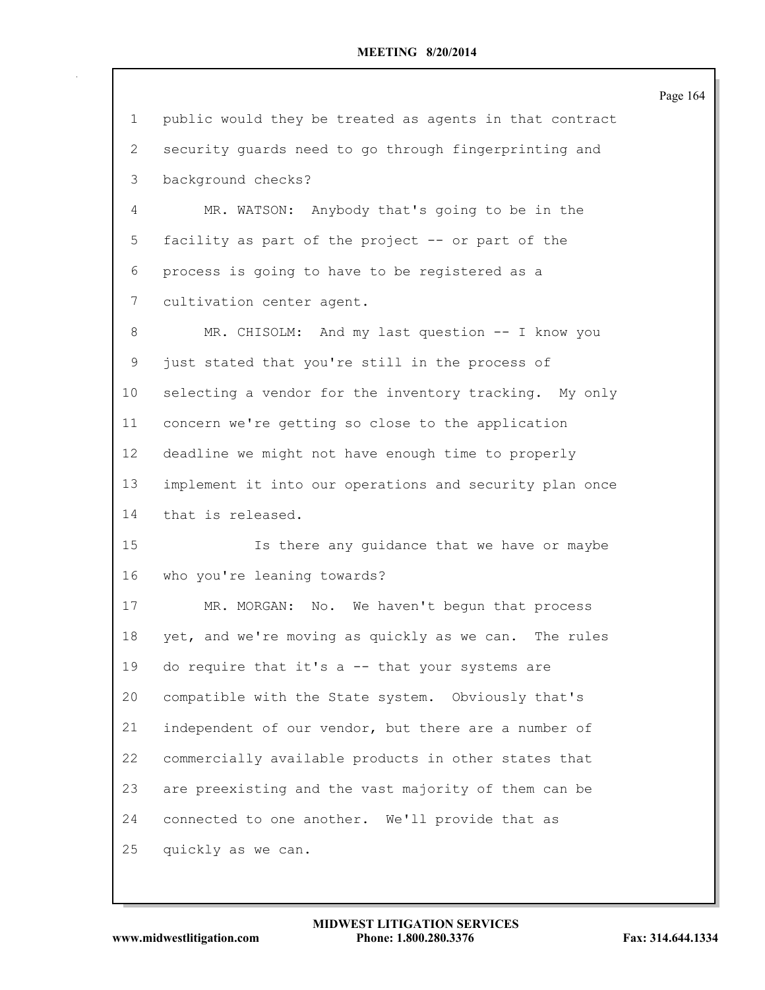|                |                                                          | Page 164 |
|----------------|----------------------------------------------------------|----------|
| 1              | public would they be treated as agents in that contract  |          |
| $\overline{2}$ | security quards need to go through fingerprinting and    |          |
| 3              | background checks?                                       |          |
| 4              | MR. WATSON: Anybody that's going to be in the            |          |
| 5              | facility as part of the project -- or part of the        |          |
| 6              | process is going to have to be registered as a           |          |
| $7\phantom{.}$ | cultivation center agent.                                |          |
| 8              | MR. CHISOLM: And my last question -- I know you          |          |
| $\mathsf 9$    | just stated that you're still in the process of          |          |
| 10             | selecting a vendor for the inventory tracking. My only   |          |
| 11             | concern we're getting so close to the application        |          |
| 12             | deadline we might not have enough time to properly       |          |
| 13             | implement it into our operations and security plan once  |          |
| 14             | that is released.                                        |          |
| 15             | Is there any guidance that we have or maybe              |          |
| 16             | who you're leaning towards?                              |          |
| 17             | MR. MORGAN:<br>No. We haven't begun that process         |          |
| 18             | yet, and we're moving as quickly as we can.<br>The rules |          |
| 19             | do require that it's a -- that your systems are          |          |
| 20             | compatible with the State system. Obviously that's       |          |
| 21             | independent of our vendor, but there are a number of     |          |
| 22             | commercially available products in other states that     |          |
| 23             | are preexisting and the vast majority of them can be     |          |
| 24             | connected to one another. We'll provide that as          |          |
| 25             | quickly as we can.                                       |          |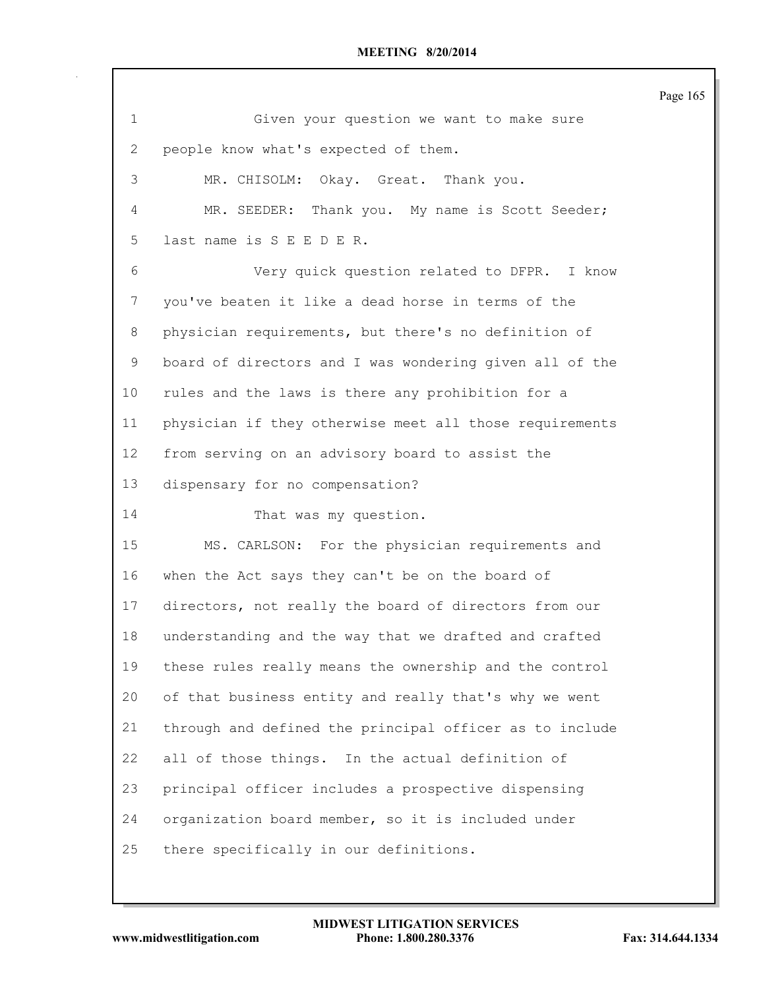| $\mathbf{1}$      | Given your question we want to make sure                |
|-------------------|---------------------------------------------------------|
|                   |                                                         |
| $\mathbf{2}$      | people know what's expected of them.                    |
| 3                 | MR. CHISOLM: Okay. Great. Thank you.                    |
| 4                 | MR. SEEDER: Thank you. My name is Scott Seeder;         |
| 5                 | last name is S E E D E R.                               |
| 6                 | Very quick question related to DFPR. I know             |
| 7                 | you've beaten it like a dead horse in terms of the      |
| 8                 | physician requirements, but there's no definition of    |
| 9                 | board of directors and I was wondering given all of the |
| 10                | rules and the laws is there any prohibition for a       |
| 11                | physician if they otherwise meet all those requirements |
| $12 \overline{ }$ | from serving on an advisory board to assist the         |
| 13                | dispensary for no compensation?                         |
| 14                | That was my question.                                   |
| 15                | MS. CARLSON: For the physician requirements and         |
| 16                | when the Act says they can't be on the board of         |
| 17                | directors, not really the board of directors from our   |
| 18                | understanding and the way that we drafted and crafted   |
| 19                | these rules really means the ownership and the control  |
| 20                | of that business entity and really that's why we went   |
| 21                | through and defined the principal officer as to include |
| 22                | all of those things. In the actual definition of        |
| 23                | principal officer includes a prospective dispensing     |
| 24                | organization board member, so it is included under      |
| 25                | there specifically in our definitions.                  |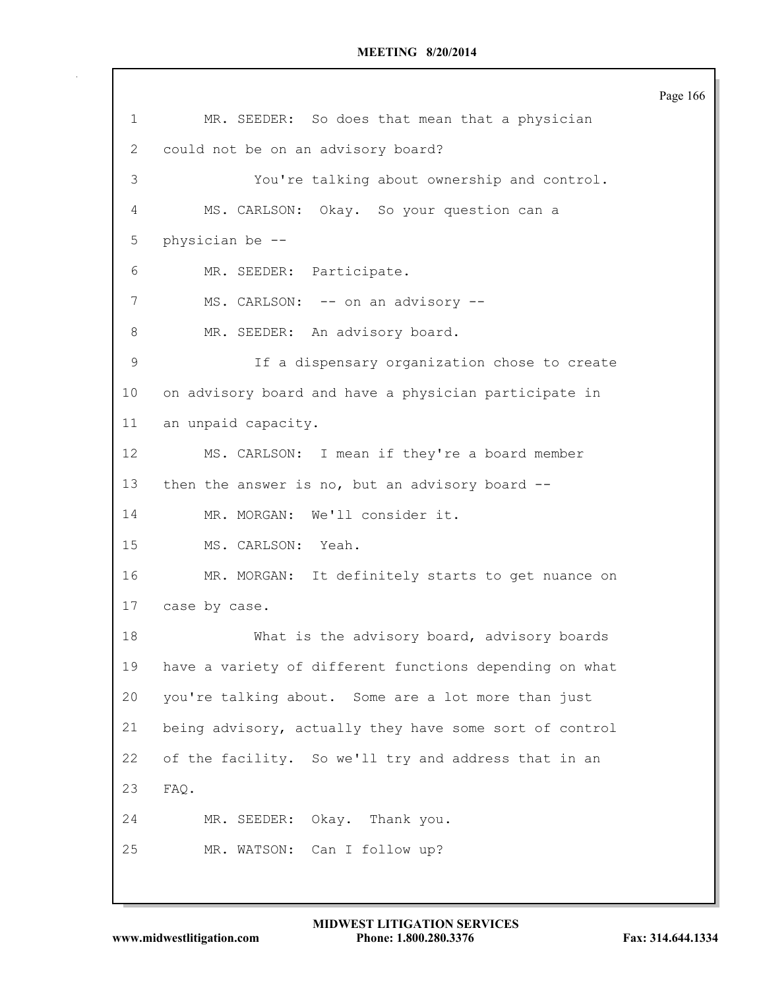|             |                                                         | Page 166 |  |  |
|-------------|---------------------------------------------------------|----------|--|--|
| 1           | MR. SEEDER: So does that mean that a physician          |          |  |  |
| 2           | could not be on an advisory board?                      |          |  |  |
| 3           | You're talking about ownership and control.             |          |  |  |
| 4           | MS. CARLSON: Okay. So your question can a               |          |  |  |
| 5           | physician be --                                         |          |  |  |
| 6           | MR. SEEDER:<br>Participate.                             |          |  |  |
| 7           | MS. CARLSON: -- on an advisory --                       |          |  |  |
| 8           | MR. SEEDER: An advisory board.                          |          |  |  |
| $\mathsf 9$ | If a dispensary organization chose to create            |          |  |  |
| 10          | on advisory board and have a physician participate in   |          |  |  |
| 11          | an unpaid capacity.                                     |          |  |  |
| 12          | MS. CARLSON: I mean if they're a board member           |          |  |  |
| 13          | then the answer is no, but an advisory board --         |          |  |  |
| 14          | We'll consider it.<br>MR. MORGAN:                       |          |  |  |
| 15          | MS. CARLSON: Yeah.                                      |          |  |  |
| 16          | MR. MORGAN: It definitely starts to get nuance on       |          |  |  |
| 17          | case by case.                                           |          |  |  |
| 18          | What is the advisory board, advisory boards             |          |  |  |
| 19          | have a variety of different functions depending on what |          |  |  |
| 20          | you're talking about. Some are a lot more than just     |          |  |  |
| 21          | being advisory, actually they have some sort of control |          |  |  |
| 22          | of the facility. So we'll try and address that in an    |          |  |  |
| 23          | FAQ.                                                    |          |  |  |
| 24          | Okay. Thank you.<br>MR. SEEDER:                         |          |  |  |
| 25          | MR. WATSON: Can I follow up?                            |          |  |  |
|             |                                                         |          |  |  |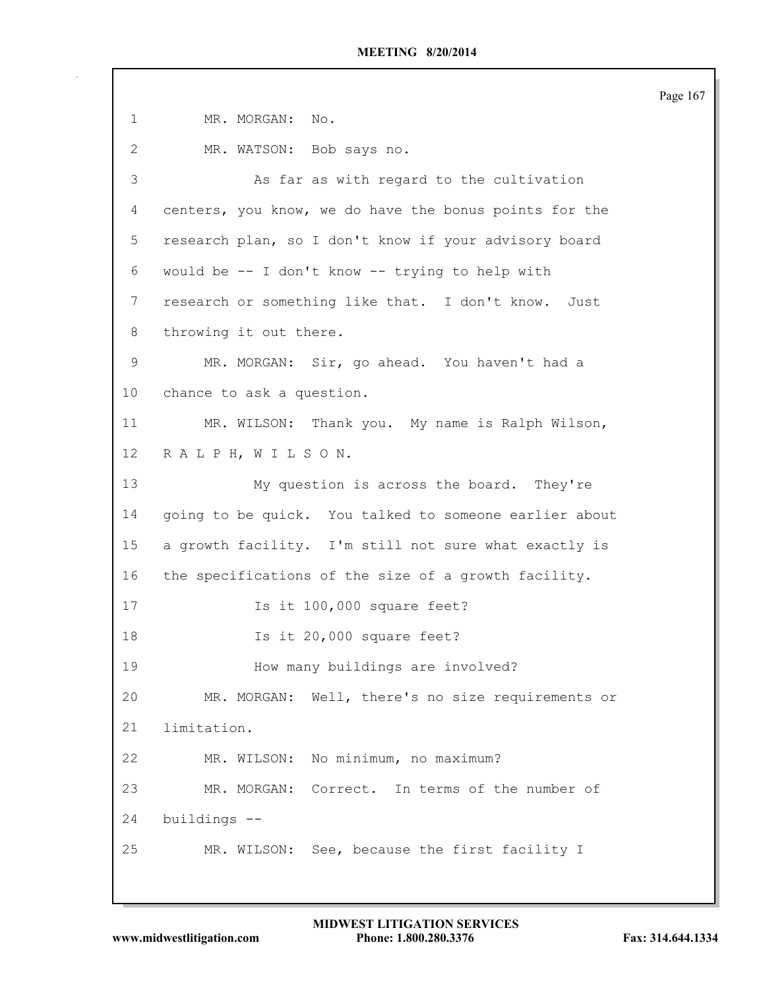1 MR. MORGAN: No. MR. WATSON: Bob says no. As far as with regard to the cultivation centers, you know, we do have the bonus points for the research plan, so I don't know if your advisory board would be -- I don't know -- trying to help with research or something like that. I don't know. Just throwing it out there. MR. MORGAN: Sir, go ahead. You haven't had a chance to ask a question. MR. WILSON: Thank you. My name is Ralph Wilson, R A L P H, W I L S O N. My question is across the board. They're going to be quick. You talked to someone earlier about a growth facility. I'm still not sure what exactly is the specifications of the size of a growth facility. Is it 100,000 square feet? 18 Is it 20,000 square feet? How many buildings are involved? MR. MORGAN: Well, there's no size requirements or limitation. MR. WILSON: No minimum, no maximum? MR. MORGAN: Correct. In terms of the number of buildings -- MR. WILSON: See, because the first facility I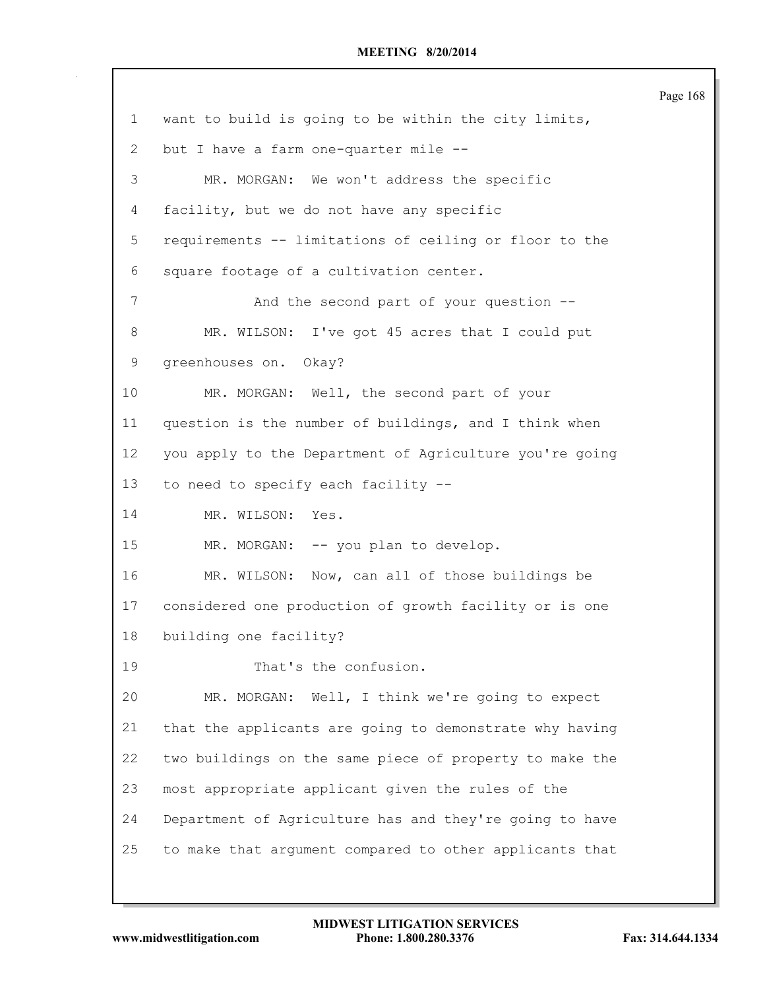|                |                                                         | Page 168 |
|----------------|---------------------------------------------------------|----------|
| $\mathbf{1}$   | want to build is going to be within the city limits,    |          |
| $\mathbf{2}$   | but I have a farm one-quarter mile --                   |          |
| 3              | MR. MORGAN: We won't address the specific               |          |
| $\overline{4}$ | facility, but we do not have any specific               |          |
| 5              | requirements -- limitations of ceiling or floor to the  |          |
| 6              | square footage of a cultivation center.                 |          |
| $7\phantom{.}$ | And the second part of your question --                 |          |
| 8              | MR. WILSON: I've got 45 acres that I could put          |          |
| 9              | greenhouses on. Okay?                                   |          |
| 10             | MR. MORGAN: Well, the second part of your               |          |
| 11             | question is the number of buildings, and I think when   |          |
| 12             | you apply to the Department of Agriculture you're going |          |
| 13             | to need to specify each facility --                     |          |
| 14             | MR. WILSON:<br>Yes.                                     |          |
| 15             | MR. MORGAN:<br>-- you plan to develop.                  |          |
| 16             | MR. WILSON: Now, can all of those buildings be          |          |
| 17             | considered one production of growth facility or is one  |          |
| 18             | building one facility?                                  |          |
| 19             | That's the confusion.                                   |          |
| 20             | Well, I think we're going to expect<br>MR. MORGAN:      |          |
| 21             | that the applicants are going to demonstrate why having |          |
| 22             | two buildings on the same piece of property to make the |          |
| 23             | most appropriate applicant given the rules of the       |          |
| 24             | Department of Agriculture has and they're going to have |          |
| 25             | to make that argument compared to other applicants that |          |
|                |                                                         |          |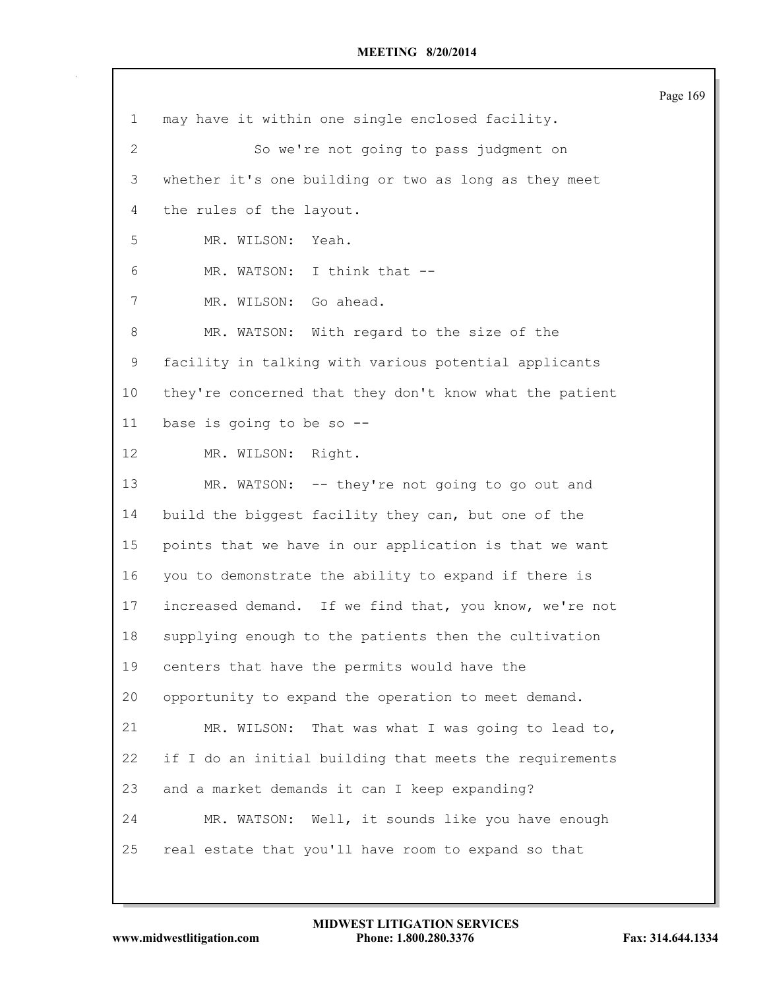| 1               | may have it within one single enclosed facility.        |
|-----------------|---------------------------------------------------------|
| $\mathbf{2}$    | So we're not going to pass judgment on                  |
| 3               | whether it's one building or two as long as they meet   |
| 4               | the rules of the layout.                                |
| 5               | MR. WILSON: Yeah.                                       |
| 6               | MR. WATSON: I think that --                             |
| 7               | MR. WILSON: Go ahead.                                   |
| 8               | MR. WATSON: With regard to the size of the              |
| 9               | facility in talking with various potential applicants   |
| 10              | they're concerned that they don't know what the patient |
| 11              | base is going to be so --                               |
| 12 <sup>°</sup> | MR. WILSON: Right.                                      |
| 13              | MR. WATSON: -- they're not going to go out and          |
| 14              | build the biggest facility they can, but one of the     |
| 15              | points that we have in our application is that we want  |
| 16              | you to demonstrate the ability to expand if there is    |
| 17              | increased demand. If we find that, you know, we're not  |
| 18              | supplying enough to the patients then the cultivation   |
| 19              | centers that have the permits would have the            |
| 20              | opportunity to expand the operation to meet demand.     |
| 21              | MR. WILSON:<br>That was what I was going to lead to,    |
| 22              | if I do an initial building that meets the requirements |
| 23              | and a market demands it can I keep expanding?           |
| 24              | MR. WATSON: Well, it sounds like you have enough        |
| 25              | real estate that you'll have room to expand so that     |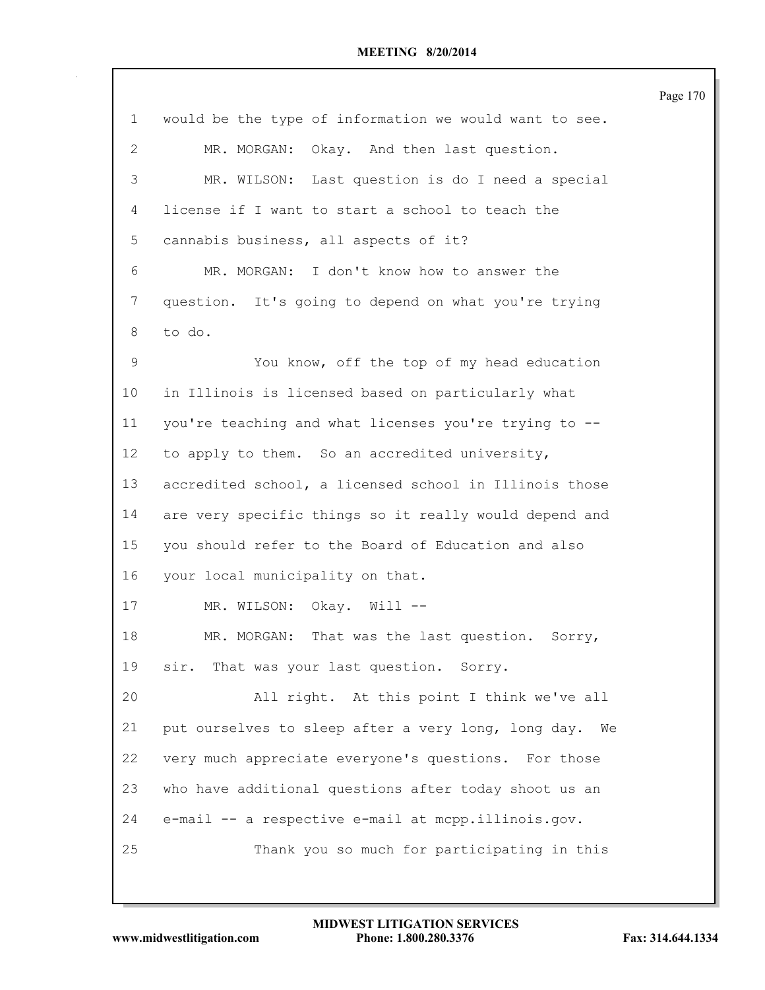| 1  | would be the type of information we would want to see.    |
|----|-----------------------------------------------------------|
| 2  | MR. MORGAN: Okay. And then last question.                 |
| 3  | MR. WILSON: Last question is do I need a special          |
| 4  | license if I want to start a school to teach the          |
| 5  | cannabis business, all aspects of it?                     |
| 6  | MR. MORGAN: I don't know how to answer the                |
| 7  | question. It's going to depend on what you're trying      |
| 8  | to do.                                                    |
| 9  | You know, off the top of my head education                |
| 10 | in Illinois is licensed based on particularly what        |
| 11 | you're teaching and what licenses you're trying to --     |
| 12 | to apply to them. So an accredited university,            |
| 13 | accredited school, a licensed school in Illinois those    |
| 14 | are very specific things so it really would depend and    |
| 15 | you should refer to the Board of Education and also       |
| 16 | your local municipality on that.                          |
| 17 | MR. WILSON: Okay. Will --                                 |
| 18 | MR. MORGAN: That was the last question. Sorry,            |
| 19 | sir. That was your last question. Sorry.                  |
| 20 | All right. At this point I think we've all                |
| 21 | put ourselves to sleep after a very long, long day.<br>We |
| 22 | very much appreciate everyone's questions. For those      |
| 23 | who have additional questions after today shoot us an     |
| 24 | e-mail -- a respective e-mail at mcpp.illinois.gov.       |
| 25 | Thank you so much for participating in this               |
|    |                                                           |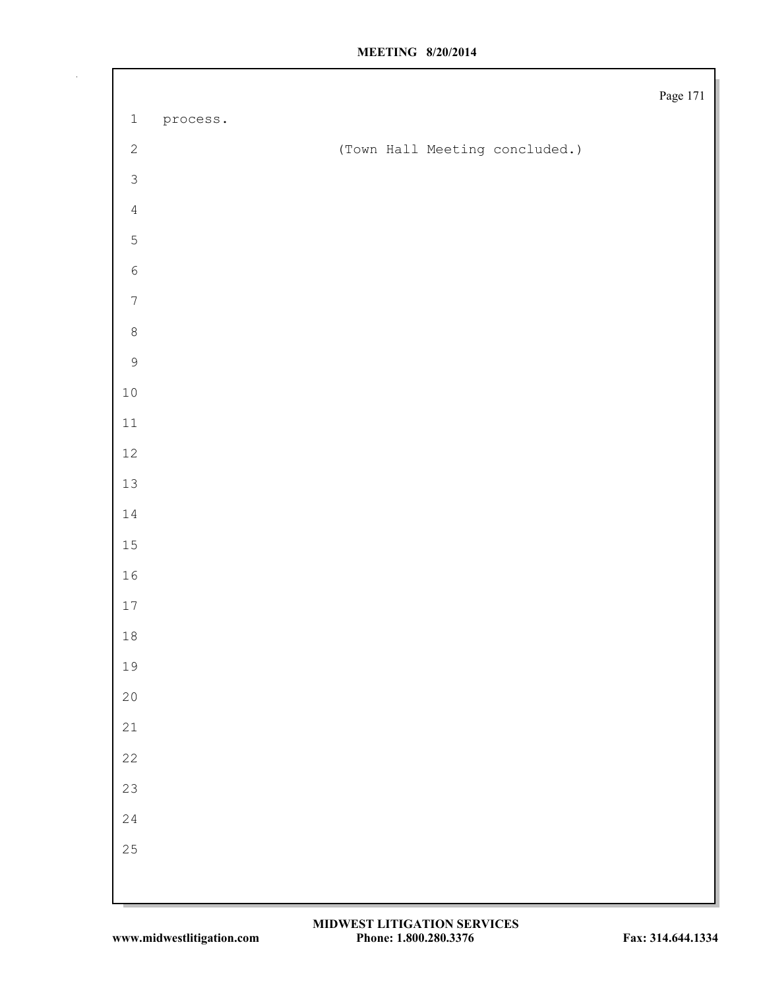|                  |          |                                | Page 171 |
|------------------|----------|--------------------------------|----------|
| $\mathbf 1$      | process. |                                |          |
| $\sqrt{2}$       |          | (Town Hall Meeting concluded.) |          |
| $\mathsf 3$      |          |                                |          |
| $\sqrt{4}$       |          |                                |          |
| $\mathsf S$      |          |                                |          |
| $\sqrt{6}$       |          |                                |          |
| $\boldsymbol{7}$ |          |                                |          |
| $\,8\,$          |          |                                |          |
| $\mathcal{G}$    |          |                                |          |
| $1\,0$           |          |                                |          |
| $11\,$           |          |                                |          |
| $12\,$           |          |                                |          |
| $13\,$           |          |                                |          |
| $1\,4$           |          |                                |          |
| 15               |          |                                |          |
| $16\,$           |          |                                |          |
| $17\,$           |          |                                |          |
| $18\,$           |          |                                |          |
| 19               |          |                                |          |
| $20$             |          |                                |          |
| $2\sqrt{1}$      |          |                                |          |
| 22               |          |                                |          |
| 23               |          |                                |          |
| $2\sqrt{4}$      |          |                                |          |
| 25               |          |                                |          |
|                  |          |                                |          |